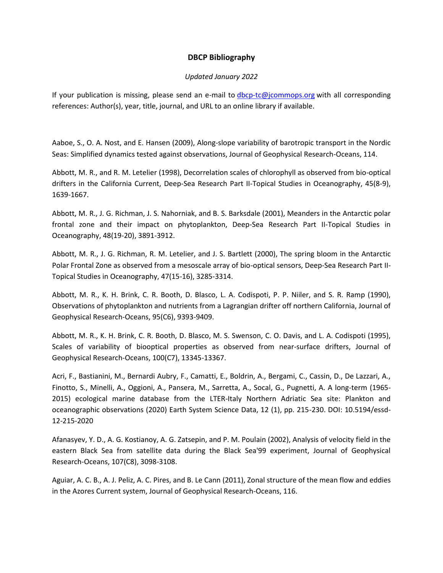## **DBCP Bibliography**

## *Updated January 2022*

If your publication is missing, please send an e-mail to [dbcp-tc@jcommops.org](mailto:dbcp-tc@jcommops.org) with all corresponding references: Author(s), year, title, journal, and URL to an online library if available.

Aaboe, S., O. A. Nost, and E. Hansen (2009), Along-slope variability of barotropic transport in the Nordic Seas: Simplified dynamics tested against observations, Journal of Geophysical Research-Oceans, 114.

Abbott, M. R., and R. M. Letelier (1998), Decorrelation scales of chlorophyll as observed from bio-optical drifters in the California Current, Deep-Sea Research Part II-Topical Studies in Oceanography, 45(8-9), 1639-1667.

Abbott, M. R., J. G. Richman, J. S. Nahorniak, and B. S. Barksdale (2001), Meanders in the Antarctic polar frontal zone and their impact on phytoplankton, Deep-Sea Research Part II-Topical Studies in Oceanography, 48(19-20), 3891-3912.

Abbott, M. R., J. G. Richman, R. M. Letelier, and J. S. Bartlett (2000), The spring bloom in the Antarctic Polar Frontal Zone as observed from a mesoscale array of bio-optical sensors, Deep-Sea Research Part II-Topical Studies in Oceanography, 47(15-16), 3285-3314.

Abbott, M. R., K. H. Brink, C. R. Booth, D. Blasco, L. A. Codispoti, P. P. Niiler, and S. R. Ramp (1990), Observations of phytoplankton and nutrients from a Lagrangian drifter off northern California, Journal of Geophysical Research-Oceans, 95(C6), 9393-9409.

Abbott, M. R., K. H. Brink, C. R. Booth, D. Blasco, M. S. Swenson, C. O. Davis, and L. A. Codispoti (1995), Scales of variability of biooptical properties as observed from near-surface drifters, Journal of Geophysical Research-Oceans, 100(C7), 13345-13367.

Acri, F., Bastianini, M., Bernardi Aubry, F., Camatti, E., Boldrin, A., Bergami, C., Cassin, D., De Lazzari, A., Finotto, S., Minelli, A., Oggioni, A., Pansera, M., Sarretta, A., Socal, G., Pugnetti, A. A long-term (1965- 2015) ecological marine database from the LTER-Italy Northern Adriatic Sea site: Plankton and oceanographic observations (2020) Earth System Science Data, 12 (1), pp. 215-230. DOI: 10.5194/essd-12-215-2020

Afanasyev, Y. D., A. G. Kostianoy, A. G. Zatsepin, and P. M. Poulain (2002), Analysis of velocity field in the eastern Black Sea from satellite data during the Black Sea'99 experiment, Journal of Geophysical Research-Oceans, 107(C8), 3098-3108.

Aguiar, A. C. B., A. J. Peliz, A. C. Pires, and B. Le Cann (2011), Zonal structure of the mean flow and eddies in the Azores Current system, Journal of Geophysical Research-Oceans, 116.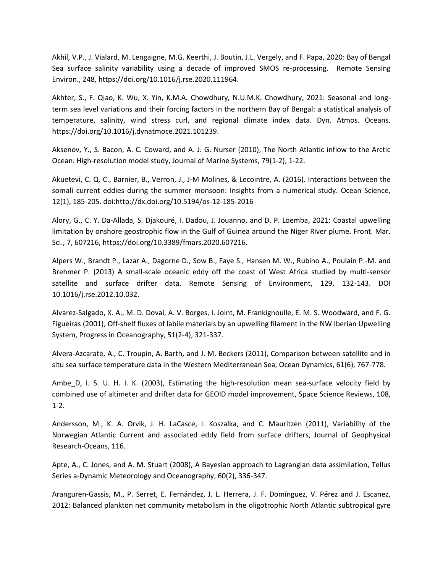Akhil, V.P., J. Vialard, M. Lengaigne, M.G. Keerthi, J. Boutin, J.L. Vergely, and F. Papa, 2020: Bay of Bengal Sea surface salinity variability using a decade of improved SMOS re-processing. Remote Sensing Environ., 248, https://doi.org/10.1016/j.rse.2020.111964.

Akhter, S., F. Qiao, K. Wu, X. Yin, K.M.A. Chowdhury, N.U.M.K. Chowdhury, 2021: Seasonal and longterm sea level variations and their forcing factors in the northern Bay of Bengal: a statistical analysis of temperature, salinity, wind stress curl, and regional climate index data. Dyn. Atmos. Oceans. https://doi.org/10.1016/j.dynatmoce.2021.101239.

Aksenov, Y., S. Bacon, A. C. Coward, and A. J. G. Nurser (2010), The North Atlantic inflow to the Arctic Ocean: High-resolution model study, Journal of Marine Systems, 79(1-2), 1-22.

Akuetevi, C. Q. C., Barnier, B., Verron, J., J-M Molines, & Lecointre, A. (2016). Interactions between the somali current eddies during the summer monsoon: Insights from a numerical study. Ocean Science, 12(1), 185-205. doi:http://dx.doi.org/10.5194/os-12-185-2016

Alory, G., C. Y. Da-Allada, S. Djakouré, I. Dadou, J. Jouanno, and D. P. Loemba, 2021: Coastal upwelling limitation by onshore geostrophic flow in the Gulf of Guinea around the Niger River plume. Front. Mar. Sci., 7, 607216, https://doi.org/10.3389/fmars.2020.607216.

Alpers W., Brandt P., Lazar A., Dagorne D., Sow B., Faye S., Hansen M. W., Rubino A., Poulain P.-M. and Brehmer P. (2013) A small-scale oceanic eddy off the coast of West Africa studied by multi-sensor satellite and surface drifter data. Remote Sensing of Environment, 129, 132-143. DOI 10.1016/j.rse.2012.10.032.

Alvarez-Salgado, X. A., M. D. Doval, A. V. Borges, I. Joint, M. Frankignoulle, E. M. S. Woodward, and F. G. Figueiras (2001), Off-shelf fluxes of labile materials by an upwelling filament in the NW Iberian Upwelling System, Progress in Oceanography, 51(2-4), 321-337.

Alvera-Azcarate, A., C. Troupin, A. Barth, and J. M. Beckers (2011), Comparison between satellite and in situ sea surface temperature data in the Western Mediterranean Sea, Ocean Dynamics, 61(6), 767-778.

Ambe D, I. S. U. H. I. K. (2003), Estimating the high-resolution mean sea-surface velocity field by combined use of altimeter and drifter data for GEOID model improvement, Space Science Reviews, 108, 1-2.

Andersson, M., K. A. Orvik, J. H. LaCasce, I. Koszalka, and C. Mauritzen (2011), Variability of the Norwegian Atlantic Current and associated eddy field from surface drifters, Journal of Geophysical Research-Oceans, 116.

Apte, A., C. Jones, and A. M. Stuart (2008), A Bayesian approach to Lagrangian data assimilation, Tellus Series a-Dynamic Meteorology and Oceanography, 60(2), 336-347.

Aranguren-Gassis, M., P. Serret, E. Fernández, J. L. Herrera, J. F. Domínguez, V. Pérez and J. Escanez, 2012: Balanced plankton net community metabolism in the oligotrophic North Atlantic subtropical gyre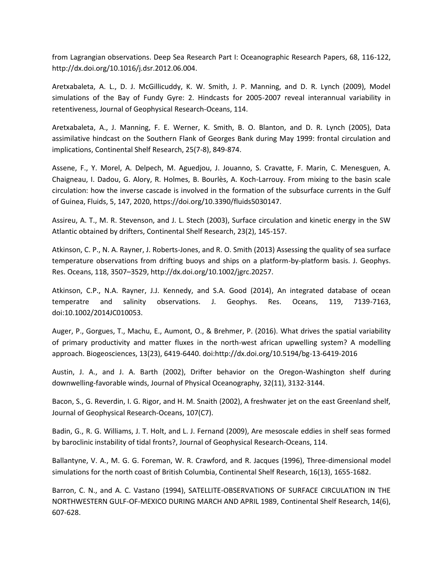from Lagrangian observations. Deep Sea Research Part I: Oceanographic Research Papers, 68, 116-122, http://dx.doi.org/10.1016/j.dsr.2012.06.004.

Aretxabaleta, A. L., D. J. McGillicuddy, K. W. Smith, J. P. Manning, and D. R. Lynch (2009), Model simulations of the Bay of Fundy Gyre: 2. Hindcasts for 2005-2007 reveal interannual variability in retentiveness, Journal of Geophysical Research-Oceans, 114.

Aretxabaleta, A., J. Manning, F. E. Werner, K. Smith, B. O. Blanton, and D. R. Lynch (2005), Data assimilative hindcast on the Southern Flank of Georges Bank during May 1999: frontal circulation and implications, Continental Shelf Research, 25(7-8), 849-874.

Assene, F., Y. Morel, A. Delpech, M. Aguedjou, J. Jouanno, S. Cravatte, F. Marin, C. Menesguen, A. Chaigneau, I. Dadou, G. Alory, R. Holmes, B. Bourlès, A. Koch-Larrouy. From mixing to the basin scale circulation: how the inverse cascade is involved in the formation of the subsurface currents in the Gulf of Guinea, Fluids, 5, 147, 2020, https://doi.org/10.3390/fluids5030147.

Assireu, A. T., M. R. Stevenson, and J. L. Stech (2003), Surface circulation and kinetic energy in the SW Atlantic obtained by drifters, Continental Shelf Research, 23(2), 145-157.

Atkinson, C. P., N. A. Rayner, J. Roberts-Jones, and R. O. Smith (2013) Assessing the quality of sea surface temperature observations from drifting buoys and ships on a platform-by-platform basis. J. Geophys. Res. Oceans, 118, 3507–3529, http://dx.doi.org/10.1002/jgrc.20257.

Atkinson, C.P., N.A. Rayner, J.J. Kennedy, and S.A. Good (2014), An integrated database of ocean temperatre and salinity observations. J. Geophys. Res. Oceans, 119, 7139-7163, doi:10.1002/2014JC010053.

Auger, P., Gorgues, T., Machu, E., Aumont, O., & Brehmer, P. (2016). What drives the spatial variability of primary productivity and matter fluxes in the north-west african upwelling system? A modelling approach. Biogeosciences, 13(23), 6419-6440. doi:http://dx.doi.org/10.5194/bg-13-6419-2016

Austin, J. A., and J. A. Barth (2002), Drifter behavior on the Oregon-Washington shelf during downwelling-favorable winds, Journal of Physical Oceanography, 32(11), 3132-3144.

Bacon, S., G. Reverdin, I. G. Rigor, and H. M. Snaith (2002), A freshwater jet on the east Greenland shelf, Journal of Geophysical Research-Oceans, 107(C7).

Badin, G., R. G. Williams, J. T. Holt, and L. J. Fernand (2009), Are mesoscale eddies in shelf seas formed by baroclinic instability of tidal fronts?, Journal of Geophysical Research-Oceans, 114.

Ballantyne, V. A., M. G. G. Foreman, W. R. Crawford, and R. Jacques (1996), Three-dimensional model simulations for the north coast of British Columbia, Continental Shelf Research, 16(13), 1655-1682.

Barron, C. N., and A. C. Vastano (1994), SATELLITE-OBSERVATIONS OF SURFACE CIRCULATION IN THE NORTHWESTERN GULF-OF-MEXICO DURING MARCH AND APRIL 1989, Continental Shelf Research, 14(6), 607-628.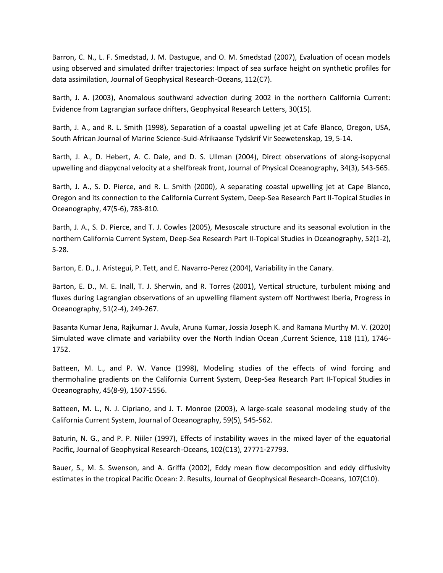Barron, C. N., L. F. Smedstad, J. M. Dastugue, and O. M. Smedstad (2007), Evaluation of ocean models using observed and simulated drifter trajectories: Impact of sea surface height on synthetic profiles for data assimilation, Journal of Geophysical Research-Oceans, 112(C7).

Barth, J. A. (2003), Anomalous southward advection during 2002 in the northern California Current: Evidence from Lagrangian surface drifters, Geophysical Research Letters, 30(15).

Barth, J. A., and R. L. Smith (1998), Separation of a coastal upwelling jet at Cafe Blanco, Oregon, USA, South African Journal of Marine Science-Suid-Afrikaanse Tydskrif Vir Seewetenskap, 19, 5-14.

Barth, J. A., D. Hebert, A. C. Dale, and D. S. Ullman (2004), Direct observations of along-isopycnal upwelling and diapycnal velocity at a shelfbreak front, Journal of Physical Oceanography, 34(3), 543-565.

Barth, J. A., S. D. Pierce, and R. L. Smith (2000), A separating coastal upwelling jet at Cape Blanco, Oregon and its connection to the California Current System, Deep-Sea Research Part II-Topical Studies in Oceanography, 47(5-6), 783-810.

Barth, J. A., S. D. Pierce, and T. J. Cowles (2005), Mesoscale structure and its seasonal evolution in the northern California Current System, Deep-Sea Research Part II-Topical Studies in Oceanography, 52(1-2), 5-28.

Barton, E. D., J. Aristegui, P. Tett, and E. Navarro-Perez (2004), Variability in the Canary.

Barton, E. D., M. E. Inall, T. J. Sherwin, and R. Torres (2001), Vertical structure, turbulent mixing and fluxes during Lagrangian observations of an upwelling filament system off Northwest Iberia, Progress in Oceanography, 51(2-4), 249-267.

Basanta Kumar Jena, Rajkumar J. Avula, Aruna Kumar, Jossia Joseph K. and Ramana Murthy M. V. (2020) Simulated wave climate and variability over the North Indian Ocean ,Current Science, 118 (11), 1746- 1752.

Batteen, M. L., and P. W. Vance (1998), Modeling studies of the effects of wind forcing and thermohaline gradients on the California Current System, Deep-Sea Research Part II-Topical Studies in Oceanography, 45(8-9), 1507-1556.

Batteen, M. L., N. J. Cipriano, and J. T. Monroe (2003), A large-scale seasonal modeling study of the California Current System, Journal of Oceanography, 59(5), 545-562.

Baturin, N. G., and P. P. Niiler (1997), Effects of instability waves in the mixed layer of the equatorial Pacific, Journal of Geophysical Research-Oceans, 102(C13), 27771-27793.

Bauer, S., M. S. Swenson, and A. Griffa (2002), Eddy mean flow decomposition and eddy diffusivity estimates in the tropical Pacific Ocean: 2. Results, Journal of Geophysical Research-Oceans, 107(C10).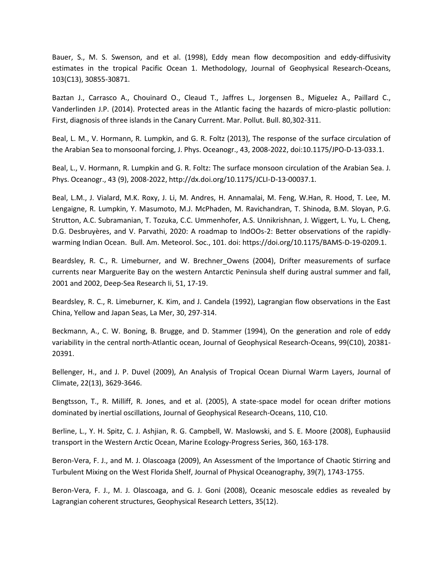Bauer, S., M. S. Swenson, and et al. (1998), Eddy mean flow decomposition and eddy-diffusivity estimates in the tropical Pacific Ocean 1. Methodology, Journal of Geophysical Research-Oceans, 103(C13), 30855-30871.

Baztan J., Carrasco A., Chouinard O., Cleaud T., Jaffres L., Jorgensen B., Miguelez A., Paillard C., Vanderlinden J.P. (2014). Protected areas in the Atlantic facing the hazards of micro-plastic pollution: First, diagnosis of three islands in the Canary Current. Mar. Pollut. Bull. 80,302-311.

Beal, L. M., V. Hormann, R. Lumpkin, and G. R. Foltz (2013), The response of the surface circulation of the Arabian Sea to monsoonal forcing, J. Phys. Oceanogr., 43, 2008-2022, doi:10.1175/JPO-D-13-033.1.

Beal, L., V. Hormann, R. Lumpkin and G. R. Foltz: The surface monsoon circulation of the Arabian Sea. J. Phys. Oceanogr., 43 (9), 2008-2022, http://dx.doi.org/10.1175/JCLI-D-13-00037.1.

Beal, L.M., J. Vialard, M.K. Roxy, J. Li, M. Andres, H. Annamalai, M. Feng, W.Han, R. Hood, T. Lee, M. Lengaigne, R. Lumpkin, Y. Masumoto, M.J. McPhaden, M. Ravichandran, T. Shinoda, B.M. Sloyan, P.G. Strutton, A.C. Subramanian, T. Tozuka, C.C. Ummenhofer, A.S. Unnikrishnan, J. Wiggert, L. Yu, L. Cheng, D.G. Desbruyères, and V. Parvathi, 2020: A roadmap to IndOOs-2: Better observations of the rapidlywarming Indian Ocean. Bull. Am. Meteorol. Soc., 101. doi: https://doi.org/10.1175/BAMS-D-19-0209.1.

Beardsley, R. C., R. Limeburner, and W. Brechner Owens (2004), Drifter measurements of surface currents near Marguerite Bay on the western Antarctic Peninsula shelf during austral summer and fall, 2001 and 2002, Deep-Sea Research Ii, 51, 17-19.

Beardsley, R. C., R. Limeburner, K. Kim, and J. Candela (1992), Lagrangian flow observations in the East China, Yellow and Japan Seas, La Mer, 30, 297-314.

Beckmann, A., C. W. Boning, B. Brugge, and D. Stammer (1994), On the generation and role of eddy variability in the central north-Atlantic ocean, Journal of Geophysical Research-Oceans, 99(C10), 20381- 20391.

Bellenger, H., and J. P. Duvel (2009), An Analysis of Tropical Ocean Diurnal Warm Layers, Journal of Climate, 22(13), 3629-3646.

Bengtsson, T., R. Milliff, R. Jones, and et al. (2005), A state-space model for ocean drifter motions dominated by inertial oscillations, Journal of Geophysical Research-Oceans, 110, C10.

Berline, L., Y. H. Spitz, C. J. Ashjian, R. G. Campbell, W. Maslowski, and S. E. Moore (2008), Euphausiid transport in the Western Arctic Ocean, Marine Ecology-Progress Series, 360, 163-178.

Beron-Vera, F. J., and M. J. Olascoaga (2009), An Assessment of the Importance of Chaotic Stirring and Turbulent Mixing on the West Florida Shelf, Journal of Physical Oceanography, 39(7), 1743-1755.

Beron-Vera, F. J., M. J. Olascoaga, and G. J. Goni (2008), Oceanic mesoscale eddies as revealed by Lagrangian coherent structures, Geophysical Research Letters, 35(12).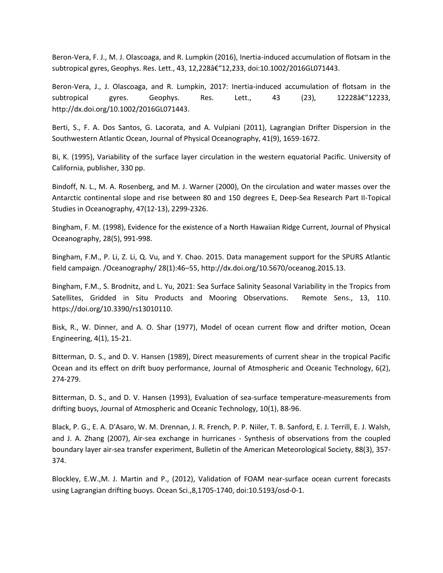Beron-Vera, F. J., M. J. Olascoaga, and R. Lumpkin (2016), Inertia-induced accumulation of flotsam in the subtropical gyres, Geophys. Res. Lett., 43, 12,228â€"12,233, doi:10.1002/2016GL071443.

Beron-Vera, J., J. Olascoaga, and R. Lumpkin, 2017: Inertia-induced accumulation of flotsam in the subtropical gyres. Geophys. Res. Lett.,  $43$   $(23)$ ,  $12228\hat{a} \cdot \hat{c}$   $12233$ , http://dx.doi.org/10.1002/2016GL071443.

Berti, S., F. A. Dos Santos, G. Lacorata, and A. Vulpiani (2011), Lagrangian Drifter Dispersion in the Southwestern Atlantic Ocean, Journal of Physical Oceanography, 41(9), 1659-1672.

Bi, K. (1995), Variability of the surface layer circulation in the western equatorial Pacific. University of California, publisher, 330 pp.

Bindoff, N. L., M. A. Rosenberg, and M. J. Warner (2000), On the circulation and water masses over the Antarctic continental slope and rise between 80 and 150 degrees E, Deep-Sea Research Part II-Topical Studies in Oceanography, 47(12-13), 2299-2326.

Bingham, F. M. (1998), Evidence for the existence of a North Hawaiian Ridge Current, Journal of Physical Oceanography, 28(5), 991-998.

Bingham, F.M., P. Li, Z. Li, Q. Vu, and Y. Chao. 2015. Data management support for the SPURS Atlantic field campaign. /Oceanography/ 28(1):46–55, http://dx.doi.org/10.5670/oceanog.2015.13.

Bingham, F.M., S. Brodnitz, and L. Yu, 2021: Sea Surface Salinity Seasonal Variability in the Tropics from Satellites, Gridded in Situ Products and Mooring Observations. Remote Sens., 13, 110. https://doi.org/10.3390/rs13010110.

Bisk, R., W. Dinner, and A. O. Shar (1977), Model of ocean current flow and drifter motion, Ocean Engineering, 4(1), 15-21.

Bitterman, D. S., and D. V. Hansen (1989), Direct measurements of current shear in the tropical Pacific Ocean and its effect on drift buoy performance, Journal of Atmospheric and Oceanic Technology, 6(2), 274-279.

Bitterman, D. S., and D. V. Hansen (1993), Evaluation of sea-surface temperature-measurements from drifting buoys, Journal of Atmospheric and Oceanic Technology, 10(1), 88-96.

Black, P. G., E. A. D'Asaro, W. M. Drennan, J. R. French, P. P. Niiler, T. B. Sanford, E. J. Terrill, E. J. Walsh, and J. A. Zhang (2007), Air-sea exchange in hurricanes - Synthesis of observations from the coupled boundary layer air-sea transfer experiment, Bulletin of the American Meteorological Society, 88(3), 357- 374.

Blockley, E.W.,M. J. Martin and P., (2012), Validation of FOAM near-surface ocean current forecasts using Lagrangian drifting buoys. Ocean Sci.,8,1705-1740, doi:10.5193/osd-0-1.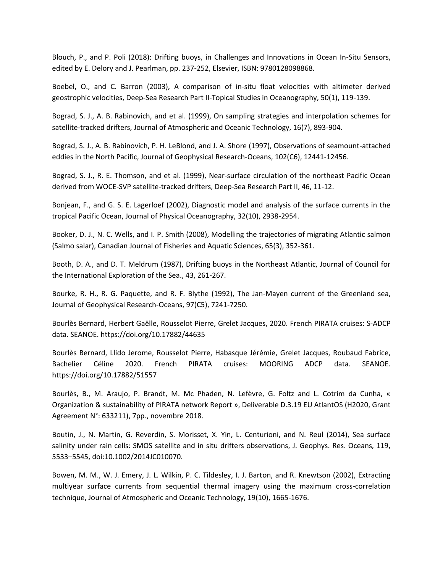Blouch, P., and P. Poli (2018): Drifting buoys, in Challenges and Innovations in Ocean In-Situ Sensors, edited by E. Delory and J. Pearlman, pp. 237-252, Elsevier, ISBN: 9780128098868.

Boebel, O., and C. Barron (2003), A comparison of in-situ float velocities with altimeter derived geostrophic velocities, Deep-Sea Research Part II-Topical Studies in Oceanography, 50(1), 119-139.

Bograd, S. J., A. B. Rabinovich, and et al. (1999), On sampling strategies and interpolation schemes for satellite-tracked drifters, Journal of Atmospheric and Oceanic Technology, 16(7), 893-904.

Bograd, S. J., A. B. Rabinovich, P. H. LeBlond, and J. A. Shore (1997), Observations of seamount-attached eddies in the North Pacific, Journal of Geophysical Research-Oceans, 102(C6), 12441-12456.

Bograd, S. J., R. E. Thomson, and et al. (1999), Near-surface circulation of the northeast Pacific Ocean derived from WOCE-SVP satellite-tracked drifters, Deep-Sea Research Part II, 46, 11-12.

Bonjean, F., and G. S. E. Lagerloef (2002), Diagnostic model and analysis of the surface currents in the tropical Pacific Ocean, Journal of Physical Oceanography, 32(10), 2938-2954.

Booker, D. J., N. C. Wells, and I. P. Smith (2008), Modelling the trajectories of migrating Atlantic salmon (Salmo salar), Canadian Journal of Fisheries and Aquatic Sciences, 65(3), 352-361.

Booth, D. A., and D. T. Meldrum (1987), Drifting buoys in the Northeast Atlantic, Journal of Council for the International Exploration of the Sea., 43, 261-267.

Bourke, R. H., R. G. Paquette, and R. F. Blythe (1992), The Jan-Mayen current of the Greenland sea, Journal of Geophysical Research-Oceans, 97(C5), 7241-7250.

Bourlès Bernard, Herbert Gaëlle, Rousselot Pierre, Grelet Jacques, 2020. French PIRATA cruises: S-ADCP data. SEANOE. https://doi.org/10.17882/44635

Bourlès Bernard, Llido Jerome, Rousselot Pierre, Habasque Jérémie, Grelet Jacques, Roubaud Fabrice, Bachelier Céline 2020. French PIRATA cruises: MOORING ADCP data. SEANOE. https://doi.org/10.17882/51557

Bourlès, B., M. Araujo, P. Brandt, M. Mc Phaden, N. Lefèvre, G. Foltz and L. Cotrim da Cunha, « Organization & sustainability of PIRATA network Report », Deliverable D.3.19 EU AtlantOS (H2020, Grant Agreement N°: 633211), 7pp., novembre 2018.

Boutin, J., N. Martin, G. Reverdin, S. Morisset, X. Yin, L. Centurioni, and N. Reul (2014), Sea surface salinity under rain cells: SMOS satellite and in situ drifters observations, J. Geophys. Res. Oceans, 119, 5533–5545, doi:10.1002/2014JC010070.

Bowen, M. M., W. J. Emery, J. L. Wilkin, P. C. Tildesley, I. J. Barton, and R. Knewtson (2002), Extracting multiyear surface currents from sequential thermal imagery using the maximum cross-correlation technique, Journal of Atmospheric and Oceanic Technology, 19(10), 1665-1676.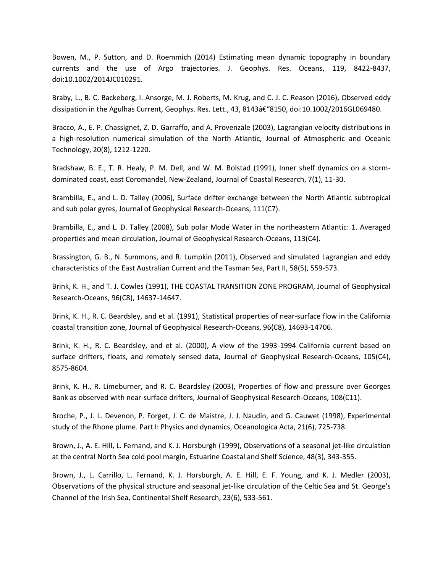Bowen, M., P. Sutton, and D. Roemmich (2014) Estimating mean dynamic topography in boundary currents and the use of Argo trajectories. J. Geophys. Res. Oceans, 119, 8422-8437, doi:10.1002/2014JC010291.

Braby, L., B. C. Backeberg, I. Ansorge, M. J. Roberts, M. Krug, and C. J. C. Reason (2016), Observed eddy dissipation in the Agulhas Current, Geophys. Res. Lett., 43, 8143†"8150, doi:10.1002/2016GL069480.

Bracco, A., E. P. Chassignet, Z. D. Garraffo, and A. Provenzale (2003), Lagrangian velocity distributions in a high-resolution numerical simulation of the North Atlantic, Journal of Atmospheric and Oceanic Technology, 20(8), 1212-1220.

Bradshaw, B. E., T. R. Healy, P. M. Dell, and W. M. Bolstad (1991), Inner shelf dynamics on a stormdominated coast, east Coromandel, New-Zealand, Journal of Coastal Research, 7(1), 11-30.

Brambilla, E., and L. D. Talley (2006), Surface drifter exchange between the North Atlantic subtropical and sub polar gyres, Journal of Geophysical Research-Oceans, 111(C7).

Brambilla, E., and L. D. Talley (2008), Sub polar Mode Water in the northeastern Atlantic: 1. Averaged properties and mean circulation, Journal of Geophysical Research-Oceans, 113(C4).

Brassington, G. B., N. Summons, and R. Lumpkin (2011), Observed and simulated Lagrangian and eddy characteristics of the East Australian Current and the Tasman Sea, Part II, 58(5), 559-573.

Brink, K. H., and T. J. Cowles (1991), THE COASTAL TRANSITION ZONE PROGRAM, Journal of Geophysical Research-Oceans, 96(C8), 14637-14647.

Brink, K. H., R. C. Beardsley, and et al. (1991), Statistical properties of near-surface flow in the California coastal transition zone, Journal of Geophysical Research-Oceans, 96(C8), 14693-14706.

Brink, K. H., R. C. Beardsley, and et al. (2000), A view of the 1993-1994 California current based on surface drifters, floats, and remotely sensed data, Journal of Geophysical Research-Oceans, 105(C4), 8575-8604.

Brink, K. H., R. Limeburner, and R. C. Beardsley (2003), Properties of flow and pressure over Georges Bank as observed with near-surface drifters, Journal of Geophysical Research-Oceans, 108(C11).

Broche, P., J. L. Devenon, P. Forget, J. C. de Maistre, J. J. Naudin, and G. Cauwet (1998), Experimental study of the Rhone plume. Part I: Physics and dynamics, Oceanologica Acta, 21(6), 725-738.

Brown, J., A. E. Hill, L. Fernand, and K. J. Horsburgh (1999), Observations of a seasonal jet-like circulation at the central North Sea cold pool margin, Estuarine Coastal and Shelf Science, 48(3), 343-355.

Brown, J., L. Carrillo, L. Fernand, K. J. Horsburgh, A. E. Hill, E. F. Young, and K. J. Medler (2003), Observations of the physical structure and seasonal jet-like circulation of the Celtic Sea and St. George's Channel of the Irish Sea, Continental Shelf Research, 23(6), 533-561.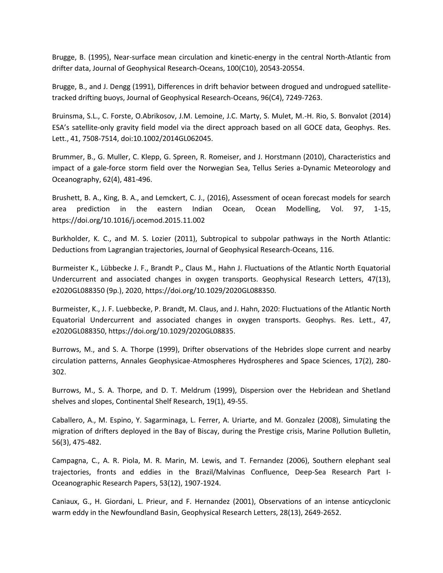Brugge, B. (1995), Near-surface mean circulation and kinetic-energy in the central North-Atlantic from drifter data, Journal of Geophysical Research-Oceans, 100(C10), 20543-20554.

Brugge, B., and J. Dengg (1991), Differences in drift behavior between drogued and undrogued satellitetracked drifting buoys, Journal of Geophysical Research-Oceans, 96(C4), 7249-7263.

Bruinsma, S.L., C. Forste, O.Abrikosov, J.M. Lemoine, J.C. Marty, S. Mulet, M.-H. Rio, S. Bonvalot (2014) ESA's satellite-only gravity field model via the direct approach based on all GOCE data, Geophys. Res. Lett., 41, 7508-7514, doi:10.1002/2014GL062045.

Brummer, B., G. Muller, C. Klepp, G. Spreen, R. Romeiser, and J. Horstmann (2010), Characteristics and impact of a gale-force storm field over the Norwegian Sea, Tellus Series a-Dynamic Meteorology and Oceanography, 62(4), 481-496.

Brushett, B. A., King, B. A., and Lemckert, C. J., (2016), Assessment of ocean forecast models for search area prediction in the eastern Indian Ocean, Ocean Modelling, Vol. 97, 1-15, https://doi.org/10.1016/j.ocemod.2015.11.002

Burkholder, K. C., and M. S. Lozier (2011), Subtropical to subpolar pathways in the North Atlantic: Deductions from Lagrangian trajectories, Journal of Geophysical Research-Oceans, 116.

Burmeister K., Lübbecke J. F., Brandt P., Claus M., Hahn J. Fluctuations of the Atlantic North Equatorial Undercurrent and associated changes in oxygen transports. Geophysical Research Letters, 47(13), e2020GL088350 (9p.), 2020, https://doi.org/10.1029/2020GL088350.

Burmeister, K., J. F. Luebbecke, P. Brandt, M. Claus, and J. Hahn, 2020: Fluctuations of the Atlantic North Equatorial Undercurrent and associated changes in oxygen transports. Geophys. Res. Lett., 47, e2020GL088350, https://doi.org/10.1029/2020GL08835.

Burrows, M., and S. A. Thorpe (1999), Drifter observations of the Hebrides slope current and nearby circulation patterns, Annales Geophysicae-Atmospheres Hydrospheres and Space Sciences, 17(2), 280- 302.

Burrows, M., S. A. Thorpe, and D. T. Meldrum (1999), Dispersion over the Hebridean and Shetland shelves and slopes, Continental Shelf Research, 19(1), 49-55.

Caballero, A., M. Espino, Y. Sagarminaga, L. Ferrer, A. Uriarte, and M. Gonzalez (2008), Simulating the migration of drifters deployed in the Bay of Biscay, during the Prestige crisis, Marine Pollution Bulletin, 56(3), 475-482.

Campagna, C., A. R. Piola, M. R. Marin, M. Lewis, and T. Fernandez (2006), Southern elephant seal trajectories, fronts and eddies in the Brazil/Malvinas Confluence, Deep-Sea Research Part I-Oceanographic Research Papers, 53(12), 1907-1924.

Caniaux, G., H. Giordani, L. Prieur, and F. Hernandez (2001), Observations of an intense anticyclonic warm eddy in the Newfoundland Basin, Geophysical Research Letters, 28(13), 2649-2652.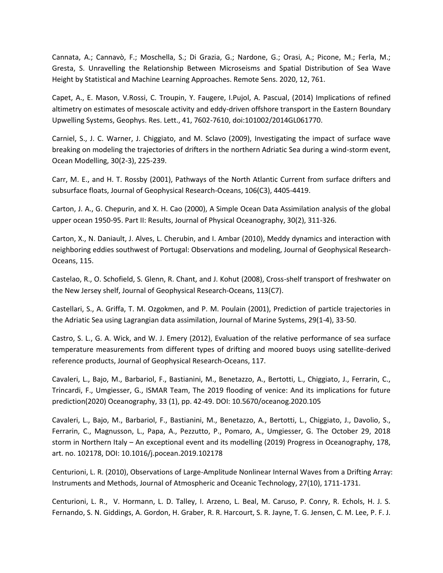Cannata, A.; Cannavò, F.; Moschella, S.; Di Grazia, G.; Nardone, G.; Orasi, A.; Picone, M.; Ferla, M.; Gresta, S. Unravelling the Relationship Between Microseisms and Spatial Distribution of Sea Wave Height by Statistical and Machine Learning Approaches. Remote Sens. 2020, 12, 761.

Capet, A., E. Mason, V.Rossi, C. Troupin, Y. Faugere, I.Pujol, A. Pascual, (2014) Implications of refined altimetry on estimates of mesoscale activity and eddy-driven offshore transport in the Eastern Boundary Upwelling Systems, Geophys. Res. Lett., 41, 7602-7610, doi:101002/2014GL061770.

Carniel, S., J. C. Warner, J. Chiggiato, and M. Sclavo (2009), Investigating the impact of surface wave breaking on modeling the trajectories of drifters in the northern Adriatic Sea during a wind-storm event, Ocean Modelling, 30(2-3), 225-239.

Carr, M. E., and H. T. Rossby (2001), Pathways of the North Atlantic Current from surface drifters and subsurface floats, Journal of Geophysical Research-Oceans, 106(C3), 4405-4419.

Carton, J. A., G. Chepurin, and X. H. Cao (2000), A Simple Ocean Data Assimilation analysis of the global upper ocean 1950-95. Part II: Results, Journal of Physical Oceanography, 30(2), 311-326.

Carton, X., N. Daniault, J. Alves, L. Cherubin, and I. Ambar (2010), Meddy dynamics and interaction with neighboring eddies southwest of Portugal: Observations and modeling, Journal of Geophysical Research-Oceans, 115.

Castelao, R., O. Schofield, S. Glenn, R. Chant, and J. Kohut (2008), Cross-shelf transport of freshwater on the New Jersey shelf, Journal of Geophysical Research-Oceans, 113(C7).

Castellari, S., A. Griffa, T. M. Ozgokmen, and P. M. Poulain (2001), Prediction of particle trajectories in the Adriatic Sea using Lagrangian data assimilation, Journal of Marine Systems, 29(1-4), 33-50.

Castro, S. L., G. A. Wick, and W. J. Emery (2012), Evaluation of the relative performance of sea surface temperature measurements from different types of drifting and moored buoys using satellite-derived reference products, Journal of Geophysical Research-Oceans, 117.

Cavaleri, L., Bajo, M., Barbariol, F., Bastianini, M., Benetazzo, A., Bertotti, L., Chiggiato, J., Ferrarin, C., Trincardi, F., Umgiesser, G., ISMAR Team, The 2019 flooding of venice: And its implications for future prediction(2020) Oceanography, 33 (1), pp. 42-49. DOI: 10.5670/oceanog.2020.105

Cavaleri, L., Bajo, M., Barbariol, F., Bastianini, M., Benetazzo, A., Bertotti, L., Chiggiato, J., Davolio, S., Ferrarin, C., Magnusson, L., Papa, A., Pezzutto, P., Pomaro, A., Umgiesser, G. The October 29, 2018 storm in Northern Italy – An exceptional event and its modelling (2019) Progress in Oceanography, 178, art. no. 102178, DOI: 10.1016/j.pocean.2019.102178

Centurioni, L. R. (2010), Observations of Large-Amplitude Nonlinear Internal Waves from a Drifting Array: Instruments and Methods, Journal of Atmospheric and Oceanic Technology, 27(10), 1711-1731.

Centurioni, L. R., V. Hormann, L. D. Talley, I. Arzeno, L. Beal, M. Caruso, P. Conry, R. Echols, H. J. S. Fernando, S. N. Giddings, A. Gordon, H. Graber, R. R. Harcourt, S. R. Jayne, T. G. Jensen, C. M. Lee, P. F. J.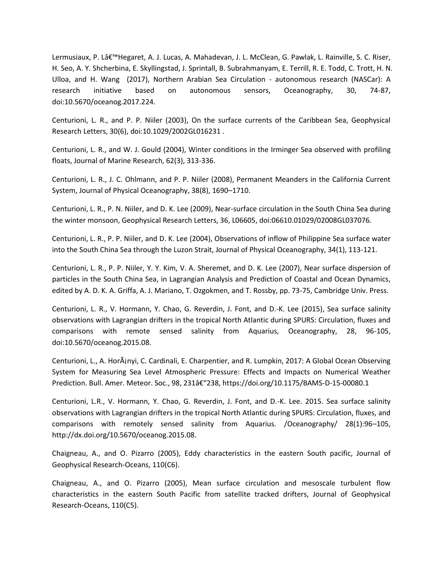Lermusiaux, P. Lâ€<sup>™</sup>Hegaret, A. J. Lucas, A. Mahadevan, J. L. McClean, G. Pawlak, L. Rainville, S. C. Riser, H. Seo, A. Y. Shcherbina, E. Skyllingstad, J. Sprintall, B. Subrahmanyam, E. Terrill, R. E. Todd, C. Trott, H. N. Ulloa, and H. Wang (2017), Northern Arabian Sea Circulation - autonomous research (NASCar): A research initiative based on autonomous sensors, Oceanography, 30, 74-87, doi:10.5670/oceanog.2017.224.

Centurioni, L. R., and P. P. Niiler (2003), On the surface currents of the Caribbean Sea, Geophysical Research Letters, 30(6), doi:10.1029/2002GL016231 .

Centurioni, L. R., and W. J. Gould (2004), Winter conditions in the Irminger Sea observed with profiling floats, Journal of Marine Research, 62(3), 313-336.

Centurioni, L. R., J. C. Ohlmann, and P. P. Niiler (2008), Permanent Meanders in the California Current System, Journal of Physical Oceanography, 38(8), 1690–1710.

Centurioni, L. R., P. N. Niiler, and D. K. Lee (2009), Near-surface circulation in the South China Sea during the winter monsoon, Geophysical Research Letters, 36, L06605, doi:06610.01029/02008GL037076.

Centurioni, L. R., P. P. Niiler, and D. K. Lee (2004), Observations of inflow of Philippine Sea surface water into the South China Sea through the Luzon Strait, Journal of Physical Oceanography, 34(1), 113-121.

Centurioni, L. R., P. P. Niiler, Y. Y. Kim, V. A. Sheremet, and D. K. Lee (2007), Near surface dispersion of particles in the South China Sea, in Lagrangian Analysis and Prediction of Coastal and Ocean Dynamics, edited by A. D. K. A. Griffa, A. J. Mariano, T. Ozgokmen, and T. Rossby, pp. 73-75, Cambridge Univ. Press.

Centurioni, L. R., V. Hormann, Y. Chao, G. Reverdin, J. Font, and D.-K. Lee (2015), Sea surface salinity observations with Lagrangian drifters in the tropical North Atlantic during SPURS: Circulation, fluxes and comparisons with remote sensed salinity from Aquarius, Oceanography, 28, 96-105, doi:10.5670/oceanog.2015.08.

Centurioni, L., A. HorÂjnyi, C. Cardinali, E. Charpentier, and R. Lumpkin, 2017: A Global Ocean Observing System for Measuring Sea Level Atmospheric Pressure: Effects and Impacts on Numerical Weather Prediction. Bull. Amer. Meteor. Soc., 98, 231â€"238, https://doi.org/10.1175/BAMS-D-15-00080.1

Centurioni, L.R., V. Hormann, Y. Chao, G. Reverdin, J. Font, and D.-K. Lee. 2015. Sea surface salinity observations with Lagrangian drifters in the tropical North Atlantic during SPURS: Circulation, fluxes, and comparisons with remotely sensed salinity from Aquarius. /Oceanography/ 28(1):96–105, http://dx.doi.org/10.5670/oceanog.2015.08.

Chaigneau, A., and O. Pizarro (2005), Eddy characteristics in the eastern South pacific, Journal of Geophysical Research-Oceans, 110(C6).

Chaigneau, A., and O. Pizarro (2005), Mean surface circulation and mesoscale turbulent flow characteristics in the eastern South Pacific from satellite tracked drifters, Journal of Geophysical Research-Oceans, 110(C5).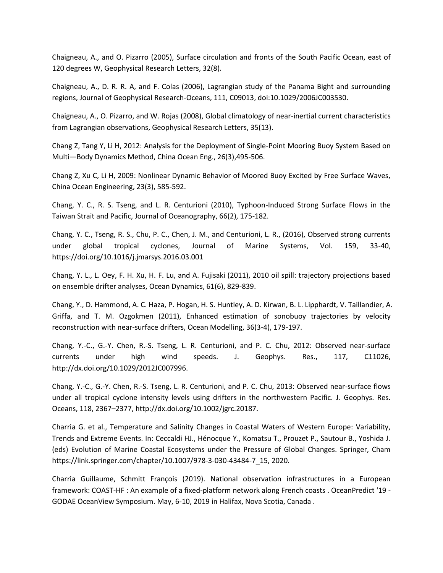Chaigneau, A., and O. Pizarro (2005), Surface circulation and fronts of the South Pacific Ocean, east of 120 degrees W, Geophysical Research Letters, 32(8).

Chaigneau, A., D. R. R. A, and F. Colas (2006), Lagrangian study of the Panama Bight and surrounding regions, Journal of Geophysical Research-Oceans, 111, C09013, doi:10.1029/2006JC003530.

Chaigneau, A., O. Pizarro, and W. Rojas (2008), Global climatology of near-inertial current characteristics from Lagrangian observations, Geophysical Research Letters, 35(13).

Chang Z, Tang Y, Li H, 2012: Analysis for the Deployment of Single-Point Mooring Buoy System Based on Multi—Body Dynamics Method, China Ocean Eng., 26(3),495-506.

Chang Z, Xu C, Li H, 2009: Nonlinear Dynamic Behavior of Moored Buoy Excited by Free Surface Waves, China Ocean Engineering, 23(3), 585-592.

Chang, Y. C., R. S. Tseng, and L. R. Centurioni (2010), Typhoon-Induced Strong Surface Flows in the Taiwan Strait and Pacific, Journal of Oceanography, 66(2), 175-182.

Chang, Y. C., Tseng, R. S., Chu, P. C., Chen, J. M., and Centurioni, L. R., (2016), Observed strong currents under global tropical cyclones, Journal of Marine Systems, Vol. 159, 33-40, https://doi.org/10.1016/j.jmarsys.2016.03.001

Chang, Y. L., L. Oey, F. H. Xu, H. F. Lu, and A. Fujisaki (2011), 2010 oil spill: trajectory projections based on ensemble drifter analyses, Ocean Dynamics, 61(6), 829-839.

Chang, Y., D. Hammond, A. C. Haza, P. Hogan, H. S. Huntley, A. D. Kirwan, B. L. Lipphardt, V. Taillandier, A. Griffa, and T. M. Ozgokmen (2011), Enhanced estimation of sonobuoy trajectories by velocity reconstruction with near-surface drifters, Ocean Modelling, 36(3-4), 179-197.

Chang, Y.-C., G.-Y. Chen, R.-S. Tseng, L. R. Centurioni, and P. C. Chu, 2012: Observed near-surface currents under high wind speeds. J. Geophys. Res., 117, C11026, http://dx.doi.org/10.1029/2012JC007996.

Chang, Y.-C., G.-Y. Chen, R.-S. Tseng, L. R. Centurioni, and P. C. Chu, 2013: Observed near-surface flows under all tropical cyclone intensity levels using drifters in the northwestern Pacific. J. Geophys. Res. Oceans, 118, 2367–2377, http://dx.doi.org/10.1002/jgrc.20187.

Charria G. et al., Temperature and Salinity Changes in Coastal Waters of Western Europe: Variability, Trends and Extreme Events. In: Ceccaldi HJ., Hénocque Y., Komatsu T., Prouzet P., Sautour B., Yoshida J. (eds) Evolution of Marine Coastal Ecosystems under the Pressure of Global Changes. Springer, Cham https://link.springer.com/chapter/10.1007/978-3-030-43484-7\_15, 2020.

Charria Guillaume, Schmitt François (2019). National observation infrastructures in a European framework: COAST-HF : An example of a fixed-platform network along French coasts . OceanPredict '19 - GODAE OceanView Symposium. May, 6-10, 2019 in Halifax, Nova Scotia, Canada .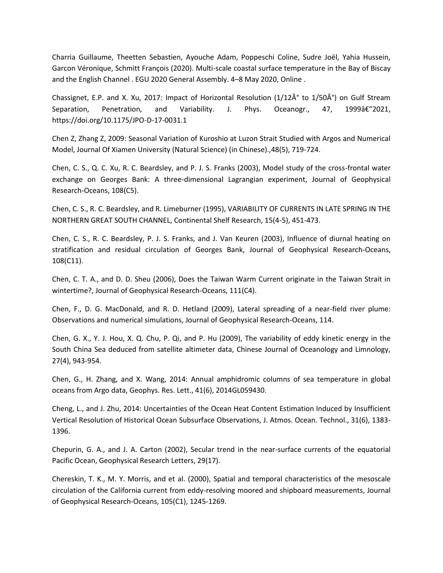Charria Guillaume, Theetten Sebastien, Ayouche Adam, Poppeschi Coline, Sudre Joël, Yahia Hussein, Garcon Véronique, Schmitt François (2020). Multi-scale coastal surface temperature in the Bay of Biscay and the English Channel . EGU 2020 General Assembly. 4–8 May 2020, Online .

Chassignet, E.P. and X. Xu, 2017: Impact of Horizontal Resolution (1/12 $\hat{A}^{\circ}$  to 1/50 $\hat{A}^{\circ}$ ) on Gulf Stream Separation, Penetration, and Variability. J. Phys. Oceanogr., 47, 1999 $\hat{\sigma} \in \mathcal{L}$  2021, https://doi.org/10.1175/JPO-D-17-0031.1

Chen Z, Zhang Z, 2009: Seasonal Variation of Kuroshio at Luzon Strait Studied with Argos and Numerical Model, Journal Of Xiamen University (Natural Science) (in Chinese).,48(5), 719-724.

Chen, C. S., Q. C. Xu, R. C. Beardsley, and P. J. S. Franks (2003), Model study of the cross-frontal water exchange on Georges Bank: A three-dimensional Lagrangian experiment, Journal of Geophysical Research-Oceans, 108(C5).

Chen, C. S., R. C. Beardsley, and R. Limeburner (1995), VARIABILITY OF CURRENTS IN LATE SPRING IN THE NORTHERN GREAT SOUTH CHANNEL, Continental Shelf Research, 15(4-5), 451-473.

Chen, C. S., R. C. Beardsley, P. J. S. Franks, and J. Van Keuren (2003), Influence of diurnal heating on stratification and residual circulation of Georges Bank, Journal of Geophysical Research-Oceans, 108(C11).

Chen, C. T. A., and D. D. Sheu (2006), Does the Taiwan Warm Current originate in the Taiwan Strait in wintertime?, Journal of Geophysical Research-Oceans, 111(C4).

Chen, F., D. G. MacDonald, and R. D. Hetland (2009), Lateral spreading of a near-field river plume: Observations and numerical simulations, Journal of Geophysical Research-Oceans, 114.

Chen, G. X., Y. J. Hou, X. Q. Chu, P. Qi, and P. Hu (2009), The variability of eddy kinetic energy in the South China Sea deduced from satellite altimeter data, Chinese Journal of Oceanology and Limnology, 27(4), 943-954.

Chen, G., H. Zhang, and X. Wang, 2014: Annual amphidromic columns of sea temperature in global oceans from Argo data, Geophys. Res. Lett., 41(6), 2014GL059430.

Cheng, L., and J. Zhu, 2014: Uncertainties of the Ocean Heat Content Estimation Induced by Insufficient Vertical Resolution of Historical Ocean Subsurface Observations, J. Atmos. Ocean. Technol., 31(6), 1383- 1396.

Chepurin, G. A., and J. A. Carton (2002), Secular trend in the near-surface currents of the equatorial Pacific Ocean, Geophysical Research Letters, 29(17).

Chereskin, T. K., M. Y. Morris, and et al. (2000), Spatial and temporal characteristics of the mesoscale circulation of the California current from eddy-resolving moored and shipboard measurements, Journal of Geophysical Research-Oceans, 105(C1), 1245-1269.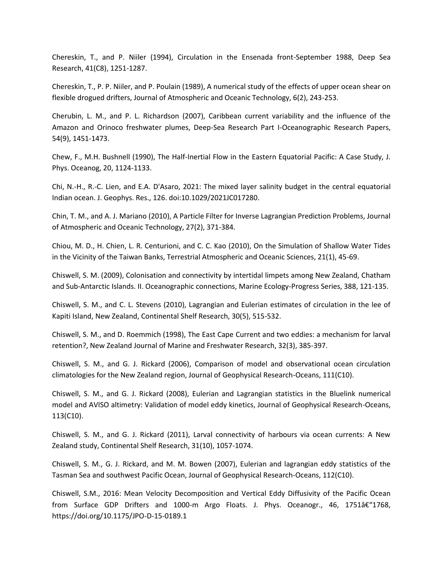Chereskin, T., and P. Niiler (1994), Circulation in the Ensenada front-September 1988, Deep Sea Research, 41(C8), 1251-1287.

Chereskin, T., P. P. Niiler, and P. Poulain (1989), A numerical study of the effects of upper ocean shear on flexible drogued drifters, Journal of Atmospheric and Oceanic Technology, 6(2), 243-253.

Cherubin, L. M., and P. L. Richardson (2007), Caribbean current variability and the influence of the Amazon and Orinoco freshwater plumes, Deep-Sea Research Part I-Oceanographic Research Papers, 54(9), 1451-1473.

Chew, F., M.H. Bushnell (1990), The Half-Inertial Flow in the Eastern Equatorial Pacific: A Case Study, J. Phys. Oceanog, 20, 1124-1133.

Chi, N.-H., R.-C. Lien, and E.A. D'Asaro, 2021: The mixed layer salinity budget in the central equatorial Indian ocean. J. Geophys. Res., 126. doi:10.1029/2021JC017280.

Chin, T. M., and A. J. Mariano (2010), A Particle Filter for Inverse Lagrangian Prediction Problems, Journal of Atmospheric and Oceanic Technology, 27(2), 371-384.

Chiou, M. D., H. Chien, L. R. Centurioni, and C. C. Kao (2010), On the Simulation of Shallow Water Tides in the Vicinity of the Taiwan Banks, Terrestrial Atmospheric and Oceanic Sciences, 21(1), 45-69.

Chiswell, S. M. (2009), Colonisation and connectivity by intertidal limpets among New Zealand, Chatham and Sub-Antarctic Islands. II. Oceanographic connections, Marine Ecology-Progress Series, 388, 121-135.

Chiswell, S. M., and C. L. Stevens (2010), Lagrangian and Eulerian estimates of circulation in the lee of Kapiti Island, New Zealand, Continental Shelf Research, 30(5), 515-532.

Chiswell, S. M., and D. Roemmich (1998), The East Cape Current and two eddies: a mechanism for larval retention?, New Zealand Journal of Marine and Freshwater Research, 32(3), 385-397.

Chiswell, S. M., and G. J. Rickard (2006), Comparison of model and observational ocean circulation climatologies for the New Zealand region, Journal of Geophysical Research-Oceans, 111(C10).

Chiswell, S. M., and G. J. Rickard (2008), Eulerian and Lagrangian statistics in the Bluelink numerical model and AVISO altimetry: Validation of model eddy kinetics, Journal of Geophysical Research-Oceans, 113(C10).

Chiswell, S. M., and G. J. Rickard (2011), Larval connectivity of harbours via ocean currents: A New Zealand study, Continental Shelf Research, 31(10), 1057-1074.

Chiswell, S. M., G. J. Rickard, and M. M. Bowen (2007), Eulerian and lagrangian eddy statistics of the Tasman Sea and southwest Pacific Ocean, Journal of Geophysical Research-Oceans, 112(C10).

Chiswell, S.M., 2016: Mean Velocity Decomposition and Vertical Eddy Diffusivity of the Pacific Ocean from Surface GDP Drifters and 1000-m Argo Floats. J. Phys. Oceanogr., 46, 1751 $\hat{\alpha}$  ("1768, https://doi.org/10.1175/JPO-D-15-0189.1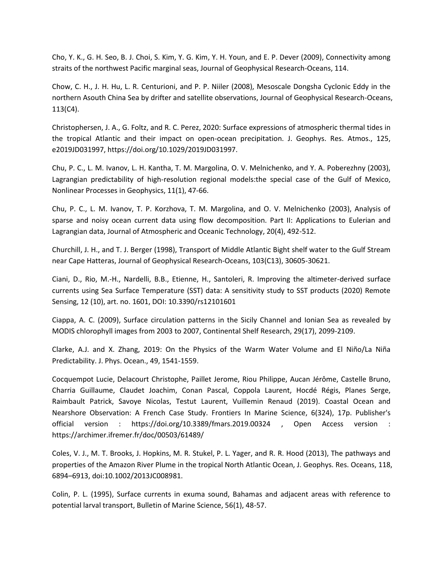Cho, Y. K., G. H. Seo, B. J. Choi, S. Kim, Y. G. Kim, Y. H. Youn, and E. P. Dever (2009), Connectivity among straits of the northwest Pacific marginal seas, Journal of Geophysical Research-Oceans, 114.

Chow, C. H., J. H. Hu, L. R. Centurioni, and P. P. Niiler (2008), Mesoscale Dongsha Cyclonic Eddy in the northern Asouth China Sea by drifter and satellite observations, Journal of Geophysical Research-Oceans, 113(C4).

Christophersen, J. A., G. Foltz, and R. C. Perez, 2020: Surface expressions of atmospheric thermal tides in the tropical Atlantic and their impact on open-ocean precipitation. J. Geophys. Res. Atmos., 125, e2019JD031997, https://doi.org/10.1029/2019JD031997.

Chu, P. C., L. M. Ivanov, L. H. Kantha, T. M. Margolina, O. V. Melnichenko, and Y. A. Poberezhny (2003), Lagrangian predictability of high-resolution regional models:the special case of the Gulf of Mexico, Nonlinear Processes in Geophysics, 11(1), 47-66.

Chu, P. C., L. M. Ivanov, T. P. Korzhova, T. M. Margolina, and O. V. Melnichenko (2003), Analysis of sparse and noisy ocean current data using flow decomposition. Part II: Applications to Eulerian and Lagrangian data, Journal of Atmospheric and Oceanic Technology, 20(4), 492-512.

Churchill, J. H., and T. J. Berger (1998), Transport of Middle Atlantic Bight shelf water to the Gulf Stream near Cape Hatteras, Journal of Geophysical Research-Oceans, 103(C13), 30605-30621.

Ciani, D., Rio, M.-H., Nardelli, B.B., Etienne, H., Santoleri, R. Improving the altimeter-derived surface currents using Sea Surface Temperature (SST) data: A sensitivity study to SST products (2020) Remote Sensing, 12 (10), art. no. 1601, DOI: 10.3390/rs12101601

Ciappa, A. C. (2009), Surface circulation patterns in the Sicily Channel and Ionian Sea as revealed by MODIS chlorophyll images from 2003 to 2007, Continental Shelf Research, 29(17), 2099-2109.

Clarke, A.J. and X. Zhang, 2019: On the Physics of the Warm Water Volume and El Niño/La Niña Predictability. J. Phys. Ocean., 49, 1541-1559.

Cocquempot Lucie, Delacourt Christophe, Paillet Jerome, Riou Philippe, Aucan Jérôme, Castelle Bruno, Charria Guillaume, Claudet Joachim, Conan Pascal, Coppola Laurent, Hocdé Régis, Planes Serge, Raimbault Patrick, Savoye Nicolas, Testut Laurent, Vuillemin Renaud (2019). Coastal Ocean and Nearshore Observation: A French Case Study. Frontiers In Marine Science, 6(324), 17p. Publisher's official version : https://doi.org/10.3389/fmars.2019.00324 , Open Access version : https://archimer.ifremer.fr/doc/00503/61489/

Coles, V. J., M. T. Brooks, J. Hopkins, M. R. Stukel, P. L. Yager, and R. R. Hood (2013), The pathways and properties of the Amazon River Plume in the tropical North Atlantic Ocean, J. Geophys. Res. Oceans, 118, 6894–6913, doi:10.1002/2013JC008981.

Colin, P. L. (1995), Surface currents in exuma sound, Bahamas and adjacent areas with reference to potential larval transport, Bulletin of Marine Science, 56(1), 48-57.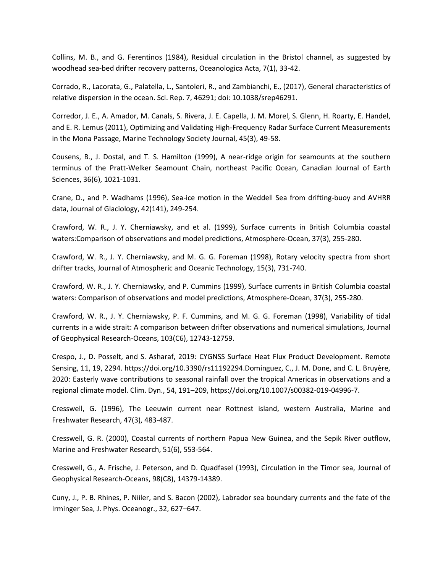Collins, M. B., and G. Ferentinos (1984), Residual circulation in the Bristol channel, as suggested by woodhead sea-bed drifter recovery patterns, Oceanologica Acta, 7(1), 33-42.

Corrado, R., Lacorata, G., Palatella, L., Santoleri, R., and Zambianchi, E., (2017), General characteristics of relative dispersion in the ocean. Sci. Rep. 7, 46291; doi: 10.1038/srep46291.

Corredor, J. E., A. Amador, M. Canals, S. Rivera, J. E. Capella, J. M. Morel, S. Glenn, H. Roarty, E. Handel, and E. R. Lemus (2011), Optimizing and Validating High-Frequency Radar Surface Current Measurements in the Mona Passage, Marine Technology Society Journal, 45(3), 49-58.

Cousens, B., J. Dostal, and T. S. Hamilton (1999), A near-ridge origin for seamounts at the southern terminus of the Pratt-Welker Seamount Chain, northeast Pacific Ocean, Canadian Journal of Earth Sciences, 36(6), 1021-1031.

Crane, D., and P. Wadhams (1996), Sea-ice motion in the Weddell Sea from drifting-buoy and AVHRR data, Journal of Glaciology, 42(141), 249-254.

Crawford, W. R., J. Y. Cherniawsky, and et al. (1999), Surface currents in British Columbia coastal waters:Comparison of observations and model predictions, Atmosphere-Ocean, 37(3), 255-280.

Crawford, W. R., J. Y. Cherniawsky, and M. G. G. Foreman (1998), Rotary velocity spectra from short drifter tracks, Journal of Atmospheric and Oceanic Technology, 15(3), 731-740.

Crawford, W. R., J. Y. Cherniawsky, and P. Cummins (1999), Surface currents in British Columbia coastal waters: Comparison of observations and model predictions, Atmosphere-Ocean, 37(3), 255-280.

Crawford, W. R., J. Y. Cherniawsky, P. F. Cummins, and M. G. G. Foreman (1998), Variability of tidal currents in a wide strait: A comparison between drifter observations and numerical simulations, Journal of Geophysical Research-Oceans, 103(C6), 12743-12759.

Crespo, J., D. Posselt, and S. Asharaf, 2019: CYGNSS Surface Heat Flux Product Development. Remote Sensing, 11, 19, 2294. https://doi.org/10.3390/rs11192294.Dominguez, C., J. M. Done, and C. L. Bruyère, 2020: Easterly wave contributions to seasonal rainfall over the tropical Americas in observations and a regional climate model. Clim. Dyn., 54, 191–209, https://doi.org/10.1007/s00382-019-04996-7.

Cresswell, G. (1996), The Leeuwin current near Rottnest island, western Australia, Marine and Freshwater Research, 47(3), 483-487.

Cresswell, G. R. (2000), Coastal currents of northern Papua New Guinea, and the Sepik River outflow, Marine and Freshwater Research, 51(6), 553-564.

Cresswell, G., A. Frische, J. Peterson, and D. Quadfasel (1993), Circulation in the Timor sea, Journal of Geophysical Research-Oceans, 98(C8), 14379-14389.

Cuny, J., P. B. Rhines, P. Niiler, and S. Bacon (2002), Labrador sea boundary currents and the fate of the Irminger Sea, J. Phys. Oceanogr., 32, 627–647.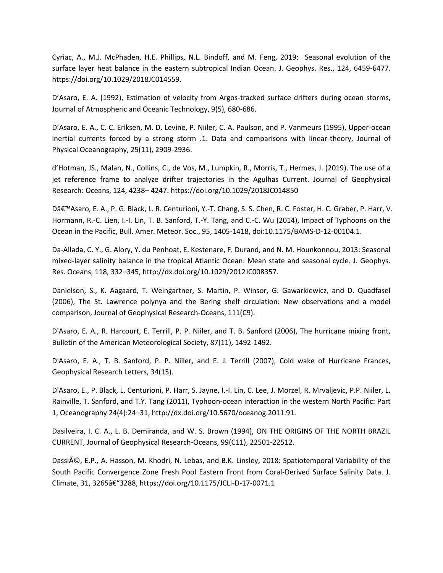Cyriac, A., M.J. McPhaden, H.E. Phillips, N.L. Bindoff, and M. Feng, 2019: Seasonal evolution of the surface layer heat balance in the eastern subtropical Indian Ocean. J. Geophys. Res., 124, 6459-6477. https://doi.org/10.1029/2018JC014559.

D'Asaro, E. A. (1992), Estimation of velocity from Argos-tracked surface drifters during ocean storms, Journal of Atmospheric and Oceanic Technology, 9(5), 680-686.

D'Asaro, E. A., C. C. Eriksen, M. D. Levine, P. Niiler, C. A. Paulson, and P. Vanmeurs (1995), Upper-ocean inertial currents forced by a strong storm .1. Data and comparisons with linear-theory, Journal of Physical Oceanography, 25(11), 2909-2936.

d'Hotman, JS., Malan, N., Collins, C., de Vos, M., Lumpkin, R., Morris, T., Hermes, J. (2019). The use of a jet reference frame to analyze drifter trajectories in the Agulhas Current. Journal of Geophysical Research: Oceans, 124, 4238– 4247. https://doi.org/10.1029/2018JC014850

Dâ€<sup>™</sup>Asaro, E. A., P. G. Black, L. R. Centurioni, Y.-T. Chang, S. S. Chen, R. C. Foster, H. C. Graber, P. Harr, V. Hormann, R.-C. Lien, I.-I. Lin, T. B. Sanford, T.-Y. Tang, and C.-C. Wu (2014), Impact of Typhoons on the Ocean in the Pacific, Bull. Amer. Meteor. Soc., 95, 1405-1418, doi:10.1175/BAMS-D-12-00104.1.

Da-Allada, C. Y., G. Alory, Y. du Penhoat, E. Kestenare, F. Durand, and N. M. Hounkonnou, 2013: Seasonal mixed-layer salinity balance in the tropical Atlantic Ocean: Mean state and seasonal cycle. J. Geophys. Res. Oceans, 118, 332–345, http://dx.doi.org/10.1029/2012JC008357.

Danielson, S., K. Aagaard, T. Weingartner, S. Martin, P. Winsor, G. Gawarkiewicz, and D. Quadfasel (2006), The St. Lawrence polynya and the Bering shelf circulation: New observations and a model comparison, Journal of Geophysical Research-Oceans, 111(C9).

D'Asaro, E. A., R. Harcourt, E. Terrill, P. P. Niiler, and T. B. Sanford (2006), The hurricane mixing front, Bulletin of the American Meteorological Society, 87(11), 1492-1492.

D'Asaro, E. A., T. B. Sanford, P. P. Niiler, and E. J. Terrill (2007), Cold wake of Hurricane Frances, Geophysical Research Letters, 34(15).

D'Asaro, E., P. Black, L. Centurioni, P. Harr, S. Jayne, I.-I. Lin, C. Lee, J. Morzel, R. Mrvaljevic, P.P. Niiler, L. Rainville, T. Sanford, and T.Y. Tang (2011), Typhoon-ocean interaction in the western North Pacific: Part 1, Oceanography 24(4):24–31, http://dx.doi.org/10.5670/oceanog.2011.91.

Dasilveira, I. C. A., L. B. Demiranda, and W. S. Brown (1994), ON THE ORIGINS OF THE NORTH BRAZIL CURRENT, Journal of Geophysical Research-Oceans, 99(C11), 22501-22512.

Dassié, E.P., A. Hasson, M. Khodri, N. Lebas, and B.K. Linsley, 2018: Spatiotemporal Variability of the South Pacific Convergence Zone Fresh Pool Eastern Front from Coral-Derived Surface Salinity Data. J. Climate, 31, 3265†"3288, https://doi.org/10.1175/JCLI-D-17-0071.1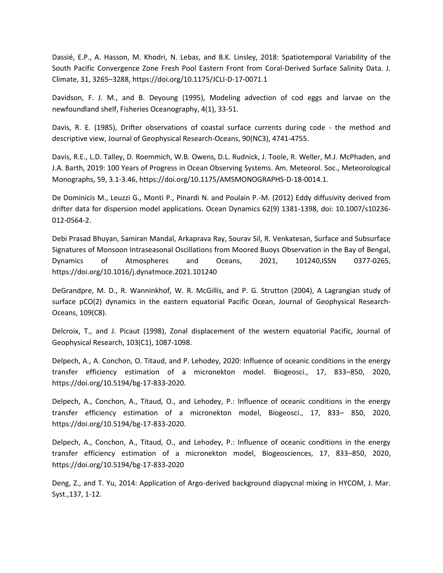Dassié, E.P., A. Hasson, M. Khodri, N. Lebas, and B.K. Linsley, 2018: Spatiotemporal Variability of the South Pacific Convergence Zone Fresh Pool Eastern Front from Coral-Derived Surface Salinity Data. J. Climate, 31, 3265–3288, https://doi.org/10.1175/JCLI-D-17-0071.1

Davidson, F. J. M., and B. Deyoung (1995), Modeling advection of cod eggs and larvae on the newfoundland shelf, Fisheries Oceanography, 4(1), 33-51.

Davis, R. E. (1985), Drifter observations of coastal surface currents during code - the method and descriptive view, Journal of Geophysical Research-Oceans, 90(NC3), 4741-4755.

Davis, R.E., L.D. Talley, D. Roemmich, W.B. Owens, D.L. Rudnick, J. Toole, R. Weller, M.J. McPhaden, and J.A. Barth, 2019: 100 Years of Progress in Ocean Observing Systems. Am. Meteorol. Soc., Meteorological Monographs, 59, 3.1-3.46, https://doi.org/10.1175/AMSMONOGRAPHS-D-18-0014.1.

De Dominicis M., Leuzzi G., Monti P., Pinardi N. and Poulain P.-M. (2012) Eddy diffusivity derived from drifter data for dispersion model applications. Ocean Dynamics 62(9) 1381-1398, doi: 10.1007/s10236- 012-0564-2.

Debi Prasad Bhuyan, Samiran Mandal, Arkaprava Ray, Sourav Sil, R. Venkatesan, Surface and Subsurface Signatures of Monsoon Intraseasonal Oscillations from Moored Buoys Observation in the Bay of Bengal, Dynamics of Atmospheres and Oceans, 2021, 101240,ISSN 0377-0265, https://doi.org/10.1016/j.dynatmoce.2021.101240

DeGrandpre, M. D., R. Wanninkhof, W. R. McGillis, and P. G. Strutton (2004), A Lagrangian study of surface pCO(2) dynamics in the eastern equatorial Pacific Ocean, Journal of Geophysical Research-Oceans, 109(C8).

Delcroix, T., and J. Picaut (1998), Zonal displacement of the western equatorial Pacific, Journal of Geophysical Research, 103(C1), 1087-1098.

Delpech, A., A. Conchon, O. Titaud, and P. Lehodey, 2020: Influence of oceanic conditions in the energy transfer efficiency estimation of a micronekton model. Biogeosci., 17, 833–850, 2020, https://doi.org/10.5194/bg-17-833-2020.

Delpech, A., Conchon, A., Titaud, O., and Lehodey, P.: Influence of oceanic conditions in the energy transfer efficiency estimation of a micronekton model, Biogeosci., 17, 833– 850, 2020, https://doi.org/10.5194/bg-17-833-2020.

Delpech, A., Conchon, A., Titaud, O., and Lehodey, P.: Influence of oceanic conditions in the energy transfer efficiency estimation of a micronekton model, Biogeosciences, 17, 833–850, 2020, https://doi.org/10.5194/bg-17-833-2020

Deng, Z., and T. Yu, 2014: Application of Argo-derived background diapycnal mixing in HYCOM, J. Mar. Syst.,137, 1-12.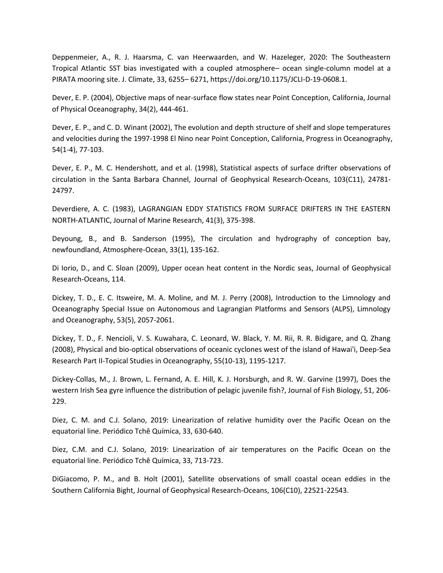Deppenmeier, A., R. J. Haarsma, C. van Heerwaarden, and W. Hazeleger, 2020: The Southeastern Tropical Atlantic SST bias investigated with a coupled atmosphere– ocean single-column model at a PIRATA mooring site. J. Climate, 33, 6255– 6271, https://doi.org/10.1175/JCLI-D-19-0608.1.

Dever, E. P. (2004), Objective maps of near-surface flow states near Point Conception, California, Journal of Physical Oceanography, 34(2), 444-461.

Dever, E. P., and C. D. Winant (2002), The evolution and depth structure of shelf and slope temperatures and velocities during the 1997-1998 El Nino near Point Conception, California, Progress in Oceanography, 54(1-4), 77-103.

Dever, E. P., M. C. Hendershott, and et al. (1998), Statistical aspects of surface drifter observations of circulation in the Santa Barbara Channel, Journal of Geophysical Research-Oceans, 103(C11), 24781- 24797.

Deverdiere, A. C. (1983), LAGRANGIAN EDDY STATISTICS FROM SURFACE DRIFTERS IN THE EASTERN NORTH-ATLANTIC, Journal of Marine Research, 41(3), 375-398.

Deyoung, B., and B. Sanderson (1995), The circulation and hydrography of conception bay, newfoundland, Atmosphere-Ocean, 33(1), 135-162.

Di Iorio, D., and C. Sloan (2009), Upper ocean heat content in the Nordic seas, Journal of Geophysical Research-Oceans, 114.

Dickey, T. D., E. C. Itsweire, M. A. Moline, and M. J. Perry (2008), Introduction to the Limnology and Oceanography Special Issue on Autonomous and Lagrangian Platforms and Sensors (ALPS), Limnology and Oceanography, 53(5), 2057-2061.

Dickey, T. D., F. Nencioli, V. S. Kuwahara, C. Leonard, W. Black, Y. M. Rii, R. R. Bidigare, and Q. Zhang (2008), Physical and bio-optical observations of oceanic cyclones west of the island of Hawai'i, Deep-Sea Research Part II-Topical Studies in Oceanography, 55(10-13), 1195-1217.

Dickey-Collas, M., J. Brown, L. Fernand, A. E. Hill, K. J. Horsburgh, and R. W. Garvine (1997), Does the western Irish Sea gyre influence the distribution of pelagic juvenile fish?, Journal of Fish Biology, 51, 206- 229.

Diez, C. M. and C.J. Solano, 2019: Linearization of relative humidity over the Pacific Ocean on the equatorial line. Periódico Tchê Química, 33, 630-640.

Diez, C.M. and C.J. Solano, 2019: Linearization of air temperatures on the Pacific Ocean on the equatorial line. Periódico Tchê Química, 33, 713-723.

DiGiacomo, P. M., and B. Holt (2001), Satellite observations of small coastal ocean eddies in the Southern California Bight, Journal of Geophysical Research-Oceans, 106(C10), 22521-22543.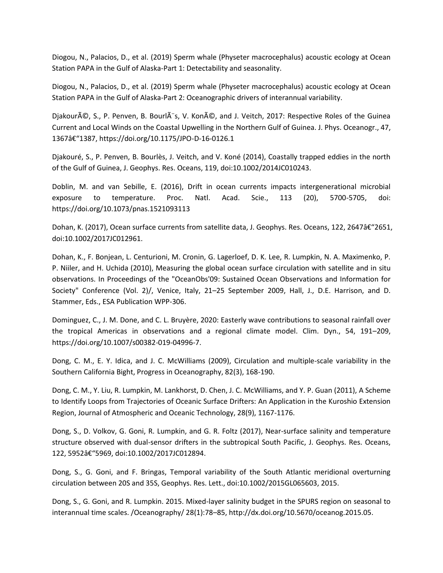Diogou, N., Palacios, D., et al. (2019) Sperm whale (Physeter macrocephalus) acoustic ecology at Ocean Station PAPA in the Gulf of Alaska-Part 1: Detectability and seasonality.

Diogou, N., Palacios, D., et al. (2019) Sperm whale (Physeter macrocephalus) acoustic ecology at Ocean Station PAPA in the Gulf of Alaska-Part 2: Oceanographic drivers of interannual variability.

Djakouré, S., P. Penven, B. Bourlès, V. Koné, and J. Veitch, 2017: Respective Roles of the Guinea Current and Local Winds on the Coastal Upwelling in the Northern Gulf of Guinea. J. Phys. Oceanogr., 47, 1367–1387, https://doi.org/10.1175/JPO-D-16-0126.1

Djakouré, S., P. Penven, B. Bourlès, J. Veitch, and V. Koné (2014), Coastally trapped eddies in the north of the Gulf of Guinea, J. Geophys. Res. Oceans, 119, doi:10.1002/2014JC010243.

Doblin, M. and van Sebille, E. (2016), Drift in ocean currents impacts intergenerational microbial exposure to temperature. Proc. Natl. Acad. Scie., 113 (20), 5700-5705, doi: https://doi.org/10.1073/pnas.1521093113

Dohan, K. (2017), Ocean surface currents from satellite data, J. Geophys. Res. Oceans, 122, 2647†"2651, doi:10.1002/2017JC012961.

Dohan, K., F. Bonjean, L. Centurioni, M. Cronin, G. Lagerloef, D. K. Lee, R. Lumpkin, N. A. Maximenko, P. P. Niiler, and H. Uchida (2010), Measuring the global ocean surface circulation with satellite and in situ observations. In Proceedings of the "OceanObs'09: Sustained Ocean Observations and Information for Society" Conference (Vol. 2)/, Venice, Italy, 21–25 September 2009, Hall, J., D.E. Harrison, and D. Stammer, Eds., ESA Publication WPP-306.

Dominguez, C., J. M. Done, and C. L. Bruyère, 2020: Easterly wave contributions to seasonal rainfall over the tropical Americas in observations and a regional climate model. Clim. Dyn., 54, 191–209, https://doi.org/10.1007/s00382-019-04996-7.

Dong, C. M., E. Y. Idica, and J. C. McWilliams (2009), Circulation and multiple-scale variability in the Southern California Bight, Progress in Oceanography, 82(3), 168-190.

Dong, C. M., Y. Liu, R. Lumpkin, M. Lankhorst, D. Chen, J. C. McWilliams, and Y. P. Guan (2011), A Scheme to Identify Loops from Trajectories of Oceanic Surface Drifters: An Application in the Kuroshio Extension Region, Journal of Atmospheric and Oceanic Technology, 28(9), 1167-1176.

Dong, S., D. Volkov, G. Goni, R. Lumpkin, and G. R. Foltz (2017), Near-surface salinity and temperature structure observed with dual-sensor drifters in the subtropical South Pacific, J. Geophys. Res. Oceans, 122, 5952â€"5969, doi:10.1002/2017JC012894.

Dong, S., G. Goni, and F. Bringas, Temporal variability of the South Atlantic meridional overturning circulation between 20S and 35S, Geophys. Res. Lett., doi:10.1002/2015GL065603, 2015.

Dong, S., G. Goni, and R. Lumpkin. 2015. Mixed-layer salinity budget in the SPURS region on seasonal to interannual time scales. /Oceanography/ 28(1):78–85, http://dx.doi.org/10.5670/oceanog.2015.05.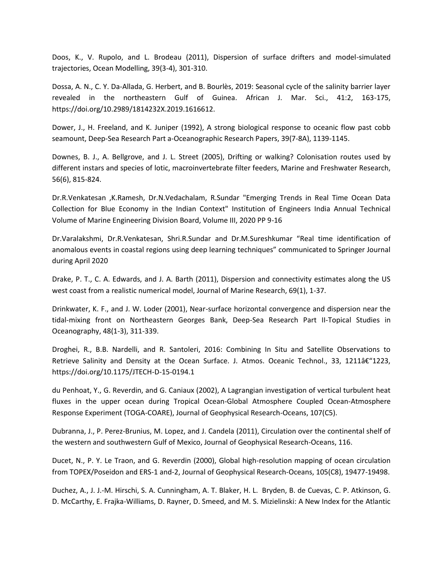Doos, K., V. Rupolo, and L. Brodeau (2011), Dispersion of surface drifters and model-simulated trajectories, Ocean Modelling, 39(3-4), 301-310.

Dossa, A. N., C. Y. Da-Allada, G. Herbert, and B. Bourlès, 2019: Seasonal cycle of the salinity barrier layer revealed in the northeastern Gulf of Guinea. African J. Mar. Sci., 41:2, 163-175, https://doi.org/10.2989/1814232X.2019.1616612.

Dower, J., H. Freeland, and K. Juniper (1992), A strong biological response to oceanic flow past cobb seamount, Deep-Sea Research Part a-Oceanographic Research Papers, 39(7-8A), 1139-1145.

Downes, B. J., A. Bellgrove, and J. L. Street (2005), Drifting or walking? Colonisation routes used by different instars and species of lotic, macroinvertebrate filter feeders, Marine and Freshwater Research, 56(6), 815-824.

Dr.R.Venkatesan ,K.Ramesh, Dr.N.Vedachalam, R.Sundar "Emerging Trends in Real Time Ocean Data Collection for Blue Economy in the Indian Context" Institution of Engineers India Annual Technical Volume of Marine Engineering Division Board, Volume III, 2020 PP 9-16

Dr.Varalakshmi, Dr.R.Venkatesan, Shri.R.Sundar and Dr.M.Sureshkumar "Real time identification of anomalous events in coastal regions using deep learning techniques" communicated to Springer Journal during April 2020

Drake, P. T., C. A. Edwards, and J. A. Barth (2011), Dispersion and connectivity estimates along the US west coast from a realistic numerical model, Journal of Marine Research, 69(1), 1-37.

Drinkwater, K. F., and J. W. Loder (2001), Near-surface horizontal convergence and dispersion near the tidal-mixing front on Northeastern Georges Bank, Deep-Sea Research Part II-Topical Studies in Oceanography, 48(1-3), 311-339.

Droghei, R., B.B. Nardelli, and R. Santoleri, 2016: Combining In Situ and Satellite Observations to Retrieve Salinity and Density at the Ocean Surface. J. Atmos. Oceanic Technol., 33, 1211 $\hat{a}\epsilon$ "1223, https://doi.org/10.1175/JTECH-D-15-0194.1

du Penhoat, Y., G. Reverdin, and G. Caniaux (2002), A Lagrangian investigation of vertical turbulent heat fluxes in the upper ocean during Tropical Ocean-Global Atmosphere Coupled Ocean-Atmosphere Response Experiment (TOGA-COARE), Journal of Geophysical Research-Oceans, 107(C5).

Dubranna, J., P. Perez-Brunius, M. Lopez, and J. Candela (2011), Circulation over the continental shelf of the western and southwestern Gulf of Mexico, Journal of Geophysical Research-Oceans, 116.

Ducet, N., P. Y. Le Traon, and G. Reverdin (2000), Global high-resolution mapping of ocean circulation from TOPEX/Poseidon and ERS-1 and-2, Journal of Geophysical Research-Oceans, 105(C8), 19477-19498.

Duchez, A., J. J.-M. Hirschi, S. A. Cunningham, A. T. Blaker, H. L. Bryden, B. de Cuevas, C. P. Atkinson, G. D. McCarthy, E. Frajka-Williams, D. Rayner, D. Smeed, and M. S. Mizielinski: A New Index for the Atlantic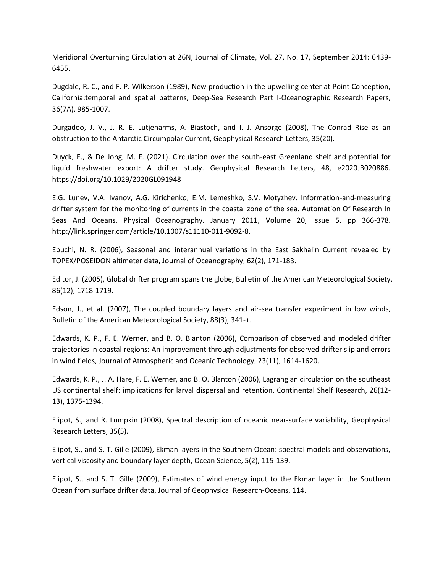Meridional Overturning Circulation at 26N, Journal of Climate, Vol. 27, No. 17, September 2014: 6439- 6455.

Dugdale, R. C., and F. P. Wilkerson (1989), New production in the upwelling center at Point Conception, California:temporal and spatial patterns, Deep-Sea Research Part I-Oceanographic Research Papers, 36(7A), 985-1007.

Durgadoo, J. V., J. R. E. Lutjeharms, A. Biastoch, and I. J. Ansorge (2008), The Conrad Rise as an obstruction to the Antarctic Circumpolar Current, Geophysical Research Letters, 35(20).

Duyck, E., & De Jong, M. F. (2021). Circulation over the south-east Greenland shelf and potential for liquid freshwater export: A drifter study. Geophysical Research Letters, 48, e2020JB020886. https://doi.org/10.1029/2020GL091948

E.G. Lunev, V.A. Ivanov, A.G. Kirichenko, E.M. Lemeshko, S.V. Motyzhev. Information-and-measuring drifter system for the monitoring of currents in the coastal zone of the sea. Automation Of Research In Seas And Oceans. Physical Oceanography. January 2011, Volume 20, Issue 5, pp 366-378. http://link.springer.com/article/10.1007/s11110-011-9092-8.

Ebuchi, N. R. (2006), Seasonal and interannual variations in the East Sakhalin Current revealed by TOPEX/POSEIDON altimeter data, Journal of Oceanography, 62(2), 171-183.

Editor, J. (2005), Global drifter program spans the globe, Bulletin of the American Meteorological Society, 86(12), 1718-1719.

Edson, J., et al. (2007), The coupled boundary layers and air-sea transfer experiment in low winds, Bulletin of the American Meteorological Society, 88(3), 341-+.

Edwards, K. P., F. E. Werner, and B. O. Blanton (2006), Comparison of observed and modeled drifter trajectories in coastal regions: An improvement through adjustments for observed drifter slip and errors in wind fields, Journal of Atmospheric and Oceanic Technology, 23(11), 1614-1620.

Edwards, K. P., J. A. Hare, F. E. Werner, and B. O. Blanton (2006), Lagrangian circulation on the southeast US continental shelf: implications for larval dispersal and retention, Continental Shelf Research, 26(12- 13), 1375-1394.

Elipot, S., and R. Lumpkin (2008), Spectral description of oceanic near-surface variability, Geophysical Research Letters, 35(5).

Elipot, S., and S. T. Gille (2009), Ekman layers in the Southern Ocean: spectral models and observations, vertical viscosity and boundary layer depth, Ocean Science, 5(2), 115-139.

Elipot, S., and S. T. Gille (2009), Estimates of wind energy input to the Ekman layer in the Southern Ocean from surface drifter data, Journal of Geophysical Research-Oceans, 114.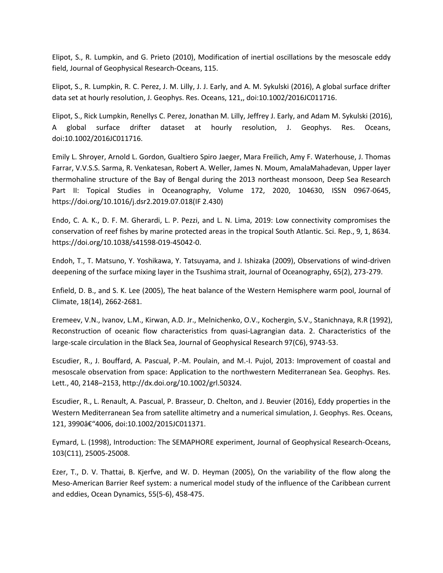Elipot, S., R. Lumpkin, and G. Prieto (2010), Modification of inertial oscillations by the mesoscale eddy field, Journal of Geophysical Research-Oceans, 115.

Elipot, S., R. Lumpkin, R. C. Perez, J. M. Lilly, J. J. Early, and A. M. Sykulski (2016), A global surface drifter data set at hourly resolution, J. Geophys. Res. Oceans, 121,, doi:10.1002/2016JC011716.

Elipot, S., Rick Lumpkin, Renellys C. Perez, Jonathan M. Lilly, Jeffrey J. Early, and Adam M. Sykulski (2016), A global surface drifter dataset at hourly resolution, J. Geophys. Res. Oceans, doi:10.1002/2016JC011716.

Emily L. Shroyer, Arnold L. Gordon, Gualtiero Spiro Jaeger, Mara Freilich, Amy F. Waterhouse, J. Thomas Farrar, V.V.S.S. Sarma, R. Venkatesan, Robert A. Weller, James N. Moum, AmalaMahadevan, Upper layer thermohaline structure of the Bay of Bengal during the 2013 northeast monsoon, Deep Sea Research Part II: Topical Studies in Oceanography, Volume 172, 2020, 104630, ISSN 0967-0645, https://doi.org/10.1016/j.dsr2.2019.07.018(IF 2.430)

Endo, C. A. K., D. F. M. Gherardi, L. P. Pezzi, and L. N. Lima, 2019: Low connectivity compromises the conservation of reef fishes by marine protected areas in the tropical South Atlantic. Sci. Rep., 9, 1, 8634. https://doi.org/10.1038/s41598-019-45042-0.

Endoh, T., T. Matsuno, Y. Yoshikawa, Y. Tatsuyama, and J. Ishizaka (2009), Observations of wind-driven deepening of the surface mixing layer in the Tsushima strait, Journal of Oceanography, 65(2), 273-279.

Enfield, D. B., and S. K. Lee (2005), The heat balance of the Western Hemisphere warm pool, Journal of Climate, 18(14), 2662-2681.

Eremeev, V.N., Ivanov, L.M., Kirwan, A.D. Jr., Melnichenko, O.V., Kochergin, S.V., Stanichnaya, R.R (1992), Reconstruction of oceanic flow characteristics from quasi-Lagrangian data. 2. Characteristics of the large-scale circulation in the Black Sea, Journal of Geophysical Research 97(C6), 9743-53.

Escudier, R., J. Bouffard, A. Pascual, P.-M. Poulain, and M.-I. Pujol, 2013: Improvement of coastal and mesoscale observation from space: Application to the northwestern Mediterranean Sea. Geophys. Res. Lett., 40, 2148–2153, http://dx.doi.org/10.1002/grl.50324.

Escudier, R., L. Renault, A. Pascual, P. Brasseur, D. Chelton, and J. Beuvier (2016), Eddy properties in the Western Mediterranean Sea from satellite altimetry and a numerical simulation, J. Geophys. Res. Oceans, 121, 3990â€"4006, doi:10.1002/2015JC011371.

Eymard, L. (1998), Introduction: The SEMAPHORE experiment, Journal of Geophysical Research-Oceans, 103(C11), 25005-25008.

Ezer, T., D. V. Thattai, B. Kjerfve, and W. D. Heyman (2005), On the variability of the flow along the Meso-American Barrier Reef system: a numerical model study of the influence of the Caribbean current and eddies, Ocean Dynamics, 55(5-6), 458-475.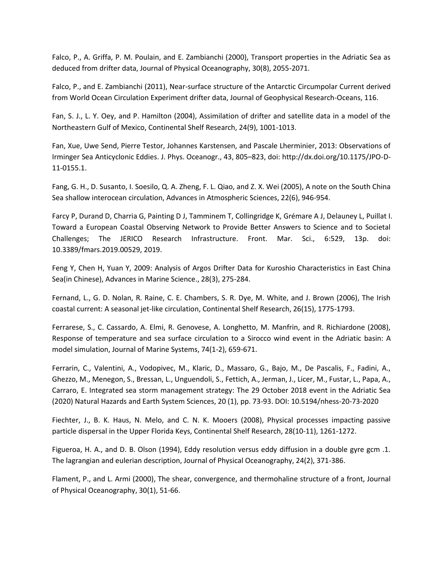Falco, P., A. Griffa, P. M. Poulain, and E. Zambianchi (2000), Transport properties in the Adriatic Sea as deduced from drifter data, Journal of Physical Oceanography, 30(8), 2055-2071.

Falco, P., and E. Zambianchi (2011), Near-surface structure of the Antarctic Circumpolar Current derived from World Ocean Circulation Experiment drifter data, Journal of Geophysical Research-Oceans, 116.

Fan, S. J., L. Y. Oey, and P. Hamilton (2004), Assimilation of drifter and satellite data in a model of the Northeastern Gulf of Mexico, Continental Shelf Research, 24(9), 1001-1013.

Fan, Xue, Uwe Send, Pierre Testor, Johannes Karstensen, and Pascale Lherminier, 2013: Observations of Irminger Sea Anticyclonic Eddies. J. Phys. Oceanogr., 43, 805–823, doi: http://dx.doi.org/10.1175/JPO-D-11-0155.1.

Fang, G. H., D. Susanto, I. Soesilo, Q. A. Zheng, F. L. Qiao, and Z. X. Wei (2005), A note on the South China Sea shallow interocean circulation, Advances in Atmospheric Sciences, 22(6), 946-954.

Farcy P, Durand D, Charria G, Painting D J, Tamminem T, Collingridge K, Grémare A J, Delauney L, Puillat I. Toward a European Coastal Observing Network to Provide Better Answers to Science and to Societal Challenges; The JERICO Research Infrastructure. Front. Mar. Sci., 6:529, 13p. doi: 10.3389/fmars.2019.00529, 2019.

Feng Y, Chen H, Yuan Y, 2009: Analysis of Argos Drifter Data for Kuroshio Characteristics in East China Sea(in Chinese), Advances in Marine Science., 28(3), 275-284.

Fernand, L., G. D. Nolan, R. Raine, C. E. Chambers, S. R. Dye, M. White, and J. Brown (2006), The Irish coastal current: A seasonal jet-like circulation, Continental Shelf Research, 26(15), 1775-1793.

Ferrarese, S., C. Cassardo, A. Elmi, R. Genovese, A. Longhetto, M. Manfrin, and R. Richiardone (2008), Response of temperature and sea surface circulation to a Sirocco wind event in the Adriatic basin: A model simulation, Journal of Marine Systems, 74(1-2), 659-671.

Ferrarin, C., Valentini, A., Vodopivec, M., Klaric, D., Massaro, G., Bajo, M., De Pascalis, F., Fadini, A., Ghezzo, M., Menegon, S., Bressan, L., Unguendoli, S., Fettich, A., Jerman, J., Licer, M., Fustar, L., Papa, A., Carraro, E. Integrated sea storm management strategy: The 29 October 2018 event in the Adriatic Sea (2020) Natural Hazards and Earth System Sciences, 20 (1), pp. 73-93. DOI: 10.5194/nhess-20-73-2020

Fiechter, J., B. K. Haus, N. Melo, and C. N. K. Mooers (2008), Physical processes impacting passive particle dispersal in the Upper Florida Keys, Continental Shelf Research, 28(10-11), 1261-1272.

Figueroa, H. A., and D. B. Olson (1994), Eddy resolution versus eddy diffusion in a double gyre gcm .1. The lagrangian and eulerian description, Journal of Physical Oceanography, 24(2), 371-386.

Flament, P., and L. Armi (2000), The shear, convergence, and thermohaline structure of a front, Journal of Physical Oceanography, 30(1), 51-66.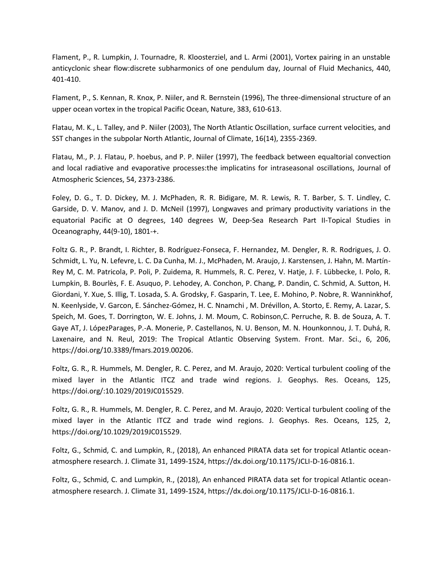Flament, P., R. Lumpkin, J. Tournadre, R. Kloosterziel, and L. Armi (2001), Vortex pairing in an unstable anticyclonic shear flow:discrete subharmonics of one pendulum day, Journal of Fluid Mechanics, 440, 401-410.

Flament, P., S. Kennan, R. Knox, P. Niiler, and R. Bernstein (1996), The three-dimensional structure of an upper ocean vortex in the tropical Pacific Ocean, Nature, 383, 610-613.

Flatau, M. K., L. Talley, and P. Niiler (2003), The North Atlantic Oscillation, surface current velocities, and SST changes in the subpolar North Atlantic, Journal of Climate, 16(14), 2355-2369.

Flatau, M., P. J. Flatau, P. hoebus, and P. P. Niiler (1997), The feedback between equaltorial convection and local radiative and evaporative processes:the implicatins for intraseasonal oscillations, Journal of Atmospheric Sciences, 54, 2373-2386.

Foley, D. G., T. D. Dickey, M. J. McPhaden, R. R. Bidigare, M. R. Lewis, R. T. Barber, S. T. Lindley, C. Garside, D. V. Manov, and J. D. McNeil (1997), Longwaves and primary productivity variations in the equatorial Pacific at O degrees, 140 degrees W, Deep-Sea Research Part II-Topical Studies in Oceanography, 44(9-10), 1801-+.

Foltz G. R., P. Brandt, I. Richter, B. Rodríguez-Fonseca, F. Hernandez, M. Dengler, R. R. Rodrigues, J. O. Schmidt, L. Yu, N. Lefevre, L. C. Da Cunha, M. J., McPhaden, M. Araujo, J. Karstensen, J. Hahn, M. Martín-Rey M, C. M. Patricola, P. Poli, P. Zuidema, R. Hummels, R. C. Perez, V. Hatje, J. F. Lübbecke, I. Polo, R. Lumpkin, B. Bourlès, F. E. Asuquo, P. Lehodey, A. Conchon, P. Chang, P. Dandin, C. Schmid, A. Sutton, H. Giordani, Y. Xue, S. Illig, T. Losada, S. A. Grodsky, F. Gasparin, T. Lee, E. Mohino, P. Nobre, R. Wanninkhof, N. Keenlyside, V. Garcon, E. Sánchez-Gómez, H. C. Nnamchi , M. Drévillon, A. Storto, E. Remy, A. Lazar, S. Speich, M. Goes, T. Dorrington, W. E. Johns, J. M. Moum, C. Robinson,C. Perruche, R. B. de Souza, A. T. Gaye AT, J. LópezParages, P.-A. Monerie, P. Castellanos, N. U. Benson, M. N. Hounkonnou, J. T. Duhá, R. Laxenaire, and N. Reul, 2019: The Tropical Atlantic Observing System. Front. Mar. Sci., 6, 206, https://doi.org/10.3389/fmars.2019.00206.

Foltz, G. R., R. Hummels, M. Dengler, R. C. Perez, and M. Araujo, 2020: Vertical turbulent cooling of the mixed layer in the Atlantic ITCZ and trade wind regions. J. Geophys. Res. Oceans, 125, https://doi.org/:10.1029/2019JC015529.

Foltz, G. R., R. Hummels, M. Dengler, R. C. Perez, and M. Araujo, 2020: Vertical turbulent cooling of the mixed layer in the Atlantic ITCZ and trade wind regions. J. Geophys. Res. Oceans, 125, 2, https://doi.org/10.1029/2019JC015529.

Foltz, G., Schmid, C. and Lumpkin, R., (2018), An enhanced PIRATA data set for tropical Atlantic oceanatmosphere research. J. Climate 31, 1499-1524, https://dx.doi.org/10.1175/JCLI-D-16-0816.1.

Foltz, G., Schmid, C. and Lumpkin, R., (2018), An enhanced PIRATA data set for tropical Atlantic oceanatmosphere research. J. Climate 31, 1499-1524, https://dx.doi.org/10.1175/JCLI-D-16-0816.1.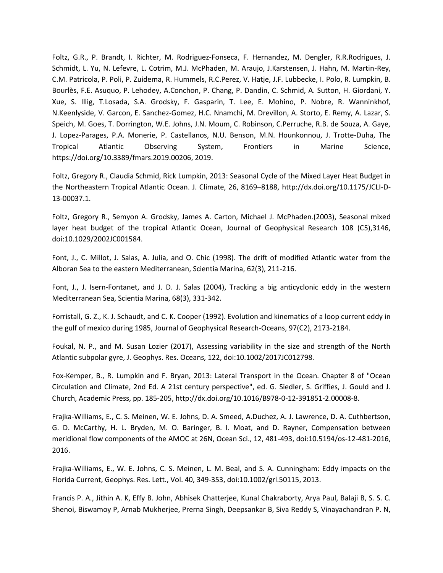Foltz, G.R., P. Brandt, I. Richter, M. Rodriguez-Fonseca, F. Hernandez, M. Dengler, R.R.Rodrigues, J. Schmidt, L. Yu, N. Lefevre, L. Cotrim, M.J. McPhaden, M. Araujo, J.Karstensen, J. Hahn, M. Martin-Rey, C.M. Patricola, P. Poli, P. Zuidema, R. Hummels, R.C.Perez, V. Hatje, J.F. Lubbecke, I. Polo, R. Lumpkin, B. Bourlès, F.E. Asuquo, P. Lehodey, A.Conchon, P. Chang, P. Dandin, C. Schmid, A. Sutton, H. Giordani, Y. Xue, S. Illig, T.Losada, S.A. Grodsky, F. Gasparin, T. Lee, E. Mohino, P. Nobre, R. Wanninkhof, N.Keenlyside, V. Garcon, E. Sanchez-Gomez, H.C. Nnamchi, M. Drevillon, A. Storto, E. Remy, A. Lazar, S. Speich, M. Goes, T. Dorrington, W.E. Johns, J.N. Moum, C. Robinson, C.Perruche, R.B. de Souza, A. Gaye, J. Lopez-Parages, P.A. Monerie, P. Castellanos, N.U. Benson, M.N. Hounkonnou, J. Trotte-Duha, The Tropical Atlantic Observing System, Frontiers in Marine Science, https://doi.org/10.3389/fmars.2019.00206, 2019.

Foltz, Gregory R., Claudia Schmid, Rick Lumpkin, 2013: Seasonal Cycle of the Mixed Layer Heat Budget in the Northeastern Tropical Atlantic Ocean. J. Climate, 26, 8169–8188, http://dx.doi.org/10.1175/JCLI-D-13-00037.1.

Foltz, Gregory R., Semyon A. Grodsky, James A. Carton, Michael J. McPhaden.(2003), Seasonal mixed layer heat budget of the tropical Atlantic Ocean, Journal of Geophysical Research 108 (C5),3146, doi:10.1029/2002JC001584.

Font, J., C. Millot, J. Salas, A. Julia, and O. Chic (1998). The drift of modified Atlantic water from the Alboran Sea to the eastern Mediterranean, Scientia Marina, 62(3), 211-216.

Font, J., J. Isern-Fontanet, and J. D. J. Salas (2004), Tracking a big anticyclonic eddy in the western Mediterranean Sea, Scientia Marina, 68(3), 331-342.

Forristall, G. Z., K. J. Schaudt, and C. K. Cooper (1992). Evolution and kinematics of a loop current eddy in the gulf of mexico during 1985, Journal of Geophysical Research-Oceans, 97(C2), 2173-2184.

Foukal, N. P., and M. Susan Lozier (2017), Assessing variability in the size and strength of the North Atlantic subpolar gyre, J. Geophys. Res. Oceans, 122, doi:10.1002/2017JC012798.

Fox-Kemper, B., R. Lumpkin and F. Bryan, 2013: Lateral Transport in the Ocean. Chapter 8 of "Ocean Circulation and Climate, 2nd Ed. A 21st century perspective", ed. G. Siedler, S. Griffies, J. Gould and J. Church, Academic Press, pp. 185-205, http://dx.doi.org/10.1016/B978-0-12-391851-2.00008-8.

Frajka-Williams, E., C. S. Meinen, W. E. Johns, D. A. Smeed, A.Duchez, A. J. Lawrence, D. A. Cuthbertson, G. D. McCarthy, H. L. Bryden, M. O. Baringer, B. I. Moat, and D. Rayner, Compensation between meridional flow components of the AMOC at 26N, Ocean Sci., 12, 481-493, doi:10.5194/os-12-481-2016, 2016.

Frajka-Williams, E., W. E. Johns, C. S. Meinen, L. M. Beal, and S. A. Cunningham: Eddy impacts on the Florida Current, Geophys. Res. Lett., Vol. 40, 349-353, doi:10.1002/grl.50115, 2013.

Francis P. A., Jithin A. K, Effy B. John, Abhisek Chatterjee, Kunal Chakraborty, Arya Paul, Balaji B, S. S. C. Shenoi, Biswamoy P, Arnab Mukherjee, Prerna Singh, Deepsankar B, Siva Reddy S, Vinayachandran P. N,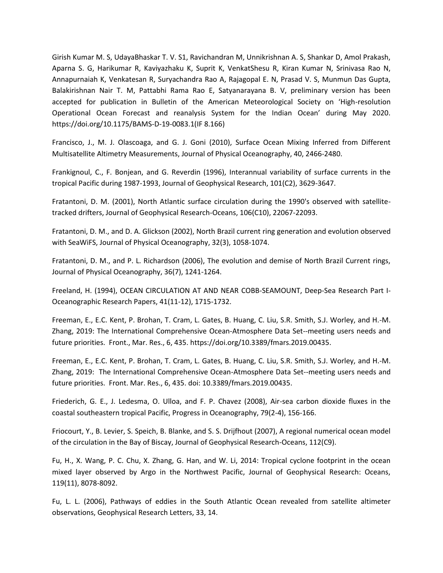Girish Kumar M. S, UdayaBhaskar T. V. S1, Ravichandran M, Unnikrishnan A. S, Shankar D, Amol Prakash, Aparna S. G, Harikumar R, Kaviyazhaku K, Suprit K, VenkatShesu R, Kiran Kumar N, Srinivasa Rao N, Annapurnaiah K, Venkatesan R, Suryachandra Rao A, Rajagopal E. N, Prasad V. S, Munmun Das Gupta, Balakirishnan Nair T. M, Pattabhi Rama Rao E, Satyanarayana B. V, preliminary version has been accepted for publication in Bulletin of the American Meteorological Society on 'High-resolution Operational Ocean Forecast and reanalysis System for the Indian Ocean' during May 2020. https://doi.org/10.1175/BAMS-D-19-0083.1(IF 8.166)

Francisco, J., M. J. Olascoaga, and G. J. Goni (2010), Surface Ocean Mixing Inferred from Different Multisatellite Altimetry Measurements, Journal of Physical Oceanography, 40, 2466-2480.

Frankignoul, C., F. Bonjean, and G. Reverdin (1996), Interannual variability of surface currents in the tropical Pacific during 1987-1993, Journal of Geophysical Research, 101(C2), 3629-3647.

Fratantoni, D. M. (2001), North Atlantic surface circulation during the 1990's observed with satellitetracked drifters, Journal of Geophysical Research-Oceans, 106(C10), 22067-22093.

Fratantoni, D. M., and D. A. Glickson (2002), North Brazil current ring generation and evolution observed with SeaWiFS, Journal of Physical Oceanography, 32(3), 1058-1074.

Fratantoni, D. M., and P. L. Richardson (2006), The evolution and demise of North Brazil Current rings, Journal of Physical Oceanography, 36(7), 1241-1264.

Freeland, H. (1994), OCEAN CIRCULATION AT AND NEAR COBB-SEAMOUNT, Deep-Sea Research Part I-Oceanographic Research Papers, 41(11-12), 1715-1732.

Freeman, E., E.C. Kent, P. Brohan, T. Cram, L. Gates, B. Huang, C. Liu, S.R. Smith, S.J. Worley, and H.-M. Zhang, 2019: The International Comprehensive Ocean-Atmosphere Data Set--meeting users needs and future priorities. Front., Mar. Res., 6, 435. https://doi.org/10.3389/fmars.2019.00435.

Freeman, E., E.C. Kent, P. Brohan, T. Cram, L. Gates, B. Huang, C. Liu, S.R. Smith, S.J. Worley, and H.-M. Zhang, 2019: The International Comprehensive Ocean-Atmosphere Data Set--meeting users needs and future priorities. Front. Mar. Res., 6, 435. doi: 10.3389/fmars.2019.00435.

Friederich, G. E., J. Ledesma, O. Ulloa, and F. P. Chavez (2008), Air-sea carbon dioxide fluxes in the coastal southeastern tropical Pacific, Progress in Oceanography, 79(2-4), 156-166.

Friocourt, Y., B. Levier, S. Speich, B. Blanke, and S. S. Drijfhout (2007), A regional numerical ocean model of the circulation in the Bay of Biscay, Journal of Geophysical Research-Oceans, 112(C9).

Fu, H., X. Wang, P. C. Chu, X. Zhang, G. Han, and W. Li, 2014: Tropical cyclone footprint in the ocean mixed layer observed by Argo in the Northwest Pacific, Journal of Geophysical Research: Oceans, 119(11), 8078-8092.

Fu, L. L. (2006), Pathways of eddies in the South Atlantic Ocean revealed from satellite altimeter observations, Geophysical Research Letters, 33, 14.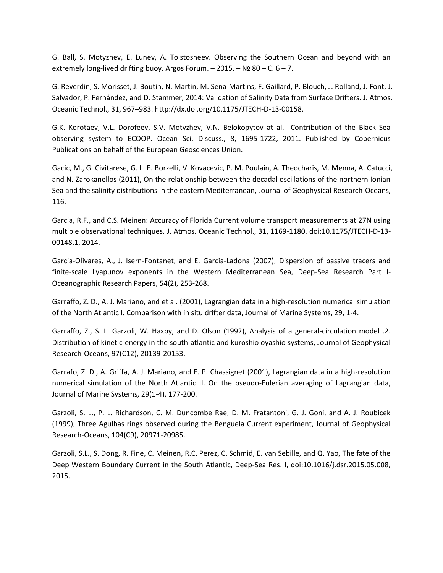G. Ball, S. Motyzhev, E. Lunev, A. Tolstosheev. Observing the Southern Ocean and beyond with an extremely long-lived drifting buoy. Argos Forum.  $-$  2015.  $-$  Nº 80 – C. 6 – 7.

G. Reverdin, S. Morisset, J. Boutin, N. Martin, M. Sena-Martins, F. Gaillard, P. Blouch, J. Rolland, J. Font, J. Salvador, P. Fernández, and D. Stammer, 2014: Validation of Salinity Data from Surface Drifters. J. Atmos. Oceanic Technol., 31, 967–983. http://dx.doi.org/10.1175/JTECH-D-13-00158.

G.K. Korotaev, V.L. Dorofeev, S.V. Motyzhev, V.N. Belokopytov at al. Contribution of the Black Sea observing system to ECOOP. Ocean Sci. Discuss., 8, 1695-1722, 2011. Published by Copernicus Publications on behalf of the European Geosciences Union.

Gacic, M., G. Civitarese, G. L. E. Borzelli, V. Kovacevic, P. M. Poulain, A. Theocharis, M. Menna, A. Catucci, and N. Zarokanellos (2011), On the relationship between the decadal oscillations of the northern Ionian Sea and the salinity distributions in the eastern Mediterranean, Journal of Geophysical Research-Oceans, 116.

Garcia, R.F., and C.S. Meinen: Accuracy of Florida Current volume transport measurements at 27N using multiple observational techniques. J. Atmos. Oceanic Technol., 31, 1169-1180. doi:10.1175/JTECH-D-13- 00148.1, 2014.

Garcia-Olivares, A., J. Isern-Fontanet, and E. Garcia-Ladona (2007), Dispersion of passive tracers and finite-scale Lyapunov exponents in the Western Mediterranean Sea, Deep-Sea Research Part I-Oceanographic Research Papers, 54(2), 253-268.

Garraffo, Z. D., A. J. Mariano, and et al. (2001), Lagrangian data in a high-resolution numerical simulation of the North Atlantic I. Comparison with in situ drifter data, Journal of Marine Systems, 29, 1-4.

Garraffo, Z., S. L. Garzoli, W. Haxby, and D. Olson (1992), Analysis of a general-circulation model .2. Distribution of kinetic-energy in the south-atlantic and kuroshio oyashio systems, Journal of Geophysical Research-Oceans, 97(C12), 20139-20153.

Garrafo, Z. D., A. Griffa, A. J. Mariano, and E. P. Chassignet (2001), Lagrangian data in a high-resolution numerical simulation of the North Atlantic II. On the pseudo-Eulerian averaging of Lagrangian data, Journal of Marine Systems, 29(1-4), 177-200.

Garzoli, S. L., P. L. Richardson, C. M. Duncombe Rae, D. M. Fratantoni, G. J. Goni, and A. J. Roubicek (1999), Three Agulhas rings observed during the Benguela Current experiment, Journal of Geophysical Research-Oceans, 104(C9), 20971-20985.

Garzoli, S.L., S. Dong, R. Fine, C. Meinen, R.C. Perez, C. Schmid, E. van Sebille, and Q. Yao, The fate of the Deep Western Boundary Current in the South Atlantic, Deep-Sea Res. I, doi:10.1016/j.dsr.2015.05.008, 2015.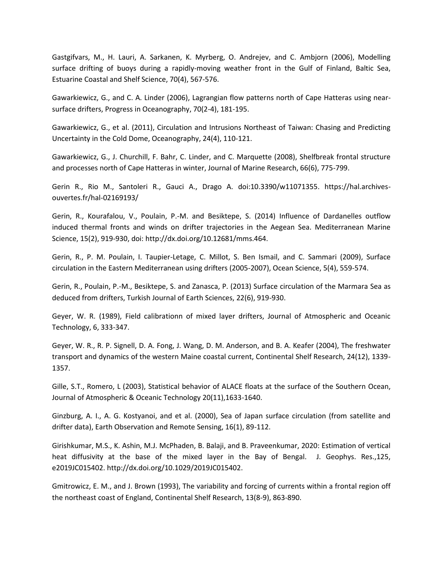Gastgifvars, M., H. Lauri, A. Sarkanen, K. Myrberg, O. Andrejev, and C. Ambjorn (2006), Modelling surface drifting of buoys during a rapidly-moving weather front in the Gulf of Finland, Baltic Sea, Estuarine Coastal and Shelf Science, 70(4), 567-576.

Gawarkiewicz, G., and C. A. Linder (2006), Lagrangian flow patterns north of Cape Hatteras using nearsurface drifters, Progress in Oceanography, 70(2-4), 181-195.

Gawarkiewicz, G., et al. (2011), Circulation and Intrusions Northeast of Taiwan: Chasing and Predicting Uncertainty in the Cold Dome, Oceanography, 24(4), 110-121.

Gawarkiewicz, G., J. Churchill, F. Bahr, C. Linder, and C. Marquette (2008), Shelfbreak frontal structure and processes north of Cape Hatteras in winter, Journal of Marine Research, 66(6), 775-799.

Gerin R., Rio M., Santoleri R., Gauci A., Drago A. doi:10.3390/w11071355. https://hal.archivesouvertes.fr/hal-02169193/

Gerin, R., Kourafalou, V., Poulain, P.-M. and Besiktepe, S. (2014) Influence of Dardanelles outflow induced thermal fronts and winds on drifter trajectories in the Aegean Sea. Mediterranean Marine Science, 15(2), 919-930, doi: http://dx.doi.org/10.12681/mms.464.

Gerin, R., P. M. Poulain, I. Taupier-Letage, C. Millot, S. Ben Ismail, and C. Sammari (2009), Surface circulation in the Eastern Mediterranean using drifters (2005-2007), Ocean Science, 5(4), 559-574.

Gerin, R., Poulain, P.-M., Besiktepe, S. and Zanasca, P. (2013) Surface circulation of the Marmara Sea as deduced from drifters, Turkish Journal of Earth Sciences, 22(6), 919-930.

Geyer, W. R. (1989), Field calibrationn of mixed layer drifters, Journal of Atmospheric and Oceanic Technology, 6, 333-347.

Geyer, W. R., R. P. Signell, D. A. Fong, J. Wang, D. M. Anderson, and B. A. Keafer (2004), The freshwater transport and dynamics of the western Maine coastal current, Continental Shelf Research, 24(12), 1339- 1357.

Gille, S.T., Romero, L (2003), Statistical behavior of ALACE floats at the surface of the Southern Ocean, Journal of Atmospheric & Oceanic Technology 20(11),1633-1640.

Ginzburg, A. I., A. G. Kostyanoi, and et al. (2000), Sea of Japan surface circulation (from satellite and drifter data), Earth Observation and Remote Sensing, 16(1), 89-112.

Girishkumar, M.S., K. Ashin, M.J. McPhaden, B. Balaji, and B. Praveenkumar, 2020: Estimation of vertical heat diffusivity at the base of the mixed layer in the Bay of Bengal. J. Geophys. Res.,125, e2019JC015402. http://dx.doi.org/10.1029/2019JC015402.

Gmitrowicz, E. M., and J. Brown (1993), The variability and forcing of currents within a frontal region off the northeast coast of England, Continental Shelf Research, 13(8-9), 863-890.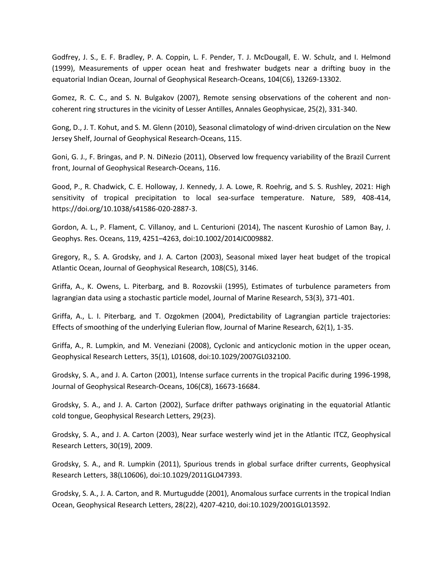Godfrey, J. S., E. F. Bradley, P. A. Coppin, L. F. Pender, T. J. McDougall, E. W. Schulz, and I. Helmond (1999), Measurements of upper ocean heat and freshwater budgets near a drifting buoy in the equatorial Indian Ocean, Journal of Geophysical Research-Oceans, 104(C6), 13269-13302.

Gomez, R. C. C., and S. N. Bulgakov (2007), Remote sensing observations of the coherent and noncoherent ring structures in the vicinity of Lesser Antilles, Annales Geophysicae, 25(2), 331-340.

Gong, D., J. T. Kohut, and S. M. Glenn (2010), Seasonal climatology of wind-driven circulation on the New Jersey Shelf, Journal of Geophysical Research-Oceans, 115.

Goni, G. J., F. Bringas, and P. N. DiNezio (2011), Observed low frequency variability of the Brazil Current front, Journal of Geophysical Research-Oceans, 116.

Good, P., R. Chadwick, C. E. Holloway, J. Kennedy, J. A. Lowe, R. Roehrig, and S. S. Rushley, 2021: High sensitivity of tropical precipitation to local sea-surface temperature. Nature, 589, 408-414, https://doi.org/10.1038/s41586-020-2887-3.

Gordon, A. L., P. Flament, C. Villanoy, and L. Centurioni (2014), The nascent Kuroshio of Lamon Bay, J. Geophys. Res. Oceans, 119, 4251–4263, doi:10.1002/2014JC009882.

Gregory, R., S. A. Grodsky, and J. A. Carton (2003), Seasonal mixed layer heat budget of the tropical Atlantic Ocean, Journal of Geophysical Research, 108(C5), 3146.

Griffa, A., K. Owens, L. Piterbarg, and B. Rozovskii (1995), Estimates of turbulence parameters from lagrangian data using a stochastic particle model, Journal of Marine Research, 53(3), 371-401.

Griffa, A., L. I. Piterbarg, and T. Ozgokmen (2004), Predictability of Lagrangian particle trajectories: Effects of smoothing of the underlying Eulerian flow, Journal of Marine Research, 62(1), 1-35.

Griffa, A., R. Lumpkin, and M. Veneziani (2008), Cyclonic and anticyclonic motion in the upper ocean, Geophysical Research Letters, 35(1), L01608, doi:10.1029/2007GL032100.

Grodsky, S. A., and J. A. Carton (2001), Intense surface currents in the tropical Pacific during 1996-1998, Journal of Geophysical Research-Oceans, 106(C8), 16673-16684.

Grodsky, S. A., and J. A. Carton (2002), Surface drifter pathways originating in the equatorial Atlantic cold tongue, Geophysical Research Letters, 29(23).

Grodsky, S. A., and J. A. Carton (2003), Near surface westerly wind jet in the Atlantic ITCZ, Geophysical Research Letters, 30(19), 2009.

Grodsky, S. A., and R. Lumpkin (2011), Spurious trends in global surface drifter currents, Geophysical Research Letters, 38(L10606), doi:10.1029/2011GL047393.

Grodsky, S. A., J. A. Carton, and R. Murtugudde (2001), Anomalous surface currents in the tropical Indian Ocean, Geophysical Research Letters, 28(22), 4207-4210, doi:10.1029/2001GL013592.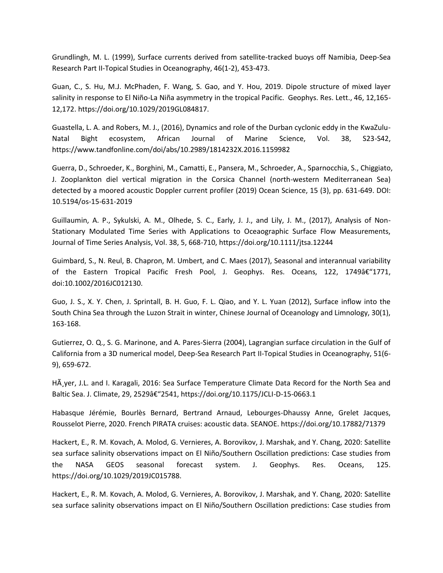Grundlingh, M. L. (1999), Surface currents derived from satellite-tracked buoys off Namibia, Deep-Sea Research Part II-Topical Studies in Oceanography, 46(1-2), 453-473.

Guan, C., S. Hu, M.J. McPhaden, F. Wang, S. Gao, and Y. Hou, 2019. Dipole structure of mixed layer salinity in response to El Niño-La Niña asymmetry in the tropical Pacific. Geophys. Res. Lett., 46, 12,165- 12,172. https://doi.org/10.1029/2019GL084817.

Guastella, L. A. and Robers, M. J., (2016), Dynamics and role of the Durban cyclonic eddy in the KwaZulu-Natal Bight ecosystem, African Journal of Marine Science, Vol. 38, S23-S42, https://www.tandfonline.com/doi/abs/10.2989/1814232X.2016.1159982

Guerra, D., Schroeder, K., Borghini, M., Camatti, E., Pansera, M., Schroeder, A., Sparnocchia, S., Chiggiato, J. Zooplankton diel vertical migration in the Corsica Channel (north-western Mediterranean Sea) detected by a moored acoustic Doppler current profiler (2019) Ocean Science, 15 (3), pp. 631-649. DOI: 10.5194/os-15-631-2019

Guillaumin, A. P., Sykulski, A. M., Olhede, S. C., Early, J. J., and Lily, J. M., (2017), Analysis of Non-Stationary Modulated Time Series with Applications to Oceaographic Surface Flow Measurements, Journal of Time Series Analysis, Vol. 38, 5, 668-710, https://doi.org/10.1111/jtsa.12244

Guimbard, S., N. Reul, B. Chapron, M. Umbert, and C. Maes (2017), Seasonal and interannual variability of the Eastern Tropical Pacific Fresh Pool, J. Geophys. Res. Oceans, 122, 1749†"1771, doi:10.1002/2016JC012130.

Guo, J. S., X. Y. Chen, J. Sprintall, B. H. Guo, F. L. Qiao, and Y. L. Yuan (2012), Surface inflow into the South China Sea through the Luzon Strait in winter, Chinese Journal of Oceanology and Limnology, 30(1), 163-168.

Gutierrez, O. Q., S. G. Marinone, and A. Pares-Sierra (2004), Lagrangian surface circulation in the Gulf of California from a 3D numerical model, Deep-Sea Research Part II-Topical Studies in Oceanography, 51(6- 9), 659-672.

HÃ yer, J.L. and I. Karagali, 2016: Sea Surface Temperature Climate Data Record for the North Sea and Baltic Sea. J. Climate, 29, 2529â€"2541, https://doi.org/10.1175/JCLI-D-15-0663.1

Habasque Jérémie, Bourlès Bernard, Bertrand Arnaud, Lebourges-Dhaussy Anne, Grelet Jacques, Rousselot Pierre, 2020. French PIRATA cruises: acoustic data. SEANOE. https://doi.org/10.17882/71379

Hackert, E., R. M. Kovach, A. Molod, G. Vernieres, A. Borovikov, J. Marshak, and Y. Chang, 2020: Satellite sea surface salinity observations impact on El Niño/Southern Oscillation predictions: Case studies from the NASA GEOS seasonal forecast system. J. Geophys. Res. Oceans, 125. https://doi.org/10.1029/2019JC015788.

Hackert, E., R. M. Kovach, A. Molod, G. Vernieres, A. Borovikov, J. Marshak, and Y. Chang, 2020: Satellite sea surface salinity observations impact on El Niño/Southern Oscillation predictions: Case studies from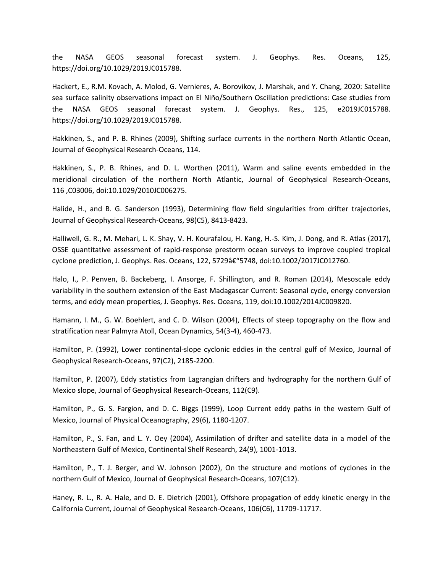the NASA GEOS seasonal forecast system. J. Geophys. Res. Oceans, 125, https://doi.org/10.1029/2019JC015788.

Hackert, E., R.M. Kovach, A. Molod, G. Vernieres, A. Borovikov, J. Marshak, and Y. Chang, 2020: Satellite sea surface salinity observations impact on El Niño/Southern Oscillation predictions: Case studies from the NASA GEOS seasonal forecast system. J. Geophys. Res., 125, e2019JC015788. https://doi.org/10.1029/2019JC015788.

Hakkinen, S., and P. B. Rhines (2009), Shifting surface currents in the northern North Atlantic Ocean, Journal of Geophysical Research-Oceans, 114.

Hakkinen, S., P. B. Rhines, and D. L. Worthen (2011), Warm and saline events embedded in the meridional circulation of the northern North Atlantic, Journal of Geophysical Research-Oceans, 116 ,C03006, doi:10.1029/2010JC006275.

Halide, H., and B. G. Sanderson (1993), Determining flow field singularities from drifter trajectories, Journal of Geophysical Research-Oceans, 98(C5), 8413-8423.

Halliwell, G. R., M. Mehari, L. K. Shay, V. H. Kourafalou, H. Kang, H.-S. Kim, J. Dong, and R. Atlas (2017), OSSE quantitative assessment of rapid-response prestorm ocean surveys to improve coupled tropical cyclone prediction, J. Geophys. Res. Oceans, 122, 5729 $\frac{\hat{\pi}}{2}$ 5748, doi:10.1002/2017JC012760.

Halo, I., P. Penven, B. Backeberg, I. Ansorge, F. Shillington, and R. Roman (2014), Mesoscale eddy variability in the southern extension of the East Madagascar Current: Seasonal cycle, energy conversion terms, and eddy mean properties, J. Geophys. Res. Oceans, 119, doi:10.1002/2014JC009820.

Hamann, I. M., G. W. Boehlert, and C. D. Wilson (2004), Effects of steep topography on the flow and stratification near Palmyra Atoll, Ocean Dynamics, 54(3-4), 460-473.

Hamilton, P. (1992), Lower continental-slope cyclonic eddies in the central gulf of Mexico, Journal of Geophysical Research-Oceans, 97(C2), 2185-2200.

Hamilton, P. (2007), Eddy statistics from Lagrangian drifters and hydrography for the northern Gulf of Mexico slope, Journal of Geophysical Research-Oceans, 112(C9).

Hamilton, P., G. S. Fargion, and D. C. Biggs (1999), Loop Current eddy paths in the western Gulf of Mexico, Journal of Physical Oceanography, 29(6), 1180-1207.

Hamilton, P., S. Fan, and L. Y. Oey (2004), Assimilation of drifter and satellite data in a model of the Northeastern Gulf of Mexico, Continental Shelf Research, 24(9), 1001-1013.

Hamilton, P., T. J. Berger, and W. Johnson (2002), On the structure and motions of cyclones in the northern Gulf of Mexico, Journal of Geophysical Research-Oceans, 107(C12).

Haney, R. L., R. A. Hale, and D. E. Dietrich (2001), Offshore propagation of eddy kinetic energy in the California Current, Journal of Geophysical Research-Oceans, 106(C6), 11709-11717.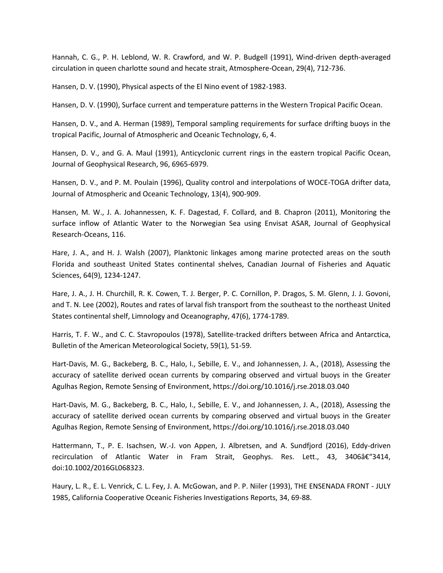Hannah, C. G., P. H. Leblond, W. R. Crawford, and W. P. Budgell (1991), Wind-driven depth-averaged circulation in queen charlotte sound and hecate strait, Atmosphere-Ocean, 29(4), 712-736.

Hansen, D. V. (1990), Physical aspects of the El Nino event of 1982-1983.

Hansen, D. V. (1990), Surface current and temperature patterns in the Western Tropical Pacific Ocean.

Hansen, D. V., and A. Herman (1989), Temporal sampling requirements for surface drifting buoys in the tropical Pacific, Journal of Atmospheric and Oceanic Technology, 6, 4.

Hansen, D. V., and G. A. Maul (1991), Anticyclonic current rings in the eastern tropical Pacific Ocean, Journal of Geophysical Research, 96, 6965-6979.

Hansen, D. V., and P. M. Poulain (1996), Quality control and interpolations of WOCE-TOGA drifter data, Journal of Atmospheric and Oceanic Technology, 13(4), 900-909.

Hansen, M. W., J. A. Johannessen, K. F. Dagestad, F. Collard, and B. Chapron (2011), Monitoring the surface inflow of Atlantic Water to the Norwegian Sea using Envisat ASAR, Journal of Geophysical Research-Oceans, 116.

Hare, J. A., and H. J. Walsh (2007), Planktonic linkages among marine protected areas on the south Florida and southeast United States continental shelves, Canadian Journal of Fisheries and Aquatic Sciences, 64(9), 1234-1247.

Hare, J. A., J. H. Churchill, R. K. Cowen, T. J. Berger, P. C. Cornillon, P. Dragos, S. M. Glenn, J. J. Govoni, and T. N. Lee (2002), Routes and rates of larval fish transport from the southeast to the northeast United States continental shelf, Limnology and Oceanography, 47(6), 1774-1789.

Harris, T. F. W., and C. C. Stavropoulos (1978), Satellite-tracked drifters between Africa and Antarctica, Bulletin of the American Meteorological Society, 59(1), 51-59.

Hart-Davis, M. G., Backeberg, B. C., Halo, I., Sebille, E. V., and Johannessen, J. A., (2018), Assessing the accuracy of satellite derived ocean currents by comparing observed and virtual buoys in the Greater Agulhas Region, Remote Sensing of Environment, https://doi.org/10.1016/j.rse.2018.03.040

Hart-Davis, M. G., Backeberg, B. C., Halo, I., Sebille, E. V., and Johannessen, J. A., (2018), Assessing the accuracy of satellite derived ocean currents by comparing observed and virtual buoys in the Greater Agulhas Region, Remote Sensing of Environment, https://doi.org/10.1016/j.rse.2018.03.040

Hattermann, T., P. E. Isachsen, W.-J. von Appen, J. Albretsen, and A. Sundfjord (2016), Eddy-driven recirculation of Atlantic Water in Fram Strait, Geophys. Res. Lett., 43, 3406†"3414, doi:10.1002/2016GL068323.

Haury, L. R., E. L. Venrick, C. L. Fey, J. A. McGowan, and P. P. Niiler (1993), THE ENSENADA FRONT - JULY 1985, California Cooperative Oceanic Fisheries Investigations Reports, 34, 69-88.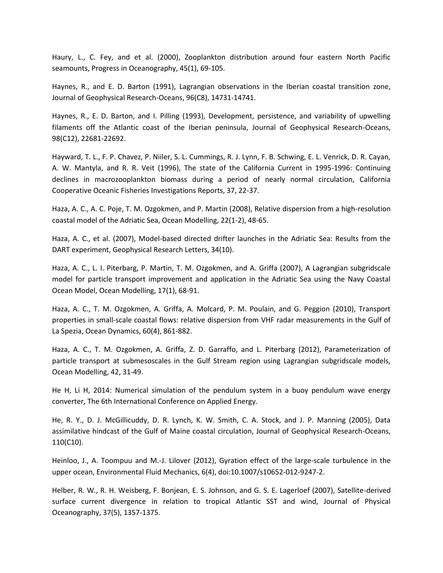Haury, L., C. Fey, and et al. (2000), Zooplankton distribution around four eastern North Pacific seamounts, Progress in Oceanography, 45(1), 69-105.

Haynes, R., and E. D. Barton (1991), Lagrangian observations in the Iberian coastal transition zone, Journal of Geophysical Research-Oceans, 96(C8), 14731-14741.

Haynes, R., E. D. Barton, and I. Pilling (1993), Development, persistence, and variability of upwelling filaments off the Atlantic coast of the Iberian peninsula, Journal of Geophysical Research-Oceans, 98(C12), 22681-22692.

Hayward, T. L., F. P. Chavez, P. Niiler, S. L. Cummings, R. J. Lynn, F. B. Schwing, E. L. Venrick, D. R. Cayan, A. W. Mantyla, and R. R. Veit (1996), The state of the California Current in 1995-1996: Continuing declines in macrozooplankton biomass during a period of nearly normal circulation, California Cooperative Oceanic Fisheries Investigations Reports, 37, 22-37.

Haza, A. C., A. C. Poje, T. M. Ozgokmen, and P. Martin (2008), Relative dispersion from a high-resolution coastal model of the Adriatic Sea, Ocean Modelling, 22(1-2), 48-65.

Haza, A. C., et al. (2007), Model-based directed drifter launches in the Adriatic Sea: Results from the DART experiment, Geophysical Research Letters, 34(10).

Haza, A. C., L. I. Piterbarg, P. Martin, T. M. Ozgokmen, and A. Griffa (2007), A Lagrangian subgridscale model for particle transport improvement and application in the Adriatic Sea using the Navy Coastal Ocean Model, Ocean Modelling, 17(1), 68-91.

Haza, A. C., T. M. Ozgokmen, A. Griffa, A. Molcard, P. M. Poulain, and G. Peggion (2010), Transport properties in small-scale coastal flows: relative dispersion from VHF radar measurements in the Gulf of La Spezia, Ocean Dynamics, 60(4), 861-882.

Haza, A. C., T. M. Ozgokmen, A. Griffa, Z. D. Garraffo, and L. Piterbarg (2012), Parameterization of particle transport at submesoscales in the Gulf Stream region using Lagrangian subgridscale models, Ocean Modelling, 42, 31-49.

He H, Li H, 2014: Numerical simulation of the pendulum system in a buoy pendulum wave energy converter, The 6th International Conference on Applied Energy.

He, R. Y., D. J. McGillicuddy, D. R. Lynch, K. W. Smith, C. A. Stock, and J. P. Manning (2005), Data assimilative hindcast of the Gulf of Maine coastal circulation, Journal of Geophysical Research-Oceans, 110(C10).

Heinloo, J., A. Toompuu and M.-J. Lilover (2012), Gyration effect of the large-scale turbulence in the upper ocean, Environmental Fluid Mechanics, 6(4), doi:10.1007/s10652-012-9247-2.

Helber, R. W., R. H. Weisberg, F. Bonjean, E. S. Johnson, and G. S. E. Lagerloef (2007), Satellite-derived surface current divergence in relation to tropical Atlantic SST and wind, Journal of Physical Oceanography, 37(5), 1357-1375.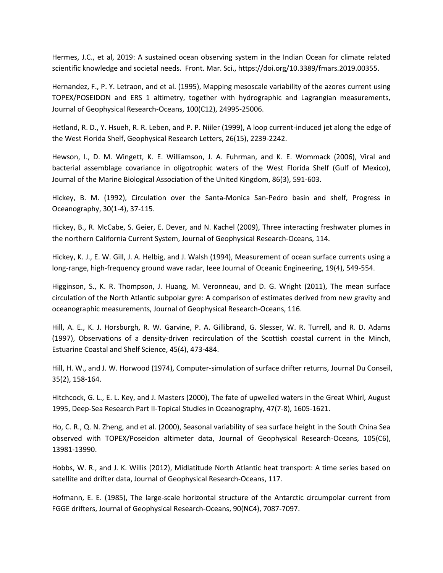Hermes, J.C., et al, 2019: A sustained ocean observing system in the Indian Ocean for climate related scientific knowledge and societal needs. Front. Mar. Sci., https://doi.org/10.3389/fmars.2019.00355.

Hernandez, F., P. Y. Letraon, and et al. (1995), Mapping mesoscale variability of the azores current using TOPEX/POSEIDON and ERS 1 altimetry, together with hydrographic and Lagrangian measurements, Journal of Geophysical Research-Oceans, 100(C12), 24995-25006.

Hetland, R. D., Y. Hsueh, R. R. Leben, and P. P. Niiler (1999), A loop current-induced jet along the edge of the West Florida Shelf, Geophysical Research Letters, 26(15), 2239-2242.

Hewson, I., D. M. Wingett, K. E. Williamson, J. A. Fuhrman, and K. E. Wommack (2006), Viral and bacterial assemblage covariance in oligotrophic waters of the West Florida Shelf (Gulf of Mexico), Journal of the Marine Biological Association of the United Kingdom, 86(3), 591-603.

Hickey, B. M. (1992), Circulation over the Santa-Monica San-Pedro basin and shelf, Progress in Oceanography, 30(1-4), 37-115.

Hickey, B., R. McCabe, S. Geier, E. Dever, and N. Kachel (2009), Three interacting freshwater plumes in the northern California Current System, Journal of Geophysical Research-Oceans, 114.

Hickey, K. J., E. W. Gill, J. A. Helbig, and J. Walsh (1994), Measurement of ocean surface currents using a long-range, high-frequency ground wave radar, Ieee Journal of Oceanic Engineering, 19(4), 549-554.

Higginson, S., K. R. Thompson, J. Huang, M. Veronneau, and D. G. Wright (2011), The mean surface circulation of the North Atlantic subpolar gyre: A comparison of estimates derived from new gravity and oceanographic measurements, Journal of Geophysical Research-Oceans, 116.

Hill, A. E., K. J. Horsburgh, R. W. Garvine, P. A. Gillibrand, G. Slesser, W. R. Turrell, and R. D. Adams (1997), Observations of a density-driven recirculation of the Scottish coastal current in the Minch, Estuarine Coastal and Shelf Science, 45(4), 473-484.

Hill, H. W., and J. W. Horwood (1974), Computer-simulation of surface drifter returns, Journal Du Conseil, 35(2), 158-164.

Hitchcock, G. L., E. L. Key, and J. Masters (2000), The fate of upwelled waters in the Great Whirl, August 1995, Deep-Sea Research Part II-Topical Studies in Oceanography, 47(7-8), 1605-1621.

Ho, C. R., Q. N. Zheng, and et al. (2000), Seasonal variability of sea surface height in the South China Sea observed with TOPEX/Poseidon altimeter data, Journal of Geophysical Research-Oceans, 105(C6), 13981-13990.

Hobbs, W. R., and J. K. Willis (2012), Midlatitude North Atlantic heat transport: A time series based on satellite and drifter data, Journal of Geophysical Research-Oceans, 117.

Hofmann, E. E. (1985), The large-scale horizontal structure of the Antarctic circumpolar current from FGGE drifters, Journal of Geophysical Research-Oceans, 90(NC4), 7087-7097.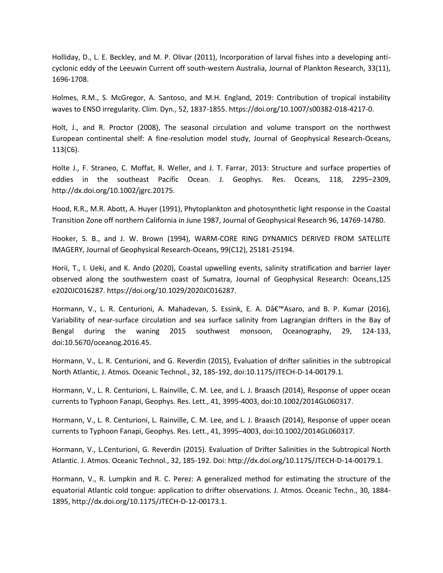Holliday, D., L. E. Beckley, and M. P. Olivar (2011), Incorporation of larval fishes into a developing anticyclonic eddy of the Leeuwin Current off south-western Australia, Journal of Plankton Research, 33(11), 1696-1708.

Holmes, R.M., S. McGregor, A. Santoso, and M.H. England, 2019: Contribution of tropical instability waves to ENSO irregularity. Clim. Dyn., 52, 1837-1855. https://doi.org/10.1007/s00382-018-4217-0.

Holt, J., and R. Proctor (2008), The seasonal circulation and volume transport on the northwest European continental shelf: A fine-resolution model study, Journal of Geophysical Research-Oceans, 113(C6).

Holte J., F. Straneo, C. Moffat, R. Weller, and J. T. Farrar, 2013: Structure and surface properties of eddies in the southeast Pacific Ocean. J. Geophys. Res. Oceans, 118, 2295–2309, http://dx.doi.org/10.1002/jgrc.20175.

Hood, R.R., M.R. Abott, A. Huyer (1991), Phytoplankton and photosynthetic light response in the Coastal Transition Zone off northern California in June 1987, Journal of Geophysical Research 96, 14769-14780.

Hooker, S. B., and J. W. Brown (1994), WARM-CORE RING DYNAMICS DERIVED FROM SATELLITE IMAGERY, Journal of Geophysical Research-Oceans, 99(C12), 25181-25194.

Horii, T., I. Ueki, and K. Ando (2020), Coastal upwelling events, salinity stratification and barrier layer observed along the southwestern coast of Sumatra, Journal of Geophysical Research: Oceans,125 e2020JC016287. https://doi.org/10.1029/2020JC016287.

Hormann, V., L. R. Centurioni, A. Mahadevan, S. Essink, E. A. D'Asaro, and B. P. Kumar (2016), Variability of near-surface circulation and sea surface salinity from Lagrangian drifters in the Bay of Bengal during the waning 2015 southwest monsoon, Oceanography, 29, 124-133, doi:10.5670/oceanog.2016.45.

Hormann, V., L. R. Centurioni, and G. Reverdin (2015), Evaluation of drifter salinities in the subtropical North Atlantic, J. Atmos. Oceanic Technol., 32, 185-192, doi:10.1175/JTECH-D-14-00179.1.

Hormann, V., L. R. Centurioni, L. Rainville, C. M. Lee, and L. J. Braasch (2014), Response of upper ocean currents to Typhoon Fanapi, Geophys. Res. Lett., 41, 3995-4003, doi:10.1002/2014GL060317.

Hormann, V., L. R. Centurioni, L. Rainville, C. M. Lee, and L. J. Braasch (2014), Response of upper ocean currents to Typhoon Fanapi, Geophys. Res. Lett., 41, 3995–4003, doi:10.1002/2014GL060317.

Hormann, V., L.Centurioni, G. Reverdin (2015). Evaluation of Drifter Salinities in the Subtropical North Atlantic. J. Atmos. Oceanic Technol., 32, 185-192. Doi: http://dx.doi.org/10.1175/JTECH-D-14-00179.1.

Hormann, V., R. Lumpkin and R. C. Perez: A generalized method for estimating the structure of the equatorial Atlantic cold tongue: application to drifter observations. J. Atmos. Oceanic Techn., 30, 1884- 1895, http://dx.doi.org/10.1175/JTECH-D-12-00173.1.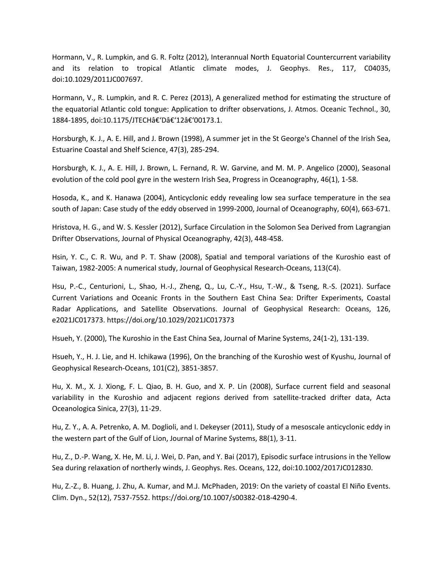Hormann, V., R. Lumpkin, and G. R. Foltz (2012), Interannual North Equatorial Countercurrent variability and its relation to tropical Atlantic climate modes, J. Geophys. Res., 117, C04035, doi:10.1029/2011JC007697.

Hormann, V., R. Lumpkin, and R. C. Perez (2013), A generalized method for estimating the structure of the equatorial Atlantic cold tongue: Application to drifter observations, J. Atmos. Oceanic Technol., 30, 1884-1895, doi:10.1175/JTECHâ€'Dâ€'12â€'00173.1.

Horsburgh, K. J., A. E. Hill, and J. Brown (1998), A summer jet in the St George's Channel of the Irish Sea, Estuarine Coastal and Shelf Science, 47(3), 285-294.

Horsburgh, K. J., A. E. Hill, J. Brown, L. Fernand, R. W. Garvine, and M. M. P. Angelico (2000), Seasonal evolution of the cold pool gyre in the western Irish Sea, Progress in Oceanography, 46(1), 1-58.

Hosoda, K., and K. Hanawa (2004), Anticyclonic eddy revealing low sea surface temperature in the sea south of Japan: Case study of the eddy observed in 1999-2000, Journal of Oceanography, 60(4), 663-671.

Hristova, H. G., and W. S. Kessler (2012), Surface Circulation in the Solomon Sea Derived from Lagrangian Drifter Observations, Journal of Physical Oceanography, 42(3), 448-458.

Hsin, Y. C., C. R. Wu, and P. T. Shaw (2008), Spatial and temporal variations of the Kuroshio east of Taiwan, 1982-2005: A numerical study, Journal of Geophysical Research-Oceans, 113(C4).

Hsu, P.-C., Centurioni, L., Shao, H.-J., Zheng, Q., Lu, C.-Y., Hsu, T.-W., & Tseng, R.-S. (2021). Surface Current Variations and Oceanic Fronts in the Southern East China Sea: Drifter Experiments, Coastal Radar Applications, and Satellite Observations. Journal of Geophysical Research: Oceans, 126, e2021JC017373. https://doi.org/10.1029/2021JC017373

Hsueh, Y. (2000), The Kuroshio in the East China Sea, Journal of Marine Systems, 24(1-2), 131-139.

Hsueh, Y., H. J. Lie, and H. Ichikawa (1996), On the branching of the Kuroshio west of Kyushu, Journal of Geophysical Research-Oceans, 101(C2), 3851-3857.

Hu, X. M., X. J. Xiong, F. L. Qiao, B. H. Guo, and X. P. Lin (2008), Surface current field and seasonal variability in the Kuroshio and adjacent regions derived from satellite-tracked drifter data, Acta Oceanologica Sinica, 27(3), 11-29.

Hu, Z. Y., A. A. Petrenko, A. M. Doglioli, and I. Dekeyser (2011), Study of a mesoscale anticyclonic eddy in the western part of the Gulf of Lion, Journal of Marine Systems, 88(1), 3-11.

Hu, Z., D.-P. Wang, X. He, M. Li, J. Wei, D. Pan, and Y. Bai (2017), Episodic surface intrusions in the Yellow Sea during relaxation of northerly winds, J. Geophys. Res. Oceans, 122, doi:10.1002/2017JC012830.

Hu, Z.-Z., B. Huang, J. Zhu, A. Kumar, and M.J. McPhaden, 2019: On the variety of coastal El Niño Events. Clim. Dyn., 52(12), 7537-7552. https://doi.org/10.1007/s00382-018-4290-4.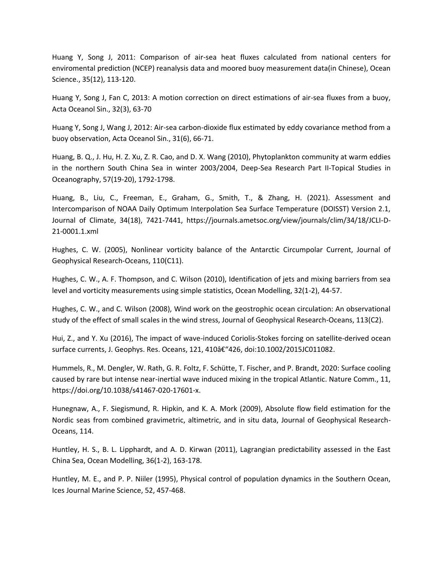Huang Y, Song J, 2011: Comparison of air-sea heat fluxes calculated from national centers for enviromental prediction (NCEP) reanalysis data and moored buoy measurement data(in Chinese), Ocean Science., 35(12), 113-120.

Huang Y, Song J, Fan C, 2013: A motion correction on direct estimations of air-sea fluxes from a buoy, Acta Oceanol Sin., 32(3), 63-70

Huang Y, Song J, Wang J, 2012: Air-sea carbon-dioxide flux estimated by eddy covariance method from a buoy observation, Acta Oceanol Sin., 31(6), 66-71.

Huang, B. Q., J. Hu, H. Z. Xu, Z. R. Cao, and D. X. Wang (2010), Phytoplankton community at warm eddies in the northern South China Sea in winter 2003/2004, Deep-Sea Research Part II-Topical Studies in Oceanography, 57(19-20), 1792-1798.

Huang, B., Liu, C., Freeman, E., Graham, G., Smith, T., & Zhang, H. (2021). Assessment and Intercomparison of NOAA Daily Optimum Interpolation Sea Surface Temperature (DOISST) Version 2.1, Journal of Climate, 34(18), 7421-7441, https://journals.ametsoc.org/view/journals/clim/34/18/JCLI-D-21-0001.1.xml

Hughes, C. W. (2005), Nonlinear vorticity balance of the Antarctic Circumpolar Current, Journal of Geophysical Research-Oceans, 110(C11).

Hughes, C. W., A. F. Thompson, and C. Wilson (2010), Identification of jets and mixing barriers from sea level and vorticity measurements using simple statistics, Ocean Modelling, 32(1-2), 44-57.

Hughes, C. W., and C. Wilson (2008), Wind work on the geostrophic ocean circulation: An observational study of the effect of small scales in the wind stress, Journal of Geophysical Research-Oceans, 113(C2).

Hui, Z., and Y. Xu (2016), The impact of wave-induced Coriolis-Stokes forcing on satellite-derived ocean surface currents, J. Geophys. Res. Oceans, 121, 410–426, doi:10.1002/2015JC011082.

Hummels, R., M. Dengler, W. Rath, G. R. Foltz, F. Schütte, T. Fischer, and P. Brandt, 2020: Surface cooling caused by rare but intense near-inertial wave induced mixing in the tropical Atlantic. Nature Comm., 11, https://doi.org/10.1038/s41467-020-17601-x.

Hunegnaw, A., F. Siegismund, R. Hipkin, and K. A. Mork (2009), Absolute flow field estimation for the Nordic seas from combined gravimetric, altimetric, and in situ data, Journal of Geophysical Research-Oceans, 114.

Huntley, H. S., B. L. Lipphardt, and A. D. Kirwan (2011), Lagrangian predictability assessed in the East China Sea, Ocean Modelling, 36(1-2), 163-178.

Huntley, M. E., and P. P. Niiler (1995), Physical control of population dynamics in the Southern Ocean, Ices Journal Marine Science, 52, 457-468.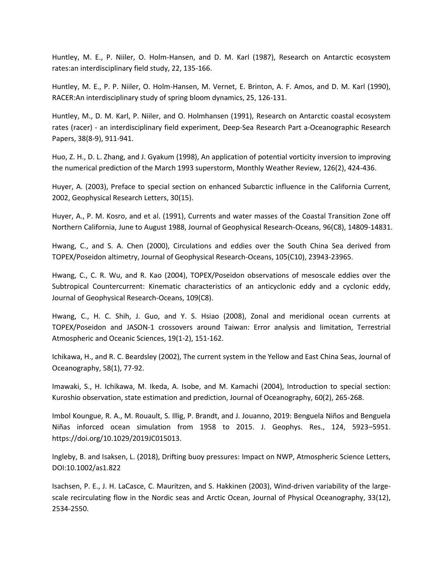Huntley, M. E., P. Niiler, O. Holm-Hansen, and D. M. Karl (1987), Research on Antarctic ecosystem rates:an interdisciplinary field study, 22, 135-166.

Huntley, M. E., P. P. Niiler, O. Holm-Hansen, M. Vernet, E. Brinton, A. F. Amos, and D. M. Karl (1990), RACER:An interdisciplinary study of spring bloom dynamics, 25, 126-131.

Huntley, M., D. M. Karl, P. Niiler, and O. Holmhansen (1991), Research on Antarctic coastal ecosystem rates (racer) - an interdisciplinary field experiment, Deep-Sea Research Part a-Oceanographic Research Papers, 38(8-9), 911-941.

Huo, Z. H., D. L. Zhang, and J. Gyakum (1998), An application of potential vorticity inversion to improving the numerical prediction of the March 1993 superstorm, Monthly Weather Review, 126(2), 424-436.

Huyer, A. (2003), Preface to special section on enhanced Subarctic influence in the California Current, 2002, Geophysical Research Letters, 30(15).

Huyer, A., P. M. Kosro, and et al. (1991), Currents and water masses of the Coastal Transition Zone off Northern California, June to August 1988, Journal of Geophysical Research-Oceans, 96(C8), 14809-14831.

Hwang, C., and S. A. Chen (2000), Circulations and eddies over the South China Sea derived from TOPEX/Poseidon altimetry, Journal of Geophysical Research-Oceans, 105(C10), 23943-23965.

Hwang, C., C. R. Wu, and R. Kao (2004), TOPEX/Poseidon observations of mesoscale eddies over the Subtropical Countercurrent: Kinematic characteristics of an anticyclonic eddy and a cyclonic eddy, Journal of Geophysical Research-Oceans, 109(C8).

Hwang, C., H. C. Shih, J. Guo, and Y. S. Hsiao (2008), Zonal and meridional ocean currents at TOPEX/Poseidon and JASON-1 crossovers around Taiwan: Error analysis and limitation, Terrestrial Atmospheric and Oceanic Sciences, 19(1-2), 151-162.

Ichikawa, H., and R. C. Beardsley (2002), The current system in the Yellow and East China Seas, Journal of Oceanography, 58(1), 77-92.

Imawaki, S., H. Ichikawa, M. Ikeda, A. Isobe, and M. Kamachi (2004), Introduction to special section: Kuroshio observation, state estimation and prediction, Journal of Oceanography, 60(2), 265-268.

Imbol Koungue, R. A., M. Rouault, S. Illig, P. Brandt, and J. Jouanno, 2019: Benguela Niños and Benguela Niñas inforced ocean simulation from 1958 to 2015. J. Geophys. Res., 124, 5923–5951. https://doi.org/10.1029/2019JC015013.

Ingleby, B. and Isaksen, L. (2018), Drifting buoy pressures: Impact on NWP, Atmospheric Science Letters, DOI:10.1002/as1.822

Isachsen, P. E., J. H. LaCasce, C. Mauritzen, and S. Hakkinen (2003), Wind-driven variability of the largescale recirculating flow in the Nordic seas and Arctic Ocean, Journal of Physical Oceanography, 33(12), 2534-2550.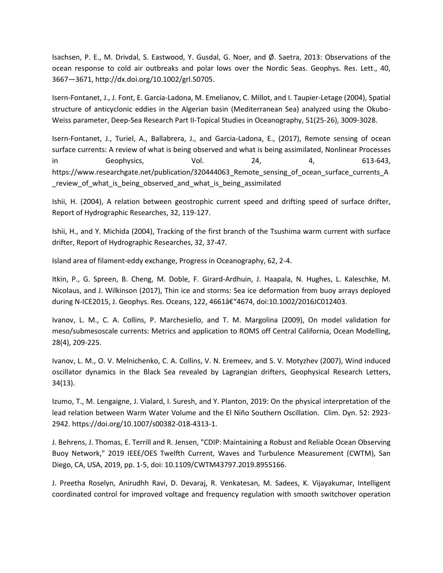Isachsen, P. E., M. Drivdal, S. Eastwood, Y. Gusdal, G. Noer, and Ø. Saetra, 2013: Observations of the ocean response to cold air outbreaks and polar lows over the Nordic Seas. Geophys. Res. Lett., 40, 3667—3671, http://dx.doi.org/10.1002/grl.50705.

Isern-Fontanet, J., J. Font, E. Garcia-Ladona, M. Emelianov, C. Millot, and I. Taupier-Letage (2004), Spatial structure of anticyclonic eddies in the Algerian basin (Mediterranean Sea) analyzed using the Okubo-Weiss parameter, Deep-Sea Research Part II-Topical Studies in Oceanography, 51(25-26), 3009-3028.

Isern-Fontanet, J., Turiel, A., Ballabrera, J., and Garcia-Ladona, E., (2017), Remote sensing of ocean surface currents: A review of what is being observed and what is being assimilated, Nonlinear Processes in Geophysics, Vol. 24, 4, 613-643, https://www.researchgate.net/publication/320444063\_Remote\_sensing\_of\_ocean\_surface\_currents\_A review of what is being observed and what is being assimilated

Ishii, H. (2004), A relation between geostrophic current speed and drifting speed of surface drifter, Report of Hydrographic Researches, 32, 119-127.

Ishii, H., and Y. Michida (2004), Tracking of the first branch of the Tsushima warm current with surface drifter, Report of Hydrographic Researches, 32, 37-47.

Island area of filament-eddy exchange, Progress in Oceanography, 62, 2-4.

Itkin, P., G. Spreen, B. Cheng, M. Doble, F. Girard-Ardhuin, J. Haapala, N. Hughes, L. Kaleschke, M. Nicolaus, and J. Wilkinson (2017), Thin ice and storms: Sea ice deformation from buoy arrays deployed during N-ICE2015, J. Geophys. Res. Oceans, 122, 4661–4674, doi:10.1002/2016JC012403.

Ivanov, L. M., C. A. Collins, P. Marchesiello, and T. M. Margolina (2009), On model validation for meso/submesoscale currents: Metrics and application to ROMS off Central California, Ocean Modelling, 28(4), 209-225.

Ivanov, L. M., O. V. Melnichenko, C. A. Collins, V. N. Eremeev, and S. V. Motyzhev (2007), Wind induced oscillator dynamics in the Black Sea revealed by Lagrangian drifters, Geophysical Research Letters, 34(13).

Izumo, T., M. Lengaigne, J. Vialard, I. Suresh, and Y. Planton, 2019: On the physical interpretation of the lead relation between Warm Water Volume and the El Niño Southern Oscillation. Clim. Dyn. 52: 2923- 2942. https://doi.org/10.1007/s00382-018-4313-1.

J. Behrens, J. Thomas, E. Terrill and R. Jensen, "CDIP: Maintaining a Robust and Reliable Ocean Observing Buoy Network," 2019 IEEE/OES Twelfth Current, Waves and Turbulence Measurement (CWTM), San Diego, CA, USA, 2019, pp. 1-5, doi: 10.1109/CWTM43797.2019.8955166.

J. Preetha Roselyn, Anirudhh Ravi, D. Devaraj, R. Venkatesan, M. Sadees, K. Vijayakumar, Intelligent coordinated control for improved voltage and frequency regulation with smooth switchover operation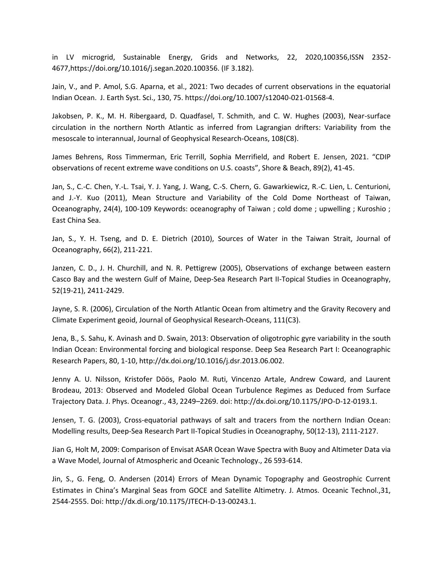in LV microgrid, Sustainable Energy, Grids and Networks, 22, 2020,100356,ISSN 2352- 4677,https://doi.org/10.1016/j.segan.2020.100356. (IF 3.182).

Jain, V., and P. Amol, S.G. Aparna, et al., 2021: Two decades of current observations in the equatorial Indian Ocean. J. Earth Syst. Sci., 130, 75. https://doi.org/10.1007/s12040-021-01568-4.

Jakobsen, P. K., M. H. Ribergaard, D. Quadfasel, T. Schmith, and C. W. Hughes (2003), Near-surface circulation in the northern North Atlantic as inferred from Lagrangian drifters: Variability from the mesoscale to interannual, Journal of Geophysical Research-Oceans, 108(C8).

James Behrens, Ross Timmerman, Eric Terrill, Sophia Merrifield, and Robert E. Jensen, 2021. "CDIP observations of recent extreme wave conditions on U.S. coasts", Shore & Beach, 89(2), 41-45.

Jan, S., C.-C. Chen, Y.-L. Tsai, Y. J. Yang, J. Wang, C.-S. Chern, G. Gawarkiewicz, R.-C. Lien, L. Centurioni, and J.-Y. Kuo (2011), Mean Structure and Variability of the Cold Dome Northeast of Taiwan, Oceanography, 24(4), 100-109 Keywords: oceanography of Taiwan ; cold dome ; upwelling ; Kuroshio ; East China Sea.

Jan, S., Y. H. Tseng, and D. E. Dietrich (2010), Sources of Water in the Taiwan Strait, Journal of Oceanography, 66(2), 211-221.

Janzen, C. D., J. H. Churchill, and N. R. Pettigrew (2005), Observations of exchange between eastern Casco Bay and the western Gulf of Maine, Deep-Sea Research Part II-Topical Studies in Oceanography, 52(19-21), 2411-2429.

Jayne, S. R. (2006), Circulation of the North Atlantic Ocean from altimetry and the Gravity Recovery and Climate Experiment geoid, Journal of Geophysical Research-Oceans, 111(C3).

Jena, B., S. Sahu, K. Avinash and D. Swain, 2013: Observation of oligotrophic gyre variability in the south Indian Ocean: Environmental forcing and biological response. Deep Sea Research Part I: Oceanographic Research Papers, 80, 1-10, http://dx.doi.org/10.1016/j.dsr.2013.06.002.

Jenny A. U. Nilsson, Kristofer Döös, Paolo M. Ruti, Vincenzo Artale, Andrew Coward, and Laurent Brodeau, 2013: Observed and Modeled Global Ocean Turbulence Regimes as Deduced from Surface Trajectory Data. J. Phys. Oceanogr., 43, 2249–2269. doi: http://dx.doi.org/10.1175/JPO-D-12-0193.1.

Jensen, T. G. (2003), Cross-equatorial pathways of salt and tracers from the northern Indian Ocean: Modelling results, Deep-Sea Research Part II-Topical Studies in Oceanography, 50(12-13), 2111-2127.

Jian G, Holt M, 2009: Comparison of Envisat ASAR Ocean Wave Spectra with Buoy and Altimeter Data via a Wave Model, Journal of Atmospheric and Oceanic Technology., 26 593-614.

Jin, S., G. Feng, O. Andersen (2014) Errors of Mean Dynamic Topography and Geostrophic Current Estimates in China's Marginal Seas from GOCE and Satellite Altimetry. J. Atmos. Oceanic Technol.,31, 2544-2555. Doi: http://dx.di.org/10.1175/JTECH-D-13-00243.1.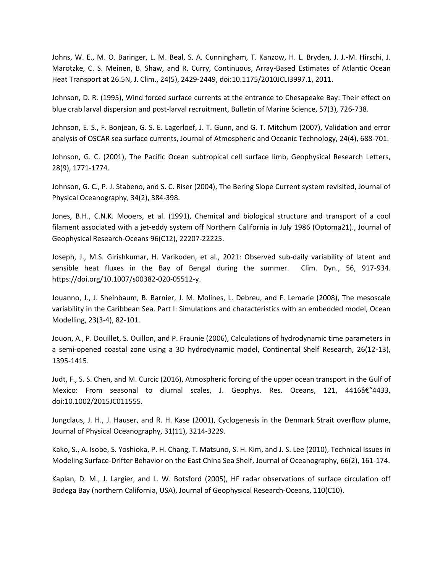Johns, W. E., M. O. Baringer, L. M. Beal, S. A. Cunningham, T. Kanzow, H. L. Bryden, J. J.-M. Hirschi, J. Marotzke, C. S. Meinen, B. Shaw, and R. Curry, Continuous, Array-Based Estimates of Atlantic Ocean Heat Transport at 26.5N, J. Clim., 24(5), 2429-2449, doi:10.1175/2010JCLI3997.1, 2011.

Johnson, D. R. (1995), Wind forced surface currents at the entrance to Chesapeake Bay: Their effect on blue crab larval dispersion and post-larval recruitment, Bulletin of Marine Science, 57(3), 726-738.

Johnson, E. S., F. Bonjean, G. S. E. Lagerloef, J. T. Gunn, and G. T. Mitchum (2007), Validation and error analysis of OSCAR sea surface currents, Journal of Atmospheric and Oceanic Technology, 24(4), 688-701.

Johnson, G. C. (2001), The Pacific Ocean subtropical cell surface limb, Geophysical Research Letters, 28(9), 1771-1774.

Johnson, G. C., P. J. Stabeno, and S. C. Riser (2004), The Bering Slope Current system revisited, Journal of Physical Oceanography, 34(2), 384-398.

Jones, B.H., C.N.K. Mooers, et al. (1991), Chemical and biological structure and transport of a cool filament associated with a jet-eddy system off Northern California in July 1986 (Optoma21)., Journal of Geophysical Research-Oceans 96(C12), 22207-22225.

Joseph, J., M.S. Girishkumar, H. Varikoden, et al., 2021: Observed sub-daily variability of latent and sensible heat fluxes in the Bay of Bengal during the summer. Clim. Dyn., 56, 917-934. https://doi.org/10.1007/s00382-020-05512-y.

Jouanno, J., J. Sheinbaum, B. Barnier, J. M. Molines, L. Debreu, and F. Lemarie (2008), The mesoscale variability in the Caribbean Sea. Part I: Simulations and characteristics with an embedded model, Ocean Modelling, 23(3-4), 82-101.

Jouon, A., P. Douillet, S. Ouillon, and P. Fraunie (2006), Calculations of hydrodynamic time parameters in a semi-opened coastal zone using a 3D hydrodynamic model, Continental Shelf Research, 26(12-13), 1395-1415.

Judt, F., S. S. Chen, and M. Curcic (2016), Atmospheric forcing of the upper ocean transport in the Gulf of Mexico: From seasonal to diurnal scales, J. Geophys. Res. Oceans, 121, 4416†"4433, doi:10.1002/2015JC011555.

Jungclaus, J. H., J. Hauser, and R. H. Kase (2001), Cyclogenesis in the Denmark Strait overflow plume, Journal of Physical Oceanography, 31(11), 3214-3229.

Kako, S., A. Isobe, S. Yoshioka, P. H. Chang, T. Matsuno, S. H. Kim, and J. S. Lee (2010), Technical Issues in Modeling Surface-Drifter Behavior on the East China Sea Shelf, Journal of Oceanography, 66(2), 161-174.

Kaplan, D. M., J. Largier, and L. W. Botsford (2005), HF radar observations of surface circulation off Bodega Bay (northern California, USA), Journal of Geophysical Research-Oceans, 110(C10).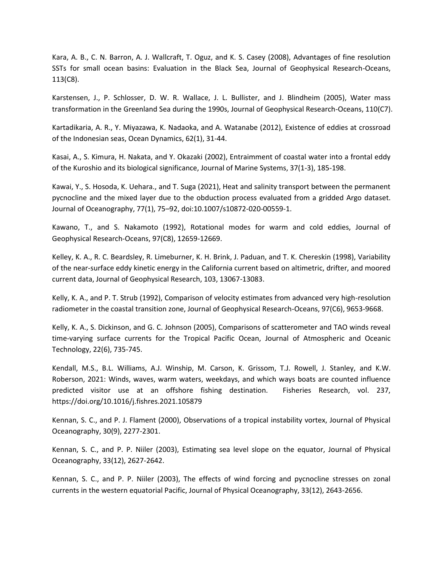Kara, A. B., C. N. Barron, A. J. Wallcraft, T. Oguz, and K. S. Casey (2008), Advantages of fine resolution SSTs for small ocean basins: Evaluation in the Black Sea, Journal of Geophysical Research-Oceans, 113(C8).

Karstensen, J., P. Schlosser, D. W. R. Wallace, J. L. Bullister, and J. Blindheim (2005), Water mass transformation in the Greenland Sea during the 1990s, Journal of Geophysical Research-Oceans, 110(C7).

Kartadikaria, A. R., Y. Miyazawa, K. Nadaoka, and A. Watanabe (2012), Existence of eddies at crossroad of the Indonesian seas, Ocean Dynamics, 62(1), 31-44.

Kasai, A., S. Kimura, H. Nakata, and Y. Okazaki (2002), Entraimment of coastal water into a frontal eddy of the Kuroshio and its biological significance, Journal of Marine Systems, 37(1-3), 185-198.

Kawai, Y., S. Hosoda, K. Uehara., and T. Suga (2021), Heat and salinity transport between the permanent pycnocline and the mixed layer due to the obduction process evaluated from a gridded Argo dataset. Journal of Oceanography, 77(1), 75–92, doi:10.1007/s10872-020-00559-1.

Kawano, T., and S. Nakamoto (1992), Rotational modes for warm and cold eddies, Journal of Geophysical Research-Oceans, 97(C8), 12659-12669.

Kelley, K. A., R. C. Beardsley, R. Limeburner, K. H. Brink, J. Paduan, and T. K. Chereskin (1998), Variability of the near-surface eddy kinetic energy in the California current based on altimetric, drifter, and moored current data, Journal of Geophysical Research, 103, 13067-13083.

Kelly, K. A., and P. T. Strub (1992), Comparison of velocity estimates from advanced very high-resolution radiometer in the coastal transition zone, Journal of Geophysical Research-Oceans, 97(C6), 9653-9668.

Kelly, K. A., S. Dickinson, and G. C. Johnson (2005), Comparisons of scatterometer and TAO winds reveal time-varying surface currents for the Tropical Pacific Ocean, Journal of Atmospheric and Oceanic Technology, 22(6), 735-745.

Kendall, M.S., B.L. Williams, A.J. Winship, M. Carson, K. Grissom, T.J. Rowell, J. Stanley, and K.W. Roberson, 2021: Winds, waves, warm waters, weekdays, and which ways boats are counted influence predicted visitor use at an offshore fishing destination. Fisheries Research, vol. 237, https://doi.org/10.1016/j.fishres.2021.105879

Kennan, S. C., and P. J. Flament (2000), Observations of a tropical instability vortex, Journal of Physical Oceanography, 30(9), 2277-2301.

Kennan, S. C., and P. P. Niiler (2003), Estimating sea level slope on the equator, Journal of Physical Oceanography, 33(12), 2627-2642.

Kennan, S. C., and P. P. Niiler (2003), The effects of wind forcing and pycnocline stresses on zonal currents in the western equatorial Pacific, Journal of Physical Oceanography, 33(12), 2643-2656.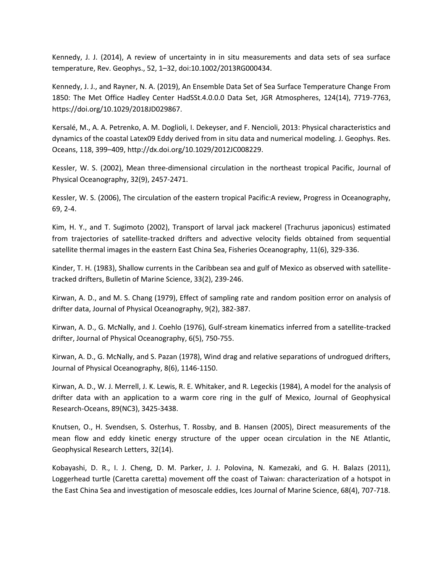Kennedy, J. J. (2014), A review of uncertainty in in situ measurements and data sets of sea surface temperature, Rev. Geophys., 52, 1–32, doi:10.1002/2013RG000434.

Kennedy, J. J., and Rayner, N. A. (2019), An Ensemble Data Set of Sea Surface Temperature Change From 1850: The Met Office Hadley Center HadSSt.4.0.0.0 Data Set, JGR Atmospheres, 124(14), 7719-7763, https://doi.org/10.1029/2018JD029867.

Kersalé, M., A. A. Petrenko, A. M. Doglioli, I. Dekeyser, and F. Nencioli, 2013: Physical characteristics and dynamics of the coastal Latex09 Eddy derived from in situ data and numerical modeling. J. Geophys. Res. Oceans, 118, 399–409, http://dx.doi.org/10.1029/2012JC008229.

Kessler, W. S. (2002), Mean three-dimensional circulation in the northeast tropical Pacific, Journal of Physical Oceanography, 32(9), 2457-2471.

Kessler, W. S. (2006), The circulation of the eastern tropical Pacific:A review, Progress in Oceanography, 69, 2-4.

Kim, H. Y., and T. Sugimoto (2002), Transport of larval jack mackerel (Trachurus japonicus) estimated from trajectories of satellite-tracked drifters and advective velocity fields obtained from sequential satellite thermal images in the eastern East China Sea, Fisheries Oceanography, 11(6), 329-336.

Kinder, T. H. (1983), Shallow currents in the Caribbean sea and gulf of Mexico as observed with satellitetracked drifters, Bulletin of Marine Science, 33(2), 239-246.

Kirwan, A. D., and M. S. Chang (1979), Effect of sampling rate and random position error on analysis of drifter data, Journal of Physical Oceanography, 9(2), 382-387.

Kirwan, A. D., G. McNally, and J. Coehlo (1976), Gulf-stream kinematics inferred from a satellite-tracked drifter, Journal of Physical Oceanography, 6(5), 750-755.

Kirwan, A. D., G. McNally, and S. Pazan (1978), Wind drag and relative separations of undrogued drifters, Journal of Physical Oceanography, 8(6), 1146-1150.

Kirwan, A. D., W. J. Merrell, J. K. Lewis, R. E. Whitaker, and R. Legeckis (1984), A model for the analysis of drifter data with an application to a warm core ring in the gulf of Mexico, Journal of Geophysical Research-Oceans, 89(NC3), 3425-3438.

Knutsen, O., H. Svendsen, S. Osterhus, T. Rossby, and B. Hansen (2005), Direct measurements of the mean flow and eddy kinetic energy structure of the upper ocean circulation in the NE Atlantic, Geophysical Research Letters, 32(14).

Kobayashi, D. R., I. J. Cheng, D. M. Parker, J. J. Polovina, N. Kamezaki, and G. H. Balazs (2011), Loggerhead turtle (Caretta caretta) movement off the coast of Taiwan: characterization of a hotspot in the East China Sea and investigation of mesoscale eddies, Ices Journal of Marine Science, 68(4), 707-718.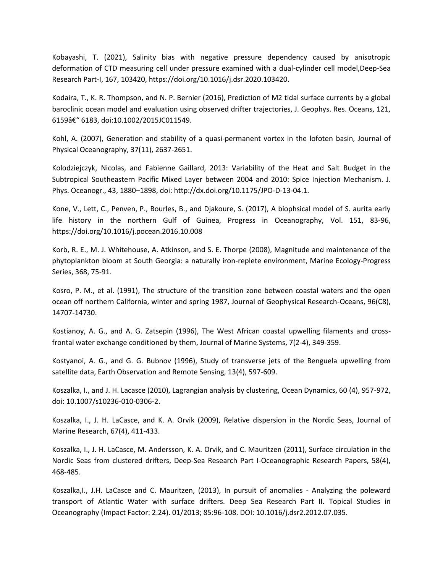Kobayashi, T. (2021), Salinity bias with negative pressure dependency caused by anisotropic deformation of CTD measuring cell under pressure examined with a dual-cylinder cell model,Deep-Sea Research Part-I, 167, 103420, https://doi.org/10.1016/j.dsr.2020.103420.

Kodaira, T., K. R. Thompson, and N. P. Bernier (2016), Prediction of M2 tidal surface currents by a global baroclinic ocean model and evaluation using observed drifter trajectories, J. Geophys. Res. Oceans, 121, 6159– 6183, doi:10.1002/2015JC011549.

Kohl, A. (2007), Generation and stability of a quasi-permanent vortex in the lofoten basin, Journal of Physical Oceanography, 37(11), 2637-2651.

Kolodziejczyk, Nicolas, and Fabienne Gaillard, 2013: Variability of the Heat and Salt Budget in the Subtropical Southeastern Pacific Mixed Layer between 2004 and 2010: Spice Injection Mechanism. J. Phys. Oceanogr., 43, 1880–1898, doi: http://dx.doi.org/10.1175/JPO-D-13-04.1.

Kone, V., Lett, C., Penven, P., Bourles, B., and Djakoure, S. (2017), A biophsical model of S. aurita early life history in the northern Gulf of Guinea, Progress in Oceanography, Vol. 151, 83-96, https://doi.org/10.1016/j.pocean.2016.10.008

Korb, R. E., M. J. Whitehouse, A. Atkinson, and S. E. Thorpe (2008), Magnitude and maintenance of the phytoplankton bloom at South Georgia: a naturally iron-replete environment, Marine Ecology-Progress Series, 368, 75-91.

Kosro, P. M., et al. (1991), The structure of the transition zone between coastal waters and the open ocean off northern California, winter and spring 1987, Journal of Geophysical Research-Oceans, 96(C8), 14707-14730.

Kostianoy, A. G., and A. G. Zatsepin (1996), The West African coastal upwelling filaments and crossfrontal water exchange conditioned by them, Journal of Marine Systems, 7(2-4), 349-359.

Kostyanoi, A. G., and G. G. Bubnov (1996), Study of transverse jets of the Benguela upwelling from satellite data, Earth Observation and Remote Sensing, 13(4), 597-609.

Koszalka, I., and J. H. Lacasce (2010), Lagrangian analysis by clustering, Ocean Dynamics, 60 (4), 957-972, doi: 10.1007/s10236-010-0306-2.

Koszalka, I., J. H. LaCasce, and K. A. Orvik (2009), Relative dispersion in the Nordic Seas, Journal of Marine Research, 67(4), 411-433.

Koszalka, I., J. H. LaCasce, M. Andersson, K. A. Orvik, and C. Mauritzen (2011), Surface circulation in the Nordic Seas from clustered drifters, Deep-Sea Research Part I-Oceanographic Research Papers, 58(4), 468-485.

Koszalka,I., J.H. LaCasce and C. Mauritzen, (2013), In pursuit of anomalies - Analyzing the poleward transport of Atlantic Water with surface drifters. Deep Sea Research Part II. Topical Studies in Oceanography (Impact Factor: 2.24). 01/2013; 85:96-108. DOI: 10.1016/j.dsr2.2012.07.035.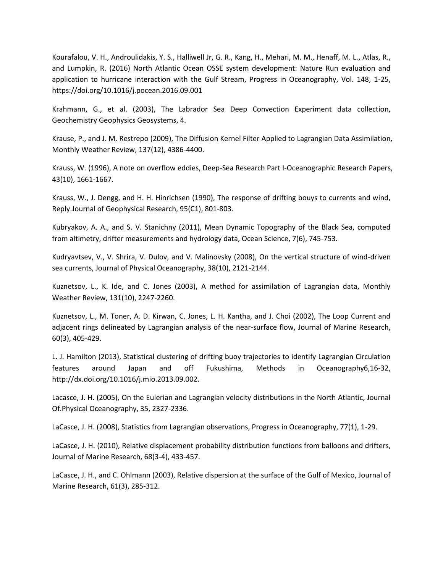Kourafalou, V. H., Androulidakis, Y. S., Halliwell Jr, G. R., Kang, H., Mehari, M. M., Henaff, M. L., Atlas, R., and Lumpkin, R. (2016) North Atlantic Ocean OSSE system development: Nature Run evaluation and application to hurricane interaction with the Gulf Stream, Progress in Oceanography, Vol. 148, 1-25, https://doi.org/10.1016/j.pocean.2016.09.001

Krahmann, G., et al. (2003), The Labrador Sea Deep Convection Experiment data collection, Geochemistry Geophysics Geosystems, 4.

Krause, P., and J. M. Restrepo (2009), The Diffusion Kernel Filter Applied to Lagrangian Data Assimilation, Monthly Weather Review, 137(12), 4386-4400.

Krauss, W. (1996), A note on overflow eddies, Deep-Sea Research Part I-Oceanographic Research Papers, 43(10), 1661-1667.

Krauss, W., J. Dengg, and H. H. Hinrichsen (1990), The response of drifting bouys to currents and wind, Reply.Journal of Geophysical Research, 95(C1), 801-803.

Kubryakov, A. A., and S. V. Stanichny (2011), Mean Dynamic Topography of the Black Sea, computed from altimetry, drifter measurements and hydrology data, Ocean Science, 7(6), 745-753.

Kudryavtsev, V., V. Shrira, V. Dulov, and V. Malinovsky (2008), On the vertical structure of wind-driven sea currents, Journal of Physical Oceanography, 38(10), 2121-2144.

Kuznetsov, L., K. Ide, and C. Jones (2003), A method for assimilation of Lagrangian data, Monthly Weather Review, 131(10), 2247-2260.

Kuznetsov, L., M. Toner, A. D. Kirwan, C. Jones, L. H. Kantha, and J. Choi (2002), The Loop Current and adjacent rings delineated by Lagrangian analysis of the near-surface flow, Journal of Marine Research, 60(3), 405-429.

L. J. Hamilton (2013), Statistical clustering of drifting buoy trajectories to identify Lagrangian Circulation features around Japan and off Fukushima, Methods in Oceanography6,16-32, http://dx.doi.org/10.1016/j.mio.2013.09.002.

Lacasce, J. H. (2005), On the Eulerian and Lagrangian velocity distributions in the North Atlantic, Journal Of.Physical Oceanography, 35, 2327-2336.

LaCasce, J. H. (2008), Statistics from Lagrangian observations, Progress in Oceanography, 77(1), 1-29.

LaCasce, J. H. (2010), Relative displacement probability distribution functions from balloons and drifters, Journal of Marine Research, 68(3-4), 433-457.

LaCasce, J. H., and C. Ohlmann (2003), Relative dispersion at the surface of the Gulf of Mexico, Journal of Marine Research, 61(3), 285-312.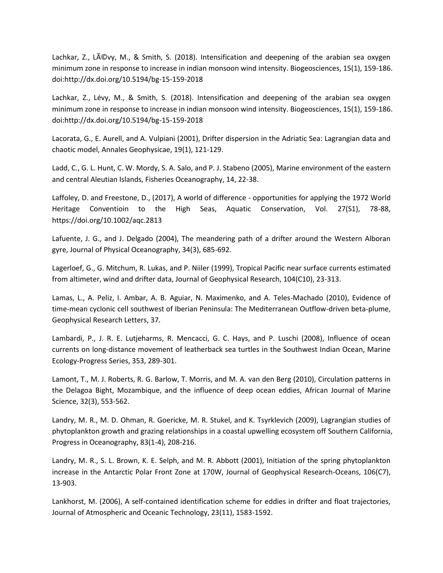Lachkar, Z., L $\tilde{A}$ ©vy, M., & Smith, S. (2018). Intensification and deepening of the arabian sea oxygen minimum zone in response to increase in indian monsoon wind intensity. Biogeosciences, 15(1), 159-186. doi:http://dx.doi.org/10.5194/bg-15-159-2018

Lachkar, Z., Lévy, M., & Smith, S. (2018). Intensification and deepening of the arabian sea oxygen minimum zone in response to increase in indian monsoon wind intensity. Biogeosciences, 15(1), 159-186. doi:http://dx.doi.org/10.5194/bg-15-159-2018

Lacorata, G., E. Aurell, and A. Vulpiani (2001), Drifter dispersion in the Adriatic Sea: Lagrangian data and chaotic model, Annales Geophysicae, 19(1), 121-129.

Ladd, C., G. L. Hunt, C. W. Mordy, S. A. Salo, and P. J. Stabeno (2005), Marine environment of the eastern and central Aleutian Islands, Fisheries Oceanography, 14, 22-38.

Laffoley, D. and Freestone, D., (2017), A world of difference - opportunities for applying the 1972 World Heritage Conventioin to the High Seas, Aquatic Conservation, Vol. 27(S1), 78-88, https://doi.org/10.1002/aqc.2813

Lafuente, J. G., and J. Delgado (2004), The meandering path of a drifter around the Western Alboran gyre, Journal of Physical Oceanography, 34(3), 685-692.

Lagerloef, G., G. Mitchum, R. Lukas, and P. Niiler (1999), Tropical Pacific near surface currents estimated from altimeter, wind and drifter data, Journal of Geophysical Research, 104(C10), 23-313.

Lamas, L., A. Peliz, I. Ambar, A. B. Aguiar, N. Maximenko, and A. Teles-Machado (2010), Evidence of time-mean cyclonic cell southwest of Iberian Peninsula: The Mediterranean Outflow-driven beta-plume, Geophysical Research Letters, 37.

Lambardi, P., J. R. E. Lutjeharms, R. Mencacci, G. C. Hays, and P. Luschi (2008), Influence of ocean currents on long-distance movement of leatherback sea turtles in the Southwest Indian Ocean, Marine Ecology-Progress Series, 353, 289-301.

Lamont, T., M. J. Roberts, R. G. Barlow, T. Morris, and M. A. van den Berg (2010), Circulation patterns in the Delagoa Bight, Mozambique, and the influence of deep ocean eddies, African Journal of Marine Science, 32(3), 553-562.

Landry, M. R., M. D. Ohman, R. Goericke, M. R. Stukel, and K. Tsyrklevich (2009), Lagrangian studies of phytoplankton growth and grazing relationships in a coastal upwelling ecosystem off Southern California, Progress in Oceanography, 83(1-4), 208-216.

Landry, M. R., S. L. Brown, K. E. Selph, and M. R. Abbott (2001), Initiation of the spring phytoplankton increase in the Antarctic Polar Front Zone at 170W, Journal of Geophysical Research-Oceans, 106(C7), 13-903.

Lankhorst, M. (2006), A self-contained identification scheme for eddies in drifter and float trajectories, Journal of Atmospheric and Oceanic Technology, 23(11), 1583-1592.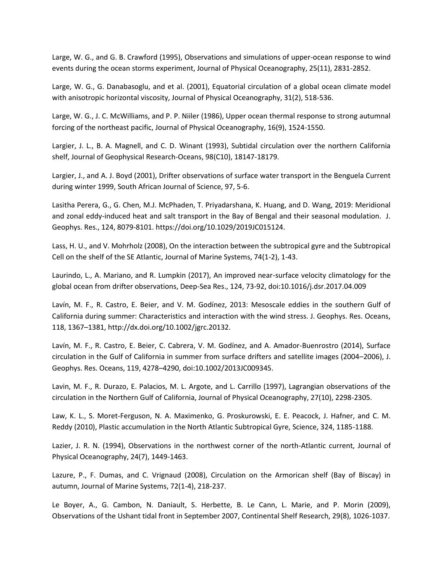Large, W. G., and G. B. Crawford (1995), Observations and simulations of upper-ocean response to wind events during the ocean storms experiment, Journal of Physical Oceanography, 25(11), 2831-2852.

Large, W. G., G. Danabasoglu, and et al. (2001), Equatorial circulation of a global ocean climate model with anisotropic horizontal viscosity, Journal of Physical Oceanography, 31(2), 518-536.

Large, W. G., J. C. McWilliams, and P. P. Niiler (1986), Upper ocean thermal response to strong autumnal forcing of the northeast pacific, Journal of Physical Oceanography, 16(9), 1524-1550.

Largier, J. L., B. A. Magnell, and C. D. Winant (1993), Subtidal circulation over the northern California shelf, Journal of Geophysical Research-Oceans, 98(C10), 18147-18179.

Largier, J., and A. J. Boyd (2001), Drifter observations of surface water transport in the Benguela Current during winter 1999, South African Journal of Science, 97, 5-6.

Lasitha Perera, G., G. Chen, M.J. McPhaden, T. Priyadarshana, K. Huang, and D. Wang, 2019: Meridional and zonal eddy-induced heat and salt transport in the Bay of Bengal and their seasonal modulation. J. Geophys. Res., 124, 8079-8101. https://doi.org/10.1029/2019JC015124.

Lass, H. U., and V. Mohrholz (2008), On the interaction between the subtropical gyre and the Subtropical Cell on the shelf of the SE Atlantic, Journal of Marine Systems, 74(1-2), 1-43.

Laurindo, L., A. Mariano, and R. Lumpkin (2017), An improved near-surface velocity climatology for the global ocean from drifter observations, Deep-Sea Res., 124, 73-92, doi:10.1016/j.dsr.2017.04.009

Lavín, M. F., R. Castro, E. Beier, and V. M. Godínez, 2013: Mesoscale eddies in the southern Gulf of California during summer: Characteristics and interaction with the wind stress. J. Geophys. Res. Oceans, 118, 1367–1381, http://dx.doi.org/10.1002/jgrc.20132.

Lavín, M. F., R. Castro, E. Beier, C. Cabrera, V. M. Godínez, and A. Amador-Buenrostro (2014), Surface circulation in the Gulf of California in summer from surface drifters and satellite images (2004–2006), J. Geophys. Res. Oceans, 119, 4278–4290, doi:10.1002/2013JC009345.

Lavin, M. F., R. Durazo, E. Palacios, M. L. Argote, and L. Carrillo (1997), Lagrangian observations of the circulation in the Northern Gulf of California, Journal of Physical Oceanography, 27(10), 2298-2305.

Law, K. L., S. Moret-Ferguson, N. A. Maximenko, G. Proskurowski, E. E. Peacock, J. Hafner, and C. M. Reddy (2010), Plastic accumulation in the North Atlantic Subtropical Gyre, Science, 324, 1185-1188.

Lazier, J. R. N. (1994), Observations in the northwest corner of the north-Atlantic current, Journal of Physical Oceanography, 24(7), 1449-1463.

Lazure, P., F. Dumas, and C. Vrignaud (2008), Circulation on the Armorican shelf (Bay of Biscay) in autumn, Journal of Marine Systems, 72(1-4), 218-237.

Le Boyer, A., G. Cambon, N. Daniault, S. Herbette, B. Le Cann, L. Marie, and P. Morin (2009), Observations of the Ushant tidal front in September 2007, Continental Shelf Research, 29(8), 1026-1037.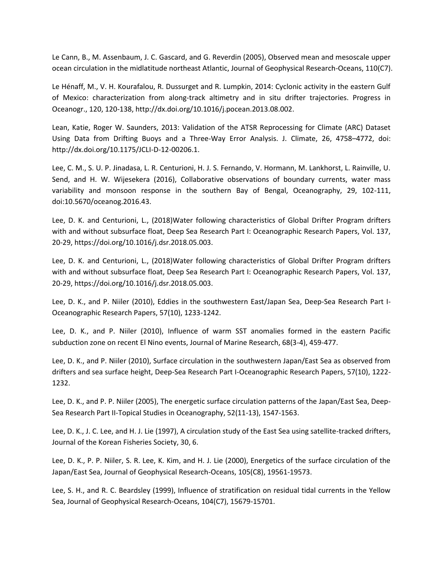Le Cann, B., M. Assenbaum, J. C. Gascard, and G. Reverdin (2005), Observed mean and mesoscale upper ocean circulation in the midlatitude northeast Atlantic, Journal of Geophysical Research-Oceans, 110(C7).

Le Hénaff, M., V. H. Kourafalou, R. Dussurget and R. Lumpkin, 2014: Cyclonic activity in the eastern Gulf of Mexico: characterization from along-track altimetry and in situ drifter trajectories. Progress in Oceanogr., 120, 120-138, http://dx.doi.org/10.1016/j.pocean.2013.08.002.

Lean, Katie, Roger W. Saunders, 2013: Validation of the ATSR Reprocessing for Climate (ARC) Dataset Using Data from Drifting Buoys and a Three-Way Error Analysis. J. Climate, 26, 4758–4772, doi: http://dx.doi.org/10.1175/JCLI-D-12-00206.1.

Lee, C. M., S. U. P. Jinadasa, L. R. Centurioni, H. J. S. Fernando, V. Hormann, M. Lankhorst, L. Rainville, U. Send, and H. W. Wijesekera (2016), Collaborative observations of boundary currents, water mass variability and monsoon response in the southern Bay of Bengal, Oceanography, 29, 102-111, doi:10.5670/oceanog.2016.43.

Lee, D. K. and Centurioni, L., (2018)Water following characteristics of Global Drifter Program drifters with and without subsurface float, Deep Sea Research Part I: Oceanographic Research Papers, Vol. 137, 20-29, https://doi.org/10.1016/j.dsr.2018.05.003.

Lee, D. K. and Centurioni, L., (2018)Water following characteristics of Global Drifter Program drifters with and without subsurface float, Deep Sea Research Part I: Oceanographic Research Papers, Vol. 137, 20-29, https://doi.org/10.1016/j.dsr.2018.05.003.

Lee, D. K., and P. Niiler (2010), Eddies in the southwestern East/Japan Sea, Deep-Sea Research Part I-Oceanographic Research Papers, 57(10), 1233-1242.

Lee, D. K., and P. Niiler (2010), Influence of warm SST anomalies formed in the eastern Pacific subduction zone on recent El Nino events, Journal of Marine Research, 68(3-4), 459-477.

Lee, D. K., and P. Niiler (2010), Surface circulation in the southwestern Japan/East Sea as observed from drifters and sea surface height, Deep-Sea Research Part I-Oceanographic Research Papers, 57(10), 1222- 1232.

Lee, D. K., and P. P. Niiler (2005), The energetic surface circulation patterns of the Japan/East Sea, Deep-Sea Research Part II-Topical Studies in Oceanography, 52(11-13), 1547-1563.

Lee, D. K., J. C. Lee, and H. J. Lie (1997), A circulation study of the East Sea using satellite-tracked drifters, Journal of the Korean Fisheries Society, 30, 6.

Lee, D. K., P. P. Niiler, S. R. Lee, K. Kim, and H. J. Lie (2000), Energetics of the surface circulation of the Japan/East Sea, Journal of Geophysical Research-Oceans, 105(C8), 19561-19573.

Lee, S. H., and R. C. Beardsley (1999), Influence of stratification on residual tidal currents in the Yellow Sea, Journal of Geophysical Research-Oceans, 104(C7), 15679-15701.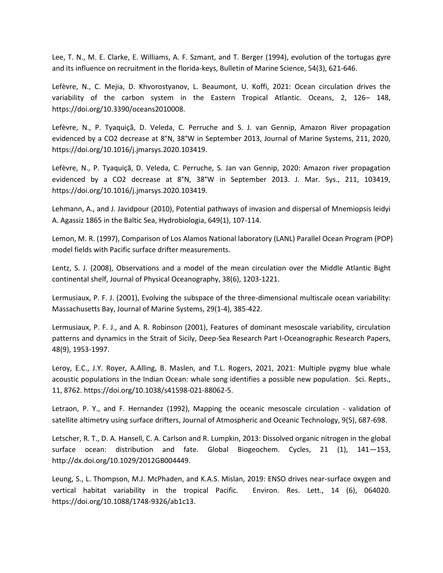Lee, T. N., M. E. Clarke, E. Williams, A. F. Szmant, and T. Berger (1994), evolution of the tortugas gyre and its influence on recruitment in the florida-keys, Bulletin of Marine Science, 54(3), 621-646.

Lefèvre, N., C. Mejia, D. Khvorostyanov, L. Beaumont, U. Koffi, 2021: Ocean circulation drives the variability of the carbon system in the Eastern Tropical Atlantic. Oceans, 2, 126– 148, https://doi.org/10.3390/oceans2010008.

Lefèvre, N., P. Tyaquiçã, D. Veleda, C. Perruche and S. J. van Gennip, Amazon River propagation evidenced by a CO2 decrease at 8°N, 38°W in September 2013, Journal of Marine Systems, 211, 2020, https://doi.org/10.1016/j.jmarsys.2020.103419.

Lefèvre, N., P. Tyaquiçã, D. Veleda, C. Perruche, S. Jan van Gennip, 2020: Amazon river propagation evidenced by a CO2 decrease at 8°N, 38°W in September 2013. J. Mar. Sys., 211, 103419, https://doi.org/10.1016/j.jmarsys.2020.103419.

Lehmann, A., and J. Javidpour (2010), Potential pathways of invasion and dispersal of Mnemiopsis leidyi A. Agassiz 1865 in the Baltic Sea, Hydrobiologia, 649(1), 107-114.

Lemon, M. R. (1997), Comparison of Los Alamos National laboratory (LANL) Parallel Ocean Program (POP) model fields with Pacific surface drifter measurements.

Lentz, S. J. (2008), Observations and a model of the mean circulation over the Middle Atlantic Bight continental shelf, Journal of Physical Oceanography, 38(6), 1203-1221.

Lermusiaux, P. F. J. (2001), Evolving the subspace of the three-dimensional multiscale ocean variability: Massachusetts Bay, Journal of Marine Systems, 29(1-4), 385-422.

Lermusiaux, P. F. J., and A. R. Robinson (2001), Features of dominant mesoscale variability, circulation patterns and dynamics in the Strait of Sicily, Deep-Sea Research Part I-Oceanographic Research Papers, 48(9), 1953-1997.

Leroy, E.C., J.Y. Royer, A.Alling, B. Maslen, and T.L. Rogers, 2021, 2021: Multiple pygmy blue whale acoustic populations in the Indian Ocean: whale song identifies a possible new population. Sci. Repts., 11, 8762. https://doi.org/10.1038/s41598-021-88062-5.

Letraon, P. Y., and F. Hernandez (1992), Mapping the oceanic mesoscale circulation - validation of satellite altimetry using surface drifters, Journal of Atmospheric and Oceanic Technology, 9(5), 687-698.

Letscher, R. T., D. A. Hansell, C. A. Carlson and R. Lumpkin, 2013: Dissolved organic nitrogen in the global surface ocean: distribution and fate. Global Biogeochem. Cycles, 21 (1), 141—153, http://dx.doi.org/10.1029/2012GB004449.

Leung, S., L. Thompson, M.J. McPhaden, and K.A.S. Mislan, 2019: ENSO drives near-surface oxygen and vertical habitat variability in the tropical Pacific. Environ. Res. Lett., 14 (6), 064020. https://doi.org/10.1088/1748-9326/ab1c13.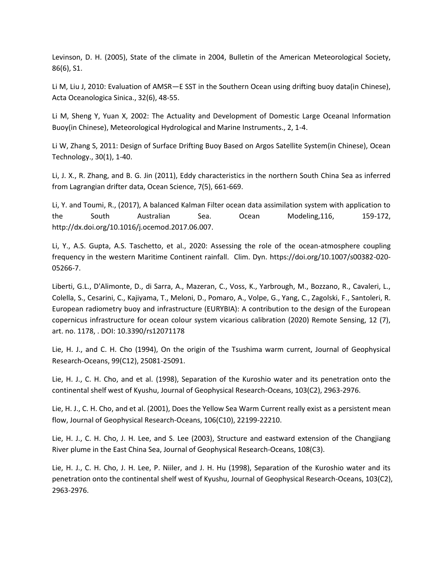Levinson, D. H. (2005), State of the climate in 2004, Bulletin of the American Meteorological Society, 86(6), S1.

Li M, Liu J, 2010: Evaluation of AMSR—E SST in the Southern Ocean using drifting buoy data(in Chinese), Acta Oceanologica Sinica., 32(6), 48-55.

Li M, Sheng Y, Yuan X, 2002: The Actuality and Development of Domestic Large Oceanal Information Buoy(in Chinese), Meteorological Hydrological and Marine Instruments., 2, 1-4.

Li W, Zhang S, 2011: Design of Surface Drifting Buoy Based on Argos Satellite System(in Chinese), Ocean Technology., 30(1), 1-40.

Li, J. X., R. Zhang, and B. G. Jin (2011), Eddy characteristics in the northern South China Sea as inferred from Lagrangian drifter data, Ocean Science, 7(5), 661-669.

Li, Y. and Toumi, R., (2017), A balanced Kalman Filter ocean data assimilation system with application to the South Australian Sea. Ocean Modeling,116, 159-172, http://dx.doi.org/10.1016/j.ocemod.2017.06.007.

Li, Y., A.S. Gupta, A.S. Taschetto, et al., 2020: Assessing the role of the ocean-atmosphere coupling frequency in the western Maritime Continent rainfall. Clim. Dyn. https://doi.org/10.1007/s00382-020- 05266-7.

Liberti, G.L., D'Alimonte, D., di Sarra, A., Mazeran, C., Voss, K., Yarbrough, M., Bozzano, R., Cavaleri, L., Colella, S., Cesarini, C., Kajiyama, T., Meloni, D., Pomaro, A., Volpe, G., Yang, C., Zagolski, F., Santoleri, R. European radiometry buoy and infrastructure (EURYBIA): A contribution to the design of the European copernicus infrastructure for ocean colour system vicarious calibration (2020) Remote Sensing, 12 (7), art. no. 1178, . DOI: 10.3390/rs12071178

Lie, H. J., and C. H. Cho (1994), On the origin of the Tsushima warm current, Journal of Geophysical Research-Oceans, 99(C12), 25081-25091.

Lie, H. J., C. H. Cho, and et al. (1998), Separation of the Kuroshio water and its penetration onto the continental shelf west of Kyushu, Journal of Geophysical Research-Oceans, 103(C2), 2963-2976.

Lie, H. J., C. H. Cho, and et al. (2001), Does the Yellow Sea Warm Current really exist as a persistent mean flow, Journal of Geophysical Research-Oceans, 106(C10), 22199-22210.

Lie, H. J., C. H. Cho, J. H. Lee, and S. Lee (2003), Structure and eastward extension of the Changjiang River plume in the East China Sea, Journal of Geophysical Research-Oceans, 108(C3).

Lie, H. J., C. H. Cho, J. H. Lee, P. Niiler, and J. H. Hu (1998), Separation of the Kuroshio water and its penetration onto the continental shelf west of Kyushu, Journal of Geophysical Research-Oceans, 103(C2), 2963-2976.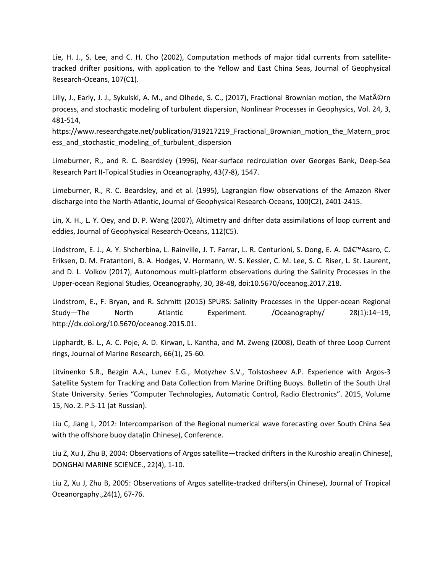Lie, H. J., S. Lee, and C. H. Cho (2002), Computation methods of major tidal currents from satellitetracked drifter positions, with application to the Yellow and East China Seas, Journal of Geophysical Research-Oceans, 107(C1).

Lilly, J., Early, J. J., Sykulski, A. M., and Olhede, S. C., (2017), Fractional Brownian motion, the Matérn process, and stochastic modeling of turbulent dispersion, Nonlinear Processes in Geophysics, Vol. 24, 3, 481-514,

https://www.researchgate.net/publication/319217219\_Fractional\_Brownian\_motion\_the\_Matern\_proc ess and stochastic modeling of turbulent dispersion

Limeburner, R., and R. C. Beardsley (1996), Near-surface recirculation over Georges Bank, Deep-Sea Research Part II-Topical Studies in Oceanography, 43(7-8), 1547.

Limeburner, R., R. C. Beardsley, and et al. (1995), Lagrangian flow observations of the Amazon River discharge into the North-Atlantic, Journal of Geophysical Research-Oceans, 100(C2), 2401-2415.

Lin, X. H., L. Y. Oey, and D. P. Wang (2007), Altimetry and drifter data assimilations of loop current and eddies, Journal of Geophysical Research-Oceans, 112(C5).

Lindstrom, E. J., A. Y. Shcherbina, L. Rainville, J. T. Farrar, L. R. Centurioni, S. Dong, E. A. D'Asaro, C. Eriksen, D. M. Fratantoni, B. A. Hodges, V. Hormann, W. S. Kessler, C. M. Lee, S. C. Riser, L. St. Laurent, and D. L. Volkov (2017), Autonomous multi-platform observations during the Salinity Processes in the Upper-ocean Regional Studies, Oceanography, 30, 38-48, doi:10.5670/oceanog.2017.218.

Lindstrom, E., F. Bryan, and R. Schmitt (2015) SPURS: Salinity Processes in the Upper-ocean Regional Study—The North Atlantic Experiment. /Oceanography/ 28(1):14–19, http://dx.doi.org/10.5670/oceanog.2015.01.

Lipphardt, B. L., A. C. Poje, A. D. Kirwan, L. Kantha, and M. Zweng (2008), Death of three Loop Current rings, Journal of Marine Research, 66(1), 25-60.

Litvinenko S.R., Bezgin A.A., Lunev E.G., Motyzhev S.V., Tolstosheev A.P. Experience with Argos-3 Satellite System for Tracking and Data Collection from Marine Drifting Buoys. Bulletin of the South Ural State University. Series "Computer Technologies, Automatic Control, Radio Electronics". 2015, Volume 15, No. 2. P.5-11 (at Russian).

Liu C, Jiang L, 2012: Intercomparison of the Regional numerical wave forecasting over South China Sea with the offshore buoy data(in Chinese), Conference.

Liu Z, Xu J, Zhu B, 2004: Observations of Argos satellite—tracked drifters in the Kuroshio area(in Chinese), DONGHAI MARINE SCIENCE., 22(4), 1-10.

Liu Z, Xu J, Zhu B, 2005: Observations of Argos satellite-tracked drifters(in Chinese), Journal of Tropical Oceanorgaphy.,24(1), 67-76.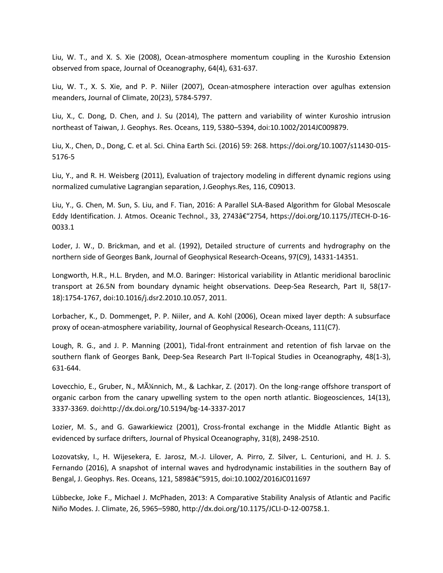Liu, W. T., and X. S. Xie (2008), Ocean-atmosphere momentum coupling in the Kuroshio Extension observed from space, Journal of Oceanography, 64(4), 631-637.

Liu, W. T., X. S. Xie, and P. P. Niiler (2007), Ocean-atmosphere interaction over agulhas extension meanders, Journal of Climate, 20(23), 5784-5797.

Liu, X., C. Dong, D. Chen, and J. Su (2014), The pattern and variability of winter Kuroshio intrusion northeast of Taiwan, J. Geophys. Res. Oceans, 119, 5380–5394, doi:10.1002/2014JC009879.

Liu, X., Chen, D., Dong, C. et al. Sci. China Earth Sci. (2016) 59: 268. https://doi.org/10.1007/s11430-015- 5176-5

Liu, Y., and R. H. Weisberg (2011), Evaluation of trajectory modeling in different dynamic regions using normalized cumulative Lagrangian separation, J.Geophys.Res, 116, C09013.

Liu, Y., G. Chen, M. Sun, S. Liu, and F. Tian, 2016: A Parallel SLA-Based Algorithm for Global Mesoscale Eddy Identification. J. Atmos. Oceanic Technol., 33, 2743â€"2754, https://doi.org/10.1175/JTECH-D-16-0033.1

Loder, J. W., D. Brickman, and et al. (1992), Detailed structure of currents and hydrography on the northern side of Georges Bank, Journal of Geophysical Research-Oceans, 97(C9), 14331-14351.

Longworth, H.R., H.L. Bryden, and M.O. Baringer: Historical variability in Atlantic meridional baroclinic transport at 26.5N from boundary dynamic height observations. Deep-Sea Research, Part II, 58(17- 18):1754-1767, doi:10.1016/j.dsr2.2010.10.057, 2011.

Lorbacher, K., D. Dommenget, P. P. Niiler, and A. Kohl (2006), Ocean mixed layer depth: A subsurface proxy of ocean-atmosphere variability, Journal of Geophysical Research-Oceans, 111(C7).

Lough, R. G., and J. P. Manning (2001), Tidal-front entrainment and retention of fish larvae on the southern flank of Georges Bank, Deep-Sea Research Part II-Topical Studies in Oceanography, 48(1-3), 631-644.

Lovecchio, E., Gruber, N., Münnich, M., & Lachkar, Z. (2017). On the long-range offshore transport of organic carbon from the canary upwelling system to the open north atlantic. Biogeosciences, 14(13), 3337-3369. doi:http://dx.doi.org/10.5194/bg-14-3337-2017

Lozier, M. S., and G. Gawarkiewicz (2001), Cross-frontal exchange in the Middle Atlantic Bight as evidenced by surface drifters, Journal of Physical Oceanography, 31(8), 2498-2510.

Lozovatsky, I., H. Wijesekera, E. Jarosz, M.-J. Lilover, A. Pirro, Z. Silver, L. Centurioni, and H. J. S. Fernando (2016), A snapshot of internal waves and hydrodynamic instabilities in the southern Bay of Bengal, J. Geophys. Res. Oceans, 121, 5898†"5915, doi:10.1002/2016JC011697

Lübbecke, Joke F., Michael J. McPhaden, 2013: A Comparative Stability Analysis of Atlantic and Pacific Niño Modes. J. Climate, 26, 5965–5980, http://dx.doi.org/10.1175/JCLI-D-12-00758.1.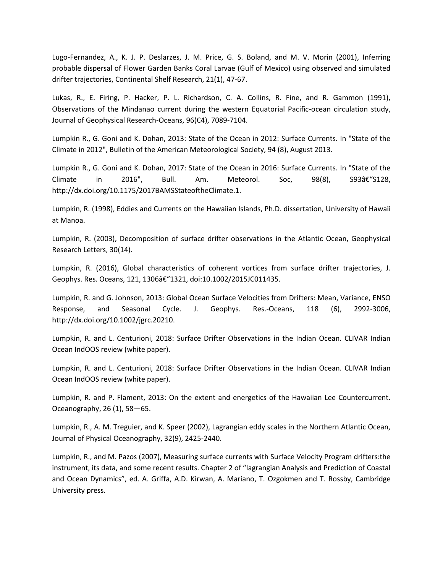Lugo-Fernandez, A., K. J. P. Deslarzes, J. M. Price, G. S. Boland, and M. V. Morin (2001), Inferring probable dispersal of Flower Garden Banks Coral Larvae (Gulf of Mexico) using observed and simulated drifter trajectories, Continental Shelf Research, 21(1), 47-67.

Lukas, R., E. Firing, P. Hacker, P. L. Richardson, C. A. Collins, R. Fine, and R. Gammon (1991), Observations of the Mindanao current during the western Equatorial Pacific-ocean circulation study, Journal of Geophysical Research-Oceans, 96(C4), 7089-7104.

Lumpkin R., G. Goni and K. Dohan, 2013: State of the Ocean in 2012: Surface Currents. In "State of the Climate in 2012", Bulletin of the American Meteorological Society, 94 (8), August 2013.

Lumpkin R., G. Goni and K. Dohan, 2017: State of the Ocean in 2016: Surface Currents. In "State of the Climate in 2016", Bull. Am. Meteorol. Soc,  $98(8)$ , S93â $\epsilon$ "S128, http://dx.doi.org/10.1175/2017BAMSStateoftheClimate.1.

Lumpkin, R. (1998), Eddies and Currents on the Hawaiian Islands, Ph.D. dissertation, University of Hawaii at Manoa.

Lumpkin, R. (2003), Decomposition of surface drifter observations in the Atlantic Ocean, Geophysical Research Letters, 30(14).

Lumpkin, R. (2016), Global characteristics of coherent vortices from surface drifter trajectories, J. Geophys. Res. Oceans, 121, 1306â€"1321, doi:10.1002/2015JC011435.

Lumpkin, R. and G. Johnson, 2013: Global Ocean Surface Velocities from Drifters: Mean, Variance, ENSO Response, and Seasonal Cycle. J. Geophys. Res.-Oceans, 118 (6), 2992-3006, http://dx.doi.org/10.1002/jgrc.20210.

Lumpkin, R. and L. Centurioni, 2018: Surface Drifter Observations in the Indian Ocean. CLIVAR Indian Ocean IndOOS review (white paper).

Lumpkin, R. and L. Centurioni, 2018: Surface Drifter Observations in the Indian Ocean. CLIVAR Indian Ocean IndOOS review (white paper).

Lumpkin, R. and P. Flament, 2013: On the extent and energetics of the Hawaiian Lee Countercurrent. Oceanography, 26 (1), 58—65.

Lumpkin, R., A. M. Treguier, and K. Speer (2002), Lagrangian eddy scales in the Northern Atlantic Ocean, Journal of Physical Oceanography, 32(9), 2425-2440.

Lumpkin, R., and M. Pazos (2007), Measuring surface currents with Surface Velocity Program drifters:the instrument, its data, and some recent results. Chapter 2 of "lagrangian Analysis and Prediction of Coastal and Ocean Dynamics", ed. A. Griffa, A.D. Kirwan, A. Mariano, T. Ozgokmen and T. Rossby, Cambridge University press.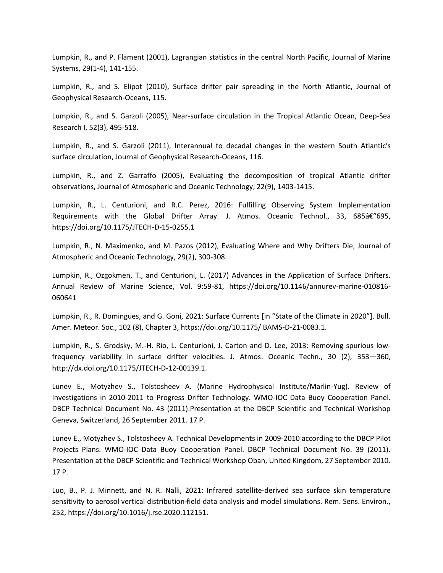Lumpkin, R., and P. Flament (2001), Lagrangian statistics in the central North Pacific, Journal of Marine Systems, 29(1-4), 141-155.

Lumpkin, R., and S. Elipot (2010), Surface drifter pair spreading in the North Atlantic, Journal of Geophysical Research-Oceans, 115.

Lumpkin, R., and S. Garzoli (2005), Near-surface circulation in the Tropical Atlantic Ocean, Deep-Sea Research I, 52(3), 495-518.

Lumpkin, R., and S. Garzoli (2011), Interannual to decadal changes in the western South Atlantic's surface circulation, Journal of Geophysical Research-Oceans, 116.

Lumpkin, R., and Z. Garraffo (2005), Evaluating the decomposition of tropical Atlantic drifter observations, Journal of Atmospheric and Oceanic Technology, 22(9), 1403-1415.

Lumpkin, R., L. Centurioni, and R.C. Perez, 2016: Fulfilling Observing System Implementation Requirements with the Global Drifter Array. J. Atmos. Oceanic Technol., 33,  $685â \epsilon$  (695, https://doi.org/10.1175/JTECH-D-15-0255.1

Lumpkin, R., N. Maximenko, and M. Pazos (2012), Evaluating Where and Why Drifters Die, Journal of Atmospheric and Oceanic Technology, 29(2), 300-308.

Lumpkin, R., Ozgokmen, T., and Centurioni, L. (2017) Advances in the Application of Surface Drifters. Annual Review of Marine Science, Vol. 9:59-81, https://doi.org/10.1146/annurev-marine-010816- 060641

Lumpkin, R., R. Domingues, and G. Goni, 2021: Surface Currents [in "State of the Climate in 2020"]. Bull. Amer. Meteor. Soc., 102 (8), Chapter 3, https://doi.org/10.1175/ BAMS-D-21-0083.1.

Lumpkin, R., S. Grodsky, M.-H. Rio, L. Centurioni, J. Carton and D. Lee, 2013: Removing spurious lowfrequency variability in surface drifter velocities. J. Atmos. Oceanic Techn., 30 (2), 353—360, http://dx.doi.org/10.1175/JTECH-D-12-00139.1.

Lunev E., Motyzhev S., Tolstosheev A. (Marine Hydrophysical Institute/Marlin-Yug). Review of Investigations in 2010-2011 to Progress Drifter Technology. WMO-IOC Data Buoy Cooperation Panel. DBCP Technical Document No. 43 (2011).Presentation at the DBCP Scientific and Technical Workshop Geneva, Switzerland, 26 September 2011. 17 P.

Lunev E., Motyzhev S., Tolstosheev A. Technical Developments in 2009-2010 according to the DBCP Pilot Projects Plans. WMO-IOC Data Buoy Cooperation Panel. DBCP Technical Document No. 39 (2011). Presentation at the DBCP Scientific and Technical Workshop Oban, United Kingdom, 27 September 2010. 17 P.

Luo, B., P. J. Minnett, and N. R. Nalli, 2021: Infrared satellite-derived sea surface skin temperature sensitivity to aerosol vertical distribution ̶field data analysis and model simulations. Rem. Sens. Environ., 252, https://doi.org/10.1016/j.rse.2020.112151.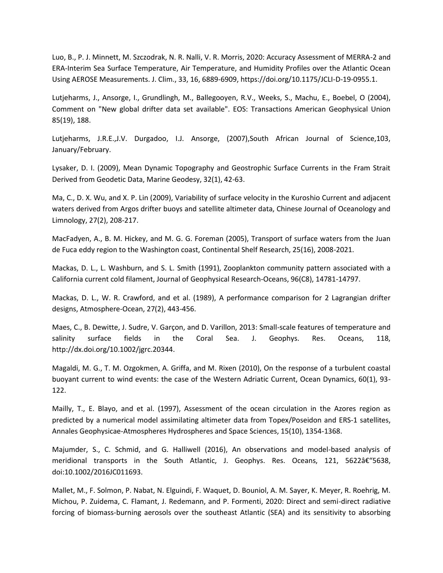Luo, B., P. J. Minnett, M. Szczodrak, N. R. Nalli, V. R. Morris, 2020: Accuracy Assessment of MERRA-2 and ERA-Interim Sea Surface Temperature, Air Temperature, and Humidity Profiles over the Atlantic Ocean Using AEROSE Measurements. J. Clim., 33, 16, 6889-6909, https://doi.org/10.1175/JCLI-D-19-0955.1.

Lutjeharms, J., Ansorge, I., Grundlingh, M., Ballegooyen, R.V., Weeks, S., Machu, E., Boebel, O (2004), Comment on "New global drifter data set available". EOS: Transactions American Geophysical Union 85(19), 188.

Lutjeharms, J.R.E.,J.V. Durgadoo, I.J. Ansorge, (2007),South African Journal of Science,103, January/February.

Lysaker, D. I. (2009), Mean Dynamic Topography and Geostrophic Surface Currents in the Fram Strait Derived from Geodetic Data, Marine Geodesy, 32(1), 42-63.

Ma, C., D. X. Wu, and X. P. Lin (2009), Variability of surface velocity in the Kuroshio Current and adjacent waters derived from Argos drifter buoys and satellite altimeter data, Chinese Journal of Oceanology and Limnology, 27(2), 208-217.

MacFadyen, A., B. M. Hickey, and M. G. G. Foreman (2005), Transport of surface waters from the Juan de Fuca eddy region to the Washington coast, Continental Shelf Research, 25(16), 2008-2021.

Mackas, D. L., L. Washburn, and S. L. Smith (1991), Zooplankton community pattern associated with a California current cold filament, Journal of Geophysical Research-Oceans, 96(C8), 14781-14797.

Mackas, D. L., W. R. Crawford, and et al. (1989), A performance comparison for 2 Lagrangian drifter designs, Atmosphere-Ocean, 27(2), 443-456.

Maes, C., B. Dewitte, J. Sudre, V. Garçon, and D. Varillon, 2013: Small-scale features of temperature and salinity surface fields in the Coral Sea. J. Geophys. Res. Oceans, 118, http://dx.doi.org/10.1002/jgrc.20344.

Magaldi, M. G., T. M. Ozgokmen, A. Griffa, and M. Rixen (2010), On the response of a turbulent coastal buoyant current to wind events: the case of the Western Adriatic Current, Ocean Dynamics, 60(1), 93- 122.

Mailly, T., E. Blayo, and et al. (1997), Assessment of the ocean circulation in the Azores region as predicted by a numerical model assimilating altimeter data from Topex/Poseidon and ERS-1 satellites, Annales Geophysicae-Atmospheres Hydrospheres and Space Sciences, 15(10), 1354-1368.

Majumder, S., C. Schmid, and G. Halliwell (2016), An observations and model-based analysis of meridional transports in the South Atlantic, J. Geophys. Res. Oceans, 121, 5622–5638, doi:10.1002/2016JC011693.

Mallet, M., F. Solmon, P. Nabat, N. Elguindi, F. Waquet, D. Bouniol, A. M. Sayer, K. Meyer, R. Roehrig, M. Michou, P. Zuidema, C. Flamant, J. Redemann, and P. Formenti, 2020: Direct and semi-direct radiative forcing of biomass-burning aerosols over the southeast Atlantic (SEA) and its sensitivity to absorbing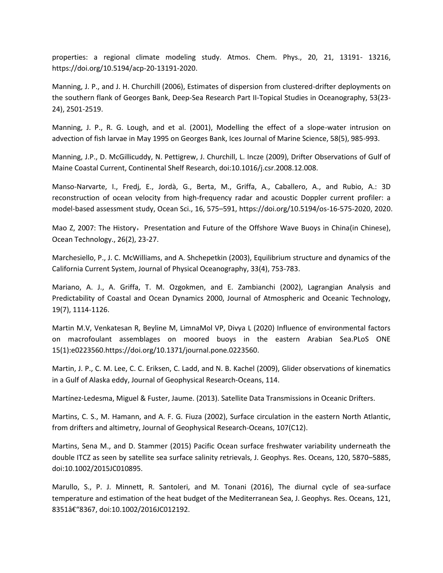properties: a regional climate modeling study. Atmos. Chem. Phys., 20, 21, 13191- 13216, https://doi.org/10.5194/acp-20-13191-2020.

Manning, J. P., and J. H. Churchill (2006), Estimates of dispersion from clustered-drifter deployments on the southern flank of Georges Bank, Deep-Sea Research Part II-Topical Studies in Oceanography, 53(23- 24), 2501-2519.

Manning, J. P., R. G. Lough, and et al. (2001), Modelling the effect of a slope-water intrusion on advection of fish larvae in May 1995 on Georges Bank, Ices Journal of Marine Science, 58(5), 985-993.

Manning, J.P., D. McGillicuddy, N. Pettigrew, J. Churchill, L. Incze (2009), Drifter Observations of Gulf of Maine Coastal Current, Continental Shelf Research, doi:10.1016/j.csr.2008.12.008.

Manso-Narvarte, I., Fredj, E., Jordà, G., Berta, M., Griffa, A., Caballero, A., and Rubio, A.: 3D reconstruction of ocean velocity from high-frequency radar and acoustic Doppler current profiler: a model-based assessment study, Ocean Sci., 16, 575–591, https://doi.org/10.5194/os-16-575-2020, 2020.

Mao Z, 2007: The History, Presentation and Future of the Offshore Wave Buoys in China(in Chinese), Ocean Technology., 26(2), 23-27.

Marchesiello, P., J. C. McWilliams, and A. Shchepetkin (2003), Equilibrium structure and dynamics of the California Current System, Journal of Physical Oceanography, 33(4), 753-783.

Mariano, A. J., A. Griffa, T. M. Ozgokmen, and E. Zambianchi (2002), Lagrangian Analysis and Predictability of Coastal and Ocean Dynamics 2000, Journal of Atmospheric and Oceanic Technology, 19(7), 1114-1126.

Martin M.V, Venkatesan R, Beyline M, LimnaMol VP, Divya L (2020) Influence of environmental factors on macrofoulant assemblages on moored buoys in the eastern Arabian Sea.PLoS ONE 15(1):e0223560.https://doi.org/10.1371/journal.pone.0223560.

Martin, J. P., C. M. Lee, C. C. Eriksen, C. Ladd, and N. B. Kachel (2009), Glider observations of kinematics in a Gulf of Alaska eddy, Journal of Geophysical Research-Oceans, 114.

Martínez-Ledesma, Miguel & Fuster, Jaume. (2013). Satellite Data Transmissions in Oceanic Drifters.

Martins, C. S., M. Hamann, and A. F. G. Fiuza (2002), Surface circulation in the eastern North Atlantic, from drifters and altimetry, Journal of Geophysical Research-Oceans, 107(C12).

Martins, Sena M., and D. Stammer (2015) Pacific Ocean surface freshwater variability underneath the double ITCZ as seen by satellite sea surface salinity retrievals, J. Geophys. Res. Oceans, 120, 5870–5885, doi:10.1002/2015JC010895.

Marullo, S., P. J. Minnett, R. Santoleri, and M. Tonani (2016), The diurnal cycle of sea-surface temperature and estimation of the heat budget of the Mediterranean Sea, J. Geophys. Res. Oceans, 121, 8351â€"8367, doi:10.1002/2016JC012192.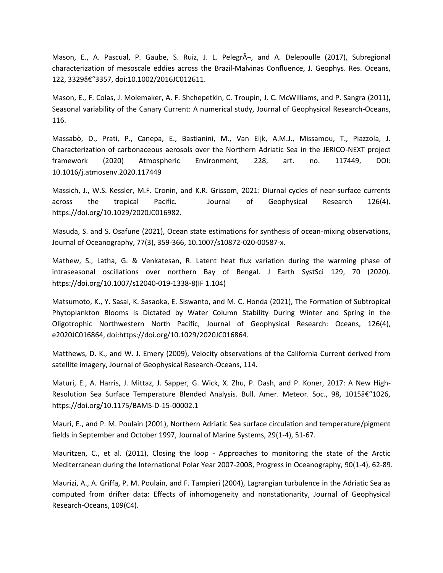Mason, E., A. Pascual, P. Gaube, S. Ruiz, J. L. PelegrÃ-, and A. Delepoulle (2017), Subregional characterization of mesoscale eddies across the Brazil-Malvinas Confluence, J. Geophys. Res. Oceans, 122, 3329â€"3357, doi:10.1002/2016JC012611.

Mason, E., F. Colas, J. Molemaker, A. F. Shchepetkin, C. Troupin, J. C. McWilliams, and P. Sangra (2011), Seasonal variability of the Canary Current: A numerical study, Journal of Geophysical Research-Oceans, 116.

Massabò, D., Prati, P., Canepa, E., Bastianini, M., Van Eijk, A.M.J., Missamou, T., Piazzola, J. Characterization of carbonaceous aerosols over the Northern Adriatic Sea in the JERICO-NEXT project framework (2020) Atmospheric Environment, 228, art. no. 117449, DOI: 10.1016/j.atmosenv.2020.117449

Massich, J., W.S. Kessler, M.F. Cronin, and K.R. Grissom, 2021: Diurnal cycles of near-surface currents across the tropical Pacific. Journal of Geophysical Research 126(4). https://doi.org/10.1029/2020JC016982.

Masuda, S. and S. Osafune (2021), Ocean state estimations for synthesis of ocean-mixing observations, Journal of Oceanography, 77(3), 359-366, 10.1007/s10872-020-00587-x.

Mathew, S., Latha, G. & Venkatesan, R. Latent heat flux variation during the warming phase of intraseasonal oscillations over northern Bay of Bengal. J Earth SystSci 129, 70 (2020). https://doi.org/10.1007/s12040-019-1338-8(IF 1.104)

Matsumoto, K., Y. Sasai, K. Sasaoka, E. Siswanto, and M. C. Honda (2021), The Formation of Subtropical Phytoplankton Blooms Is Dictated by Water Column Stability During Winter and Spring in the Oligotrophic Northwestern North Pacific, Journal of Geophysical Research: Oceans, 126(4), e2020JC016864, doi:https://doi.org/10.1029/2020JC016864.

Matthews, D. K., and W. J. Emery (2009), Velocity observations of the California Current derived from satellite imagery, Journal of Geophysical Research-Oceans, 114.

Maturi, E., A. Harris, J. Mittaz, J. Sapper, G. Wick, X. Zhu, P. Dash, and P. Koner, 2017: A New High-Resolution Sea Surface Temperature Blended Analysis. Bull. Amer. Meteor. Soc., 98, 1015–1026, https://doi.org/10.1175/BAMS-D-15-00002.1

Mauri, E., and P. M. Poulain (2001), Northern Adriatic Sea surface circulation and temperature/pigment fields in September and October 1997, Journal of Marine Systems, 29(1-4), 51-67.

Mauritzen, C., et al. (2011), Closing the loop - Approaches to monitoring the state of the Arctic Mediterranean during the International Polar Year 2007-2008, Progress in Oceanography, 90(1-4), 62-89.

Maurizi, A., A. Griffa, P. M. Poulain, and F. Tampieri (2004), Lagrangian turbulence in the Adriatic Sea as computed from drifter data: Effects of inhomogeneity and nonstationarity, Journal of Geophysical Research-Oceans, 109(C4).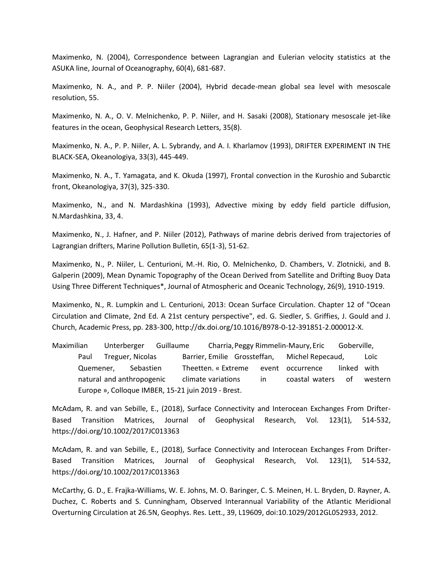Maximenko, N. (2004), Correspondence between Lagrangian and Eulerian velocity statistics at the ASUKA line, Journal of Oceanography, 60(4), 681-687.

Maximenko, N. A., and P. P. Niiler (2004), Hybrid decade-mean global sea level with mesoscale resolution, 55.

Maximenko, N. A., O. V. Melnichenko, P. P. Niiler, and H. Sasaki (2008), Stationary mesoscale jet-like features in the ocean, Geophysical Research Letters, 35(8).

Maximenko, N. A., P. P. Niiler, A. L. Sybrandy, and A. I. Kharlamov (1993), DRIFTER EXPERIMENT IN THE BLACK-SEA, Okeanologiya, 33(3), 445-449.

Maximenko, N. A., T. Yamagata, and K. Okuda (1997), Frontal convection in the Kuroshio and Subarctic front, Okeanologiya, 37(3), 325-330.

Maximenko, N., and N. Mardashkina (1993), Advective mixing by eddy field particle diffusion, N.Mardashkina, 33, 4.

Maximenko, N., J. Hafner, and P. Niiler (2012), Pathways of marine debris derived from trajectories of Lagrangian drifters, Marine Pollution Bulletin, 65(1-3), 51-62.

Maximenko, N., P. Niiler, L. Centurioni, M.-H. Rio, O. Melnichenko, D. Chambers, V. Zlotnicki, and B. Galperin (2009), Mean Dynamic Topography of the Ocean Derived from Satellite and Drifting Buoy Data Using Three Different Techniques\*, Journal of Atmospheric and Oceanic Technology, 26(9), 1910-1919.

Maximenko, N., R. Lumpkin and L. Centurioni, 2013: Ocean Surface Circulation. Chapter 12 of "Ocean Circulation and Climate, 2nd Ed. A 21st century perspective", ed. G. Siedler, S. Griffies, J. Gould and J. Church, Academic Press, pp. 283-300, http://dx.doi.org/10.1016/B978-0-12-391851-2.000012-X.

Maximilian Unterberger Guillaume Charria,Peggy Rimmelin-Maury,Eric Goberville, Paul Treguer, Nicolas Barrier, Emilie Grossteffan, Michel Repecaud, Loïc Quemener, Sebastien Theetten. « Extreme event occurrence linked with natural and anthropogenic climate variations in coastal waters of western Europe », Colloque IMBER, 15-21 juin 2019 - Brest.

McAdam, R. and van Sebille, E., (2018), Surface Connectivity and Interocean Exchanges From Drifter-Based Transition Matrices, Journal of Geophysical Research, Vol. 123(1), 514-532, https://doi.org/10.1002/2017JC013363

McAdam, R. and van Sebille, E., (2018), Surface Connectivity and Interocean Exchanges From Drifter-Based Transition Matrices, Journal of Geophysical Research, Vol. 123(1), 514-532, https://doi.org/10.1002/2017JC013363

McCarthy, G. D., E. Frajka-Williams, W. E. Johns, M. O. Baringer, C. S. Meinen, H. L. Bryden, D. Rayner, A. Duchez, C. Roberts and S. Cunningham, Observed Interannual Variability of the Atlantic Meridional Overturning Circulation at 26.5N, Geophys. Res. Lett., 39, L19609, doi:10.1029/2012GL052933, 2012.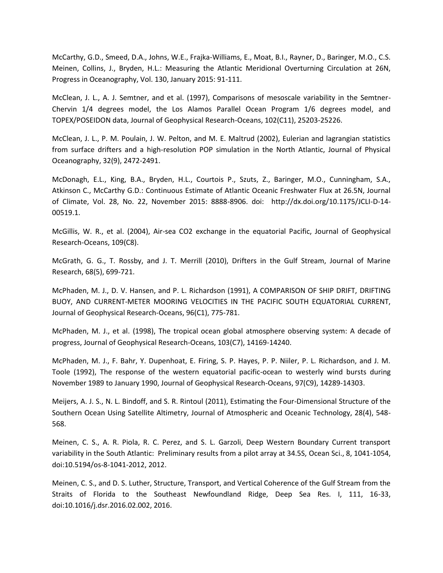McCarthy, G.D., Smeed, D.A., Johns, W.E., Frajka-Williams, E., Moat, B.I., Rayner, D., Baringer, M.O., C.S. Meinen, Collins, J., Bryden, H.L.: Measuring the Atlantic Meridional Overturning Circulation at 26N, Progress in Oceanography, Vol. 130, January 2015: 91-111.

McClean, J. L., A. J. Semtner, and et al. (1997), Comparisons of mesoscale variability in the Semtner-Chervin 1/4 degrees model, the Los Alamos Parallel Ocean Program 1/6 degrees model, and TOPEX/POSEIDON data, Journal of Geophysical Research-Oceans, 102(C11), 25203-25226.

McClean, J. L., P. M. Poulain, J. W. Pelton, and M. E. Maltrud (2002), Eulerian and lagrangian statistics from surface drifters and a high-resolution POP simulation in the North Atlantic, Journal of Physical Oceanography, 32(9), 2472-2491.

McDonagh, E.L., King, B.A., Bryden, H.L., Courtois P., Szuts, Z., Baringer, M.O., Cunningham, S.A., Atkinson C., McCarthy G.D.: Continuous Estimate of Atlantic Oceanic Freshwater Flux at 26.5N, Journal of Climate, Vol. 28, No. 22, November 2015: 8888-8906. doi: http://dx.doi.org/10.1175/JCLI-D-14- 00519.1.

McGillis, W. R., et al. (2004), Air-sea CO2 exchange in the equatorial Pacific, Journal of Geophysical Research-Oceans, 109(C8).

McGrath, G. G., T. Rossby, and J. T. Merrill (2010), Drifters in the Gulf Stream, Journal of Marine Research, 68(5), 699-721.

McPhaden, M. J., D. V. Hansen, and P. L. Richardson (1991), A COMPARISON OF SHIP DRIFT, DRIFTING BUOY, AND CURRENT-METER MOORING VELOCITIES IN THE PACIFIC SOUTH EQUATORIAL CURRENT, Journal of Geophysical Research-Oceans, 96(C1), 775-781.

McPhaden, M. J., et al. (1998), The tropical ocean global atmosphere observing system: A decade of progress, Journal of Geophysical Research-Oceans, 103(C7), 14169-14240.

McPhaden, M. J., F. Bahr, Y. Dupenhoat, E. Firing, S. P. Hayes, P. P. Niiler, P. L. Richardson, and J. M. Toole (1992), The response of the western equatorial pacific-ocean to westerly wind bursts during November 1989 to January 1990, Journal of Geophysical Research-Oceans, 97(C9), 14289-14303.

Meijers, A. J. S., N. L. Bindoff, and S. R. Rintoul (2011), Estimating the Four-Dimensional Structure of the Southern Ocean Using Satellite Altimetry, Journal of Atmospheric and Oceanic Technology, 28(4), 548- 568.

Meinen, C. S., A. R. Piola, R. C. Perez, and S. L. Garzoli, Deep Western Boundary Current transport variability in the South Atlantic: Preliminary results from a pilot array at 34.5S, Ocean Sci., 8, 1041-1054, doi:10.5194/os-8-1041-2012, 2012.

Meinen, C. S., and D. S. Luther, Structure, Transport, and Vertical Coherence of the Gulf Stream from the Straits of Florida to the Southeast Newfoundland Ridge, Deep Sea Res. I, 111, 16-33, doi:10.1016/j.dsr.2016.02.002, 2016.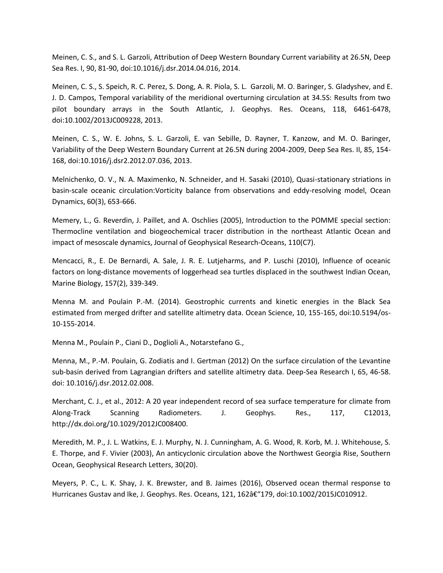Meinen, C. S., and S. L. Garzoli, Attribution of Deep Western Boundary Current variability at 26.5N, Deep Sea Res. I, 90, 81-90, doi:10.1016/j.dsr.2014.04.016, 2014.

Meinen, C. S., S. Speich, R. C. Perez, S. Dong, A. R. Piola, S. L. Garzoli, M. O. Baringer, S. Gladyshev, and E. J. D. Campos, Temporal variability of the meridional overturning circulation at 34.5S: Results from two pilot boundary arrays in the South Atlantic, J. Geophys. Res. Oceans, 118, 6461-6478, doi:10.1002/2013JC009228, 2013.

Meinen, C. S., W. E. Johns, S. L. Garzoli, E. van Sebille, D. Rayner, T. Kanzow, and M. O. Baringer, Variability of the Deep Western Boundary Current at 26.5N during 2004-2009, Deep Sea Res. II, 85, 154- 168, doi:10.1016/j.dsr2.2012.07.036, 2013.

Melnichenko, O. V., N. A. Maximenko, N. Schneider, and H. Sasaki (2010), Quasi-stationary striations in basin-scale oceanic circulation:Vorticity balance from observations and eddy-resolving model, Ocean Dynamics, 60(3), 653-666.

Memery, L., G. Reverdin, J. Paillet, and A. Oschlies (2005), Introduction to the POMME special section: Thermocline ventilation and biogeochemical tracer distribution in the northeast Atlantic Ocean and impact of mesoscale dynamics, Journal of Geophysical Research-Oceans, 110(C7).

Mencacci, R., E. De Bernardi, A. Sale, J. R. E. Lutjeharms, and P. Luschi (2010), Influence of oceanic factors on long-distance movements of loggerhead sea turtles displaced in the southwest Indian Ocean, Marine Biology, 157(2), 339-349.

Menna M. and Poulain P.-M. (2014). Geostrophic currents and kinetic energies in the Black Sea estimated from merged drifter and satellite altimetry data. Ocean Science, 10, 155-165, doi:10.5194/os-10-155-2014.

Menna M., Poulain P., Ciani D., Doglioli A., Notarstefano G.,

Menna, M., P.-M. Poulain, G. Zodiatis and I. Gertman (2012) On the surface circulation of the Levantine sub-basin derived from Lagrangian drifters and satellite altimetry data. Deep-Sea Research I, 65, 46-58. doi: 10.1016/j.dsr.2012.02.008.

Merchant, C. J., et al., 2012: A 20 year independent record of sea surface temperature for climate from Along-Track Scanning Radiometers. J. Geophys. Res., 117, C12013, http://dx.doi.org/10.1029/2012JC008400.

Meredith, M. P., J. L. Watkins, E. J. Murphy, N. J. Cunningham, A. G. Wood, R. Korb, M. J. Whitehouse, S. E. Thorpe, and F. Vivier (2003), An anticyclonic circulation above the Northwest Georgia Rise, Southern Ocean, Geophysical Research Letters, 30(20).

Meyers, P. C., L. K. Shay, J. K. Brewster, and B. Jaimes (2016), Observed ocean thermal response to Hurricanes Gustav and Ike, J. Geophys. Res. Oceans, 121, 162†"179, doi:10.1002/2015JC010912.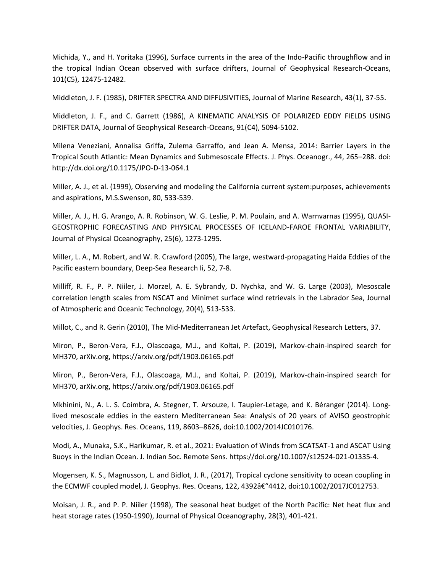Michida, Y., and H. Yoritaka (1996), Surface currents in the area of the Indo-Pacific throughflow and in the tropical Indian Ocean observed with surface drifters, Journal of Geophysical Research-Oceans, 101(C5), 12475-12482.

Middleton, J. F. (1985), DRIFTER SPECTRA AND DIFFUSIVITIES, Journal of Marine Research, 43(1), 37-55.

Middleton, J. F., and C. Garrett (1986), A KINEMATIC ANALYSIS OF POLARIZED EDDY FIELDS USING DRIFTER DATA, Journal of Geophysical Research-Oceans, 91(C4), 5094-5102.

Milena Veneziani, Annalisa Griffa, Zulema Garraffo, and Jean A. Mensa, 2014: Barrier Layers in the Tropical South Atlantic: Mean Dynamics and Submesoscale Effects. J. Phys. Oceanogr., 44, 265–288. doi: http://dx.doi.org/10.1175/JPO-D-13-064.1

Miller, A. J., et al. (1999), Observing and modeling the California current system:purposes, achievements and aspirations, M.S.Swenson, 80, 533-539.

Miller, A. J., H. G. Arango, A. R. Robinson, W. G. Leslie, P. M. Poulain, and A. Warnvarnas (1995), QUASI-GEOSTROPHIC FORECASTING AND PHYSICAL PROCESSES OF ICELAND-FAROE FRONTAL VARIABILITY, Journal of Physical Oceanography, 25(6), 1273-1295.

Miller, L. A., M. Robert, and W. R. Crawford (2005), The large, westward-propagating Haida Eddies of the Pacific eastern boundary, Deep-Sea Research Ii, 52, 7-8.

Milliff, R. F., P. P. Niiler, J. Morzel, A. E. Sybrandy, D. Nychka, and W. G. Large (2003), Mesoscale correlation length scales from NSCAT and Minimet surface wind retrievals in the Labrador Sea, Journal of Atmospheric and Oceanic Technology, 20(4), 513-533.

Millot, C., and R. Gerin (2010), The Mid-Mediterranean Jet Artefact, Geophysical Research Letters, 37.

Miron, P., Beron-Vera, F.J., Olascoaga, M.J., and Koltai, P. (2019), Markov-chain-inspired search for MH370, arXiv.org, https://arxiv.org/pdf/1903.06165.pdf

Miron, P., Beron-Vera, F.J., Olascoaga, M.J., and Koltai, P. (2019), Markov-chain-inspired search for MH370, arXiv.org, https://arxiv.org/pdf/1903.06165.pdf

Mkhinini, N., A. L. S. Coimbra, A. Stegner, T. Arsouze, I. Taupier-Letage, and K. Béranger (2014). Longlived mesoscale eddies in the eastern Mediterranean Sea: Analysis of 20 years of AVISO geostrophic velocities, J. Geophys. Res. Oceans, 119, 8603–8626, doi:10.1002/2014JC010176.

Modi, A., Munaka, S.K., Harikumar, R. et al., 2021: Evaluation of Winds from SCATSAT-1 and ASCAT Using Buoys in the Indian Ocean. J. Indian Soc. Remote Sens. https://doi.org/10.1007/s12524-021-01335-4.

Mogensen, K. S., Magnusson, L. and Bidlot, J. R., (2017), Tropical cyclone sensitivity to ocean coupling in the ECMWF coupled model, J. Geophys. Res. Oceans, 122, 4392 $\hat{a} \in \{4412, \text{doi:10.1002}/2017\}$ C012753.

Moisan, J. R., and P. P. Niiler (1998), The seasonal heat budget of the North Pacific: Net heat flux and heat storage rates (1950-1990), Journal of Physical Oceanography, 28(3), 401-421.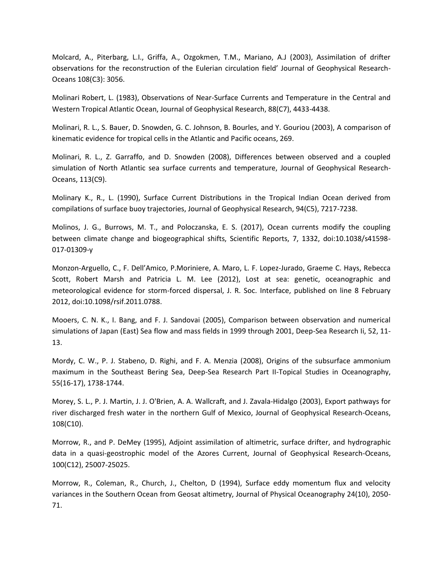Molcard, A., Piterbarg, L.I., Griffa, A., Ozgokmen, T.M., Mariano, A.J (2003), Assimilation of drifter observations for the reconstruction of the Eulerian circulation field' Journal of Geophysical Research-Oceans 108(C3): 3056.

Molinari Robert, L. (1983), Observations of Near-Surface Currents and Temperature in the Central and Western Tropical Atlantic Ocean, Journal of Geophysical Research, 88(C7), 4433-4438.

Molinari, R. L., S. Bauer, D. Snowden, G. C. Johnson, B. Bourles, and Y. Gouriou (2003), A comparison of kinematic evidence for tropical cells in the Atlantic and Pacific oceans, 269.

Molinari, R. L., Z. Garraffo, and D. Snowden (2008), Differences between observed and a coupled simulation of North Atlantic sea surface currents and temperature, Journal of Geophysical Research-Oceans, 113(C9).

Molinary K., R., L. (1990), Surface Current Distributions in the Tropical Indian Ocean derived from compilations of surface buoy trajectories, Journal of Geophysical Research, 94(C5), 7217-7238.

Molinos, J. G., Burrows, M. T., and Poloczanska, E. S. (2017), Ocean currents modify the coupling between climate change and biogeographical shifts, Scientific Reports, 7, 1332, doi:10.1038/s41598- 017-01309-y

Monzon-Arguello, C., F. Dell'Amico, P.Moriniere, A. Maro, L. F. Lopez-Jurado, Graeme C. Hays, Rebecca Scott, Robert Marsh and Patricia L. M. Lee (2012), Lost at sea: genetic, oceanographic and meteorological evidence for storm-forced dispersal, J. R. Soc. Interface, published on line 8 February 2012, doi:10.1098/rsif.2011.0788.

Mooers, C. N. K., I. Bang, and F. J. Sandovai (2005), Comparison between observation and numerical simulations of Japan (East) Sea flow and mass fields in 1999 through 2001, Deep-Sea Research Ii, 52, 11- 13.

Mordy, C. W., P. J. Stabeno, D. Righi, and F. A. Menzia (2008), Origins of the subsurface ammonium maximum in the Southeast Bering Sea, Deep-Sea Research Part II-Topical Studies in Oceanography, 55(16-17), 1738-1744.

Morey, S. L., P. J. Martin, J. J. O'Brien, A. A. Wallcraft, and J. Zavala-Hidalgo (2003), Export pathways for river discharged fresh water in the northern Gulf of Mexico, Journal of Geophysical Research-Oceans, 108(C10).

Morrow, R., and P. DeMey (1995), Adjoint assimilation of altimetric, surface drifter, and hydrographic data in a quasi-geostrophic model of the Azores Current, Journal of Geophysical Research-Oceans, 100(C12), 25007-25025.

Morrow, R., Coleman, R., Church, J., Chelton, D (1994), Surface eddy momentum flux and velocity variances in the Southern Ocean from Geosat altimetry, Journal of Physical Oceanography 24(10), 2050- 71.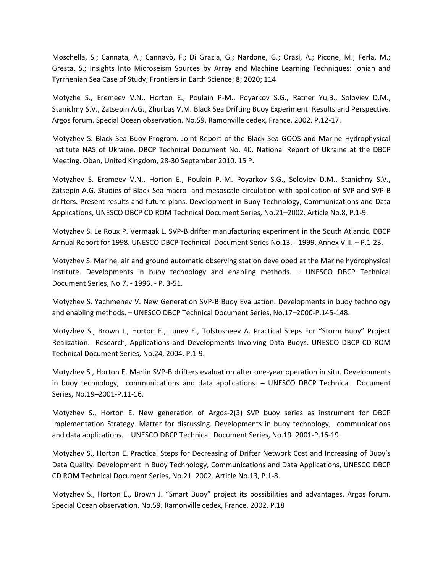Moschella, S.; Cannata, A.; Cannavò, F.; Di Grazia, G.; Nardone, G.; Orasi, A.; Picone, M.; Ferla, M.; Gresta, S.; Insights Into Microseism Sources by Array and Machine Learning Techniques: Ionian and Tyrrhenian Sea Case of Study; Frontiers in Earth Science; 8; 2020; 114

Motyzhe S., Eremeev V.N., Horton E., Poulain P-M., Poyarkov S.G., Ratner Yu.B., Soloviev D.M., Stanichny S.V., Zatsepin A.G., Zhurbas V.M. Black Sea Drifting Buoy Experiment: Results and Perspective. Argos forum. Special Ocean observation. No.59. Ramonville cedex, France. 2002. P.12-17.

Motyzhev S. Black Sea Buoy Program. Joint Report of the Black Sea GOOS and Marine Hydrophysical Institute NAS of Ukraine. DBCP Technical Document No. 40. National Report of Ukraine at the DBCP Meeting. Oban, United Kingdom, 28-30 September 2010. 15 P.

Motyzhev S. Eremeev V.N., Horton E., Poulain P.-M. Poyarkov S.G., Soloviev D.M., Stanichny S.V., Zatsepin A.G. Studies of Black Sea macro- and mesoscale circulation with application of SVP and SVP-B drifters. Present results and future plans. Development in Buoy Technology, Communications and Data Applications, UNESCO DВCP CD ROM Technical Document Series, No.21–2002. Article No.8, P.1-9.

Motyzhev S. Le Roux P. Vermaak L. SVP-B drifter manufacturing experiment in the South Atlantic. DBCP Annual Report for 1998. UNESCO DВCP Technical Document Series No.13. - 1999. Annex VIII. – P.1-23.

Motyzhev S. Marine, air and ground automatic observing station developed at the Marine hydrophysical institute. Developments in buoy technology and enabling methods. – UNESCO DВCP Technical Document Series, No.7. - 1996. - P. 3-51.

Motyzhev S. Yachmenev V. New Generation SVP-B Buoy Evaluation. Developments in buoy technology and enabling methods. – UNESCO DВCP Technical Document Series, No.17–2000-P.145-148.

Motyzhev S., Brown J., Horton E., Lunev E., Tolstosheev A. Practical Steps For "Storm Buoy" Project Realization. Research, Applications and Developments Involving Data Buoys. UNESCO DВCP CD ROM Technical Document Series, No.24, 2004. P.1-9.

Motyzhev S., Horton E. Marlin SVP-B drifters evaluation after one-year operation in situ. Developments in buoy technology, communications and data applications. – UNESCO DВCP Technical Document Series, No.19–2001-P.11-16.

Motyzhev S., Horton E. New generation of Argos-2(3) SVP buoy series as instrument for DBCP Implementation Strategy. Matter for discussing. Developments in buoy technology, communications and data applications. – UNESCO DВCP Technical Document Series, No.19–2001-P.16-19.

Motyzhev S., Horton E. Practical Steps for Decreasing of Drifter Network Cost and Increasing of Buoy's Data Quality. Development in Buoy Technology, Communications and Data Applications, UNESCO DВCP CD ROM Technical Document Series, No.21–2002. Article No.13, P.1-8.

Motyzhev S., Horton E., Brown J. "Smart Buoy" project its possibilities and advantages. Argos forum. Special Ocean observation. No.59. Ramonville cedex, France. 2002. P.18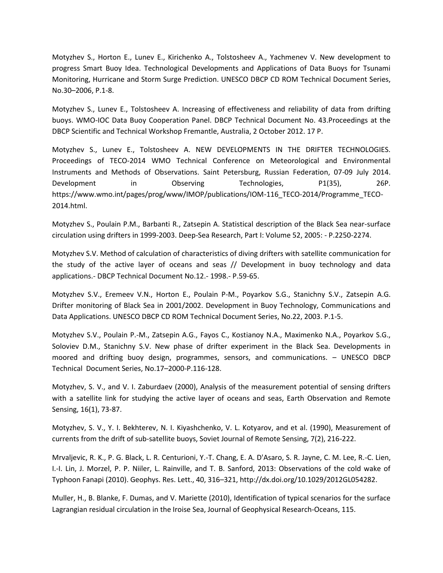Motyzhev S., Horton E., Lunev E., Kirichenko A., Tolstosheev A., Yachmenev V. New development to progress Smart Buoy Idea. Technological Developments and Applications of Data Buoys for Tsunami Monitoring, Hurricane and Storm Surge Prediction. UNESCO DВCP CD ROM Technical Document Series, No.30–2006, P.1-8.

Motyzhev S., Lunev E., Tolstosheev A. Increasing of effectiveness and reliability of data from drifting buoys. WMO-IOC Data Buoy Cooperation Panel. DBCP Technical Document No. 43.Proceedings at the DBCP Scientific and Technical Workshop Fremantle, Australia, 2 October 2012. 17 P.

Motyzhev S., Lunev E., Tolstosheev A. NEW DEVELOPMENTS IN THE DRIFTER TECHNOLOGIES. Proceedings of TECO-2014 WMO Technical Conference on Meteorological and Environmental Instruments and Methods of Observations. Saint Petersburg, Russian Federation, 07-09 July 2014. Development in Observing Technologies, P1(35), 26P. https://www.wmo.int/pages/prog/www/IMOP/publications/IOM-116\_TECO-2014/Programme\_TECO-2014.html.

Motyzhev S., Poulain P.M., Barbanti R., Zatsepin A. Statistical description of the Black Sea near-surface circulation using drifters in 1999-2003. Deep-Sea Research, Part I: Volume 52, 2005: - P.2250-2274.

Motyzhev S.V. Method of calculation of characteristics of diving drifters with satellite communication for the study of the active layer of oceans and seas // Development in buoy technology and data applications.- DBCP Technical Document No.12.- 1998.- P.59-65.

Motyzhev S.V., Eremeev V.N., Horton E., Poulain P-M., Poyarkov S.G., Stanichny S.V., Zatsepin A.G. Drifter monitoring of Black Sea in 2001/2002. Development in Buoy Technology, Communications and Data Applications. UNESCO DВCP CD ROM Technical Document Series, No.22, 2003. P.1-5.

Motyzhev S.V., Poulain P.-M., Zatsepin A.G., Fayos C., Kostianoy N.A., Maximenko N.A., Poyarkov S.G., Soloviev D.M., Stanichny S.V. New phase of drifter experiment in the Black Sea. Developments in moored and drifting buoy design, programmes, sensors, and communications. – UNESCO DВCP Technical Document Series, No.17–2000-P.116-128.

Motyzhev, S. V., and V. I. Zaburdaev (2000), Analysis of the measurement potential of sensing drifters with a satellite link for studying the active layer of oceans and seas, Earth Observation and Remote Sensing, 16(1), 73-87.

Motyzhev, S. V., Y. I. Bekhterev, N. I. Kiyashchenko, V. L. Kotyarov, and et al. (1990), Measurement of currents from the drift of sub-satellite buoys, Soviet Journal of Remote Sensing, 7(2), 216-222.

Mrvaljevic, R. K., P. G. Black, L. R. Centurioni, Y.-T. Chang, E. A. D'Asaro, S. R. Jayne, C. M. Lee, R.-C. Lien, I.-I. Lin, J. Morzel, P. P. Niiler, L. Rainville, and T. B. Sanford, 2013: Observations of the cold wake of Typhoon Fanapi (2010). Geophys. Res. Lett., 40, 316–321, http://dx.doi.org/10.1029/2012GL054282.

Muller, H., B. Blanke, F. Dumas, and V. Mariette (2010), Identification of typical scenarios for the surface Lagrangian residual circulation in the Iroise Sea, Journal of Geophysical Research-Oceans, 115.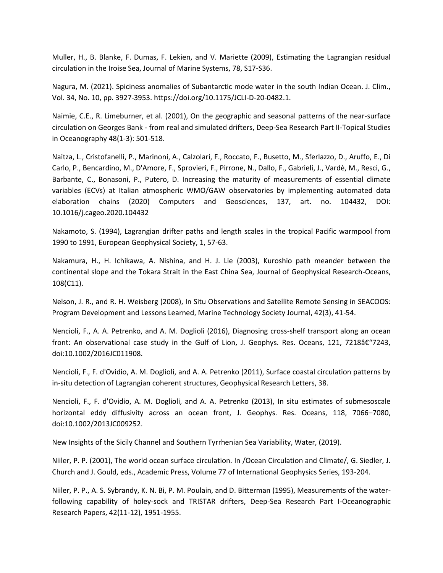Muller, H., B. Blanke, F. Dumas, F. Lekien, and V. Mariette (2009), Estimating the Lagrangian residual circulation in the Iroise Sea, Journal of Marine Systems, 78, S17-S36.

Nagura, M. (2021). Spiciness anomalies of Subantarctic mode water in the south Indian Ocean. J. Clim., Vol. 34, No. 10, pp. 3927-3953. https://doi.org/10.1175/JCLI-D-20-0482.1.

Naimie, C.E., R. Limeburner, et al. (2001), On the geographic and seasonal patterns of the near-surface circulation on Georges Bank - from real and simulated drifters, Deep-Sea Research Part II-Topical Studies in Oceanography 48(1-3): 501-518.

Naitza, L., Cristofanelli, P., Marinoni, A., Calzolari, F., Roccato, F., Busetto, M., Sferlazzo, D., Aruffo, E., Di Carlo, P., Bencardino, M., D'Amore, F., Sprovieri, F., Pirrone, N., Dallo, F., Gabrieli, J., Vardè, M., Resci, G., Barbante, C., Bonasoni, P., Putero, D. Increasing the maturity of measurements of essential climate variables (ECVs) at Italian atmospheric WMO/GAW observatories by implementing automated data elaboration chains (2020) Computers and Geosciences, 137, art. no. 104432, DOI: 10.1016/j.cageo.2020.104432

Nakamoto, S. (1994), Lagrangian drifter paths and length scales in the tropical Pacific warmpool from 1990 to 1991, European Geophysical Society, 1, 57-63.

Nakamura, H., H. Ichikawa, A. Nishina, and H. J. Lie (2003), Kuroshio path meander between the continental slope and the Tokara Strait in the East China Sea, Journal of Geophysical Research-Oceans, 108(C11).

Nelson, J. R., and R. H. Weisberg (2008), In Situ Observations and Satellite Remote Sensing in SEACOOS: Program Development and Lessons Learned, Marine Technology Society Journal, 42(3), 41-54.

Nencioli, F., A. A. Petrenko, and A. M. Doglioli (2016), Diagnosing cross-shelf transport along an ocean front: An observational case study in the Gulf of Lion, J. Geophys. Res. Oceans, 121, 7218†"7243, doi:10.1002/2016JC011908.

Nencioli, F., F. d'Ovidio, A. M. Doglioli, and A. A. Petrenko (2011), Surface coastal circulation patterns by in-situ detection of Lagrangian coherent structures, Geophysical Research Letters, 38.

Nencioli, F., F. d'Ovidio, A. M. Doglioli, and A. A. Petrenko (2013), In situ estimates of submesoscale horizontal eddy diffusivity across an ocean front, J. Geophys. Res. Oceans, 118, 7066–7080, doi:10.1002/2013JC009252.

New Insights of the Sicily Channel and Southern Tyrrhenian Sea Variability, Water, (2019).

Niiler, P. P. (2001), The world ocean surface circulation. In /Ocean Circulation and Climate/, G. Siedler, J. Church and J. Gould, eds., Academic Press, Volume 77 of International Geophysics Series, 193-204.

Niiler, P. P., A. S. Sybrandy, K. N. Bi, P. M. Poulain, and D. Bitterman (1995), Measurements of the waterfollowing capability of holey-sock and TRISTAR drifters, Deep-Sea Research Part I-Oceanographic Research Papers, 42(11-12), 1951-1955.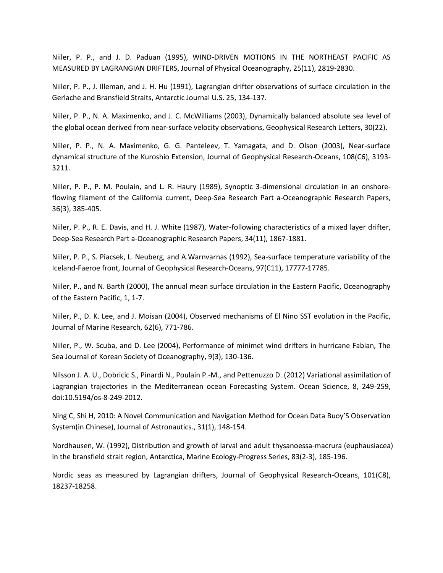Niiler, P. P., and J. D. Paduan (1995), WIND-DRIVEN MOTIONS IN THE NORTHEAST PACIFIC AS MEASURED BY LAGRANGIAN DRIFTERS, Journal of Physical Oceanography, 25(11), 2819-2830.

Niiler, P. P., J. Illeman, and J. H. Hu (1991), Lagrangian drifter observations of surface circulation in the Gerlache and Bransfield Straits, Antarctic Journal U.S. 25, 134-137.

Niiler, P. P., N. A. Maximenko, and J. C. McWilliams (2003), Dynamically balanced absolute sea level of the global ocean derived from near-surface velocity observations, Geophysical Research Letters, 30(22).

Niiler, P. P., N. A. Maximenko, G. G. Panteleev, T. Yamagata, and D. Olson (2003), Near-surface dynamical structure of the Kuroshio Extension, Journal of Geophysical Research-Oceans, 108(C6), 3193- 3211.

Niiler, P. P., P. M. Poulain, and L. R. Haury (1989), Synoptic 3-dimensional circulation in an onshoreflowing filament of the California current, Deep-Sea Research Part a-Oceanographic Research Papers, 36(3), 385-405.

Niiler, P. P., R. E. Davis, and H. J. White (1987), Water-following characteristics of a mixed layer drifter, Deep-Sea Research Part a-Oceanographic Research Papers, 34(11), 1867-1881.

Niiler, P. P., S. Piacsek, L. Neuberg, and A.Warnvarnas (1992), Sea-surface temperature variability of the Iceland-Faeroe front, Journal of Geophysical Research-Oceans, 97(C11), 17777-17785.

Niiler, P., and N. Barth (2000), The annual mean surface circulation in the Eastern Pacific, Oceanography of the Eastern Pacific, 1, 1-7.

Niiler, P., D. K. Lee, and J. Moisan (2004), Observed mechanisms of El Nino SST evolution in the Pacific, Journal of Marine Research, 62(6), 771-786.

Niiler, P., W. Scuba, and D. Lee (2004), Performance of minimet wind drifters in hurricane Fabian, The Sea Journal of Korean Society of Oceanography, 9(3), 130-136.

Nilsson J. A. U., Dobricic S., Pinardi N., Poulain P.-M., and Pettenuzzo D. (2012) Variational assimilation of Lagrangian trajectories in the Mediterranean ocean Forecasting System. Ocean Science, 8, 249-259, doi:10.5194/os-8-249-2012.

Ning C, Shi H, 2010: A Novel Communication and Navigation Method for Ocean Data Buoy'S Observation System(in Chinese), Journal of Astronautics., 31(1), 148-154.

Nordhausen, W. (1992), Distribution and growth of larval and adult thysanoessa-macrura (euphausiacea) in the bransfield strait region, Antarctica, Marine Ecology-Progress Series, 83(2-3), 185-196.

Nordic seas as measured by Lagrangian drifters, Journal of Geophysical Research-Oceans, 101(C8), 18237-18258.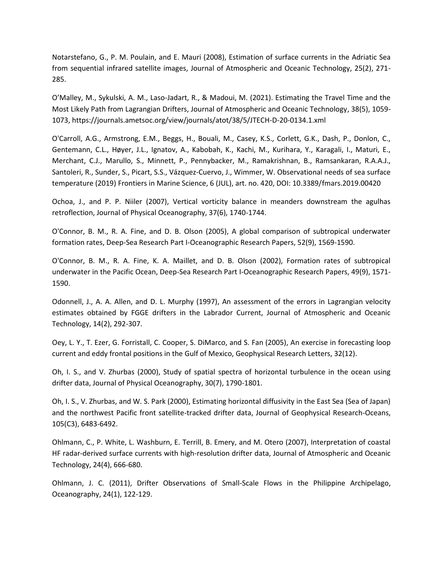Notarstefano, G., P. M. Poulain, and E. Mauri (2008), Estimation of surface currents in the Adriatic Sea from sequential infrared satellite images, Journal of Atmospheric and Oceanic Technology, 25(2), 271- 285.

O'Malley, M., Sykulski, A. M., Laso-Jadart, R., & Madoui, M. (2021). Estimating the Travel Time and the Most Likely Path from Lagrangian Drifters, Journal of Atmospheric and Oceanic Technology, 38(5), 1059- 1073, https://journals.ametsoc.org/view/journals/atot/38/5/JTECH-D-20-0134.1.xml

O'Carroll, A.G., Armstrong, E.M., Beggs, H., Bouali, M., Casey, K.S., Corlett, G.K., Dash, P., Donlon, C., Gentemann, C.L., Høyer, J.L., Ignatov, A., Kabobah, K., Kachi, M., Kurihara, Y., Karagali, I., Maturi, E., Merchant, C.J., Marullo, S., Minnett, P., Pennybacker, M., Ramakrishnan, B., Ramsankaran, R.A.A.J., Santoleri, R., Sunder, S., Picart, S.S., Vázquez-Cuervo, J., Wimmer, W. Observational needs of sea surface temperature (2019) Frontiers in Marine Science, 6 (JUL), art. no. 420, DOI: 10.3389/fmars.2019.00420

Ochoa, J., and P. P. Niiler (2007), Vertical vorticity balance in meanders downstream the agulhas retroflection, Journal of Physical Oceanography, 37(6), 1740-1744.

O'Connor, B. M., R. A. Fine, and D. B. Olson (2005), A global comparison of subtropical underwater formation rates, Deep-Sea Research Part I-Oceanographic Research Papers, 52(9), 1569-1590.

O'Connor, B. M., R. A. Fine, K. A. Maillet, and D. B. Olson (2002), Formation rates of subtropical underwater in the Pacific Ocean, Deep-Sea Research Part I-Oceanographic Research Papers, 49(9), 1571- 1590.

Odonnell, J., A. A. Allen, and D. L. Murphy (1997), An assessment of the errors in Lagrangian velocity estimates obtained by FGGE drifters in the Labrador Current, Journal of Atmospheric and Oceanic Technology, 14(2), 292-307.

Oey, L. Y., T. Ezer, G. Forristall, C. Cooper, S. DiMarco, and S. Fan (2005), An exercise in forecasting loop current and eddy frontal positions in the Gulf of Mexico, Geophysical Research Letters, 32(12).

Oh, I. S., and V. Zhurbas (2000), Study of spatial spectra of horizontal turbulence in the ocean using drifter data, Journal of Physical Oceanography, 30(7), 1790-1801.

Oh, I. S., V. Zhurbas, and W. S. Park (2000), Estimating horizontal diffusivity in the East Sea (Sea of Japan) and the northwest Pacific front satellite-tracked drifter data, Journal of Geophysical Research-Oceans, 105(C3), 6483-6492.

Ohlmann, C., P. White, L. Washburn, E. Terrill, B. Emery, and M. Otero (2007), Interpretation of coastal HF radar-derived surface currents with high-resolution drifter data, Journal of Atmospheric and Oceanic Technology, 24(4), 666-680.

Ohlmann, J. C. (2011), Drifter Observations of Small-Scale Flows in the Philippine Archipelago, Oceanography, 24(1), 122-129.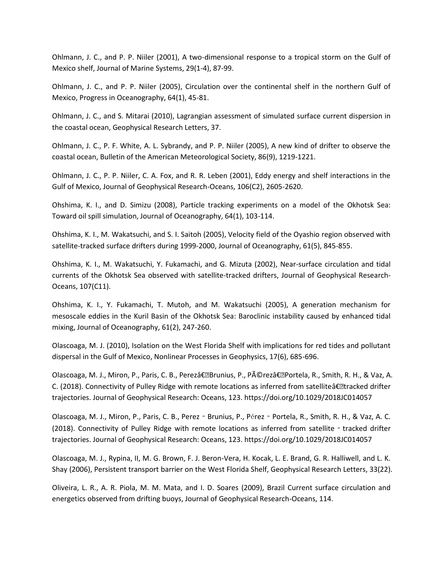Ohlmann, J. C., and P. P. Niiler (2001), A two-dimensional response to a tropical storm on the Gulf of Mexico shelf, Journal of Marine Systems, 29(1-4), 87-99.

Ohlmann, J. C., and P. P. Niiler (2005), Circulation over the continental shelf in the northern Gulf of Mexico, Progress in Oceanography, 64(1), 45-81.

Ohlmann, J. C., and S. Mitarai (2010), Lagrangian assessment of simulated surface current dispersion in the coastal ocean, Geophysical Research Letters, 37.

Ohlmann, J. C., P. F. White, A. L. Sybrandy, and P. P. Niiler (2005), A new kind of drifter to observe the coastal ocean, Bulletin of the American Meteorological Society, 86(9), 1219-1221.

Ohlmann, J. C., P. P. Niiler, C. A. Fox, and R. R. Leben (2001), Eddy energy and shelf interactions in the Gulf of Mexico, Journal of Geophysical Research-Oceans, 106(C2), 2605-2620.

Ohshima, K. I., and D. Simizu (2008), Particle tracking experiments on a model of the Okhotsk Sea: Toward oil spill simulation, Journal of Oceanography, 64(1), 103-114.

Ohshima, K. I., M. Wakatsuchi, and S. I. Saitoh (2005), Velocity field of the Oyashio region observed with satellite-tracked surface drifters during 1999-2000, Journal of Oceanography, 61(5), 845-855.

Ohshima, K. I., M. Wakatsuchi, Y. Fukamachi, and G. Mizuta (2002), Near-surface circulation and tidal currents of the Okhotsk Sea observed with satellite-tracked drifters, Journal of Geophysical Research-Oceans, 107(C11).

Ohshima, K. I., Y. Fukamachi, T. Mutoh, and M. Wakatsuchi (2005), A generation mechanism for mesoscale eddies in the Kuril Basin of the Okhotsk Sea: Baroclinic instability caused by enhanced tidal mixing, Journal of Oceanography, 61(2), 247-260.

Olascoaga, M. J. (2010), Isolation on the West Florida Shelf with implications for red tides and pollutant dispersal in the Gulf of Mexico, Nonlinear Processes in Geophysics, 17(6), 685-696.

Olascoaga, M. J., Miron, P., Paris, C. B., Perez― Brunius, P., Pérez― Portela, R., Smith, R. H., & Vaz, A. C. (2018). Connectivity of Pulley Ridge with remote locations as inferred from satelliteâ€•tracked drifter trajectories. Journal of Geophysical Research: Oceans, 123. https://doi.org/10.1029/2018JC014057

Olascoaga, M. J., Miron, P., Paris, C. B., Perez‐Brunius, P., Pérez‐Portela, R., Smith, R. H., & Vaz, A. C. (2018). Connectivity of Pulley Ridge with remote locations as inferred from satellite - tracked drifter trajectories. Journal of Geophysical Research: Oceans, 123. https://doi.org/10.1029/2018JC014057

Olascoaga, M. J., Rypina, II, M. G. Brown, F. J. Beron-Vera, H. Kocak, L. E. Brand, G. R. Halliwell, and L. K. Shay (2006), Persistent transport barrier on the West Florida Shelf, Geophysical Research Letters, 33(22).

Oliveira, L. R., A. R. Piola, M. M. Mata, and I. D. Soares (2009), Brazil Current surface circulation and energetics observed from drifting buoys, Journal of Geophysical Research-Oceans, 114.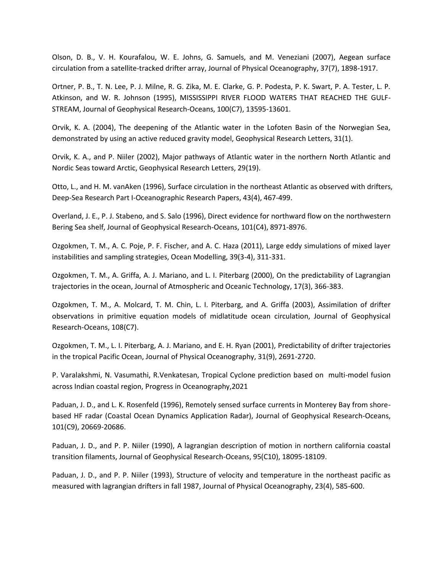Olson, D. B., V. H. Kourafalou, W. E. Johns, G. Samuels, and M. Veneziani (2007), Aegean surface circulation from a satellite-tracked drifter array, Journal of Physical Oceanography, 37(7), 1898-1917.

Ortner, P. B., T. N. Lee, P. J. Milne, R. G. Zika, M. E. Clarke, G. P. Podesta, P. K. Swart, P. A. Tester, L. P. Atkinson, and W. R. Johnson (1995), MISSISSIPPI RIVER FLOOD WATERS THAT REACHED THE GULF-STREAM, Journal of Geophysical Research-Oceans, 100(C7), 13595-13601.

Orvik, K. A. (2004), The deepening of the Atlantic water in the Lofoten Basin of the Norwegian Sea, demonstrated by using an active reduced gravity model, Geophysical Research Letters, 31(1).

Orvik, K. A., and P. Niiler (2002), Major pathways of Atlantic water in the northern North Atlantic and Nordic Seas toward Arctic, Geophysical Research Letters, 29(19).

Otto, L., and H. M. vanAken (1996), Surface circulation in the northeast Atlantic as observed with drifters, Deep-Sea Research Part I-Oceanographic Research Papers, 43(4), 467-499.

Overland, J. E., P. J. Stabeno, and S. Salo (1996), Direct evidence for northward flow on the northwestern Bering Sea shelf, Journal of Geophysical Research-Oceans, 101(C4), 8971-8976.

Ozgokmen, T. M., A. C. Poje, P. F. Fischer, and A. C. Haza (2011), Large eddy simulations of mixed layer instabilities and sampling strategies, Ocean Modelling, 39(3-4), 311-331.

Ozgokmen, T. M., A. Griffa, A. J. Mariano, and L. I. Piterbarg (2000), On the predictability of Lagrangian trajectories in the ocean, Journal of Atmospheric and Oceanic Technology, 17(3), 366-383.

Ozgokmen, T. M., A. Molcard, T. M. Chin, L. I. Piterbarg, and A. Griffa (2003), Assimilation of drifter observations in primitive equation models of midlatitude ocean circulation, Journal of Geophysical Research-Oceans, 108(C7).

Ozgokmen, T. M., L. I. Piterbarg, A. J. Mariano, and E. H. Ryan (2001), Predictability of drifter trajectories in the tropical Pacific Ocean, Journal of Physical Oceanography, 31(9), 2691-2720.

P. Varalakshmi, N. Vasumathi, R.Venkatesan, Tropical Cyclone prediction based on multi-model fusion across Indian coastal region, Progress in Oceanography,2021

Paduan, J. D., and L. K. Rosenfeld (1996), Remotely sensed surface currents in Monterey Bay from shorebased HF radar (Coastal Ocean Dynamics Application Radar), Journal of Geophysical Research-Oceans, 101(C9), 20669-20686.

Paduan, J. D., and P. P. Niiler (1990), A lagrangian description of motion in northern california coastal transition filaments, Journal of Geophysical Research-Oceans, 95(C10), 18095-18109.

Paduan, J. D., and P. P. Niiler (1993), Structure of velocity and temperature in the northeast pacific as measured with lagrangian drifters in fall 1987, Journal of Physical Oceanography, 23(4), 585-600.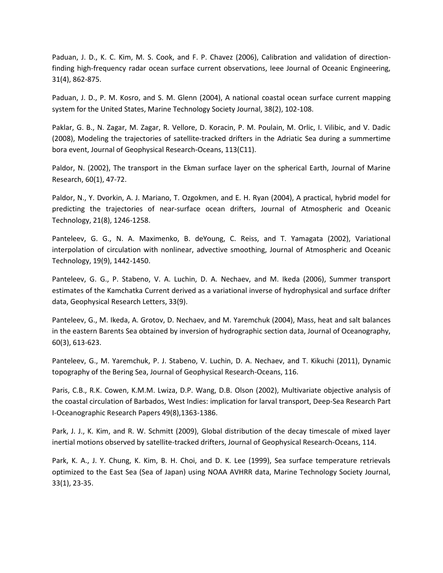Paduan, J. D., K. C. Kim, M. S. Cook, and F. P. Chavez (2006), Calibration and validation of directionfinding high-frequency radar ocean surface current observations, Ieee Journal of Oceanic Engineering, 31(4), 862-875.

Paduan, J. D., P. M. Kosro, and S. M. Glenn (2004), A national coastal ocean surface current mapping system for the United States, Marine Technology Society Journal, 38(2), 102-108.

Paklar, G. B., N. Zagar, M. Zagar, R. Vellore, D. Koracin, P. M. Poulain, M. Orlic, I. Vilibic, and V. Dadic (2008), Modeling the trajectories of satellite-tracked drifters in the Adriatic Sea during a summertime bora event, Journal of Geophysical Research-Oceans, 113(C11).

Paldor, N. (2002), The transport in the Ekman surface layer on the spherical Earth, Journal of Marine Research, 60(1), 47-72.

Paldor, N., Y. Dvorkin, A. J. Mariano, T. Ozgokmen, and E. H. Ryan (2004), A practical, hybrid model for predicting the trajectories of near-surface ocean drifters, Journal of Atmospheric and Oceanic Technology, 21(8), 1246-1258.

Panteleev, G. G., N. A. Maximenko, B. deYoung, C. Reiss, and T. Yamagata (2002), Variational interpolation of circulation with nonlinear, advective smoothing, Journal of Atmospheric and Oceanic Technology, 19(9), 1442-1450.

Panteleev, G. G., P. Stabeno, V. A. Luchin, D. A. Nechaev, and M. Ikeda (2006), Summer transport estimates of the Kamchatka Current derived as a variational inverse of hydrophysical and surface drifter data, Geophysical Research Letters, 33(9).

Panteleev, G., M. Ikeda, A. Grotov, D. Nechaev, and M. Yaremchuk (2004), Mass, heat and salt balances in the eastern Barents Sea obtained by inversion of hydrographic section data, Journal of Oceanography, 60(3), 613-623.

Panteleev, G., M. Yaremchuk, P. J. Stabeno, V. Luchin, D. A. Nechaev, and T. Kikuchi (2011), Dynamic topography of the Bering Sea, Journal of Geophysical Research-Oceans, 116.

Paris, C.B., R.K. Cowen, K.M.M. Lwiza, D.P. Wang, D.B. Olson (2002), Multivariate objective analysis of the coastal circulation of Barbados, West Indies: implication for larval transport, Deep-Sea Research Part I-Oceanographic Research Papers 49(8),1363-1386.

Park, J. J., K. Kim, and R. W. Schmitt (2009), Global distribution of the decay timescale of mixed layer inertial motions observed by satellite-tracked drifters, Journal of Geophysical Research-Oceans, 114.

Park, K. A., J. Y. Chung, K. Kim, B. H. Choi, and D. K. Lee (1999), Sea surface temperature retrievals optimized to the East Sea (Sea of Japan) using NOAA AVHRR data, Marine Technology Society Journal, 33(1), 23-35.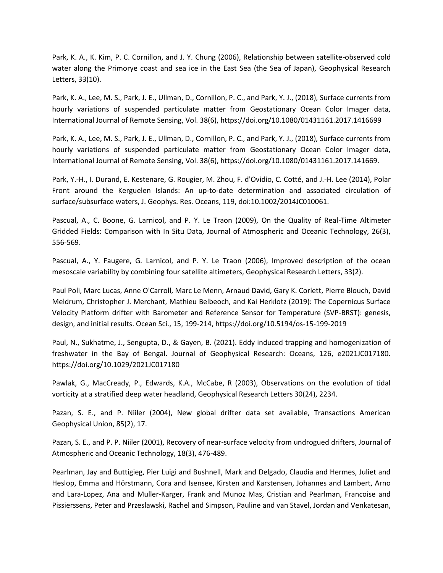Park, K. A., K. Kim, P. C. Cornillon, and J. Y. Chung (2006), Relationship between satellite-observed cold water along the Primorye coast and sea ice in the East Sea (the Sea of Japan), Geophysical Research Letters, 33(10).

Park, K. A., Lee, M. S., Park, J. E., Ullman, D., Cornillon, P. C., and Park, Y. J., (2018), Surface currents from hourly variations of suspended particulate matter from Geostationary Ocean Color Imager data, International Journal of Remote Sensing, Vol. 38(6), https://doi.org/10.1080/01431161.2017.1416699

Park, K. A., Lee, M. S., Park, J. E., Ullman, D., Cornillon, P. C., and Park, Y. J., (2018), Surface currents from hourly variations of suspended particulate matter from Geostationary Ocean Color Imager data, International Journal of Remote Sensing, Vol. 38(6), https://doi.org/10.1080/01431161.2017.141669.

Park, Y.-H., I. Durand, E. Kestenare, G. Rougier, M. Zhou, F. d'Ovidio, C. Cotté, and J.-H. Lee (2014), Polar Front around the Kerguelen Islands: An up-to-date determination and associated circulation of surface/subsurface waters, J. Geophys. Res. Oceans, 119, doi:10.1002/2014JC010061.

Pascual, A., C. Boone, G. Larnicol, and P. Y. Le Traon (2009), On the Quality of Real-Time Altimeter Gridded Fields: Comparison with In Situ Data, Journal of Atmospheric and Oceanic Technology, 26(3), 556-569.

Pascual, A., Y. Faugere, G. Larnicol, and P. Y. Le Traon (2006), Improved description of the ocean mesoscale variability by combining four satellite altimeters, Geophysical Research Letters, 33(2).

Paul Poli, Marc Lucas, Anne O'Carroll, Marc Le Menn, Arnaud David, Gary K. Corlett, Pierre Blouch, David Meldrum, Christopher J. Merchant, Mathieu Belbeoch, and Kai Herklotz (2019): The Copernicus Surface Velocity Platform drifter with Barometer and Reference Sensor for Temperature (SVP-BRST): genesis, design, and initial results. Ocean Sci., 15, 199-214, https://doi.org/10.5194/os-15-199-2019

Paul, N., Sukhatme, J., Sengupta, D., & Gayen, B. (2021). Eddy induced trapping and homogenization of freshwater in the Bay of Bengal. Journal of Geophysical Research: Oceans, 126, e2021JC017180. https://doi.org/10.1029/2021JC017180

Pawlak, G., MacCready, P., Edwards, K.A., McCabe, R (2003), Observations on the evolution of tidal vorticity at a stratified deep water headland, Geophysical Research Letters 30(24), 2234.

Pazan, S. E., and P. Niiler (2004), New global drifter data set available, Transactions American Geophysical Union, 85(2), 17.

Pazan, S. E., and P. P. Niiler (2001), Recovery of near-surface velocity from undrogued drifters, Journal of Atmospheric and Oceanic Technology, 18(3), 476-489.

Pearlman, Jay and Buttigieg, Pier Luigi and Bushnell, Mark and Delgado, Claudia and Hermes, Juliet and Heslop, Emma and Hörstmann, Cora and Isensee, Kirsten and Karstensen, Johannes and Lambert, Arno and Lara-Lopez, Ana and Muller-Karger, Frank and Munoz Mas, Cristian and Pearlman, Francoise and Pissierssens, Peter and Przeslawski, Rachel and Simpson, Pauline and van Stavel, Jordan and Venkatesan,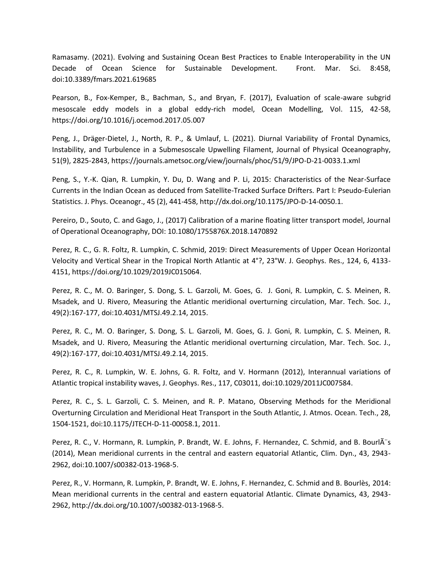Ramasamy. (2021). Evolving and Sustaining Ocean Best Practices to Enable Interoperability in the UN Decade of Ocean Science for Sustainable Development. Front. Mar. Sci. 8:458, doi:10.3389/fmars.2021.619685

Pearson, B., Fox-Kemper, B., Bachman, S., and Bryan, F. (2017), Evaluation of scale-aware subgrid mesoscale eddy models in a global eddy-rich model, Ocean Modelling, Vol. 115, 42-58, https://doi.org/10.1016/j.ocemod.2017.05.007

Peng, J., Dräger-Dietel, J., North, R. P., & Umlauf, L. (2021). Diurnal Variability of Frontal Dynamics, Instability, and Turbulence in a Submesoscale Upwelling Filament, Journal of Physical Oceanography, 51(9), 2825-2843, https://journals.ametsoc.org/view/journals/phoc/51/9/JPO-D-21-0033.1.xml

Peng, S., Y.-K. Qian, R. Lumpkin, Y. Du, D. Wang and P. Li, 2015: Characteristics of the Near-Surface Currents in the Indian Ocean as deduced from Satellite-Tracked Surface Drifters. Part I: Pseudo-Eulerian Statistics. J. Phys. Oceanogr., 45 (2), 441-458, http://dx.doi.org/10.1175/JPO-D-14-0050.1.

Pereiro, D., Souto, C. and Gago, J., (2017) Calibration of a marine floating litter transport model, Journal of Operational Oceanography, DOI: 10.1080/1755876X.2018.1470892

Perez, R. C., G. R. Foltz, R. Lumpkin, C. Schmid, 2019: Direct Measurements of Upper Ocean Horizontal Velocity and Vertical Shear in the Tropical North Atlantic at 4°?, 23°W. J. Geophys. Res., 124, 6, 4133- 4151, https://doi.org/10.1029/2019JC015064.

Perez, R. C., M. O. Baringer, S. Dong, S. L. Garzoli, M. Goes, G. J. Goni, R. Lumpkin, C. S. Meinen, R. Msadek, and U. Rivero, Measuring the Atlantic meridional overturning circulation, Mar. Tech. Soc. J., 49(2):167-177, doi:10.4031/MTSJ.49.2.14, 2015.

Perez, R. C., M. O. Baringer, S. Dong, S. L. Garzoli, M. Goes, G. J. Goni, R. Lumpkin, C. S. Meinen, R. Msadek, and U. Rivero, Measuring the Atlantic meridional overturning circulation, Mar. Tech. Soc. J., 49(2):167-177, doi:10.4031/MTSJ.49.2.14, 2015.

Perez, R. C., R. Lumpkin, W. E. Johns, G. R. Foltz, and V. Hormann (2012), Interannual variations of Atlantic tropical instability waves, J. Geophys. Res., 117, C03011, doi:10.1029/2011JC007584.

Perez, R. C., S. L. Garzoli, C. S. Meinen, and R. P. Matano, Observing Methods for the Meridional Overturning Circulation and Meridional Heat Transport in the South Atlantic, J. Atmos. Ocean. Tech., 28, 1504-1521, doi:10.1175/JTECH-D-11-00058.1, 2011.

Perez, R. C., V. Hormann, R. Lumpkin, P. Brandt, W. E. Johns, F. Hernandez, C. Schmid, and B. BourlÂ<sup>"</sup>s (2014), Mean meridional currents in the central and eastern equatorial Atlantic, Clim. Dyn., 43, 2943- 2962, doi:10.1007/s00382-013-1968-5.

Perez, R., V. Hormann, R. Lumpkin, P. Brandt, W. E. Johns, F. Hernandez, C. Schmid and B. Bourlès, 2014: Mean meridional currents in the central and eastern equatorial Atlantic. Climate Dynamics, 43, 2943- 2962, http://dx.doi.org/10.1007/s00382-013-1968-5.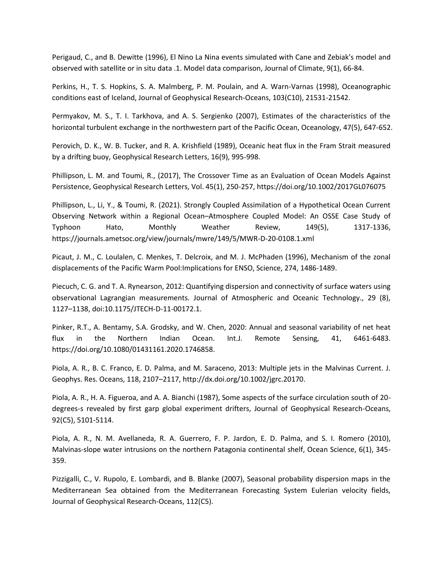Perigaud, C., and B. Dewitte (1996), El Nino La Nina events simulated with Cane and Zebiak's model and observed with satellite or in situ data .1. Model data comparison, Journal of Climate, 9(1), 66-84.

Perkins, H., T. S. Hopkins, S. A. Malmberg, P. M. Poulain, and A. Warn-Varnas (1998), Oceanographic conditions east of Iceland, Journal of Geophysical Research-Oceans, 103(C10), 21531-21542.

Permyakov, M. S., T. I. Tarkhova, and A. S. Sergienko (2007), Estimates of the characteristics of the horizontal turbulent exchange in the northwestern part of the Pacific Ocean, Oceanology, 47(5), 647-652.

Perovich, D. K., W. B. Tucker, and R. A. Krishfield (1989), Oceanic heat flux in the Fram Strait measured by a drifting buoy, Geophysical Research Letters, 16(9), 995-998.

Phillipson, L. M. and Toumi, R., (2017), The Crossover Time as an Evaluation of Ocean Models Against Persistence, Geophysical Research Letters, Vol. 45(1), 250-257, https://doi.org/10.1002/2017GL076075

Phillipson, L., Li, Y., & Toumi, R. (2021). Strongly Coupled Assimilation of a Hypothetical Ocean Current Observing Network within a Regional Ocean–Atmosphere Coupled Model: An OSSE Case Study of Typhoon Hato, Monthly Weather Review, 149(5), 1317-1336, https://journals.ametsoc.org/view/journals/mwre/149/5/MWR-D-20-0108.1.xml

Picaut, J. M., C. Loulalen, C. Menkes, T. Delcroix, and M. J. McPhaden (1996), Mechanism of the zonal displacements of the Pacific Warm Pool:Implications for ENSO, Science, 274, 1486-1489.

Piecuch, C. G. and T. A. Rynearson, 2012: Quantifying dispersion and connectivity of surface waters using observational Lagrangian measurements. Journal of Atmospheric and Oceanic Technology., 29 (8), 1127–1138, doi:10.1175/JTECH-D-11-00172.1.

Pinker, R.T., A. Bentamy, S.A. Grodsky, and W. Chen, 2020: Annual and seasonal variability of net heat flux in the Northern Indian Ocean. Int.J. Remote Sensing, 41, 6461-6483. https://doi.org/10.1080/01431161.2020.1746858.

Piola, A. R., B. C. Franco, E. D. Palma, and M. Saraceno, 2013: Multiple jets in the Malvinas Current. J. Geophys. Res. Oceans, 118, 2107–2117, http://dx.doi.org/10.1002/jgrc.20170.

Piola, A. R., H. A. Figueroa, and A. A. Bianchi (1987), Some aspects of the surface circulation south of 20 degrees-s revealed by first garp global experiment drifters, Journal of Geophysical Research-Oceans, 92(C5), 5101-5114.

Piola, A. R., N. M. Avellaneda, R. A. Guerrero, F. P. Jardon, E. D. Palma, and S. I. Romero (2010), Malvinas-slope water intrusions on the northern Patagonia continental shelf, Ocean Science, 6(1), 345-359.

Pizzigalli, C., V. Rupolo, E. Lombardi, and B. Blanke (2007), Seasonal probability dispersion maps in the Mediterranean Sea obtained from the Mediterranean Forecasting System Eulerian velocity fields, Journal of Geophysical Research-Oceans, 112(C5).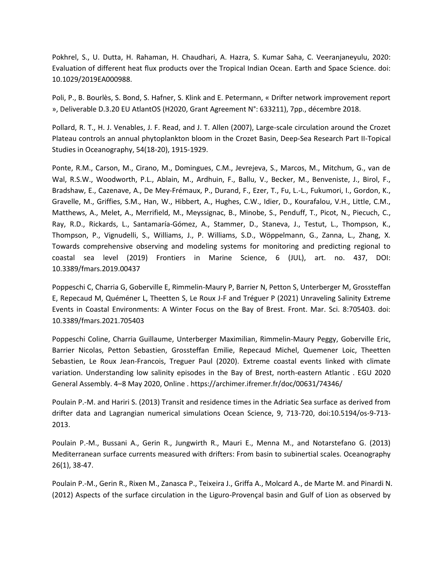Pokhrel, S., U. Dutta, H. Rahaman, H. Chaudhari, A. Hazra, S. Kumar Saha, C. Veeranjaneyulu, 2020: Evaluation of different heat flux products over the Tropical Indian Ocean. Earth and Space Science. doi: 10.1029/2019EA000988.

Poli, P., B. Bourlès, S. Bond, S. Hafner, S. Klink and E. Petermann, « Drifter network improvement report », Deliverable D.3.20 EU AtlantOS (H2020, Grant Agreement N°: 633211), 7pp., décembre 2018.

Pollard, R. T., H. J. Venables, J. F. Read, and J. T. Allen (2007), Large-scale circulation around the Crozet Plateau controls an annual phytoplankton bloom in the Crozet Basin, Deep-Sea Research Part II-Topical Studies in Oceanography, 54(18-20), 1915-1929.

Ponte, R.M., Carson, M., Cirano, M., Domingues, C.M., Jevrejeva, S., Marcos, M., Mitchum, G., van de Wal, R.S.W., Woodworth, P.L., Ablain, M., Ardhuin, F., Ballu, V., Becker, M., Benveniste, J., Birol, F., Bradshaw, E., Cazenave, A., De Mey-Frémaux, P., Durand, F., Ezer, T., Fu, L.-L., Fukumori, I., Gordon, K., Gravelle, M., Griffies, S.M., Han, W., Hibbert, A., Hughes, C.W., Idier, D., Kourafalou, V.H., Little, C.M., Matthews, A., Melet, A., Merrifield, M., Meyssignac, B., Minobe, S., Penduff, T., Picot, N., Piecuch, C., Ray, R.D., Rickards, L., Santamaría-Gómez, A., Stammer, D., Staneva, J., Testut, L., Thompson, K., Thompson, P., Vignudelli, S., Williams, J., P. Williams, S.D., Wöppelmann, G., Zanna, L., Zhang, X. Towards comprehensive observing and modeling systems for monitoring and predicting regional to coastal sea level (2019) Frontiers in Marine Science, 6 (JUL), art. no. 437, DOI: 10.3389/fmars.2019.00437

Poppeschi C, Charria G, Goberville E, Rimmelin-Maury P, Barrier N, Petton S, Unterberger M, Grossteffan E, Repecaud M, Quéméner L, Theetten S, Le Roux J-F and Tréguer P (2021) Unraveling Salinity Extreme Events in Coastal Environments: A Winter Focus on the Bay of Brest. Front. Mar. Sci. 8:705403. doi: 10.3389/fmars.2021.705403

Poppeschi Coline, Charria Guillaume, Unterberger Maximilian, Rimmelin-Maury Peggy, Goberville Eric, Barrier Nicolas, Petton Sebastien, Grossteffan Emilie, Repecaud Michel, Quemener Loic, Theetten Sebastien, Le Roux Jean-Francois, Treguer Paul (2020). Extreme coastal events linked with climate variation. Understanding low salinity episodes in the Bay of Brest, north-eastern Atlantic . EGU 2020 General Assembly. 4–8 May 2020, Online . https://archimer.ifremer.fr/doc/00631/74346/

Poulain P.-M. and Hariri S. (2013) Transit and residence times in the Adriatic Sea surface as derived from drifter data and Lagrangian numerical simulations Ocean Science, 9, 713-720, doi:10.5194/os-9-713- 2013.

Poulain P.-M., Bussani A., Gerin R., Jungwirth R., Mauri E., Menna M., and Notarstefano G. (2013) Mediterranean surface currents measured with drifters: From basin to subinertial scales. Oceanography 26(1), 38-47.

Poulain P.-M., Gerin R., Rixen M., Zanasca P., Teixeira J., Griffa A., Molcard A., de Marte M. and Pinardi N. (2012) Aspects of the surface circulation in the Liguro-Provençal basin and Gulf of Lion as observed by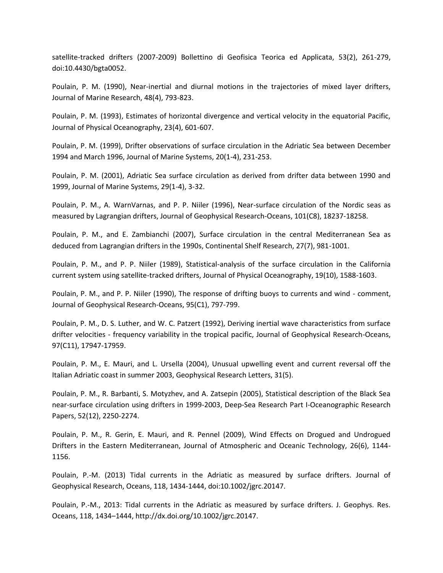satellite-tracked drifters (2007-2009) Bollettino di Geofisica Teorica ed Applicata, 53(2), 261-279, doi:10.4430/bgta0052.

Poulain, P. M. (1990), Near-inertial and diurnal motions in the trajectories of mixed layer drifters, Journal of Marine Research, 48(4), 793-823.

Poulain, P. M. (1993), Estimates of horizontal divergence and vertical velocity in the equatorial Pacific, Journal of Physical Oceanography, 23(4), 601-607.

Poulain, P. M. (1999), Drifter observations of surface circulation in the Adriatic Sea between December 1994 and March 1996, Journal of Marine Systems, 20(1-4), 231-253.

Poulain, P. M. (2001), Adriatic Sea surface circulation as derived from drifter data between 1990 and 1999, Journal of Marine Systems, 29(1-4), 3-32.

Poulain, P. M., A. WarnVarnas, and P. P. Niiler (1996), Near-surface circulation of the Nordic seas as measured by Lagrangian drifters, Journal of Geophysical Research-Oceans, 101(C8), 18237-18258.

Poulain, P. M., and E. Zambianchi (2007), Surface circulation in the central Mediterranean Sea as deduced from Lagrangian drifters in the 1990s, Continental Shelf Research, 27(7), 981-1001.

Poulain, P. M., and P. P. Niiler (1989), Statistical-analysis of the surface circulation in the California current system using satellite-tracked drifters, Journal of Physical Oceanography, 19(10), 1588-1603.

Poulain, P. M., and P. P. Niiler (1990), The response of drifting buoys to currents and wind - comment, Journal of Geophysical Research-Oceans, 95(C1), 797-799.

Poulain, P. M., D. S. Luther, and W. C. Patzert (1992), Deriving inertial wave characteristics from surface drifter velocities - frequency variability in the tropical pacific, Journal of Geophysical Research-Oceans, 97(C11), 17947-17959.

Poulain, P. M., E. Mauri, and L. Ursella (2004), Unusual upwelling event and current reversal off the Italian Adriatic coast in summer 2003, Geophysical Research Letters, 31(5).

Poulain, P. M., R. Barbanti, S. Motyzhev, and A. Zatsepin (2005), Statistical description of the Black Sea near-surface circulation using drifters in 1999-2003, Deep-Sea Research Part I-Oceanographic Research Papers, 52(12), 2250-2274.

Poulain, P. M., R. Gerin, E. Mauri, and R. Pennel (2009), Wind Effects on Drogued and Undrogued Drifters in the Eastern Mediterranean, Journal of Atmospheric and Oceanic Technology, 26(6), 1144- 1156.

Poulain, P.-M. (2013) Tidal currents in the Adriatic as measured by surface drifters. Journal of Geophysical Research, Oceans, 118, 1434-1444, doi:10.1002/jgrc.20147.

Poulain, P.-M., 2013: Tidal currents in the Adriatic as measured by surface drifters. J. Geophys. Res. Oceans, 118, 1434–1444, http://dx.doi.org/10.1002/jgrc.20147.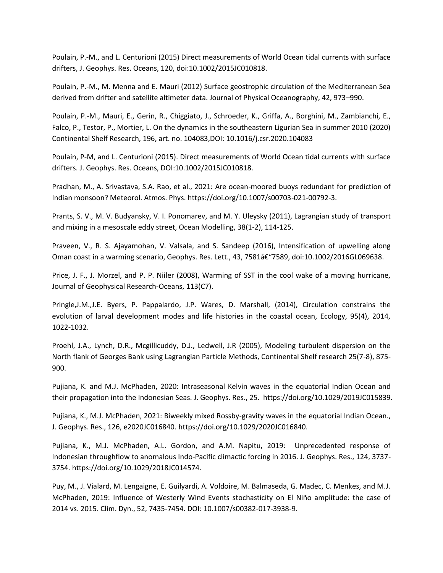Poulain, P.-M., and L. Centurioni (2015) Direct measurements of World Ocean tidal currents with surface drifters, J. Geophys. Res. Oceans, 120, doi:10.1002/2015JC010818.

Poulain, P.-M., M. Menna and E. Mauri (2012) Surface geostrophic circulation of the Mediterranean Sea derived from drifter and satellite altimeter data. Journal of Physical Oceanography, 42, 973–990.

Poulain, P.-M., Mauri, E., Gerin, R., Chiggiato, J., Schroeder, K., Griffa, A., Borghini, M., Zambianchi, E., Falco, P., Testor, P., Mortier, L. On the dynamics in the southeastern Ligurian Sea in summer 2010 (2020) Continental Shelf Research, 196, art. no. 104083,DOI: 10.1016/j.csr.2020.104083

Poulain, P-M, and L. Centurioni (2015). Direct measurements of World Ocean tidal currents with surface drifters. J. Geophys. Res. Oceans, DOI:10.1002/2015JC010818.

Pradhan, M., A. Srivastava, S.A. Rao, et al., 2021: Are ocean-moored buoys redundant for prediction of Indian monsoon? Meteorol. Atmos. Phys. https://doi.org/10.1007/s00703-021-00792-3.

Prants, S. V., M. V. Budyansky, V. I. Ponomarev, and M. Y. Uleysky (2011), Lagrangian study of transport and mixing in a mesoscale eddy street, Ocean Modelling, 38(1-2), 114-125.

Praveen, V., R. S. Ajayamohan, V. Valsala, and S. Sandeep (2016), Intensification of upwelling along Oman coast in a warming scenario, Geophys. Res. Lett., 43, 7581†"7589, doi:10.1002/2016GL069638.

Price, J. F., J. Morzel, and P. P. Niiler (2008), Warming of SST in the cool wake of a moving hurricane, Journal of Geophysical Research-Oceans, 113(C7).

Pringle,J.M.,J.E. Byers, P. Pappalardo, J.P. Wares, D. Marshall, (2014), Circulation constrains the evolution of larval development modes and life histories in the coastal ocean, Ecology, 95(4), 2014, 1022-1032.

Proehl, J.A., Lynch, D.R., Mcgillicuddy, D.J., Ledwell, J.R (2005), Modeling turbulent dispersion on the North flank of Georges Bank using Lagrangian Particle Methods, Continental Shelf research 25(7-8), 875- 900.

Pujiana, K. and M.J. McPhaden, 2020: Intraseasonal Kelvin waves in the equatorial Indian Ocean and their propagation into the Indonesian Seas. J. Geophys. Res., 25. https://doi.org/10.1029/2019JC015839.

Pujiana, K., M.J. McPhaden, 2021: Biweekly mixed Rossby-gravity waves in the equatorial Indian Ocean., J. Geophys. Res., 126, e2020JC016840. https://doi.org/10.1029/2020JC016840.

Pujiana, K., M.J. McPhaden, A.L. Gordon, and A.M. Napitu, 2019: Unprecedented response of Indonesian throughflow to anomalous Indo-Pacific climactic forcing in 2016. J. Geophys. Res., 124, 3737- 3754. https://doi.org/10.1029/2018JC014574.

Puy, M., J. Vialard, M. Lengaigne, E. Guilyardi, A. Voldoire, M. Balmaseda, G. Madec, C. Menkes, and M.J. McPhaden, 2019: Influence of Westerly Wind Events stochasticity on El Niño amplitude: the case of 2014 vs. 2015. Clim. Dyn., 52, 7435-7454. DOI: 10.1007/s00382-017-3938-9.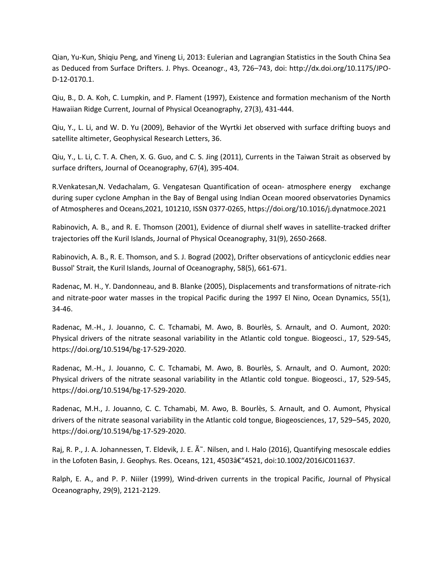Qian, Yu-Kun, Shiqiu Peng, and Yineng Li, 2013: Eulerian and Lagrangian Statistics in the South China Sea as Deduced from Surface Drifters. J. Phys. Oceanogr., 43, 726–743, doi: http://dx.doi.org/10.1175/JPO-D-12-0170.1.

Qiu, B., D. A. Koh, C. Lumpkin, and P. Flament (1997), Existence and formation mechanism of the North Hawaiian Ridge Current, Journal of Physical Oceanography, 27(3), 431-444.

Qiu, Y., L. Li, and W. D. Yu (2009), Behavior of the Wyrtki Jet observed with surface drifting buoys and satellite altimeter, Geophysical Research Letters, 36.

Qiu, Y., L. Li, C. T. A. Chen, X. G. Guo, and C. S. Jing (2011), Currents in the Taiwan Strait as observed by surface drifters, Journal of Oceanography, 67(4), 395-404.

R.Venkatesan,N. Vedachalam, G. Vengatesan Quantification of ocean- atmosphere energy exchange during super cyclone Amphan in the Bay of Bengal using Indian Ocean moored observatories Dynamics of Atmospheres and Oceans,2021, 101210, ISSN 0377-0265, https://doi.org/10.1016/j.dynatmoce.2021

Rabinovich, A. B., and R. E. Thomson (2001), Evidence of diurnal shelf waves in satellite-tracked drifter trajectories off the Kuril Islands, Journal of Physical Oceanography, 31(9), 2650-2668.

Rabinovich, A. B., R. E. Thomson, and S. J. Bograd (2002), Drifter observations of anticyclonic eddies near Bussol' Strait, the Kuril Islands, Journal of Oceanography, 58(5), 661-671.

Radenac, M. H., Y. Dandonneau, and B. Blanke (2005), Displacements and transformations of nitrate-rich and nitrate-poor water masses in the tropical Pacific during the 1997 El Nino, Ocean Dynamics, 55(1), 34-46.

Radenac, M.-H., J. Jouanno, C. C. Tchamabi, M. Awo, B. Bourlès, S. Arnault, and O. Aumont, 2020: Physical drivers of the nitrate seasonal variability in the Atlantic cold tongue. Biogeosci., 17, 529-545, https://doi.org/10.5194/bg-17-529-2020.

Radenac, M.-H., J. Jouanno, C. C. Tchamabi, M. Awo, B. Bourlès, S. Arnault, and O. Aumont, 2020: Physical drivers of the nitrate seasonal variability in the Atlantic cold tongue. Biogeosci., 17, 529-545, https://doi.org/10.5194/bg-17-529-2020.

Radenac, M.H., J. Jouanno, C. C. Tchamabi, M. Awo, B. Bourlès, S. Arnault, and O. Aumont, Physical drivers of the nitrate seasonal variability in the Atlantic cold tongue, Biogeosciences, 17, 529–545, 2020, https://doi.org/10.5194/bg-17-529-2020.

Raj, R. P., J. A. Johannessen, T. Eldevik, J. E.  $\tilde{A}^*$ . Nilsen, and I. Halo (2016), Quantifying mesoscale eddies in the Lofoten Basin, J. Geophys. Res. Oceans, 121, 4503â€"4521, doi:10.1002/2016JC011637.

Ralph, E. A., and P. P. Niiler (1999), Wind-driven currents in the tropical Pacific, Journal of Physical Oceanography, 29(9), 2121-2129.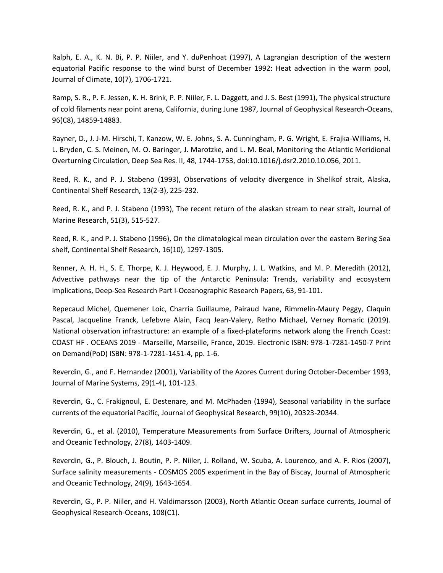Ralph, E. A., K. N. Bi, P. P. Niiler, and Y. duPenhoat (1997), A Lagrangian description of the western equatorial Pacific response to the wind burst of December 1992: Heat advection in the warm pool, Journal of Climate, 10(7), 1706-1721.

Ramp, S. R., P. F. Jessen, K. H. Brink, P. P. Niiler, F. L. Daggett, and J. S. Best (1991), The physical structure of cold filaments near point arena, California, during June 1987, Journal of Geophysical Research-Oceans, 96(C8), 14859-14883.

Rayner, D., J. J-M. Hirschi, T. Kanzow, W. E. Johns, S. A. Cunningham, P. G. Wright, E. Frajka-Williams, H. L. Bryden, C. S. Meinen, M. O. Baringer, J. Marotzke, and L. M. Beal, Monitoring the Atlantic Meridional Overturning Circulation, Deep Sea Res. II, 48, 1744-1753, doi:10.1016/j.dsr2.2010.10.056, 2011.

Reed, R. K., and P. J. Stabeno (1993), Observations of velocity divergence in Shelikof strait, Alaska, Continental Shelf Research, 13(2-3), 225-232.

Reed, R. K., and P. J. Stabeno (1993), The recent return of the alaskan stream to near strait, Journal of Marine Research, 51(3), 515-527.

Reed, R. K., and P. J. Stabeno (1996), On the climatological mean circulation over the eastern Bering Sea shelf, Continental Shelf Research, 16(10), 1297-1305.

Renner, A. H. H., S. E. Thorpe, K. J. Heywood, E. J. Murphy, J. L. Watkins, and M. P. Meredith (2012), Advective pathways near the tip of the Antarctic Peninsula: Trends, variability and ecosystem implications, Deep-Sea Research Part I-Oceanographic Research Papers, 63, 91-101.

Repecaud Michel, Quemener Loic, Charria Guillaume, Pairaud Ivane, Rimmelin-Maury Peggy, Claquin Pascal, Jacqueline Franck, Lefebvre Alain, Facq Jean-Valery, Retho Michael, Verney Romaric (2019). National observation infrastructure: an example of a fixed-plateforms network along the French Coast: COAST HF . OCEANS 2019 - Marseille, Marseille, France, 2019. Electronic ISBN: 978-1-7281-1450-7 Print on Demand(PoD) ISBN: 978-1-7281-1451-4, pp. 1-6.

Reverdin, G., and F. Hernandez (2001), Variability of the Azores Current during October-December 1993, Journal of Marine Systems, 29(1-4), 101-123.

Reverdin, G., C. Frakignoul, E. Destenare, and M. McPhaden (1994), Seasonal variability in the surface currents of the equatorial Pacific, Journal of Geophysical Research, 99(10), 20323-20344.

Reverdin, G., et al. (2010), Temperature Measurements from Surface Drifters, Journal of Atmospheric and Oceanic Technology, 27(8), 1403-1409.

Reverdin, G., P. Blouch, J. Boutin, P. P. Niiler, J. Rolland, W. Scuba, A. Lourenco, and A. F. Rios (2007), Surface salinity measurements - COSMOS 2005 experiment in the Bay of Biscay, Journal of Atmospheric and Oceanic Technology, 24(9), 1643-1654.

Reverdin, G., P. P. Niiler, and H. Valdimarsson (2003), North Atlantic Ocean surface currents, Journal of Geophysical Research-Oceans, 108(C1).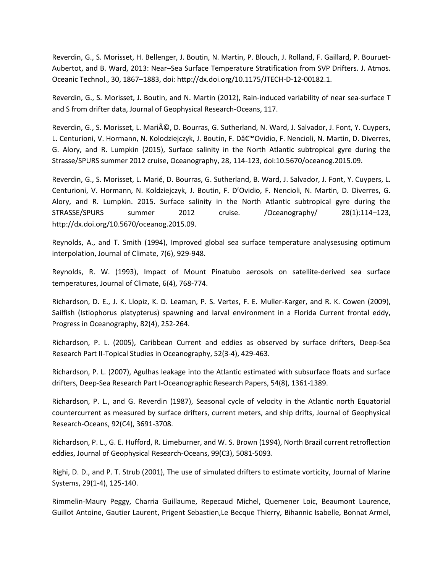Reverdin, G., S. Morisset, H. Bellenger, J. Boutin, N. Martin, P. Blouch, J. Rolland, F. Gaillard, P. Bouruet-Aubertot, and B. Ward, 2013: Near–Sea Surface Temperature Stratification from SVP Drifters. J. Atmos. Oceanic Technol., 30, 1867–1883, doi: http://dx.doi.org/10.1175/JTECH-D-12-00182.1.

Reverdin, G., S. Morisset, J. Boutin, and N. Martin (2012), Rain-induced variability of near sea-surface T and S from drifter data, Journal of Geophysical Research-Oceans, 117.

Reverdin, G., S. Morisset, L. Marié, D. Bourras, G. Sutherland, N. Ward, J. Salvador, J. Font, Y. Cuypers, L. Centurioni, V. Hormann, N. Kolodziejczyk, J. Boutin, F. D'Ovidio, F. Nencioli, N. Martin, D. Diverres, G. Alory, and R. Lumpkin (2015), Surface salinity in the North Atlantic subtropical gyre during the Strasse/SPURS summer 2012 cruise, Oceanography, 28, 114-123, doi:10.5670/oceanog.2015.09.

Reverdin, G., S. Morisset, L. Marié, D. Bourras, G. Sutherland, B. Ward, J. Salvador, J. Font, Y. Cuypers, L. Centurioni, V. Hormann, N. Koldziejczyk, J. Boutin, F. D'Ovidio, F. Nencioli, N. Martin, D. Diverres, G. Alory, and R. Lumpkin. 2015. Surface salinity in the North Atlantic subtropical gyre during the STRASSE/SPURS summer 2012 cruise. /Oceanography/ 28(1):114–123, http://dx.doi.org/10.5670/oceanog.2015.09.

Reynolds, A., and T. Smith (1994), Improved global sea surface temperature analysesusing optimum interpolation, Journal of Climate, 7(6), 929-948.

Reynolds, R. W. (1993), Impact of Mount Pinatubo aerosols on satellite-derived sea surface temperatures, Journal of Climate, 6(4), 768-774.

Richardson, D. E., J. K. Llopiz, K. D. Leaman, P. S. Vertes, F. E. Muller-Karger, and R. K. Cowen (2009), Sailfish (Istiophorus platypterus) spawning and larval environment in a Florida Current frontal eddy, Progress in Oceanography, 82(4), 252-264.

Richardson, P. L. (2005), Caribbean Current and eddies as observed by surface drifters, Deep-Sea Research Part II-Topical Studies in Oceanography, 52(3-4), 429-463.

Richardson, P. L. (2007), Agulhas leakage into the Atlantic estimated with subsurface floats and surface drifters, Deep-Sea Research Part I-Oceanographic Research Papers, 54(8), 1361-1389.

Richardson, P. L., and G. Reverdin (1987), Seasonal cycle of velocity in the Atlantic north Equatorial countercurrent as measured by surface drifters, current meters, and ship drifts, Journal of Geophysical Research-Oceans, 92(C4), 3691-3708.

Richardson, P. L., G. E. Hufford, R. Limeburner, and W. S. Brown (1994), North Brazil current retroflection eddies, Journal of Geophysical Research-Oceans, 99(C3), 5081-5093.

Righi, D. D., and P. T. Strub (2001), The use of simulated drifters to estimate vorticity, Journal of Marine Systems, 29(1-4), 125-140.

Rimmelin-Maury Peggy, Charria Guillaume, Repecaud Michel, Quemener Loic, Beaumont Laurence, Guillot Antoine, Gautier Laurent, Prigent Sebastien,Le Becque Thierry, Bihannic Isabelle, Bonnat Armel,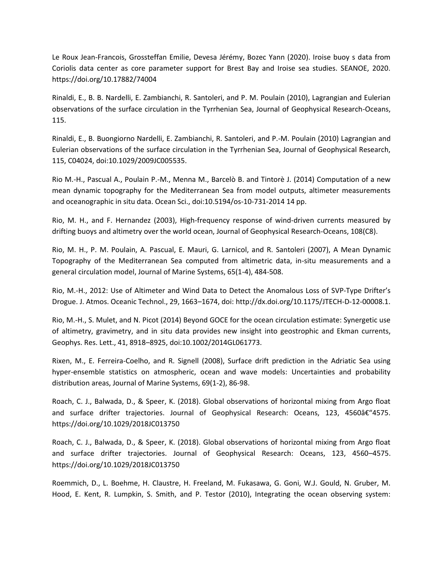Le Roux Jean-Francois, Grossteffan Emilie, Devesa Jérémy, Bozec Yann (2020). Iroise buoy s data from Coriolis data center as core parameter support for Brest Bay and Iroise sea studies. SEANOE, 2020. https://doi.org/10.17882/74004

Rinaldi, E., B. B. Nardelli, E. Zambianchi, R. Santoleri, and P. M. Poulain (2010), Lagrangian and Eulerian observations of the surface circulation in the Tyrrhenian Sea, Journal of Geophysical Research-Oceans, 115.

Rinaldi, E., B. Buongiorno Nardelli, E. Zambianchi, R. Santoleri, and P.-M. Poulain (2010) Lagrangian and Eulerian observations of the surface circulation in the Tyrrhenian Sea, Journal of Geophysical Research, 115, C04024, doi:10.1029/2009JC005535.

Rio M.-H., Pascual A., Poulain P.-M., Menna M., Barcelò B. and Tintorè J. (2014) Computation of a new mean dynamic topography for the Mediterranean Sea from model outputs, altimeter measurements and oceanographic in situ data. Ocean Sci., doi:10.5194/os-10-731-2014 14 pp.

Rio, M. H., and F. Hernandez (2003), High-frequency response of wind-driven currents measured by drifting buoys and altimetry over the world ocean, Journal of Geophysical Research-Oceans, 108(C8).

Rio, M. H., P. M. Poulain, A. Pascual, E. Mauri, G. Larnicol, and R. Santoleri (2007), A Mean Dynamic Topography of the Mediterranean Sea computed from altimetric data, in-situ measurements and a general circulation model, Journal of Marine Systems, 65(1-4), 484-508.

Rio, M.-H., 2012: Use of Altimeter and Wind Data to Detect the Anomalous Loss of SVP-Type Drifter's Drogue. J. Atmos. Oceanic Technol., 29, 1663–1674, doi: http://dx.doi.org/10.1175/JTECH-D-12-00008.1.

Rio, M.-H., S. Mulet, and N. Picot (2014) Beyond GOCE for the ocean circulation estimate: Synergetic use of altimetry, gravimetry, and in situ data provides new insight into geostrophic and Ekman currents, Geophys. Res. Lett., 41, 8918–8925, doi:10.1002/2014GL061773.

Rixen, M., E. Ferreira-Coelho, and R. Signell (2008), Surface drift prediction in the Adriatic Sea using hyper-ensemble statistics on atmospheric, ocean and wave models: Uncertainties and probability distribution areas, Journal of Marine Systems, 69(1-2), 86-98.

Roach, C. J., Balwada, D., & Speer, K. (2018). Global observations of horizontal mixing from Argo float and surface drifter trajectories. Journal of Geophysical Research: Oceans, 123, 4560–4575. https://doi.org/10.1029/2018JC013750

Roach, C. J., Balwada, D., & Speer, K. (2018). Global observations of horizontal mixing from Argo float and surface drifter trajectories. Journal of Geophysical Research: Oceans, 123, 4560–4575. https://doi.org/10.1029/2018JC013750

Roemmich, D., L. Boehme, H. Claustre, H. Freeland, M. Fukasawa, G. Goni, W.J. Gould, N. Gruber, M. Hood, E. Kent, R. Lumpkin, S. Smith, and P. Testor (2010), Integrating the ocean observing system: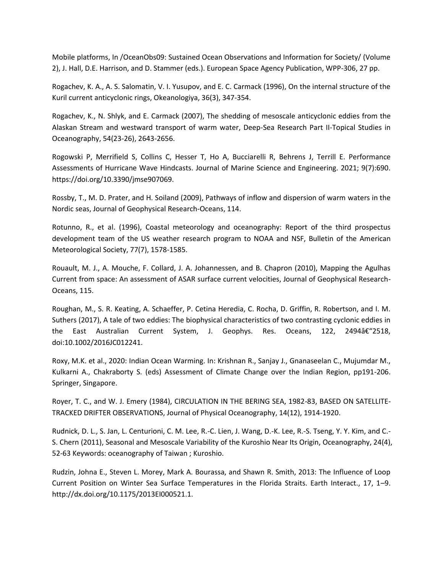Mobile platforms, In /OceanObs09: Sustained Ocean Observations and Information for Society/ (Volume 2), J. Hall, D.E. Harrison, and D. Stammer (eds.). European Space Agency Publication, WPP-306, 27 pp.

Rogachev, K. A., A. S. Salomatin, V. I. Yusupov, and E. C. Carmack (1996), On the internal structure of the Kuril current anticyclonic rings, Okeanologiya, 36(3), 347-354.

Rogachev, K., N. Shlyk, and E. Carmack (2007), The shedding of mesoscale anticyclonic eddies from the Alaskan Stream and westward transport of warm water, Deep-Sea Research Part II-Topical Studies in Oceanography, 54(23-26), 2643-2656.

Rogowski P, Merrifield S, Collins C, Hesser T, Ho A, Bucciarelli R, Behrens J, Terrill E. Performance Assessments of Hurricane Wave Hindcasts. Journal of Marine Science and Engineering. 2021; 9(7):690. https://doi.org/10.3390/jmse907069.

Rossby, T., M. D. Prater, and H. Soiland (2009), Pathways of inflow and dispersion of warm waters in the Nordic seas, Journal of Geophysical Research-Oceans, 114.

Rotunno, R., et al. (1996), Coastal meteorology and oceanography: Report of the third prospectus development team of the US weather research program to NOAA and NSF, Bulletin of the American Meteorological Society, 77(7), 1578-1585.

Rouault, M. J., A. Mouche, F. Collard, J. A. Johannessen, and B. Chapron (2010), Mapping the Agulhas Current from space: An assessment of ASAR surface current velocities, Journal of Geophysical Research-Oceans, 115.

Roughan, M., S. R. Keating, A. Schaeffer, P. Cetina Heredia, C. Rocha, D. Griffin, R. Robertson, and I. M. Suthers (2017), A tale of two eddies: The biophysical characteristics of two contrasting cyclonic eddies in the East Australian Current System, J. Geophys. Res. Oceans, 122, 2494†2518, doi:10.1002/2016JC012241.

Roxy, M.K. et al., 2020: Indian Ocean Warming. In: Krishnan R., Sanjay J., Gnanaseelan C., Mujumdar M., Kulkarni A., Chakraborty S. (eds) Assessment of Climate Change over the Indian Region, pp191-206. Springer, Singapore.

Royer, T. C., and W. J. Emery (1984), CIRCULATION IN THE BERING SEA, 1982-83, BASED ON SATELLITE-TRACKED DRIFTER OBSERVATIONS, Journal of Physical Oceanography, 14(12), 1914-1920.

Rudnick, D. L., S. Jan, L. Centurioni, C. M. Lee, R.-C. Lien, J. Wang, D.-K. Lee, R.-S. Tseng, Y. Y. Kim, and C.- S. Chern (2011), Seasonal and Mesoscale Variability of the Kuroshio Near Its Origin, Oceanography, 24(4), 52-63 Keywords: oceanography of Taiwan ; Kuroshio.

Rudzin, Johna E., Steven L. Morey, Mark A. Bourassa, and Shawn R. Smith, 2013: The Influence of Loop Current Position on Winter Sea Surface Temperatures in the Florida Straits. Earth Interact., 17, 1–9. http://dx.doi.org/10.1175/2013EI000521.1.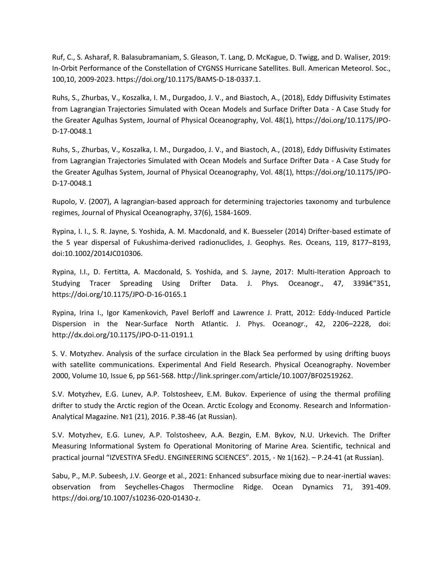Ruf, C., S. Asharaf, R. Balasubramaniam, S. Gleason, T. Lang, D. McKague, D. Twigg, and D. Waliser, 2019: In-Orbit Performance of the Constellation of CYGNSS Hurricane Satellites. Bull. American Meteorol. Soc., 100,10, 2009-2023. https://doi.org/10.1175/BAMS-D-18-0337.1.

Ruhs, S., Zhurbas, V., Koszalka, I. M., Durgadoo, J. V., and Biastoch, A., (2018), Eddy Diffusivity Estimates from Lagrangian Trajectories Simulated with Ocean Models and Surface Drifter Data - A Case Study for the Greater Agulhas System, Journal of Physical Oceanography, Vol. 48(1), https://doi.org/10.1175/JPO-D-17-0048.1

Ruhs, S., Zhurbas, V., Koszalka, I. M., Durgadoo, J. V., and Biastoch, A., (2018), Eddy Diffusivity Estimates from Lagrangian Trajectories Simulated with Ocean Models and Surface Drifter Data - A Case Study for the Greater Agulhas System, Journal of Physical Oceanography, Vol. 48(1), https://doi.org/10.1175/JPO-D-17-0048.1

Rupolo, V. (2007), A lagrangian-based approach for determining trajectories taxonomy and turbulence regimes, Journal of Physical Oceanography, 37(6), 1584-1609.

Rypina, I. I., S. R. Jayne, S. Yoshida, A. M. Macdonald, and K. Buesseler (2014) Drifter-based estimate of the 5 year dispersal of Fukushima-derived radionuclides, J. Geophys. Res. Oceans, 119, 8177–8193, doi:10.1002/2014JC010306.

Rypina, I.I., D. Fertitta, A. Macdonald, S. Yoshida, and S. Jayne, 2017: Multi-Iteration Approach to Studying Tracer Spreading Using Drifter Data. J. Phys. Oceanogr., 47, 339†351, https://doi.org/10.1175/JPO-D-16-0165.1

Rypina, Irina I., Igor Kamenkovich, Pavel Berloff and Lawrence J. Pratt, 2012: Eddy-Induced Particle Dispersion in the Near-Surface North Atlantic. J. Phys. Oceanogr., 42, 2206–2228, doi: http://dx.doi.org/10.1175/JPO-D-11-0191.1

S. V. Motyzhev. Analysis of the surface circulation in the Black Sea performed by using drifting buoys with satellite communications. Experimental And Field Research. Physical Oceanography. November 2000, Volume 10, Issue 6, pp 561-568. http://link.springer.com/article/10.1007/BF02519262.

S.V. Motyzhev, E.G. Lunev, A.P. Tolstosheev, E.M. Bukov. Experience of using the thermal profiling drifter to study the Arctic region of the Ocean. Arctic Ecology and Economy. Research and Information-Analytical Magazine. №1 (21), 2016. P.38-46 (at Russian).

S.V. Motyzhev, E.G. Lunev, A.P. Tolstosheev, А.А. Bezgin, E.M. Bykov, N.U. Urkevich. The Drifter Measuring Informational System fo Operational Monitoring of Marine Area. Scientific, technical and practical journal "IZVESTIYA SFedU. ENGINEERING SCIENCES". 2015, - № 1(162). – P.24-41 (at Russian).

Sabu, P., M.P. Subeesh, J.V. George et al., 2021: Enhanced subsurface mixing due to near-inertial waves: observation from Seychelles-Chagos Thermocline Ridge. Ocean Dynamics 71, 391-409. https://doi.org/10.1007/s10236-020-01430-z.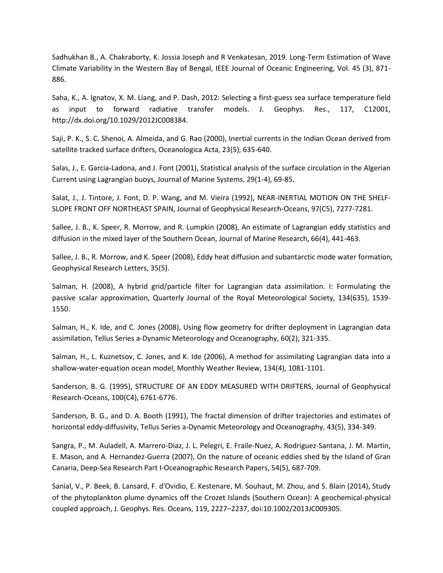Sadhukhan B., A. Chakraborty, K. Jossia Joseph and R Venkatesan, 2019. Long-Term Estimation of Wave Climate Variability in the Western Bay of Bengal, IEEE Journal of Oceanic Engineering, Vol. 45 (3), 871- 886.

Saha, K., A. Ignatov, X. M. Liang, and P. Dash, 2012: Selecting a first-guess sea surface temperature field as input to forward radiative transfer models. J. Geophys. Res., 117, C12001, http://dx.doi.org/10.1029/2012JC008384.

Saji, P. K., S. C. Shenoi, A. Almeida, and G. Rao (2000), Inertial currents in the Indian Ocean derived from satellite tracked surface drifters, Oceanologica Acta, 23(5), 635-640.

Salas, J., E. Garcia-Ladona, and J. Font (2001), Statistical analysis of the surface circulation in the Algerian Current using Lagrangian buoys, Journal of Marine Systems, 29(1-4), 69-85.

Salat, J., J. Tintore, J. Font, D. P. Wang, and M. Vieira (1992), NEAR-INERTIAL MOTION ON THE SHELF-SLOPE FRONT OFF NORTHEAST SPAIN, Journal of Geophysical Research-Oceans, 97(C5), 7277-7281.

Sallee, J. B., K. Speer, R. Morrow, and R. Lumpkin (2008), An estimate of Lagrangian eddy statistics and diffusion in the mixed layer of the Southern Ocean, Journal of Marine Research, 66(4), 441-463.

Sallee, J. B., R. Morrow, and K. Speer (2008), Eddy heat diffusion and subantarctic mode water formation, Geophysical Research Letters, 35(5).

Salman, H. (2008), A hybrid grid/particle filter for Lagrangian data assimilation. I: Formulating the passive scalar approximation, Quarterly Journal of the Royal Meteorological Society, 134(635), 1539- 1550.

Salman, H., K. Ide, and C. Jones (2008), Using flow geometry for drifter deployment in Lagrangian data assimilation, Tellus Series a-Dynamic Meteorology and Oceanography, 60(2), 321-335.

Salman, H., L. Kuznetsov, C. Jones, and K. Ide (2006), A method for assimilating Lagrangian data into a shallow-water-equation ocean model, Monthly Weather Review, 134(4), 1081-1101.

Sanderson, B. G. (1995), STRUCTURE OF AN EDDY MEASURED WITH DRIFTERS, Journal of Geophysical Research-Oceans, 100(C4), 6761-6776.

Sanderson, B. G., and D. A. Booth (1991), The fractal dimension of drifter trajectories and estimates of horizontal eddy-diffusivity, Tellus Series a-Dynamic Meteorology and Oceanography, 43(5), 334-349.

Sangra, P., M. Auladell, A. Marrero-Diaz, J. L. Pelegri, E. Fraile-Nuez, A. Rodriguez-Santana, J. M. Martin, E. Mason, and A. Hernandez-Guerra (2007), On the nature of oceanic eddies shed by the Island of Gran Canaria, Deep-Sea Research Part I-Oceanographic Research Papers, 54(5), 687-709.

Sanial, V., P. Beek, B. Lansard, F. d'Ovidio, E. Kestenare, M. Souhaut, M. Zhou, and S. Blain (2014), Study of the phytoplankton plume dynamics off the Crozet Islands (Southern Ocean): A geochemical-physical coupled approach, J. Geophys. Res. Oceans, 119, 2227–2237, doi:10.1002/2013JC009305.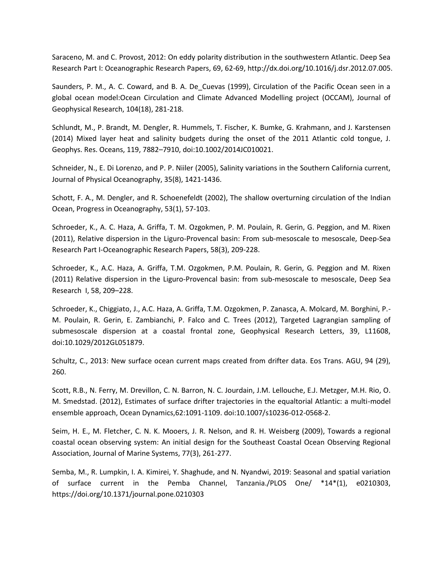Saraceno, M. and C. Provost, 2012: On eddy polarity distribution in the southwestern Atlantic. Deep Sea Research Part I: Oceanographic Research Papers, 69, 62-69, http://dx.doi.org/10.1016/j.dsr.2012.07.005.

Saunders, P. M., A. C. Coward, and B. A. De\_Cuevas (1999), Circulation of the Pacific Ocean seen in a global ocean model:Ocean Circulation and Climate Advanced Modelling project (OCCAM), Journal of Geophysical Research, 104(18), 281-218.

Schlundt, M., P. Brandt, M. Dengler, R. Hummels, T. Fischer, K. Bumke, G. Krahmann, and J. Karstensen (2014) Mixed layer heat and salinity budgets during the onset of the 2011 Atlantic cold tongue, J. Geophys. Res. Oceans, 119, 7882–7910, doi:10.1002/2014JC010021.

Schneider, N., E. Di Lorenzo, and P. P. Niiler (2005), Salinity variations in the Southern California current, Journal of Physical Oceanography, 35(8), 1421-1436.

Schott, F. A., M. Dengler, and R. Schoenefeldt (2002), The shallow overturning circulation of the Indian Ocean, Progress in Oceanography, 53(1), 57-103.

Schroeder, K., A. C. Haza, A. Griffa, T. M. Ozgokmen, P. M. Poulain, R. Gerin, G. Peggion, and M. Rixen (2011), Relative dispersion in the Liguro-Provencal basin: From sub-mesoscale to mesoscale, Deep-Sea Research Part I-Oceanographic Research Papers, 58(3), 209-228.

Schroeder, K., A.C. Haza, A. Griffa, T.M. Ozgokmen, P.M. Poulain, R. Gerin, G. Peggion and M. Rixen (2011) Relative dispersion in the Liguro-Provencal basin: from sub-mesoscale to mesoscale, Deep Sea Research I, 58, 209–228.

Schroeder, K., Chiggiato, J., A.C. Haza, A. Griffa, T.M. Ozgokmen, P. Zanasca, A. Molcard, M. Borghini, P.- M. Poulain, R. Gerin, E. Zambianchi, P. Falco and C. Trees (2012), Targeted Lagrangian sampling of submesoscale dispersion at a coastal frontal zone, Geophysical Research Letters, 39, L11608, doi:10.1029/2012GL051879.

Schultz, C., 2013: New surface ocean current maps created from drifter data. Eos Trans. AGU, 94 (29), 260.

Scott, R.B., N. Ferry, M. Drevillon, C. N. Barron, N. C. Jourdain, J.M. Lellouche, E.J. Metzger, M.H. Rio, O. M. Smedstad. (2012), Estimates of surface drifter trajectories in the equaltorial Atlantic: a multi-model ensemble approach, Ocean Dynamics,62:1091-1109. doi:10.1007/s10236-012-0568-2.

Seim, H. E., M. Fletcher, C. N. K. Mooers, J. R. Nelson, and R. H. Weisberg (2009), Towards a regional coastal ocean observing system: An initial design for the Southeast Coastal Ocean Observing Regional Association, Journal of Marine Systems, 77(3), 261-277.

Semba, M., R. Lumpkin, I. A. Kimirei, Y. Shaghude, and N. Nyandwi, 2019: Seasonal and spatial variation of surface current in the Pemba Channel, Tanzania./PLOS One/ \*14\*(1), e0210303, https://doi.org/10.1371/journal.pone.0210303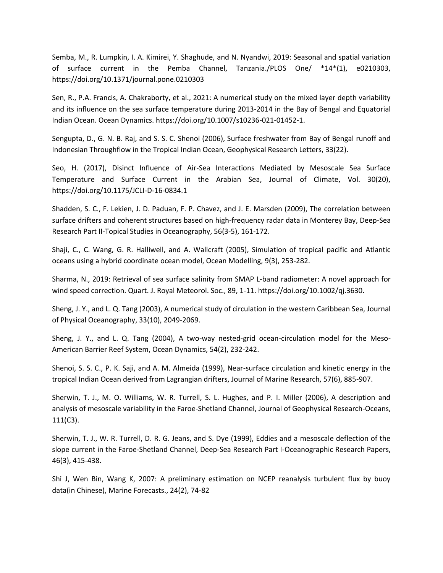Semba, M., R. Lumpkin, I. A. Kimirei, Y. Shaghude, and N. Nyandwi, 2019: Seasonal and spatial variation of surface current in the Pemba Channel, Tanzania./PLOS One/ \*14\*(1), e0210303, https://doi.org/10.1371/journal.pone.0210303

Sen, R., P.A. Francis, A. Chakraborty, et al., 2021: A numerical study on the mixed layer depth variability and its influence on the sea surface temperature during 2013-2014 in the Bay of Bengal and Equatorial Indian Ocean. Ocean Dynamics. https://doi.org/10.1007/s10236-021-01452-1.

Sengupta, D., G. N. B. Raj, and S. S. C. Shenoi (2006), Surface freshwater from Bay of Bengal runoff and Indonesian Throughflow in the Tropical Indian Ocean, Geophysical Research Letters, 33(22).

Seo, H. (2017), Disinct Influence of Air-Sea Interactions Mediated by Mesoscale Sea Surface Temperature and Surface Current in the Arabian Sea, Journal of Climate, Vol. 30(20), https://doi.org/10.1175/JCLI-D-16-0834.1

Shadden, S. C., F. Lekien, J. D. Paduan, F. P. Chavez, and J. E. Marsden (2009), The correlation between surface drifters and coherent structures based on high-frequency radar data in Monterey Bay, Deep-Sea Research Part II-Topical Studies in Oceanography, 56(3-5), 161-172.

Shaji, C., C. Wang, G. R. Halliwell, and A. Wallcraft (2005), Simulation of tropical pacific and Atlantic oceans using a hybrid coordinate ocean model, Ocean Modelling, 9(3), 253-282.

Sharma, N., 2019: Retrieval of sea surface salinity from SMAP L-band radiometer: A novel approach for wind speed correction. Quart. J. Royal Meteorol. Soc., 89, 1-11. https://doi.org/10.1002/qj.3630.

Sheng, J. Y., and L. Q. Tang (2003), A numerical study of circulation in the western Caribbean Sea, Journal of Physical Oceanography, 33(10), 2049-2069.

Sheng, J. Y., and L. Q. Tang (2004), A two-way nested-grid ocean-circulation model for the Meso-American Barrier Reef System, Ocean Dynamics, 54(2), 232-242.

Shenoi, S. S. C., P. K. Saji, and A. M. Almeida (1999), Near-surface circulation and kinetic energy in the tropical Indian Ocean derived from Lagrangian drifters, Journal of Marine Research, 57(6), 885-907.

Sherwin, T. J., M. O. Williams, W. R. Turrell, S. L. Hughes, and P. I. Miller (2006), A description and analysis of mesoscale variability in the Faroe-Shetland Channel, Journal of Geophysical Research-Oceans, 111(C3).

Sherwin, T. J., W. R. Turrell, D. R. G. Jeans, and S. Dye (1999), Eddies and a mesoscale deflection of the slope current in the Faroe-Shetland Channel, Deep-Sea Research Part I-Oceanographic Research Papers, 46(3), 415-438.

Shi J, Wen Bin, Wang K, 2007: A preliminary estimation on NCEP reanalysis turbulent flux by buoy data(in Chinese), Marine Forecasts., 24(2), 74-82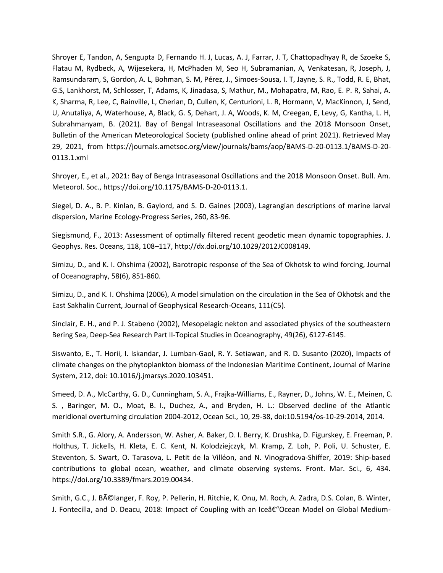Shroyer E, Tandon, A, Sengupta D, Fernando H. J, Lucas, A. J, Farrar, J. T, Chattopadhyay R, de Szoeke S, Flatau M, Rydbeck, A, Wijesekera, H, McPhaden M, Seo H, Subramanian, A, Venkatesan, R, Joseph, J, Ramsundaram, S, Gordon, A. L, Bohman, S. M, Pérez, J., Simoes-Sousa, I. T, Jayne, S. R., Todd, R. E, Bhat, G.S, Lankhorst, M, Schlosser, T, Adams, K, Jinadasa, S, Mathur, M., Mohapatra, M, Rao, E. P. R, Sahai, A. K, Sharma, R, Lee, C, Rainville, L, Cherian, D, Cullen, K, Centurioni, L. R, Hormann, V, MacKinnon, J, Send, U, Anutaliya, A, Waterhouse, A, Black, G. S, Dehart, J. A, Woods, K. M, Creegan, E, Levy, G, Kantha, L. H, Subrahmanyam, B. (2021). Bay of Bengal Intraseasonal Oscillations and the 2018 Monsoon Onset, Bulletin of the American Meteorological Society (published online ahead of print 2021). Retrieved May 29, 2021, from https://journals.ametsoc.org/view/journals/bams/aop/BAMS-D-20-0113.1/BAMS-D-20- 0113.1.xml

Shroyer, E., et al., 2021: Bay of Benga Intraseasonal Oscillations and the 2018 Monsoon Onset. Bull. Am. Meteorol. Soc., https://doi.org/10.1175/BAMS-D-20-0113.1.

Siegel, D. A., B. P. Kinlan, B. Gaylord, and S. D. Gaines (2003), Lagrangian descriptions of marine larval dispersion, Marine Ecology-Progress Series, 260, 83-96.

Siegismund, F., 2013: Assessment of optimally filtered recent geodetic mean dynamic topographies. J. Geophys. Res. Oceans, 118, 108–117, http://dx.doi.org/10.1029/2012JC008149.

Simizu, D., and K. I. Ohshima (2002), Barotropic response of the Sea of Okhotsk to wind forcing, Journal of Oceanography, 58(6), 851-860.

Simizu, D., and K. I. Ohshima (2006), A model simulation on the circulation in the Sea of Okhotsk and the East Sakhalin Current, Journal of Geophysical Research-Oceans, 111(C5).

Sinclair, E. H., and P. J. Stabeno (2002), Mesopelagic nekton and associated physics of the southeastern Bering Sea, Deep-Sea Research Part II-Topical Studies in Oceanography, 49(26), 6127-6145.

Siswanto, E., T. Horii, I. Iskandar, J. Lumban-Gaol, R. Y. Setiawan, and R. D. Susanto (2020), Impacts of climate changes on the phytoplankton biomass of the Indonesian Maritime Continent, Journal of Marine System, 212, doi: 10.1016/j.jmarsys.2020.103451.

Smeed, D. A., McCarthy, G. D., Cunningham, S. A., Frajka-Williams, E., Rayner, D., Johns, W. E., Meinen, C. S. , Baringer, M. O., Moat, B. I., Duchez, A., and Bryden, H. L.: Observed decline of the Atlantic meridional overturning circulation 2004-2012, Ocean Sci., 10, 29-38, doi:10.5194/os-10-29-2014, 2014.

Smith S.R., G. Alory, A. Andersson, W. Asher, A. Baker, D. I. Berry, K. Drushka, D. Figurskey, E. Freeman, P. Holthus, T. Jickells, H. Kleta, E. C. Kent, N. Kolodziejczyk, M. Kramp, Z. Loh, P. Poli, U. Schuster, E. Steventon, S. Swart, O. Tarasova, L. Petit de la Villéon, and N. Vinogradova-Shiffer, 2019: Ship-based contributions to global ocean, weather, and climate observing systems. Front. Mar. Sci., 6, 434. https://doi.org/10.3389/fmars.2019.00434.

Smith, G.C., J. Bélanger, F. Roy, P. Pellerin, H. Ritchie, K. Onu, M. Roch, A. Zadra, D.S. Colan, B. Winter, J. Fontecilla, and D. Deacu, 2018: Impact of Coupling with an Iceâ $\epsilon$ "Ocean Model on Global Medium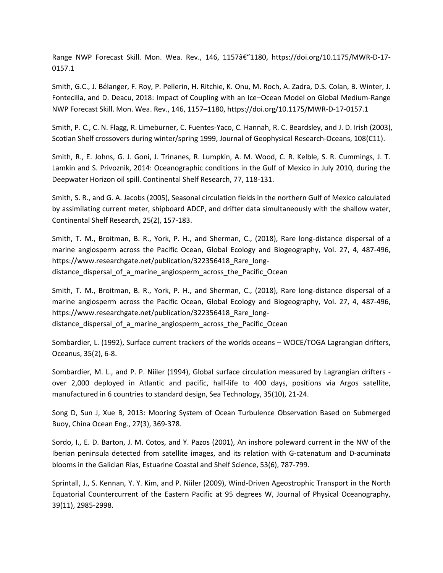Range NWP Forecast Skill. Mon. Wea. Rev., 146, 1157â€"1180, https://doi.org/10.1175/MWR-D-17-0157.1

Smith, G.C., J. Bélanger, F. Roy, P. Pellerin, H. Ritchie, K. Onu, M. Roch, A. Zadra, D.S. Colan, B. Winter, J. Fontecilla, and D. Deacu, 2018: Impact of Coupling with an Ice–Ocean Model on Global Medium-Range NWP Forecast Skill. Mon. Wea. Rev., 146, 1157–1180, https://doi.org/10.1175/MWR-D-17-0157.1

Smith, P. C., C. N. Flagg, R. Limeburner, C. Fuentes-Yaco, C. Hannah, R. C. Beardsley, and J. D. Irish (2003), Scotian Shelf crossovers during winter/spring 1999, Journal of Geophysical Research-Oceans, 108(C11).

Smith, R., E. Johns, G. J. Goni, J. Trinanes, R. Lumpkin, A. M. Wood, C. R. Kelble, S. R. Cummings, J. T. Lamkin and S. Privoznik, 2014: Oceanographic conditions in the Gulf of Mexico in July 2010, during the Deepwater Horizon oil spill. Continental Shelf Research, 77, 118-131.

Smith, S. R., and G. A. Jacobs (2005), Seasonal circulation fields in the northern Gulf of Mexico calculated by assimilating current meter, shipboard ADCP, and drifter data simultaneously with the shallow water, Continental Shelf Research, 25(2), 157-183.

Smith, T. M., Broitman, B. R., York, P. H., and Sherman, C., (2018), Rare long-distance dispersal of a marine angiosperm across the Pacific Ocean, Global Ecology and Biogeography, Vol. 27, 4, 487-496, https://www.researchgate.net/publication/322356418 Rare longdistance\_dispersal\_of\_a\_marine\_angiosperm\_across\_the\_Pacific\_Ocean

Smith, T. M., Broitman, B. R., York, P. H., and Sherman, C., (2018), Rare long-distance dispersal of a marine angiosperm across the Pacific Ocean, Global Ecology and Biogeography, Vol. 27, 4, 487-496, https://www.researchgate.net/publication/322356418\_Rare\_longdistance\_dispersal\_of\_a\_marine\_angiosperm\_across\_the\_Pacific\_Ocean

Sombardier, L. (1992), Surface current trackers of the worlds oceans – WOCE/TOGA Lagrangian drifters, Oceanus, 35(2), 6-8.

Sombardier, M. L., and P. P. Niiler (1994), Global surface circulation measured by Lagrangian drifters over 2,000 deployed in Atlantic and pacific, half-life to 400 days, positions via Argos satellite, manufactured in 6 countries to standard design, Sea Technology, 35(10), 21-24.

Song D, Sun J, Xue B, 2013: Mooring System of Ocean Turbulence Observation Based on Submerged Buoy, China Ocean Eng., 27(3), 369-378.

Sordo, I., E. D. Barton, J. M. Cotos, and Y. Pazos (2001), An inshore poleward current in the NW of the Iberian peninsula detected from satellite images, and its relation with G-catenatum and D-acuminata blooms in the Galician Rias, Estuarine Coastal and Shelf Science, 53(6), 787-799.

Sprintall, J., S. Kennan, Y. Y. Kim, and P. Niiler (2009), Wind-Driven Ageostrophic Transport in the North Equatorial Countercurrent of the Eastern Pacific at 95 degrees W, Journal of Physical Oceanography, 39(11), 2985-2998.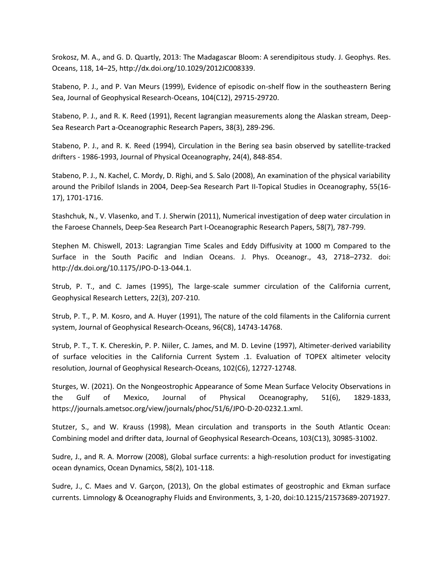Srokosz, M. A., and G. D. Quartly, 2013: The Madagascar Bloom: A serendipitous study. J. Geophys. Res. Oceans, 118, 14–25, http://dx.doi.org/10.1029/2012JC008339.

Stabeno, P. J., and P. Van Meurs (1999), Evidence of episodic on-shelf flow in the southeastern Bering Sea, Journal of Geophysical Research-Oceans, 104(C12), 29715-29720.

Stabeno, P. J., and R. K. Reed (1991), Recent lagrangian measurements along the Alaskan stream, Deep-Sea Research Part a-Oceanographic Research Papers, 38(3), 289-296.

Stabeno, P. J., and R. K. Reed (1994), Circulation in the Bering sea basin observed by satellite-tracked drifters - 1986-1993, Journal of Physical Oceanography, 24(4), 848-854.

Stabeno, P. J., N. Kachel, C. Mordy, D. Righi, and S. Salo (2008), An examination of the physical variability around the Pribilof Islands in 2004, Deep-Sea Research Part II-Topical Studies in Oceanography, 55(16- 17), 1701-1716.

Stashchuk, N., V. Vlasenko, and T. J. Sherwin (2011), Numerical investigation of deep water circulation in the Faroese Channels, Deep-Sea Research Part I-Oceanographic Research Papers, 58(7), 787-799.

Stephen M. Chiswell, 2013: Lagrangian Time Scales and Eddy Diffusivity at 1000 m Compared to the Surface in the South Pacific and Indian Oceans. J. Phys. Oceanogr., 43, 2718–2732. doi: http://dx.doi.org/10.1175/JPO-D-13-044.1.

Strub, P. T., and C. James (1995), The large-scale summer circulation of the California current, Geophysical Research Letters, 22(3), 207-210.

Strub, P. T., P. M. Kosro, and A. Huyer (1991), The nature of the cold filaments in the California current system, Journal of Geophysical Research-Oceans, 96(C8), 14743-14768.

Strub, P. T., T. K. Chereskin, P. P. Niiler, C. James, and M. D. Levine (1997), Altimeter-derived variability of surface velocities in the California Current System .1. Evaluation of TOPEX altimeter velocity resolution, Journal of Geophysical Research-Oceans, 102(C6), 12727-12748.

Sturges, W. (2021). On the Nongeostrophic Appearance of Some Mean Surface Velocity Observations in the Gulf of Mexico, Journal of Physical Oceanography, 51(6), 1829-1833, https://journals.ametsoc.org/view/journals/phoc/51/6/JPO-D-20-0232.1.xml.

Stutzer, S., and W. Krauss (1998), Mean circulation and transports in the South Atlantic Ocean: Combining model and drifter data, Journal of Geophysical Research-Oceans, 103(C13), 30985-31002.

Sudre, J., and R. A. Morrow (2008), Global surface currents: a high-resolution product for investigating ocean dynamics, Ocean Dynamics, 58(2), 101-118.

Sudre, J., C. Maes and V. Garçon, (2013), On the global estimates of geostrophic and Ekman surface currents. Limnology & Oceanography Fluids and Environments, 3, 1-20, doi:10.1215/21573689-2071927.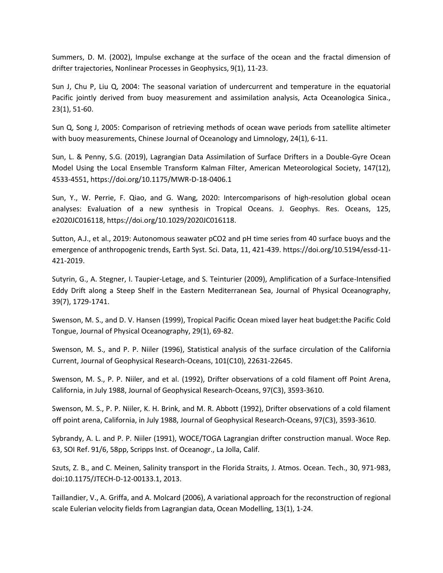Summers, D. M. (2002), Impulse exchange at the surface of the ocean and the fractal dimension of drifter trajectories, Nonlinear Processes in Geophysics, 9(1), 11-23.

Sun J, Chu P, Liu Q, 2004: The seasonal variation of undercurrent and temperature in the equatorial Pacific jointly derived from buoy measurement and assimilation analysis, Acta Oceanologica Sinica., 23(1), 51-60.

Sun Q, Song J, 2005: Comparison of retrieving methods of ocean wave periods from satellite altimeter with buoy measurements, Chinese Journal of Oceanology and Limnology, 24(1), 6-11.

Sun, L. & Penny, S.G. (2019), Lagrangian Data Assimilation of Surface Drifters in a Double-Gyre Ocean Model Using the Local Ensemble Transform Kalman Filter, American Meteorological Society, 147(12), 4533-4551, https://doi.org/10.1175/MWR-D-18-0406.1

Sun, Y., W. Perrie, F. Qiao, and G. Wang, 2020: Intercomparisons of high-resolution global ocean analyses: Evaluation of a new synthesis in Tropical Oceans. J. Geophys. Res. Oceans, 125, e2020JC016118, https://doi.org/10.1029/2020JC016118.

Sutton, A.J., et al., 2019: Autonomous seawater pCO2 and pH time series from 40 surface buoys and the emergence of anthropogenic trends, Earth Syst. Sci. Data, 11, 421-439. https://doi.org/10.5194/essd-11- 421-2019.

Sutyrin, G., A. Stegner, I. Taupier-Letage, and S. Teinturier (2009), Amplification of a Surface-Intensified Eddy Drift along a Steep Shelf in the Eastern Mediterranean Sea, Journal of Physical Oceanography, 39(7), 1729-1741.

Swenson, M. S., and D. V. Hansen (1999), Tropical Pacific Ocean mixed layer heat budget:the Pacific Cold Tongue, Journal of Physical Oceanography, 29(1), 69-82.

Swenson, M. S., and P. P. Niiler (1996), Statistical analysis of the surface circulation of the California Current, Journal of Geophysical Research-Oceans, 101(C10), 22631-22645.

Swenson, M. S., P. P. Niiler, and et al. (1992), Drifter observations of a cold filament off Point Arena, California, in July 1988, Journal of Geophysical Research-Oceans, 97(C3), 3593-3610.

Swenson, M. S., P. P. Niiler, K. H. Brink, and M. R. Abbott (1992), Drifter observations of a cold filament off point arena, California, in July 1988, Journal of Geophysical Research-Oceans, 97(C3), 3593-3610.

Sybrandy, A. L. and P. P. Niiler (1991), WOCE/TOGA Lagrangian drifter construction manual. Woce Rep. 63, SOI Ref. 91/6, 58pp, Scripps Inst. of Oceanogr., La Jolla, Calif.

Szuts, Z. B., and C. Meinen, Salinity transport in the Florida Straits, J. Atmos. Ocean. Tech., 30, 971-983, doi:10.1175/JTECH-D-12-00133.1, 2013.

Taillandier, V., A. Griffa, and A. Molcard (2006), A variational approach for the reconstruction of regional scale Eulerian velocity fields from Lagrangian data, Ocean Modelling, 13(1), 1-24.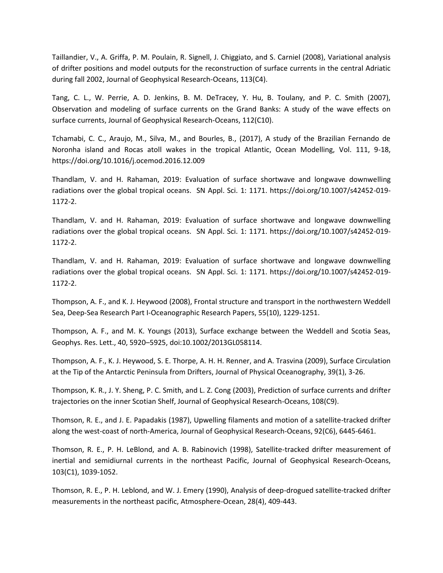Taillandier, V., A. Griffa, P. M. Poulain, R. Signell, J. Chiggiato, and S. Carniel (2008), Variational analysis of drifter positions and model outputs for the reconstruction of surface currents in the central Adriatic during fall 2002, Journal of Geophysical Research-Oceans, 113(C4).

Tang, C. L., W. Perrie, A. D. Jenkins, B. M. DeTracey, Y. Hu, B. Toulany, and P. C. Smith (2007), Observation and modeling of surface currents on the Grand Banks: A study of the wave effects on surface currents, Journal of Geophysical Research-Oceans, 112(C10).

Tchamabi, C. C., Araujo, M., Silva, M., and Bourles, B., (2017), A study of the Brazilian Fernando de Noronha island and Rocas atoll wakes in the tropical Atlantic, Ocean Modelling, Vol. 111, 9-18, https://doi.org/10.1016/j.ocemod.2016.12.009

Thandlam, V. and H. Rahaman, 2019: Evaluation of surface shortwave and longwave downwelling radiations over the global tropical oceans. SN Appl. Sci. 1: 1171. https://doi.org/10.1007/s42452-019- 1172-2.

Thandlam, V. and H. Rahaman, 2019: Evaluation of surface shortwave and longwave downwelling radiations over the global tropical oceans. SN Appl. Sci. 1: 1171. https://doi.org/10.1007/s42452-019- 1172-2.

Thandlam, V. and H. Rahaman, 2019: Evaluation of surface shortwave and longwave downwelling radiations over the global tropical oceans. SN Appl. Sci. 1: 1171. https://doi.org/10.1007/s42452-019- 1172-2.

Thompson, A. F., and K. J. Heywood (2008), Frontal structure and transport in the northwestern Weddell Sea, Deep-Sea Research Part I-Oceanographic Research Papers, 55(10), 1229-1251.

Thompson, A. F., and M. K. Youngs (2013), Surface exchange between the Weddell and Scotia Seas, Geophys. Res. Lett., 40, 5920–5925, doi:10.1002/2013GL058114.

Thompson, A. F., K. J. Heywood, S. E. Thorpe, A. H. H. Renner, and A. Trasvina (2009), Surface Circulation at the Tip of the Antarctic Peninsula from Drifters, Journal of Physical Oceanography, 39(1), 3-26.

Thompson, K. R., J. Y. Sheng, P. C. Smith, and L. Z. Cong (2003), Prediction of surface currents and drifter trajectories on the inner Scotian Shelf, Journal of Geophysical Research-Oceans, 108(C9).

Thomson, R. E., and J. E. Papadakis (1987), Upwelling filaments and motion of a satellite-tracked drifter along the west-coast of north-America, Journal of Geophysical Research-Oceans, 92(C6), 6445-6461.

Thomson, R. E., P. H. LeBlond, and A. B. Rabinovich (1998), Satellite-tracked drifter measurement of inertial and semidiurnal currents in the northeast Pacific, Journal of Geophysical Research-Oceans, 103(C1), 1039-1052.

Thomson, R. E., P. H. Leblond, and W. J. Emery (1990), Analysis of deep-drogued satellite-tracked drifter measurements in the northeast pacific, Atmosphere-Ocean, 28(4), 409-443.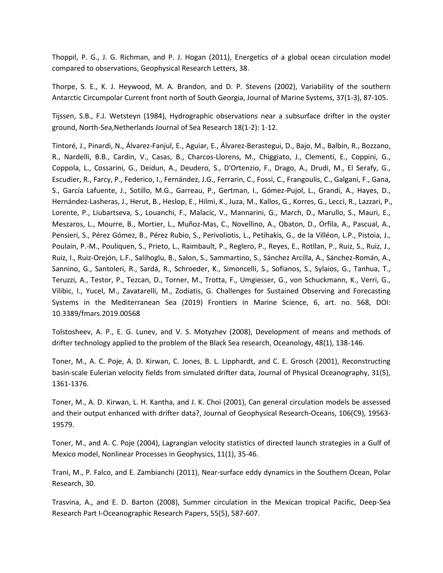Thoppil, P. G., J. G. Richman, and P. J. Hogan (2011), Energetics of a global ocean circulation model compared to observations, Geophysical Research Letters, 38.

Thorpe, S. E., K. J. Heywood, M. A. Brandon, and D. P. Stevens (2002), Variability of the southern Antarctic Circumpolar Current front north of South Georgia, Journal of Marine Systems, 37(1-3), 87-105.

Tijssen, S.B., F.J. Wetsteyn (1984), Hydrographic observations near a subsurface drifter in the oyster ground, North-Sea,Netherlands Journal of Sea Research 18(1-2): 1-12.

Tintoré, J., Pinardi, N., Álvarez-Fanjul, E., Aguiar, E., Álvarez-Berastegui, D., Bajo, M., Balbin, R., Bozzano, R., Nardelli, B.B., Cardin, V., Casas, B., Charcos-Llorens, M., Chiggiato, J., Clementi, E., Coppini, G., Coppola, L., Cossarini, G., Deidun, A., Deudero, S., D'Ortenzio, F., Drago, A., Drudi, M., El Serafy, G., Escudier, R., Farcy, P., Federico, I., Fernández, J.G., Ferrarin, C., Fossi, C., Frangoulis, C., Galgani, F., Gana, S., García Lafuente, J., Sotillo, M.G., Garreau, P., Gertman, I., Gómez-Pujol, L., Grandi, A., Hayes, D., Hernández-Lasheras, J., Herut, B., Heslop, E., Hilmi, K., Juza, M., Kallos, G., Korres, G., Lecci, R., Lazzari, P., Lorente, P., Liubartseva, S., Louanchi, F., Malacic, V., Mannarini, G., March, D., Marullo, S., Mauri, E., Meszaros, L., Mourre, B., Mortier, L., Muñoz-Mas, C., Novellino, A., Obaton, D., Orfila, A., Pascual, A., Pensieri, S., Pérez Gómez, B., Pérez Rubio, S., Perivoliotis, L., Petihakis, G., de la Villéon, L.P., Pistoia, J., Poulain, P.-M., Pouliquen, S., Prieto, L., Raimbault, P., Reglero, P., Reyes, E., Rotllan, P., Ruiz, S., Ruiz, J., Ruiz, I., Ruiz-Orejón, L.F., Salihoglu, B., Salon, S., Sammartino, S., Sánchez Arcilla, A., Sánchez-Román, A., Sannino, G., Santoleri, R., Sardá, R., Schroeder, K., Simoncelli, S., Sofianos, S., Sylaios, G., Tanhua, T., Teruzzi, A., Testor, P., Tezcan, D., Torner, M., Trotta, F., Umgiesser, G., von Schuckmann, K., Verri, G., Vilibic, I., Yucel, M., Zavatarelli, M., Zodiatis, G. Challenges for Sustained Observing and Forecasting Systems in the Mediterranean Sea (2019) Frontiers in Marine Science, 6, art. no. 568, DOI: 10.3389/fmars.2019.00568

Tolstosheev, A. P., E. G. Lunev, and V. S. Motyzhev (2008), Development of means and methods of drifter technology applied to the problem of the Black Sea research, Oceanology, 48(1), 138-146.

Toner, M., A. C. Poje, A. D. Kirwan, C. Jones, B. L. Lipphardt, and C. E. Grosch (2001), Reconstructing basin-scale Eulerian velocity fields from simulated drifter data, Journal of Physical Oceanography, 31(5), 1361-1376.

Toner, M., A. D. Kirwan, L. H. Kantha, and J. K. Choi (2001), Can general circulation models be assessed and their output enhanced with drifter data?, Journal of Geophysical Research-Oceans, 106(C9), 19563- 19579.

Toner, M., and A. C. Poje (2004), Lagrangian velocity statistics of directed launch strategies in a Gulf of Mexico model, Nonlinear Processes in Geophysics, 11(1), 35-46.

Trani, M., P. Falco, and E. Zambianchi (2011), Near-surface eddy dynamics in the Southern Ocean, Polar Research, 30.

Trasvina, A., and E. D. Barton (2008), Summer circulation in the Mexican tropical Pacific, Deep-Sea Research Part I-Oceanographic Research Papers, 55(5), 587-607.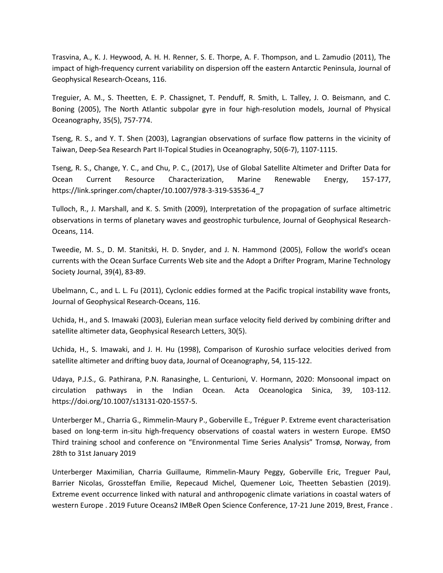Trasvina, A., K. J. Heywood, A. H. H. Renner, S. E. Thorpe, A. F. Thompson, and L. Zamudio (2011), The impact of high-frequency current variability on dispersion off the eastern Antarctic Peninsula, Journal of Geophysical Research-Oceans, 116.

Treguier, A. M., S. Theetten, E. P. Chassignet, T. Penduff, R. Smith, L. Talley, J. O. Beismann, and C. Boning (2005), The North Atlantic subpolar gyre in four high-resolution models, Journal of Physical Oceanography, 35(5), 757-774.

Tseng, R. S., and Y. T. Shen (2003), Lagrangian observations of surface flow patterns in the vicinity of Taiwan, Deep-Sea Research Part II-Topical Studies in Oceanography, 50(6-7), 1107-1115.

Tseng, R. S., Change, Y. C., and Chu, P. C., (2017), Use of Global Satellite Altimeter and Drifter Data for Ocean Current Resource Characterization, Marine Renewable Energy, 157-177, https://link.springer.com/chapter/10.1007/978-3-319-53536-4\_7

Tulloch, R., J. Marshall, and K. S. Smith (2009), Interpretation of the propagation of surface altimetric observations in terms of planetary waves and geostrophic turbulence, Journal of Geophysical Research-Oceans, 114.

Tweedie, M. S., D. M. Stanitski, H. D. Snyder, and J. N. Hammond (2005), Follow the world's ocean currents with the Ocean Surface Currents Web site and the Adopt a Drifter Program, Marine Technology Society Journal, 39(4), 83-89.

Ubelmann, C., and L. L. Fu (2011), Cyclonic eddies formed at the Pacific tropical instability wave fronts, Journal of Geophysical Research-Oceans, 116.

Uchida, H., and S. Imawaki (2003), Eulerian mean surface velocity field derived by combining drifter and satellite altimeter data, Geophysical Research Letters, 30(5).

Uchida, H., S. Imawaki, and J. H. Hu (1998), Comparison of Kuroshio surface velocities derived from satellite altimeter and drifting buoy data, Journal of Oceanography, 54, 115-122.

Udaya, P.J.S., G. Pathirana, P.N. Ranasinghe, L. Centurioni, V. Hormann, 2020: Monsoonal impact on circulation pathways in the Indian Ocean. Acta Oceanologica Sinica, 39, 103-112. https://doi.org/10.1007/s13131-020-1557-5.

Unterberger M., Charria G., Rimmelin-Maury P., Goberville E., Tréguer P. Extreme event characterisation based on long-term in-situ high-frequency observations of coastal waters in western Europe. EMSO Third training school and conference on "Environmental Time Series Analysis" Tromsø, Norway, from 28th to 31st January 2019

Unterberger Maximilian, Charria Guillaume, Rimmelin-Maury Peggy, Goberville Eric, Treguer Paul, Barrier Nicolas, Grossteffan Emilie, Repecaud Michel, Quemener Loic, Theetten Sebastien (2019). Extreme event occurrence linked with natural and anthropogenic climate variations in coastal waters of western Europe . 2019 Future Oceans2 IMBeR Open Science Conference, 17-21 June 2019, Brest, France .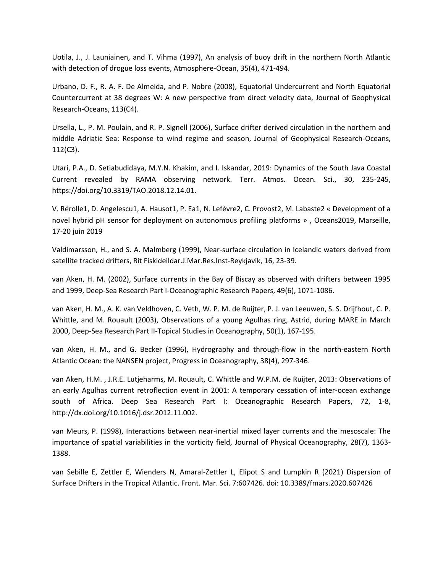Uotila, J., J. Launiainen, and T. Vihma (1997), An analysis of buoy drift in the northern North Atlantic with detection of drogue loss events, Atmosphere-Ocean, 35(4), 471-494.

Urbano, D. F., R. A. F. De Almeida, and P. Nobre (2008), Equatorial Undercurrent and North Equatorial Countercurrent at 38 degrees W: A new perspective from direct velocity data, Journal of Geophysical Research-Oceans, 113(C4).

Ursella, L., P. M. Poulain, and R. P. Signell (2006), Surface drifter derived circulation in the northern and middle Adriatic Sea: Response to wind regime and season, Journal of Geophysical Research-Oceans, 112(C3).

Utari, P.A., D. Setiabudidaya, M.Y.N. Khakim, and I. Iskandar, 2019: Dynamics of the South Java Coastal Current revealed by RAMA observing network. Terr. Atmos. Ocean. Sci., 30, 235-245, https://doi.org/10.3319/TAO.2018.12.14.01.

V. Rérolle1, D. Angelescu1, A. Hausot1, P. Ea1, N. Lefèvre2, C. Provost2, M. Labaste2 « Development of a novel hybrid pH sensor for deployment on autonomous profiling platforms » , Oceans2019, Marseille, 17-20 juin 2019

Valdimarsson, H., and S. A. Malmberg (1999), Near-surface circulation in Icelandic waters derived from satellite tracked drifters, Rit Fiskideildar.J.Mar.Res.Inst-Reykjavik, 16, 23-39.

van Aken, H. M. (2002), Surface currents in the Bay of Biscay as observed with drifters between 1995 and 1999, Deep-Sea Research Part I-Oceanographic Research Papers, 49(6), 1071-1086.

van Aken, H. M., A. K. van Veldhoven, C. Veth, W. P. M. de Ruijter, P. J. van Leeuwen, S. S. Drijfhout, C. P. Whittle, and M. Rouault (2003), Observations of a young Agulhas ring, Astrid, during MARE in March 2000, Deep-Sea Research Part II-Topical Studies in Oceanography, 50(1), 167-195.

van Aken, H. M., and G. Becker (1996), Hydrography and through-flow in the north-eastern North Atlantic Ocean: the NANSEN project, Progress in Oceanography, 38(4), 297-346.

van Aken, H.M. , J.R.E. Lutjeharms, M. Rouault, C. Whittle and W.P.M. de Ruijter, 2013: Observations of an early Agulhas current retroflection event in 2001: A temporary cessation of inter-ocean exchange south of Africa. Deep Sea Research Part I: Oceanographic Research Papers, 72, 1-8, http://dx.doi.org/10.1016/j.dsr.2012.11.002.

van Meurs, P. (1998), Interactions between near-inertial mixed layer currents and the mesoscale: The importance of spatial variabilities in the vorticity field, Journal of Physical Oceanography, 28(7), 1363- 1388.

van Sebille E, Zettler E, Wienders N, Amaral-Zettler L, Elipot S and Lumpkin R (2021) Dispersion of Surface Drifters in the Tropical Atlantic. Front. Mar. Sci. 7:607426. doi: 10.3389/fmars.2020.607426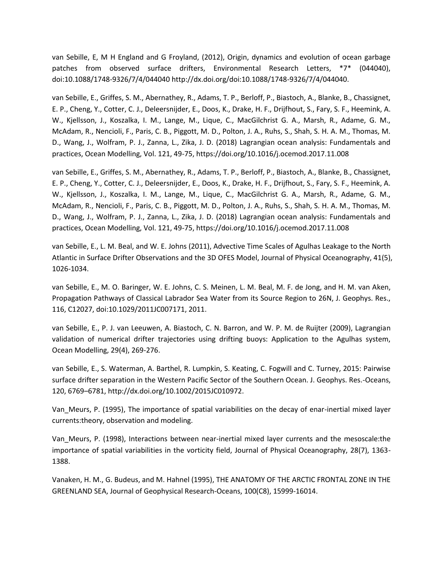van Sebille, E, M H England and G Froyland, (2012), Origin, dynamics and evolution of ocean garbage patches from observed surface drifters, Environmental Research Letters, \*7\* (044040), doi:10.1088/1748-9326/7/4/044040 http://dx.doi.org/doi:10.1088/1748-9326/7/4/044040.

van Sebille, E., Griffes, S. M., Abernathey, R., Adams, T. P., Berloff, P., Biastoch, A., Blanke, B., Chassignet, E. P., Cheng, Y., Cotter, C. J., Deleersnijder, E., Doos, K., Drake, H. F., Drijfhout, S., Fary, S. F., Heemink, A. W., Kjellsson, J., Koszalka, I. M., Lange, M., Lique, C., MacGilchrist G. A., Marsh, R., Adame, G. M., McAdam, R., Nencioli, F., Paris, C. B., Piggott, M. D., Polton, J. A., Ruhs, S., Shah, S. H. A. M., Thomas, M. D., Wang, J., Wolfram, P. J., Zanna, L., Zika, J. D. (2018) Lagrangian ocean analysis: Fundamentals and practices, Ocean Modelling, Vol. 121, 49-75, https://doi.org/10.1016/j.ocemod.2017.11.008

van Sebille, E., Griffes, S. M., Abernathey, R., Adams, T. P., Berloff, P., Biastoch, A., Blanke, B., Chassignet, E. P., Cheng, Y., Cotter, C. J., Deleersnijder, E., Doos, K., Drake, H. F., Drijfhout, S., Fary, S. F., Heemink, A. W., Kjellsson, J., Koszalka, I. M., Lange, M., Lique, C., MacGilchrist G. A., Marsh, R., Adame, G. M., McAdam, R., Nencioli, F., Paris, C. B., Piggott, M. D., Polton, J. A., Ruhs, S., Shah, S. H. A. M., Thomas, M. D., Wang, J., Wolfram, P. J., Zanna, L., Zika, J. D. (2018) Lagrangian ocean analysis: Fundamentals and practices, Ocean Modelling, Vol. 121, 49-75, https://doi.org/10.1016/j.ocemod.2017.11.008

van Sebille, E., L. M. Beal, and W. E. Johns (2011), Advective Time Scales of Agulhas Leakage to the North Atlantic in Surface Drifter Observations and the 3D OFES Model, Journal of Physical Oceanography, 41(5), 1026-1034.

van Sebille, E., M. O. Baringer, W. E. Johns, C. S. Meinen, L. M. Beal, M. F. de Jong, and H. M. van Aken, Propagation Pathways of Classical Labrador Sea Water from its Source Region to 26N, J. Geophys. Res., 116, C12027, doi:10.1029/2011JC007171, 2011.

van Sebille, E., P. J. van Leeuwen, A. Biastoch, C. N. Barron, and W. P. M. de Ruijter (2009), Lagrangian validation of numerical drifter trajectories using drifting buoys: Application to the Agulhas system, Ocean Modelling, 29(4), 269-276.

van Sebille, E., S. Waterman, A. Barthel, R. Lumpkin, S. Keating, C. Fogwill and C. Turney, 2015: Pairwise surface drifter separation in the Western Pacific Sector of the Southern Ocean. J. Geophys. Res.-Oceans, 120, 6769–6781, http://dx.doi.org/10.1002/2015JC010972.

Van\_Meurs, P. (1995), The importance of spatial variabilities on the decay of enar-inertial mixed layer currents:theory, observation and modeling.

Van\_Meurs, P. (1998), Interactions between near-inertial mixed layer currents and the mesoscale:the importance of spatial variabilities in the vorticity field, Journal of Physical Oceanography, 28(7), 1363- 1388.

Vanaken, H. M., G. Budeus, and M. Hahnel (1995), THE ANATOMY OF THE ARCTIC FRONTAL ZONE IN THE GREENLAND SEA, Journal of Geophysical Research-Oceans, 100(C8), 15999-16014.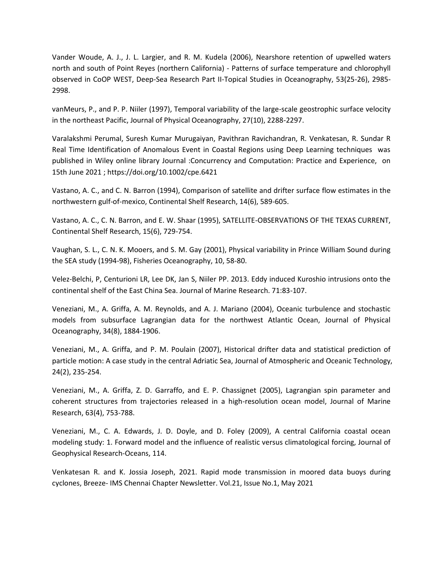Vander Woude, A. J., J. L. Largier, and R. M. Kudela (2006), Nearshore retention of upwelled waters north and south of Point Reyes (northern California) - Patterns of surface temperature and chlorophyll observed in CoOP WEST, Deep-Sea Research Part II-Topical Studies in Oceanography, 53(25-26), 2985- 2998.

vanMeurs, P., and P. P. Niiler (1997), Temporal variability of the large-scale geostrophic surface velocity in the northeast Pacific, Journal of Physical Oceanography, 27(10), 2288-2297.

Varalakshmi Perumal, Suresh Kumar Murugaiyan, Pavithran Ravichandran, R. Venkatesan, R. Sundar R Real Time Identification of Anomalous Event in Coastal Regions using Deep Learning techniques was published in Wiley online library Journal :Concurrency and Computation: Practice and Experience, on 15th June 2021 ; https://doi.org/10.1002/cpe.6421

Vastano, A. C., and C. N. Barron (1994), Comparison of satellite and drifter surface flow estimates in the northwestern gulf-of-mexico, Continental Shelf Research, 14(6), 589-605.

Vastano, A. C., C. N. Barron, and E. W. Shaar (1995), SATELLITE-OBSERVATIONS OF THE TEXAS CURRENT, Continental Shelf Research, 15(6), 729-754.

Vaughan, S. L., C. N. K. Mooers, and S. M. Gay (2001), Physical variability in Prince William Sound during the SEA study (1994-98), Fisheries Oceanography, 10, 58-80.

Velez-Belchi, P, Centurioni LR, Lee DK, Jan S, Niiler PP. 2013. Eddy induced Kuroshio intrusions onto the continental shelf of the East China Sea. Journal of Marine Research. 71:83-107.

Veneziani, M., A. Griffa, A. M. Reynolds, and A. J. Mariano (2004), Oceanic turbulence and stochastic models from subsurface Lagrangian data for the northwest Atlantic Ocean, Journal of Physical Oceanography, 34(8), 1884-1906.

Veneziani, M., A. Griffa, and P. M. Poulain (2007), Historical drifter data and statistical prediction of particle motion: A case study in the central Adriatic Sea, Journal of Atmospheric and Oceanic Technology, 24(2), 235-254.

Veneziani, M., A. Griffa, Z. D. Garraffo, and E. P. Chassignet (2005), Lagrangian spin parameter and coherent structures from trajectories released in a high-resolution ocean model, Journal of Marine Research, 63(4), 753-788.

Veneziani, M., C. A. Edwards, J. D. Doyle, and D. Foley (2009), A central California coastal ocean modeling study: 1. Forward model and the influence of realistic versus climatological forcing, Journal of Geophysical Research-Oceans, 114.

Venkatesan R. and K. Jossia Joseph, 2021. Rapid mode transmission in moored data buoys during cyclones, Breeze- IMS Chennai Chapter Newsletter. Vol.21, Issue No.1, May 2021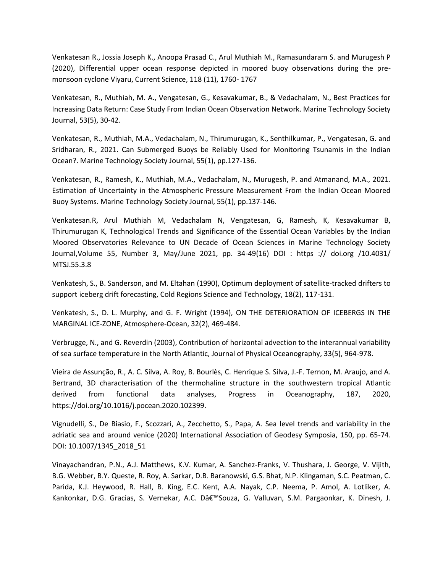Venkatesan R., Jossia Joseph K., Anoopa Prasad C., Arul Muthiah M., Ramasundaram S. and Murugesh P (2020), Differential upper ocean response depicted in moored buoy observations during the premonsoon cyclone Viyaru, Current Science, 118 (11), 1760- 1767

Venkatesan, R., Muthiah, M. A., Vengatesan, G., Kesavakumar, B., & Vedachalam, N., Best Practices for Increasing Data Return: Case Study From Indian Ocean Observation Network. Marine Technology Society Journal, 53(5), 30-42.

Venkatesan, R., Muthiah, M.A., Vedachalam, N., Thirumurugan, K., Senthilkumar, P., Vengatesan, G. and Sridharan, R., 2021. Can Submerged Buoys be Reliably Used for Monitoring Tsunamis in the Indian Ocean?. Marine Technology Society Journal, 55(1), pp.127-136.

Venkatesan, R., Ramesh, K., Muthiah, M.A., Vedachalam, N., Murugesh, P. and Atmanand, M.A., 2021. Estimation of Uncertainty in the Atmospheric Pressure Measurement From the Indian Ocean Moored Buoy Systems. Marine Technology Society Journal, 55(1), pp.137-146.

Venkatesan.R, Arul Muthiah M, Vedachalam N, Vengatesan, G, Ramesh, K, Kesavakumar B, Thirumurugan K, Technological Trends and Significance of the Essential Ocean Variables by the Indian Moored Observatories Relevance to UN Decade of Ocean Sciences in Marine Technology Society Journal,Volume 55, Number 3, May/June 2021, pp. 34-49(16) DOI : https :// doi.org /10.4031/ MTSJ.55.3.8

Venkatesh, S., B. Sanderson, and M. Eltahan (1990), Optimum deployment of satellite-tracked drifters to support iceberg drift forecasting, Cold Regions Science and Technology, 18(2), 117-131.

Venkatesh, S., D. L. Murphy, and G. F. Wright (1994), ON THE DETERIORATION OF ICEBERGS IN THE MARGINAL ICE-ZONE, Atmosphere-Ocean, 32(2), 469-484.

Verbrugge, N., and G. Reverdin (2003), Contribution of horizontal advection to the interannual variability of sea surface temperature in the North Atlantic, Journal of Physical Oceanography, 33(5), 964-978.

Vieira de Assunção, R., A. C. Silva, A. Roy, B. Bourlès, C. Henrique S. Silva, J.-F. Ternon, M. Araujo, and A. Bertrand, 3D characterisation of the thermohaline structure in the southwestern tropical Atlantic derived from functional data analyses, Progress in Oceanography, 187, 2020, https://doi.org/10.1016/j.pocean.2020.102399.

Vignudelli, S., De Biasio, F., Scozzari, A., Zecchetto, S., Papa, A. Sea level trends and variability in the adriatic sea and around venice (2020) International Association of Geodesy Symposia, 150, pp. 65-74. DOI: 10.1007/1345\_2018\_51

Vinayachandran, P.N., A.J. Matthews, K.V. Kumar, A. Sanchez-Franks, V. Thushara, J. George, V. Vijith, B.G. Webber, B.Y. Queste, R. Roy, A. Sarkar, D.B. Baranowski, G.S. Bhat, N.P. Klingaman, S.C. Peatman, C. Parida, K.J. Heywood, R. Hall, B. King, E.C. Kent, A.A. Nayak, C.P. Neema, P. Amol, A. Lotliker, A. Kankonkar, D.G. Gracias, S. Vernekar, A.C. D'Souza, G. Valluvan, S.M. Pargaonkar, K. Dinesh, J.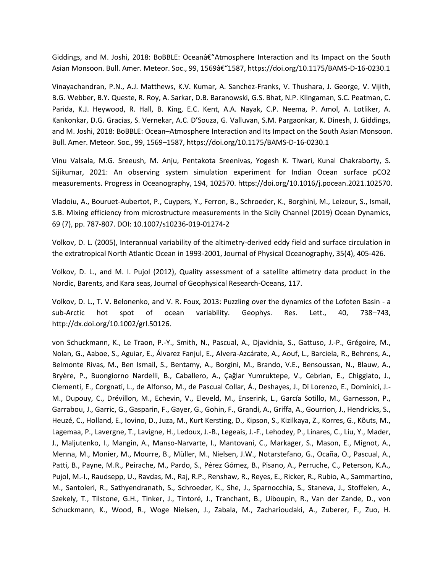Giddings, and M. Joshi, 2018: BoBBLE: Oceanâ $\epsilon$ "Atmosphere Interaction and Its Impact on the South Asian Monsoon. Bull. Amer. Meteor. Soc., 99, 1569â€"1587, https://doi.org/10.1175/BAMS-D-16-0230.1

Vinayachandran, P.N., A.J. Matthews, K.V. Kumar, A. Sanchez-Franks, V. Thushara, J. George, V. Vijith, B.G. Webber, B.Y. Queste, R. Roy, A. Sarkar, D.B. Baranowski, G.S. Bhat, N.P. Klingaman, S.C. Peatman, C. Parida, K.J. Heywood, R. Hall, B. King, E.C. Kent, A.A. Nayak, C.P. Neema, P. Amol, A. Lotliker, A. Kankonkar, D.G. Gracias, S. Vernekar, A.C. D'Souza, G. Valluvan, S.M. Pargaonkar, K. Dinesh, J. Giddings, and M. Joshi, 2018: BoBBLE: Ocean–Atmosphere Interaction and Its Impact on the South Asian Monsoon. Bull. Amer. Meteor. Soc., 99, 1569–1587, https://doi.org/10.1175/BAMS-D-16-0230.1

Vinu Valsala, M.G. Sreeush, M. Anju, Pentakota Sreenivas, Yogesh K. Tiwari, Kunal Chakraborty, S. Sijikumar, 2021: An observing system simulation experiment for Indian Ocean surface pCO2 measurements. Progress in Oceanography, 194, 102570. https://doi.org/10.1016/j.pocean.2021.102570.

Vladoiu, A., Bouruet-Aubertot, P., Cuypers, Y., Ferron, B., Schroeder, K., Borghini, M., Leizour, S., Ismail, S.B. Mixing efficiency from microstructure measurements in the Sicily Channel (2019) Ocean Dynamics, 69 (7), pp. 787-807. DOI: 10.1007/s10236-019-01274-2

Volkov, D. L. (2005), Interannual variability of the altimetry-derived eddy field and surface circulation in the extratropical North Atlantic Ocean in 1993-2001, Journal of Physical Oceanography, 35(4), 405-426.

Volkov, D. L., and M. I. Pujol (2012), Quality assessment of a satellite altimetry data product in the Nordic, Barents, and Kara seas, Journal of Geophysical Research-Oceans, 117.

Volkov, D. L., T. V. Belonenko, and V. R. Foux, 2013: Puzzling over the dynamics of the Lofoten Basin - a sub-Arctic hot spot of ocean variability. Geophys. Res. Lett., 40, 738–743, http://dx.doi.org/10.1002/grl.50126.

von Schuckmann, K., Le Traon, P.-Y., Smith, N., Pascual, A., Djavidnia, S., Gattuso, J.-P., Grégoire, M., Nolan, G., Aaboe, S., Aguiar, E., Álvarez Fanjul, E., Alvera-Azcárate, A., Aouf, L., Barciela, R., Behrens, A., Belmonte Rivas, M., Ben Ismail, S., Bentamy, A., Borgini, M., Brando, V.E., Bensoussan, N., Blauw, A., Bryère, P., Buongiorno Nardelli, B., Caballero, A., Çağlar Yumruktepe, V., Cebrian, E., Chiggiato, J., Clementi, E., Corgnati, L., de Alfonso, M., de Pascual Collar, Á., Deshayes, J., Di Lorenzo, E., Dominici, J.- M., Dupouy, C., Drévillon, M., Echevin, V., Eleveld, M., Enserink, L., García Sotillo, M., Garnesson, P., Garrabou, J., Garric, G., Gasparin, F., Gayer, G., Gohin, F., Grandi, A., Griffa, A., Gourrion, J., Hendricks, S., Heuzé, C., Holland, E., Iovino, D., Juza, M., Kurt Kersting, D., Kipson, S., Kizilkaya, Z., Korres, G., Kõuts, M., Lagemaa, P., Lavergne, T., Lavigne, H., Ledoux, J.-B., Legeais, J.-F., Lehodey, P., Linares, C., Liu, Y., Mader, J., Maljutenko, I., Mangin, A., Manso-Narvarte, I., Mantovani, C., Markager, S., Mason, E., Mignot, A., Menna, M., Monier, M., Mourre, B., Müller, M., Nielsen, J.W., Notarstefano, G., Ocaña, O., Pascual, A., Patti, B., Payne, M.R., Peirache, M., Pardo, S., Pérez Gómez, B., Pisano, A., Perruche, C., Peterson, K.A., Pujol, M.-I., Raudsepp, U., Ravdas, M., Raj, R.P., Renshaw, R., Reyes, E., Ricker, R., Rubio, A., Sammartino, M., Santoleri, R., Sathyendranath, S., Schroeder, K., She, J., Sparnocchia, S., Staneva, J., Stoffelen, A., Szekely, T., Tilstone, G.H., Tinker, J., Tintoré, J., Tranchant, B., Uiboupin, R., Van der Zande, D., von Schuckmann, K., Wood, R., Woge Nielsen, J., Zabala, M., Zacharioudaki, A., Zuberer, F., Zuo, H.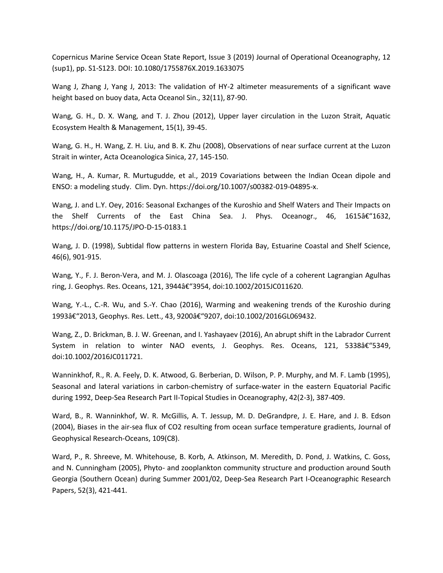Copernicus Marine Service Ocean State Report, Issue 3 (2019) Journal of Operational Oceanography, 12 (sup1), pp. S1-S123. DOI: 10.1080/1755876X.2019.1633075

Wang J, Zhang J, Yang J, 2013: The validation of HY-2 altimeter measurements of a significant wave height based on buoy data, Acta Oceanol Sin., 32(11), 87-90.

Wang, G. H., D. X. Wang, and T. J. Zhou (2012), Upper layer circulation in the Luzon Strait, Aquatic Ecosystem Health & Management, 15(1), 39-45.

Wang, G. H., H. Wang, Z. H. Liu, and B. K. Zhu (2008), Observations of near surface current at the Luzon Strait in winter, Acta Oceanologica Sinica, 27, 145-150.

Wang, H., A. Kumar, R. Murtugudde, et al., 2019 Covariations between the Indian Ocean dipole and ENSO: a modeling study. Clim. Dyn. https://doi.org/10.1007/s00382-019-04895-x.

Wang, J. and L.Y. Oey, 2016: Seasonal Exchanges of the Kuroshio and Shelf Waters and Their Impacts on the Shelf Currents of the East China Sea. J. Phys. Oceanogr., 46, 1615–1632, https://doi.org/10.1175/JPO-D-15-0183.1

Wang, J. D. (1998), Subtidal flow patterns in western Florida Bay, Estuarine Coastal and Shelf Science, 46(6), 901-915.

Wang, Y., F. J. Beron-Vera, and M. J. Olascoaga (2016), The life cycle of a coherent Lagrangian Agulhas ring, J. Geophys. Res. Oceans, 121, 3944–3954, doi:10.1002/2015JC011620.

Wang, Y.-L., C.-R. Wu, and S.-Y. Chao (2016), Warming and weakening trends of the Kuroshio during 1993â€"2013, Geophys. Res. Lett., 43, 9200â€"9207, doi:10.1002/2016GL069432.

Wang, Z., D. Brickman, B. J. W. Greenan, and I. Yashayaev (2016), An abrupt shift in the Labrador Current System in relation to winter NAO events, J. Geophys. Res. Oceans, 121, 5338â€"5349, doi:10.1002/2016JC011721.

Wanninkhof, R., R. A. Feely, D. K. Atwood, G. Berberian, D. Wilson, P. P. Murphy, and M. F. Lamb (1995), Seasonal and lateral variations in carbon-chemistry of surface-water in the eastern Equatorial Pacific during 1992, Deep-Sea Research Part II-Topical Studies in Oceanography, 42(2-3), 387-409.

Ward, B., R. Wanninkhof, W. R. McGillis, A. T. Jessup, M. D. DeGrandpre, J. E. Hare, and J. B. Edson (2004), Biases in the air-sea flux of CO2 resulting from ocean surface temperature gradients, Journal of Geophysical Research-Oceans, 109(C8).

Ward, P., R. Shreeve, M. Whitehouse, B. Korb, A. Atkinson, M. Meredith, D. Pond, J. Watkins, C. Goss, and N. Cunningham (2005), Phyto- and zooplankton community structure and production around South Georgia (Southern Ocean) during Summer 2001/02, Deep-Sea Research Part I-Oceanographic Research Papers, 52(3), 421-441.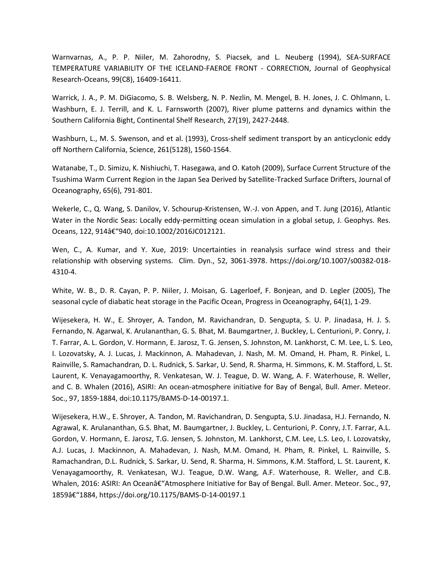Warnvarnas, A., P. P. Niiler, M. Zahorodny, S. Piacsek, and L. Neuberg (1994), SEA-SURFACE TEMPERATURE VARIABILITY OF THE ICELAND-FAEROE FRONT - CORRECTION, Journal of Geophysical Research-Oceans, 99(C8), 16409-16411.

Warrick, J. A., P. M. DiGiacomo, S. B. Welsberg, N. P. Nezlin, M. Mengel, B. H. Jones, J. C. Ohlmann, L. Washburn, E. J. Terrill, and K. L. Farnsworth (2007), River plume patterns and dynamics within the Southern California Bight, Continental Shelf Research, 27(19), 2427-2448.

Washburn, L., M. S. Swenson, and et al. (1993), Cross-shelf sediment transport by an anticyclonic eddy off Northern California, Science, 261(5128), 1560-1564.

Watanabe, T., D. Simizu, K. Nishiuchi, T. Hasegawa, and O. Katoh (2009), Surface Current Structure of the Tsushima Warm Current Region in the Japan Sea Derived by Satellite-Tracked Surface Drifters, Journal of Oceanography, 65(6), 791-801.

Wekerle, C., Q. Wang, S. Danilov, V. Schourup-Kristensen, W.-J. von Appen, and T. Jung (2016), Atlantic Water in the Nordic Seas: Locally eddy-permitting ocean simulation in a global setup, J. Geophys. Res. Oceans, 122, 914â€"940, doi:10.1002/2016JC012121.

Wen, C., A. Kumar, and Y. Xue, 2019: Uncertainties in reanalysis surface wind stress and their relationship with observing systems. Clim. Dyn., 52, 3061-3978. https://doi.org/10.1007/s00382-018- 4310-4.

White, W. B., D. R. Cayan, P. P. Niiler, J. Moisan, G. Lagerloef, F. Bonjean, and D. Legler (2005), The seasonal cycle of diabatic heat storage in the Pacific Ocean, Progress in Oceanography, 64(1), 1-29.

Wijesekera, H. W., E. Shroyer, A. Tandon, M. Ravichandran, D. Sengupta, S. U. P. Jinadasa, H. J. S. Fernando, N. Agarwal, K. Arulananthan, G. S. Bhat, M. Baumgartner, J. Buckley, L. Centurioni, P. Conry, J. T. Farrar, A. L. Gordon, V. Hormann, E. Jarosz, T. G. Jensen, S. Johnston, M. Lankhorst, C. M. Lee, L. S. Leo, I. Lozovatsky, A. J. Lucas, J. Mackinnon, A. Mahadevan, J. Nash, M. M. Omand, H. Pham, R. Pinkel, L. Rainville, S. Ramachandran, D. L. Rudnick, S. Sarkar, U. Send, R. Sharma, H. Simmons, K. M. Stafford, L. St. Laurent, K. Venayagamoorthy, R. Venkatesan, W. J. Teague, D. W. Wang, A. F. Waterhouse, R. Weller, and C. B. Whalen (2016), ASIRI: An ocean-atmosphere initiative for Bay of Bengal, Bull. Amer. Meteor. Soc., 97, 1859-1884, doi:10.1175/BAMS-D-14-00197.1.

Wijesekera, H.W., E. Shroyer, A. Tandon, M. Ravichandran, D. Sengupta, S.U. Jinadasa, H.J. Fernando, N. Agrawal, K. Arulananthan, G.S. Bhat, M. Baumgartner, J. Buckley, L. Centurioni, P. Conry, J.T. Farrar, A.L. Gordon, V. Hormann, E. Jarosz, T.G. Jensen, S. Johnston, M. Lankhorst, C.M. Lee, L.S. Leo, I. Lozovatsky, A.J. Lucas, J. Mackinnon, A. Mahadevan, J. Nash, M.M. Omand, H. Pham, R. Pinkel, L. Rainville, S. Ramachandran, D.L. Rudnick, S. Sarkar, U. Send, R. Sharma, H. Simmons, K.M. Stafford, L. St. Laurent, K. Venayagamoorthy, R. Venkatesan, W.J. Teague, D.W. Wang, A.F. Waterhouse, R. Weller, and C.B. Whalen, 2016: ASIRI: An Oceanâ€"Atmosphere Initiative for Bay of Bengal. Bull. Amer. Meteor. Soc., 97, 1859â€"1884, https://doi.org/10.1175/BAMS-D-14-00197.1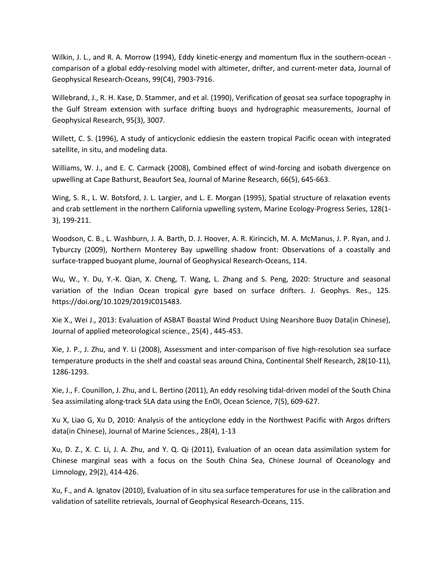Wilkin, J. L., and R. A. Morrow (1994), Eddy kinetic-energy and momentum flux in the southern-ocean comparison of a global eddy-resolving model with altimeter, drifter, and current-meter data, Journal of Geophysical Research-Oceans, 99(C4), 7903-7916.

Willebrand, J., R. H. Kase, D. Stammer, and et al. (1990), Verification of geosat sea surface topography in the Gulf Stream extension with surface drifting buoys and hydrographic measurements, Journal of Geophysical Research, 95(3), 3007.

Willett, C. S. (1996), A study of anticyclonic eddiesin the eastern tropical Pacific ocean with integrated satellite, in situ, and modeling data.

Williams, W. J., and E. C. Carmack (2008), Combined effect of wind-forcing and isobath divergence on upwelling at Cape Bathurst, Beaufort Sea, Journal of Marine Research, 66(5), 645-663.

Wing, S. R., L. W. Botsford, J. L. Largier, and L. E. Morgan (1995), Spatial structure of relaxation events and crab settlement in the northern California upwelling system, Marine Ecology-Progress Series, 128(1- 3), 199-211.

Woodson, C. B., L. Washburn, J. A. Barth, D. J. Hoover, A. R. Kirincich, M. A. McManus, J. P. Ryan, and J. Tyburczy (2009), Northern Monterey Bay upwelling shadow front: Observations of a coastally and surface-trapped buoyant plume, Journal of Geophysical Research-Oceans, 114.

Wu, W., Y. Du, Y.-K. Qian, X. Cheng, T. Wang, L. Zhang and S. Peng, 2020: Structure and seasonal variation of the Indian Ocean tropical gyre based on surface drifters. J. Geophys. Res., 125. https://doi.org/10.1029/2019JC015483.

Xie X., Wei J., 2013: Evaluation of ASBAT Boastal Wind Product Using Nearshore Buoy Data(in Chinese), Journal of applied meteorological science., 25(4) , 445-453.

Xie, J. P., J. Zhu, and Y. Li (2008), Assessment and inter-comparison of five high-resolution sea surface temperature products in the shelf and coastal seas around China, Continental Shelf Research, 28(10-11), 1286-1293.

Xie, J., F. Counillon, J. Zhu, and L. Bertino (2011), An eddy resolving tidal-driven model of the South China Sea assimilating along-track SLA data using the EnOI, Ocean Science, 7(5), 609-627.

Xu X, Liao G, Xu D, 2010: Analysis of the anticyclone eddy in the Northwest Pacific with Argos drifters data(in Chinese), Journal of Marine Sciences., 28(4), 1-13

Xu, D. Z., X. C. Li, J. A. Zhu, and Y. Q. Qi (2011), Evaluation of an ocean data assimilation system for Chinese marginal seas with a focus on the South China Sea, Chinese Journal of Oceanology and Limnology, 29(2), 414-426.

Xu, F., and A. Ignatov (2010), Evaluation of in situ sea surface temperatures for use in the calibration and validation of satellite retrievals, Journal of Geophysical Research-Oceans, 115.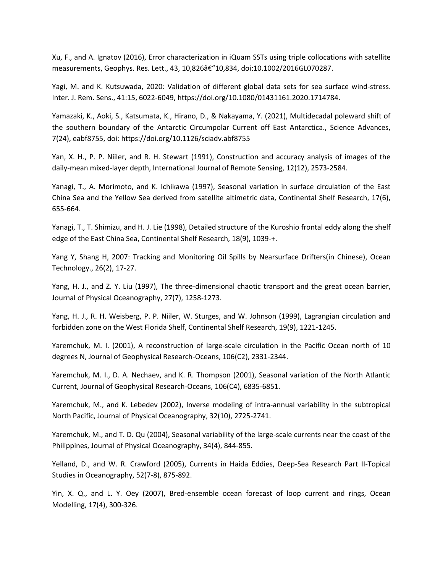Xu, F., and A. Ignatov (2016), Error characterization in iQuam SSTs using triple collocations with satellite measurements, Geophys. Res. Lett., 43, 10,826â€"10,834, doi:10.1002/2016GL070287.

Yagi, M. and K. Kutsuwada, 2020: Validation of different global data sets for sea surface wind-stress. Inter. J. Rem. Sens., 41:15, 6022-6049, https://doi.org/10.1080/01431161.2020.1714784.

Yamazaki, K., Aoki, S., Katsumata, K., Hirano, D., & Nakayama, Y. (2021), Multidecadal poleward shift of the southern boundary of the Antarctic Circumpolar Current off East Antarctica., Science Advances, 7(24), eabf8755, doi: https://doi.org/10.1126/sciadv.abf8755

Yan, X. H., P. P. Niiler, and R. H. Stewart (1991), Construction and accuracy analysis of images of the daily-mean mixed-layer depth, International Journal of Remote Sensing, 12(12), 2573-2584.

Yanagi, T., A. Morimoto, and K. Ichikawa (1997), Seasonal variation in surface circulation of the East China Sea and the Yellow Sea derived from satellite altimetric data, Continental Shelf Research, 17(6), 655-664.

Yanagi, T., T. Shimizu, and H. J. Lie (1998), Detailed structure of the Kuroshio frontal eddy along the shelf edge of the East China Sea, Continental Shelf Research, 18(9), 1039-+.

Yang Y, Shang H, 2007: Tracking and Monitoring Oil Spills by Nearsurface Drifters(in Chinese), Ocean Technology., 26(2), 17-27.

Yang, H. J., and Z. Y. Liu (1997), The three-dimensional chaotic transport and the great ocean barrier, Journal of Physical Oceanography, 27(7), 1258-1273.

Yang, H. J., R. H. Weisberg, P. P. Niiler, W. Sturges, and W. Johnson (1999), Lagrangian circulation and forbidden zone on the West Florida Shelf, Continental Shelf Research, 19(9), 1221-1245.

Yaremchuk, M. I. (2001), A reconstruction of large-scale circulation in the Pacific Ocean north of 10 degrees N, Journal of Geophysical Research-Oceans, 106(C2), 2331-2344.

Yaremchuk, M. I., D. A. Nechaev, and K. R. Thompson (2001), Seasonal variation of the North Atlantic Current, Journal of Geophysical Research-Oceans, 106(C4), 6835-6851.

Yaremchuk, M., and K. Lebedev (2002), Inverse modeling of intra-annual variability in the subtropical North Pacific, Journal of Physical Oceanography, 32(10), 2725-2741.

Yaremchuk, M., and T. D. Qu (2004), Seasonal variability of the large-scale currents near the coast of the Philippines, Journal of Physical Oceanography, 34(4), 844-855.

Yelland, D., and W. R. Crawford (2005), Currents in Haida Eddies, Deep-Sea Research Part II-Topical Studies in Oceanography, 52(7-8), 875-892.

Yin, X. Q., and L. Y. Oey (2007), Bred-ensemble ocean forecast of loop current and rings, Ocean Modelling, 17(4), 300-326.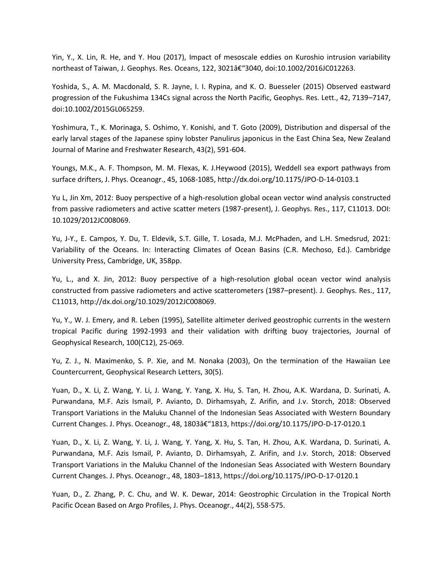Yin, Y., X. Lin, R. He, and Y. Hou (2017), Impact of mesoscale eddies on Kuroshio intrusion variability northeast of Taiwan, J. Geophys. Res. Oceans, 122, 3021†"3040, doi:10.1002/2016JC012263.

Yoshida, S., A. M. Macdonald, S. R. Jayne, I. I. Rypina, and K. O. Buesseler (2015) Observed eastward progression of the Fukushima 134Cs signal across the North Pacific, Geophys. Res. Lett., 42, 7139–7147, doi:10.1002/2015GL065259.

Yoshimura, T., K. Morinaga, S. Oshimo, Y. Konishi, and T. Goto (2009), Distribution and dispersal of the early larval stages of the Japanese spiny lobster Panulirus japonicus in the East China Sea, New Zealand Journal of Marine and Freshwater Research, 43(2), 591-604.

Youngs, M.K., A. F. Thompson, M. M. Flexas, K. J.Heywood (2015), Weddell sea export pathways from surface drifters, J. Phys. Oceanogr., 45, 1068-1085, http://dx.doi.org/10.1175/JPO-D-14-0103.1

Yu L, Jin Xm, 2012: Buoy perspective of a high-resolution global ocean vector wind analysis constructed from passive radiometers and active scatter meters (1987-present), J. Geophys. Res., 117, C11013. DOI: 10.1029/2012JC008069.

Yu, J-Y., E. Campos, Y. Du, T. Eldevik, S.T. Gille, T. Losada, M.J. McPhaden, and L.H. Smedsrud, 2021: Variability of the Oceans. In: Interacting Climates of Ocean Basins (C.R. Mechoso, Ed.). Cambridge University Press, Cambridge, UK, 358pp.

Yu, L., and X. Jin, 2012: Buoy perspective of a high-resolution global ocean vector wind analysis constructed from passive radiometers and active scatterometers (1987–present). J. Geophys. Res., 117, C11013, http://dx.doi.org/10.1029/2012JC008069.

Yu, Y., W. J. Emery, and R. Leben (1995), Satellite altimeter derived geostrophic currents in the western tropical Pacific during 1992-1993 and their validation with drifting buoy trajectories, Journal of Geophysical Research, 100(C12), 25-069.

Yu, Z. J., N. Maximenko, S. P. Xie, and M. Nonaka (2003), On the termination of the Hawaiian Lee Countercurrent, Geophysical Research Letters, 30(5).

Yuan, D., X. Li, Z. Wang, Y. Li, J. Wang, Y. Yang, X. Hu, S. Tan, H. Zhou, A.K. Wardana, D. Surinati, A. Purwandana, M.F. Azis Ismail, P. Avianto, D. Dirhamsyah, Z. Arifin, and J.v. Storch, 2018: Observed Transport Variations in the Maluku Channel of the Indonesian Seas Associated with Western Boundary Current Changes. J. Phys. Oceanogr., 48, 1803â€"1813, https://doi.org/10.1175/JPO-D-17-0120.1

Yuan, D., X. Li, Z. Wang, Y. Li, J. Wang, Y. Yang, X. Hu, S. Tan, H. Zhou, A.K. Wardana, D. Surinati, A. Purwandana, M.F. Azis Ismail, P. Avianto, D. Dirhamsyah, Z. Arifin, and J.v. Storch, 2018: Observed Transport Variations in the Maluku Channel of the Indonesian Seas Associated with Western Boundary Current Changes. J. Phys. Oceanogr., 48, 1803–1813, https://doi.org/10.1175/JPO-D-17-0120.1

Yuan, D., Z. Zhang, P. C. Chu, and W. K. Dewar, 2014: Geostrophic Circulation in the Tropical North Pacific Ocean Based on Argo Profiles, J. Phys. Oceanogr., 44(2), 558-575.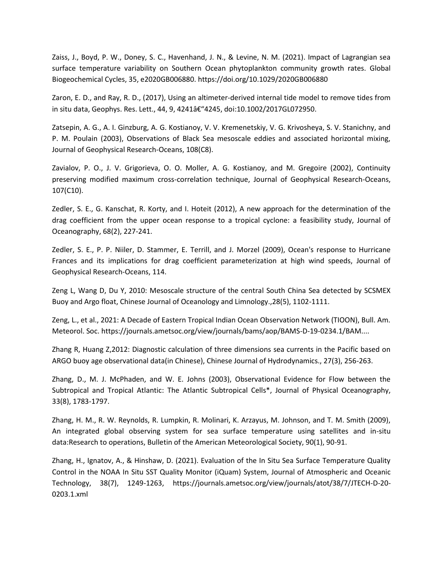Zaiss, J., Boyd, P. W., Doney, S. C., Havenhand, J. N., & Levine, N. M. (2021). Impact of Lagrangian sea surface temperature variability on Southern Ocean phytoplankton community growth rates. Global Biogeochemical Cycles, 35, e2020GB006880. https://doi.org/10.1029/2020GB006880

Zaron, E. D., and Ray, R. D., (2017), Using an altimeter-derived internal tide model to remove tides from in situ data, Geophys. Res. Lett., 44, 9, 4241–4245, doi:10.1002/2017GL072950.

Zatsepin, A. G., A. I. Ginzburg, A. G. Kostianoy, V. V. Kremenetskiy, V. G. Krivosheya, S. V. Stanichny, and P. M. Poulain (2003), Observations of Black Sea mesoscale eddies and associated horizontal mixing, Journal of Geophysical Research-Oceans, 108(C8).

Zavialov, P. O., J. V. Grigorieva, O. O. Moller, A. G. Kostianoy, and M. Gregoire (2002), Continuity preserving modified maximum cross-correlation technique, Journal of Geophysical Research-Oceans, 107(C10).

Zedler, S. E., G. Kanschat, R. Korty, and I. Hoteit (2012), A new approach for the determination of the drag coefficient from the upper ocean response to a tropical cyclone: a feasibility study, Journal of Oceanography, 68(2), 227-241.

Zedler, S. E., P. P. Niiler, D. Stammer, E. Terrill, and J. Morzel (2009), Ocean's response to Hurricane Frances and its implications for drag coefficient parameterization at high wind speeds, Journal of Geophysical Research-Oceans, 114.

Zeng L, Wang D, Du Y, 2010: Mesoscale structure of the central South China Sea detected by SCSMEX Buoy and Argo float, Chinese Journal of Oceanology and Limnology.,28(5), 1102-1111.

Zeng, L., et al., 2021: A Decade of Eastern Tropical Indian Ocean Observation Network (TIOON), Bull. Am. Meteorol. Soc. https://journals.ametsoc.org/view/journals/bams/aop/BAMS-D-19-0234.1/BAM....

Zhang R, Huang Z,2012: Diagnostic calculation of three dimensions sea currents in the Pacific based on ARGO buoy age observational data(in Chinese), Chinese Journal of Hydrodynamics., 27(3), 256-263.

Zhang, D., M. J. McPhaden, and W. E. Johns (2003), Observational Evidence for Flow between the Subtropical and Tropical Atlantic: The Atlantic Subtropical Cells\*, Journal of Physical Oceanography, 33(8), 1783-1797.

Zhang, H. M., R. W. Reynolds, R. Lumpkin, R. Molinari, K. Arzayus, M. Johnson, and T. M. Smith (2009), An integrated global observing system for sea surface temperature using satellites and in-situ data:Research to operations, Bulletin of the American Meteorological Society, 90(1), 90-91.

Zhang, H., Ignatov, A., & Hinshaw, D. (2021). Evaluation of the In Situ Sea Surface Temperature Quality Control in the NOAA In Situ SST Quality Monitor (iQuam) System, Journal of Atmospheric and Oceanic Technology, 38(7), 1249-1263, https://journals.ametsoc.org/view/journals/atot/38/7/JTECH-D-20- 0203.1.xml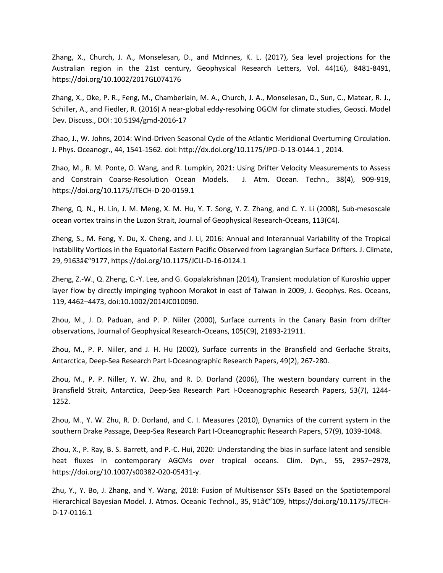Zhang, X., Church, J. A., Monselesan, D., and McInnes, K. L. (2017), Sea level projections for the Australian region in the 21st century, Geophysical Research Letters, Vol. 44(16), 8481-8491, https://doi.org/10.1002/2017GL074176

Zhang, X., Oke, P. R., Feng, M., Chamberlain, M. A., Church, J. A., Monselesan, D., Sun, C., Matear, R. J., Schiller, A., and Fiedler, R. (2016) A near-global eddy-resolving OGCM for climate studies, Geosci. Model Dev. Discuss., DOI: 10.5194/gmd-2016-17

Zhao, J., W. Johns, 2014: Wind-Driven Seasonal Cycle of the Atlantic Meridional Overturning Circulation. J. Phys. Oceanogr., 44, 1541-1562. doi: http://dx.doi.org/10.1175/JPO-D-13-0144.1 , 2014.

Zhao, M., R. M. Ponte, O. Wang, and R. Lumpkin, 2021: Using Drifter Velocity Measurements to Assess and Constrain Coarse-Resolution Ocean Models. J. Atm. Ocean. Techn., 38(4), 909-919, https://doi.org/10.1175/JTECH-D-20-0159.1

Zheng, Q. N., H. Lin, J. M. Meng, X. M. Hu, Y. T. Song, Y. Z. Zhang, and C. Y. Li (2008), Sub-mesoscale ocean vortex trains in the Luzon Strait, Journal of Geophysical Research-Oceans, 113(C4).

Zheng, S., M. Feng, Y. Du, X. Cheng, and J. Li, 2016: Annual and Interannual Variability of the Tropical Instability Vortices in the Equatorial Eastern Pacific Observed from Lagrangian Surface Drifters. J. Climate, 29, 9163†"9177, https://doi.org/10.1175/JCLI-D-16-0124.1

Zheng, Z.-W., Q. Zheng, C.-Y. Lee, and G. Gopalakrishnan (2014), Transient modulation of Kuroshio upper layer flow by directly impinging typhoon Morakot in east of Taiwan in 2009, J. Geophys. Res. Oceans, 119, 4462–4473, doi:10.1002/2014JC010090.

Zhou, M., J. D. Paduan, and P. P. Niiler (2000), Surface currents in the Canary Basin from drifter observations, Journal of Geophysical Research-Oceans, 105(C9), 21893-21911.

Zhou, M., P. P. Niiler, and J. H. Hu (2002), Surface currents in the Bransfield and Gerlache Straits, Antarctica, Deep-Sea Research Part I-Oceanographic Research Papers, 49(2), 267-280.

Zhou, M., P. P. Niller, Y. W. Zhu, and R. D. Dorland (2006), The western boundary current in the Bransfield Strait, Antarctica, Deep-Sea Research Part I-Oceanographic Research Papers, 53(7), 1244- 1252.

Zhou, M., Y. W. Zhu, R. D. Dorland, and C. I. Measures (2010), Dynamics of the current system in the southern Drake Passage, Deep-Sea Research Part I-Oceanographic Research Papers, 57(9), 1039-1048.

Zhou, X., P. Ray, B. S. Barrett, and P.-C. Hui, 2020: Understanding the bias in surface latent and sensible heat fluxes in contemporary AGCMs over tropical oceans. Clim. Dyn., 55, 2957–2978, https://doi.org/10.1007/s00382-020-05431-y.

Zhu, Y., Y. Bo, J. Zhang, and Y. Wang, 2018: Fusion of Multisensor SSTs Based on the Spatiotemporal Hierarchical Bayesian Model. J. Atmos. Oceanic Technol., 35, 91–109, https://doi.org/10.1175/JTECH-D-17-0116.1